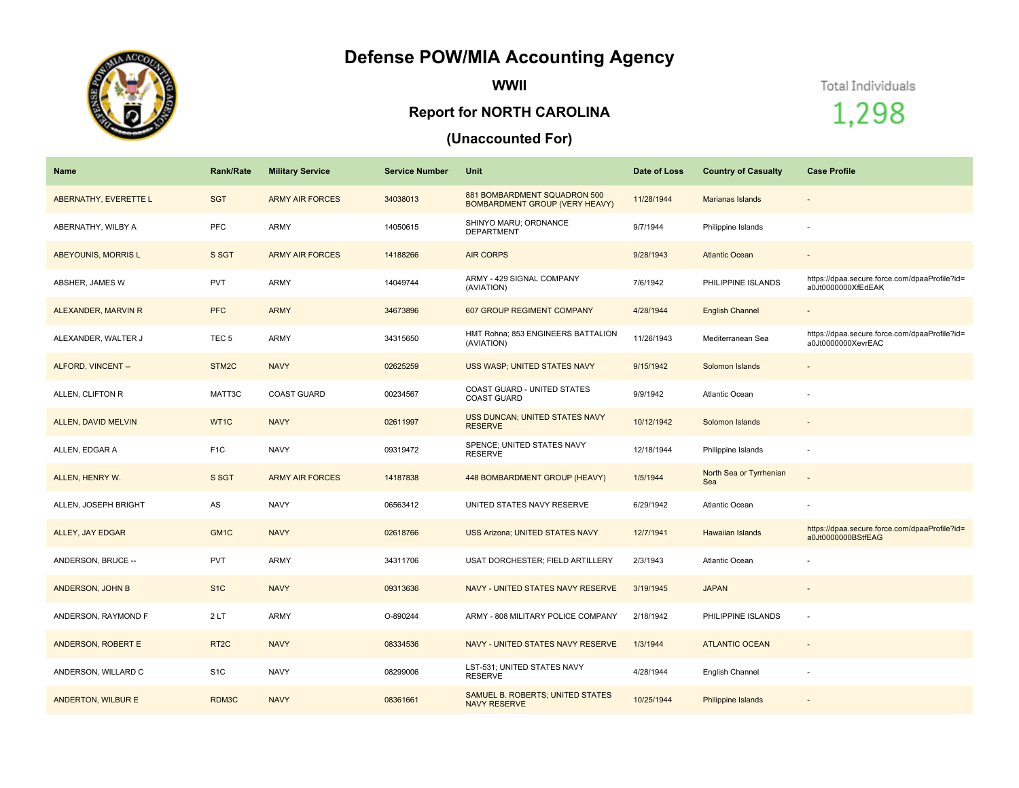## **Defense POW/MIA Accounting Agency**



**WWII**

## **Report for NORTH CAROLINA**

## **(Unaccounted For)**

Total Individuals

1,298

| <b>Name</b>               | <b>Rank/Rate</b>  | <b>Military Service</b> | <b>Service Number</b> | Unit                                                           | Date of Loss | <b>Country of Casualty</b>     | <b>Case Profile</b>                                                 |
|---------------------------|-------------------|-------------------------|-----------------------|----------------------------------------------------------------|--------------|--------------------------------|---------------------------------------------------------------------|
| ABERNATHY, EVERETTE L     | <b>SGT</b>        | <b>ARMY AIR FORCES</b>  | 34038013              | 881 BOMBARDMENT SQUADRON 500<br>BOMBARDMENT GROUP (VERY HEAVY) | 11/28/1944   | <b>Marianas Islands</b>        | $\overline{\phantom{a}}$                                            |
| ABERNATHY, WILBY A        | <b>PFC</b>        | ARMY                    | 14050615              | SHINYO MARU; ORDNANCE<br><b>DEPARTMENT</b>                     | 9/7/1944     | Philippine Islands             |                                                                     |
| ABEYOUNIS, MORRIS L       | S SGT             | <b>ARMY AIR FORCES</b>  | 14188266              | <b>AIR CORPS</b>                                               | 9/28/1943    | <b>Atlantic Ocean</b>          |                                                                     |
| ABSHER, JAMES W           | <b>PVT</b>        | ARMY                    | 14049744              | ARMY - 429 SIGNAL COMPANY<br>(AVIATION)                        | 7/6/1942     | PHILIPPINE ISLANDS             | https://dpaa.secure.force.com/dpaaProfile?id=<br>a0Jt0000000XfEdEAK |
| ALEXANDER, MARVIN R       | <b>PFC</b>        | <b>ARMY</b>             | 34673896              | 607 GROUP REGIMENT COMPANY                                     | 4/28/1944    | <b>English Channel</b>         |                                                                     |
| ALEXANDER, WALTER J       | TEC <sub>5</sub>  | <b>ARMY</b>             | 34315650              | HMT Rohna; 853 ENGINEERS BATTALION<br>(AVIATION)               | 11/26/1943   | Mediterranean Sea              | https://dpaa.secure.force.com/dpaaProfile?id=<br>a0Jt0000000XevrEAC |
| ALFORD, VINCENT --        | STM2C             | <b>NAVY</b>             | 02625259              | <b>USS WASP; UNITED STATES NAVY</b>                            | 9/15/1942    | Solomon Islands                |                                                                     |
| ALLEN, CLIFTON R          | MATT3C            | <b>COAST GUARD</b>      | 00234567              | <b>COAST GUARD - UNITED STATES</b><br><b>COAST GUARD</b>       | 9/9/1942     | <b>Atlantic Ocean</b>          |                                                                     |
| ALLEN, DAVID MELVIN       | WT1C              | <b>NAVY</b>             | 02611997              | <b>USS DUNCAN; UNITED STATES NAVY</b><br><b>RESERVE</b>        | 10/12/1942   | Solomon Islands                | $\sim$                                                              |
| ALLEN, EDGAR A            | F <sub>1</sub> C  | <b>NAVY</b>             | 09319472              | SPENCE; UNITED STATES NAVY<br><b>RESERVE</b>                   | 12/18/1944   | Philippine Islands             | ÷                                                                   |
| ALLEN, HENRY W.           | S SGT             | <b>ARMY AIR FORCES</b>  | 14187838              | 448 BOMBARDMENT GROUP (HEAVY)                                  | 1/5/1944     | North Sea or Tyrrhenian<br>Sea |                                                                     |
| ALLEN, JOSEPH BRIGHT      | AS                | <b>NAVY</b>             | 06563412              | UNITED STATES NAVY RESERVE                                     | 6/29/1942    | <b>Atlantic Ocean</b>          |                                                                     |
| ALLEY, JAY EDGAR          | GM <sub>1C</sub>  | <b>NAVY</b>             | 02618766              | <b>USS Arizona; UNITED STATES NAVY</b>                         | 12/7/1941    | <b>Hawaiian Islands</b>        | https://dpaa.secure.force.com/dpaaProfile?id=<br>a0Jt0000000BStfEAG |
| ANDERSON, BRUCE --        | <b>PVT</b>        | ARMY                    | 34311706              | USAT DORCHESTER; FIELD ARTILLERY                               | 2/3/1943     | Atlantic Ocean                 |                                                                     |
| ANDERSON, JOHN B          | S <sub>1C</sub>   | <b>NAVY</b>             | 09313636              | NAVY - UNITED STATES NAVY RESERVE                              | 3/19/1945    | <b>JAPAN</b>                   |                                                                     |
| ANDERSON, RAYMOND F       | 2LT               | <b>ARMY</b>             | O-890244              | ARMY - 808 MILITARY POLICE COMPANY                             | 2/18/1942    | PHILIPPINE ISLANDS             |                                                                     |
| <b>ANDERSON, ROBERT E</b> | RT <sub>2</sub> C | <b>NAVY</b>             | 08334536              | NAVY - UNITED STATES NAVY RESERVE                              | 1/3/1944     | <b>ATLANTIC OCEAN</b>          |                                                                     |
| ANDERSON, WILLARD C       | S <sub>1</sub> C  | <b>NAVY</b>             | 08299006              | LST-531; UNITED STATES NAVY<br><b>RESERVE</b>                  | 4/28/1944    | English Channel                | $\sim$                                                              |
| <b>ANDERTON, WILBURE</b>  | RDM3C             | <b>NAVY</b>             | 08361661              | SAMUEL B. ROBERTS; UNITED STATES<br><b>NAVY RESERVE</b>        | 10/25/1944   | Philippine Islands             |                                                                     |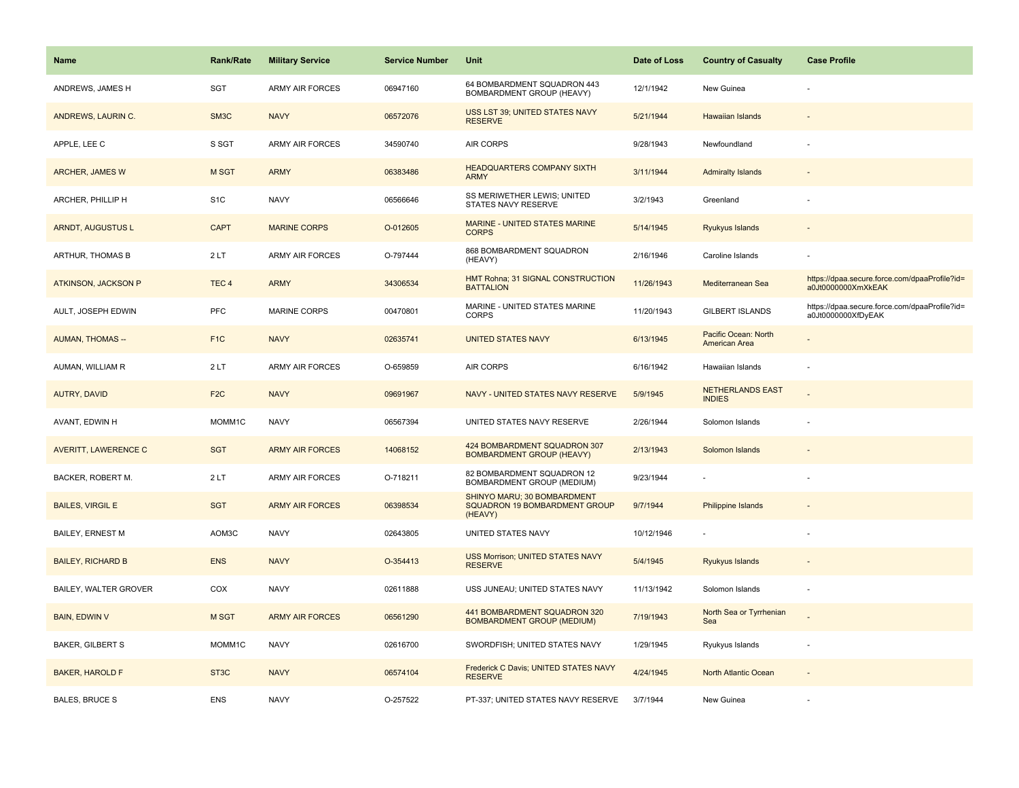| <b>Name</b>                 | <b>Rank/Rate</b>  | <b>Military Service</b> | <b>Service Number</b> | Unit                                                                    | Date of Loss | <b>Country of Casualty</b>               | <b>Case Profile</b>                                                 |
|-----------------------------|-------------------|-------------------------|-----------------------|-------------------------------------------------------------------------|--------------|------------------------------------------|---------------------------------------------------------------------|
| ANDREWS, JAMES H            | <b>SGT</b>        | <b>ARMY AIR FORCES</b>  | 06947160              | 64 BOMBARDMENT SQUADRON 443<br>BOMBARDMENT GROUP (HEAVY)                | 12/1/1942    | New Guinea                               |                                                                     |
| ANDREWS, LAURIN C.          | SM <sub>3</sub> C | <b>NAVY</b>             | 06572076              | USS LST 39; UNITED STATES NAVY<br><b>RESERVE</b>                        | 5/21/1944    | Hawaiian Islands                         |                                                                     |
| APPLE, LEE C                | S SGT             | <b>ARMY AIR FORCES</b>  | 34590740              | <b>AIR CORPS</b>                                                        | 9/28/1943    | Newfoundland                             |                                                                     |
| <b>ARCHER, JAMES W</b>      | M SGT             | <b>ARMY</b>             | 06383486              | <b>HEADQUARTERS COMPANY SIXTH</b><br><b>ARMY</b>                        | 3/11/1944    | <b>Admiralty Islands</b>                 |                                                                     |
| ARCHER, PHILLIP H           | S <sub>1</sub> C  | <b>NAVY</b>             | 06566646              | SS MERIWETHER LEWIS; UNITED<br>STATES NAVY RESERVE                      | 3/2/1943     | Greenland                                |                                                                     |
| <b>ARNDT, AUGUSTUS L</b>    | <b>CAPT</b>       | <b>MARINE CORPS</b>     | O-012605              | <b>MARINE - UNITED STATES MARINE</b><br><b>CORPS</b>                    | 5/14/1945    | Ryukyus Islands                          |                                                                     |
| ARTHUR, THOMAS B            | 2LT               | <b>ARMY AIR FORCES</b>  | O-797444              | 868 BOMBARDMENT SQUADRON<br>(HEAVY)                                     | 2/16/1946    | Caroline Islands                         |                                                                     |
| <b>ATKINSON, JACKSON P</b>  | TEC <sub>4</sub>  | <b>ARMY</b>             | 34306534              | HMT Rohna; 31 SIGNAL CONSTRUCTION<br><b>BATTALION</b>                   | 11/26/1943   | Mediterranean Sea                        | https://dpaa.secure.force.com/dpaaProfile?id=<br>a0Jt0000000XmXkEAK |
| AULT, JOSEPH EDWIN          | PFC               | <b>MARINE CORPS</b>     | 00470801              | MARINE - UNITED STATES MARINE<br><b>CORPS</b>                           | 11/20/1943   | <b>GILBERT ISLANDS</b>                   | https://dpaa.secure.force.com/dpaaProfile?id=<br>a0Jt0000000XfDyEAK |
| <b>AUMAN, THOMAS --</b>     | F <sub>1C</sub>   | <b>NAVY</b>             | 02635741              | <b>UNITED STATES NAVY</b>                                               | 6/13/1945    | Pacific Ocean: North<br>American Area    |                                                                     |
| AUMAN, WILLIAM R            | 2LT               | <b>ARMY AIR FORCES</b>  | O-659859              | <b>AIR CORPS</b>                                                        | 6/16/1942    | Hawaiian Islands                         |                                                                     |
| AUTRY, DAVID                | F <sub>2</sub> C  | <b>NAVY</b>             | 09691967              | NAVY - UNITED STATES NAVY RESERVE                                       | 5/9/1945     | <b>NETHERLANDS EAST</b><br><b>INDIES</b> |                                                                     |
| AVANT, EDWIN H              | MOMM1C            | <b>NAVY</b>             | 06567394              | UNITED STATES NAVY RESERVE                                              | 2/26/1944    | Solomon Islands                          |                                                                     |
| <b>AVERITT, LAWERENCE C</b> | <b>SGT</b>        | <b>ARMY AIR FORCES</b>  | 14068152              | 424 BOMBARDMENT SQUADRON 307<br><b>BOMBARDMENT GROUP (HEAVY)</b>        | 2/13/1943    | Solomon Islands                          |                                                                     |
| BACKER, ROBERT M.           | 2LT               | <b>ARMY AIR FORCES</b>  | O-718211              | 82 BOMBARDMENT SQUADRON 12<br>BOMBARDMENT GROUP (MEDIUM)                | 9/23/1944    |                                          |                                                                     |
| <b>BAILES, VIRGIL E</b>     | <b>SGT</b>        | <b>ARMY AIR FORCES</b>  | 06398534              | SHINYO MARU; 30 BOMBARDMENT<br>SQUADRON 19 BOMBARDMENT GROUP<br>(HEAVY) | 9/7/1944     | <b>Philippine Islands</b>                |                                                                     |
| BAILEY, ERNEST M            | AOM3C             | <b>NAVY</b>             | 02643805              | UNITED STATES NAVY                                                      | 10/12/1946   |                                          |                                                                     |
| <b>BAILEY, RICHARD B</b>    | <b>ENS</b>        | <b>NAVY</b>             | O-354413              | <b>USS Morrison; UNITED STATES NAVY</b><br><b>RESERVE</b>               | 5/4/1945     | <b>Ryukyus Islands</b>                   |                                                                     |
| BAILEY, WALTER GROVER       | COX               | <b>NAVY</b>             | 02611888              | USS JUNEAU; UNITED STATES NAVY                                          | 11/13/1942   | Solomon Islands                          |                                                                     |
| <b>BAIN, EDWIN V</b>        | M SGT             | <b>ARMY AIR FORCES</b>  | 06561290              | 441 BOMBARDMENT SQUADRON 320<br><b>BOMBARDMENT GROUP (MEDIUM)</b>       | 7/19/1943    | North Sea or Tyrrhenian<br>Sea           |                                                                     |
| <b>BAKER, GILBERT S</b>     | MOMM1C            | <b>NAVY</b>             | 02616700              | SWORDFISH; UNITED STATES NAVY                                           | 1/29/1945    | Ryukyus Islands                          | ÷.                                                                  |
| <b>BAKER, HAROLD F</b>      | ST <sub>3</sub> C | <b>NAVY</b>             | 06574104              | Frederick C Davis; UNITED STATES NAVY<br><b>RESERVE</b>                 | 4/24/1945    | North Atlantic Ocean                     |                                                                     |
| <b>BALES, BRUCE S</b>       | <b>ENS</b>        | <b>NAVY</b>             | O-257522              | PT-337; UNITED STATES NAVY RESERVE                                      | 3/7/1944     | New Guinea                               |                                                                     |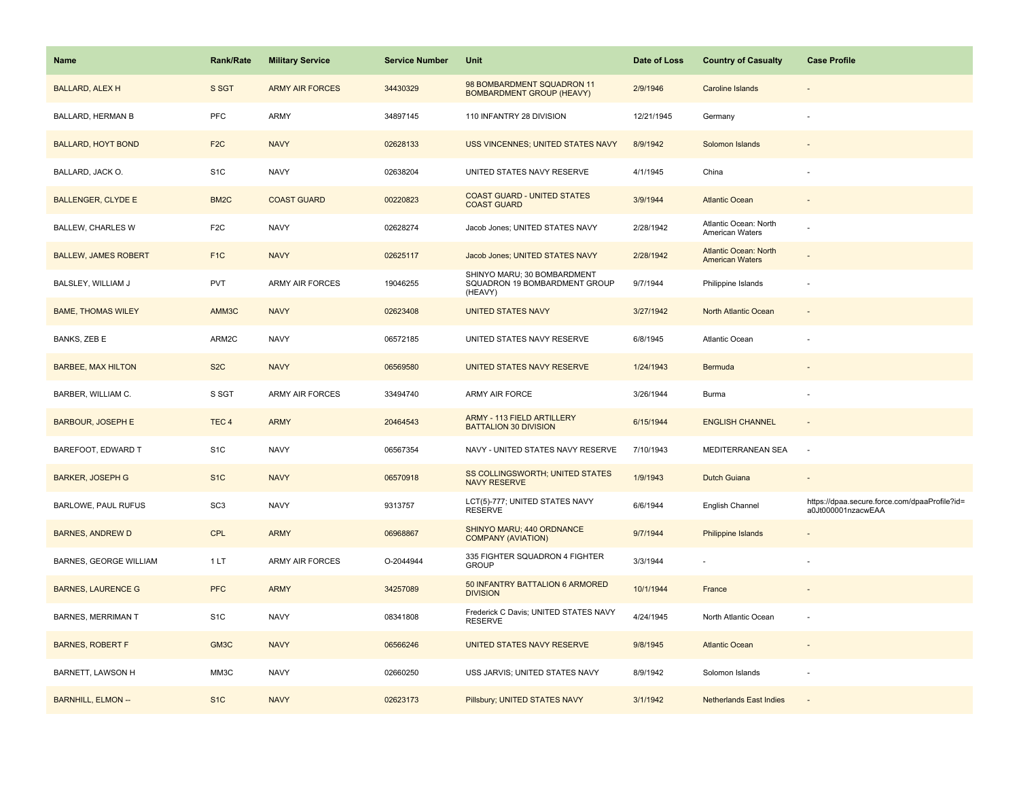| <b>Name</b>                 | <b>Rank/Rate</b>  | <b>Military Service</b> | <b>Service Number</b> | Unit                                                                    | Date of Loss | <b>Country of Casualty</b>                             | <b>Case Profile</b>                                                 |
|-----------------------------|-------------------|-------------------------|-----------------------|-------------------------------------------------------------------------|--------------|--------------------------------------------------------|---------------------------------------------------------------------|
| <b>BALLARD, ALEX H</b>      | S SGT             | <b>ARMY AIR FORCES</b>  | 34430329              | 98 BOMBARDMENT SQUADRON 11<br><b>BOMBARDMENT GROUP (HEAVY)</b>          | 2/9/1946     | Caroline Islands                                       |                                                                     |
| BALLARD, HERMAN B           | PFC               | ARMY                    | 34897145              | 110 INFANTRY 28 DIVISION                                                | 12/21/1945   | Germany                                                |                                                                     |
| <b>BALLARD, HOYT BOND</b>   | F <sub>2</sub> C  | <b>NAVY</b>             | 02628133              | USS VINCENNES; UNITED STATES NAVY                                       | 8/9/1942     | Solomon Islands                                        |                                                                     |
| BALLARD, JACK O.            | S <sub>1</sub> C  | <b>NAVY</b>             | 02638204              | UNITED STATES NAVY RESERVE                                              | 4/1/1945     | China                                                  |                                                                     |
| <b>BALLENGER, CLYDE E</b>   | BM <sub>2</sub> C | <b>COAST GUARD</b>      | 00220823              | <b>COAST GUARD - UNITED STATES</b><br><b>COAST GUARD</b>                | 3/9/1944     | <b>Atlantic Ocean</b>                                  |                                                                     |
| BALLEW, CHARLES W           | F <sub>2</sub> C  | <b>NAVY</b>             | 02628274              | Jacob Jones; UNITED STATES NAVY                                         | 2/28/1942    | Atlantic Ocean: North<br>American Waters               |                                                                     |
| <b>BALLEW, JAMES ROBERT</b> | F <sub>1</sub> C  | <b>NAVY</b>             | 02625117              | Jacob Jones; UNITED STATES NAVY                                         | 2/28/1942    | <b>Atlantic Ocean: North</b><br><b>American Waters</b> |                                                                     |
| BALSLEY, WILLIAM J          | <b>PVT</b>        | <b>ARMY AIR FORCES</b>  | 19046255              | SHINYO MARU; 30 BOMBARDMENT<br>SQUADRON 19 BOMBARDMENT GROUP<br>(HEAVY) | 9/7/1944     | Philippine Islands                                     |                                                                     |
| <b>BAME, THOMAS WILEY</b>   | AMM3C             | <b>NAVY</b>             | 02623408              | <b>UNITED STATES NAVY</b>                                               | 3/27/1942    | North Atlantic Ocean                                   |                                                                     |
| BANKS, ZEB E                | ARM2C             | <b>NAVY</b>             | 06572185              | UNITED STATES NAVY RESERVE                                              | 6/8/1945     | Atlantic Ocean                                         |                                                                     |
| <b>BARBEE, MAX HILTON</b>   | S <sub>2</sub> C  | <b>NAVY</b>             | 06569580              | UNITED STATES NAVY RESERVE                                              | 1/24/1943    | Bermuda                                                |                                                                     |
| BARBER, WILLIAM C.          | S SGT             | ARMY AIR FORCES         | 33494740              | ARMY AIR FORCE                                                          | 3/26/1944    | Burma                                                  |                                                                     |
| <b>BARBOUR, JOSEPH E</b>    | TEC <sub>4</sub>  | <b>ARMY</b>             | 20464543              | ARMY - 113 FIELD ARTILLERY<br><b>BATTALION 30 DIVISION</b>              | 6/15/1944    | <b>ENGLISH CHANNEL</b>                                 |                                                                     |
| BAREFOOT, EDWARD T          | S <sub>1</sub> C  | <b>NAVY</b>             | 06567354              | NAVY - UNITED STATES NAVY RESERVE                                       | 7/10/1943    | MEDITERRANEAN SEA                                      | $\sim$                                                              |
| <b>BARKER, JOSEPH G</b>     | S <sub>1C</sub>   | <b>NAVY</b>             | 06570918              | SS COLLINGSWORTH; UNITED STATES<br><b>NAVY RESERVE</b>                  | 1/9/1943     | <b>Dutch Guiana</b>                                    |                                                                     |
| BARLOWE, PAUL RUFUS         | SC <sub>3</sub>   | <b>NAVY</b>             | 9313757               | LCT(5)-777; UNITED STATES NAVY<br><b>RESERVE</b>                        | 6/6/1944     | English Channel                                        | https://dpaa.secure.force.com/dpaaProfile?id=<br>a0Jt000001nzacwEAA |
| <b>BARNES, ANDREW D</b>     | <b>CPL</b>        | <b>ARMY</b>             | 06968867              | SHINYO MARU; 440 ORDNANCE<br><b>COMPANY (AVIATION)</b>                  | 9/7/1944     | <b>Philippine Islands</b>                              |                                                                     |
| BARNES, GEORGE WILLIAM      | 1 LT              | ARMY AIR FORCES         | O-2044944             | 335 FIGHTER SQUADRON 4 FIGHTER<br><b>GROUP</b>                          | 3/3/1944     |                                                        |                                                                     |
| <b>BARNES, LAURENCE G</b>   | <b>PFC</b>        | <b>ARMY</b>             | 34257089              | 50 INFANTRY BATTALION 6 ARMORED<br><b>DIVISION</b>                      | 10/1/1944    | France                                                 |                                                                     |
| <b>BARNES, MERRIMAN T</b>   | S <sub>1</sub> C  | <b>NAVY</b>             | 08341808              | Frederick C Davis; UNITED STATES NAVY<br><b>RESERVE</b>                 | 4/24/1945    | North Atlantic Ocean                                   |                                                                     |
| <b>BARNES, ROBERT F</b>     | GM3C              | <b>NAVY</b>             | 06566246              | UNITED STATES NAVY RESERVE                                              | 9/8/1945     | <b>Atlantic Ocean</b>                                  |                                                                     |
| BARNETT, LAWSON H           | MM3C              | <b>NAVY</b>             | 02660250              | USS JARVIS; UNITED STATES NAVY                                          | 8/9/1942     | Solomon Islands                                        |                                                                     |
| <b>BARNHILL, ELMON --</b>   | S <sub>1C</sub>   | <b>NAVY</b>             | 02623173              | Pillsbury; UNITED STATES NAVY                                           | 3/1/1942     | <b>Netherlands East Indies</b>                         |                                                                     |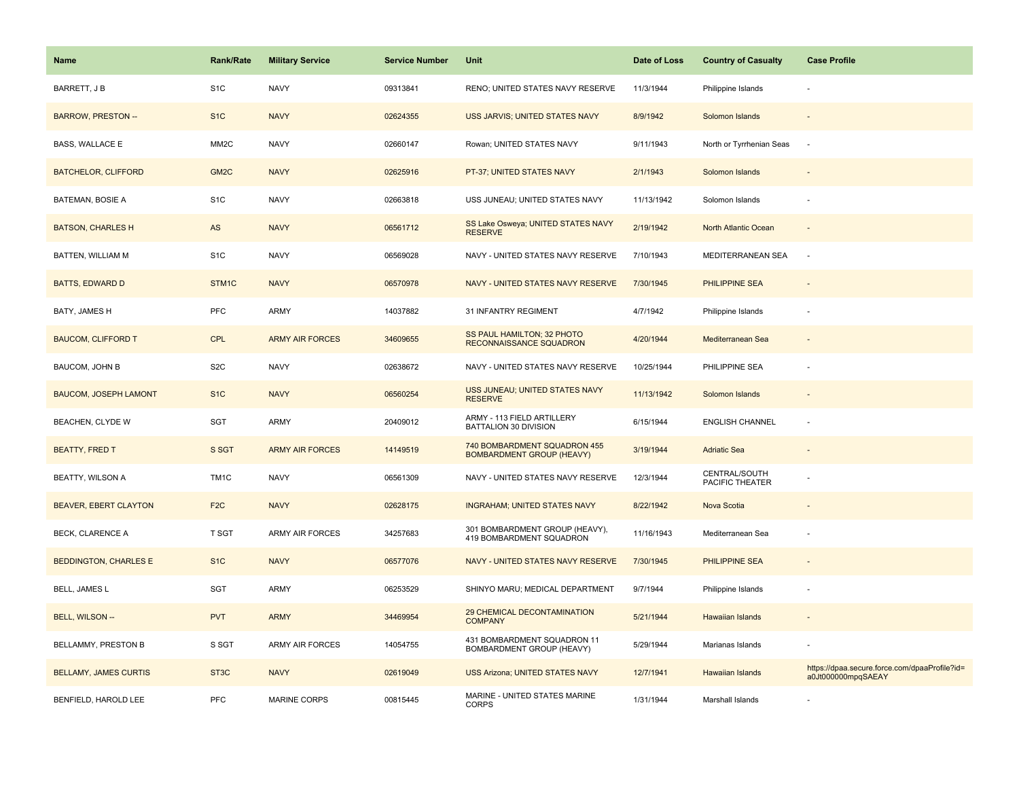| Name                         | <b>Rank/Rate</b>  | <b>Military Service</b> | <b>Service Number</b> | Unit                                                             | Date of Loss | <b>Country of Casualty</b>       | <b>Case Profile</b>                                                 |
|------------------------------|-------------------|-------------------------|-----------------------|------------------------------------------------------------------|--------------|----------------------------------|---------------------------------------------------------------------|
| BARRETT, J B                 | S <sub>1</sub> C  | <b>NAVY</b>             | 09313841              | RENO; UNITED STATES NAVY RESERVE                                 | 11/3/1944    | Philippine Islands               |                                                                     |
| <b>BARROW, PRESTON --</b>    | S <sub>1</sub> C  | <b>NAVY</b>             | 02624355              | USS JARVIS; UNITED STATES NAVY                                   | 8/9/1942     | Solomon Islands                  |                                                                     |
| BASS, WALLACE E              | MM <sub>2</sub> C | <b>NAVY</b>             | 02660147              | Rowan; UNITED STATES NAVY                                        | 9/11/1943    | North or Tyrrhenian Seas         | $\sim$                                                              |
| <b>BATCHELOR, CLIFFORD</b>   | GM <sub>2C</sub>  | <b>NAVY</b>             | 02625916              | PT-37; UNITED STATES NAVY                                        | 2/1/1943     | Solomon Islands                  |                                                                     |
| <b>BATEMAN, BOSIE A</b>      | S <sub>1</sub> C  | <b>NAVY</b>             | 02663818              | USS JUNEAU; UNITED STATES NAVY                                   | 11/13/1942   | Solomon Islands                  |                                                                     |
| <b>BATSON, CHARLES H</b>     | AS                | <b>NAVY</b>             | 06561712              | SS Lake Osweya; UNITED STATES NAVY<br><b>RESERVE</b>             | 2/19/1942    | North Atlantic Ocean             |                                                                     |
| BATTEN, WILLIAM M            | S <sub>1</sub> C  | <b>NAVY</b>             | 06569028              | NAVY - UNITED STATES NAVY RESERVE                                | 7/10/1943    | MEDITERRANEAN SEA                | $\sim$                                                              |
| <b>BATTS, EDWARD D</b>       | STM1C             | <b>NAVY</b>             | 06570978              | NAVY - UNITED STATES NAVY RESERVE                                | 7/30/1945    | <b>PHILIPPINE SEA</b>            |                                                                     |
| BATY, JAMES H                | PFC               | ARMY                    | 14037882              | 31 INFANTRY REGIMENT                                             | 4/7/1942     | Philippine Islands               |                                                                     |
| <b>BAUCOM, CLIFFORD T</b>    | CPL               | <b>ARMY AIR FORCES</b>  | 34609655              | SS PAUL HAMILTON; 32 PHOTO<br>RECONNAISSANCE SQUADRON            | 4/20/1944    | Mediterranean Sea                |                                                                     |
| BAUCOM, JOHN B               | S <sub>2</sub> C  | <b>NAVY</b>             | 02638672              | NAVY - UNITED STATES NAVY RESERVE                                | 10/25/1944   | PHILIPPINE SEA                   |                                                                     |
| <b>BAUCOM, JOSEPH LAMONT</b> | S <sub>1</sub> C  | <b>NAVY</b>             | 06560254              | USS JUNEAU; UNITED STATES NAVY<br><b>RESERVE</b>                 | 11/13/1942   | Solomon Islands                  |                                                                     |
| BEACHEN, CLYDE W             | SGT               | ARMY                    | 20409012              | ARMY - 113 FIELD ARTILLERY<br>BATTALION 30 DIVISION              | 6/15/1944    | <b>ENGLISH CHANNEL</b>           |                                                                     |
| <b>BEATTY, FRED T</b>        | S SGT             | <b>ARMY AIR FORCES</b>  | 14149519              | 740 BOMBARDMENT SQUADRON 455<br><b>BOMBARDMENT GROUP (HEAVY)</b> | 3/19/1944    | <b>Adriatic Sea</b>              | $\sim$                                                              |
| <b>BEATTY, WILSON A</b>      | TM <sub>1</sub> C | <b>NAVY</b>             | 06561309              | NAVY - UNITED STATES NAVY RESERVE                                | 12/3/1944    | CENTRAL/SOUTH<br>PACIFIC THEATER |                                                                     |
| <b>BEAVER, EBERT CLAYTON</b> | F <sub>2</sub> C  | <b>NAVY</b>             | 02628175              | <b>INGRAHAM; UNITED STATES NAVY</b>                              | 8/22/1942    | Nova Scotia                      |                                                                     |
| <b>BECK, CLARENCE A</b>      | <b>T SGT</b>      | <b>ARMY AIR FORCES</b>  | 34257683              | 301 BOMBARDMENT GROUP (HEAVY),<br>419 BOMBARDMENT SQUADRON       | 11/16/1943   | Mediterranean Sea                |                                                                     |
| <b>BEDDINGTON, CHARLES E</b> | S <sub>1C</sub>   | <b>NAVY</b>             | 06577076              | NAVY - UNITED STATES NAVY RESERVE                                | 7/30/1945    | PHILIPPINE SEA                   |                                                                     |
| BELL, JAMES L                | SGT               | ARMY                    | 06253529              | SHINYO MARU; MEDICAL DEPARTMENT                                  | 9/7/1944     | Philippine Islands               |                                                                     |
| BELL, WILSON --              | <b>PVT</b>        | <b>ARMY</b>             | 34469954              | 29 CHEMICAL DECONTAMINATION<br><b>COMPANY</b>                    | 5/21/1944    | Hawaiian Islands                 |                                                                     |
| BELLAMMY, PRESTON B          | S SGT             | <b>ARMY AIR FORCES</b>  | 14054755              | 431 BOMBARDMENT SQUADRON 11<br>BOMBARDMENT GROUP (HEAVY)         | 5/29/1944    | Marianas Islands                 |                                                                     |
| <b>BELLAMY, JAMES CURTIS</b> | ST <sub>3</sub> C | <b>NAVY</b>             | 02619049              | <b>USS Arizona; UNITED STATES NAVY</b>                           | 12/7/1941    | Hawaiian Islands                 | https://dpaa.secure.force.com/dpaaProfile?id=<br>a0Jt000000mpqSAEAY |
| BENFIELD, HAROLD LEE         | PFC               | <b>MARINE CORPS</b>     | 00815445              | MARINE - UNITED STATES MARINE<br><b>CORPS</b>                    | 1/31/1944    | Marshall Islands                 |                                                                     |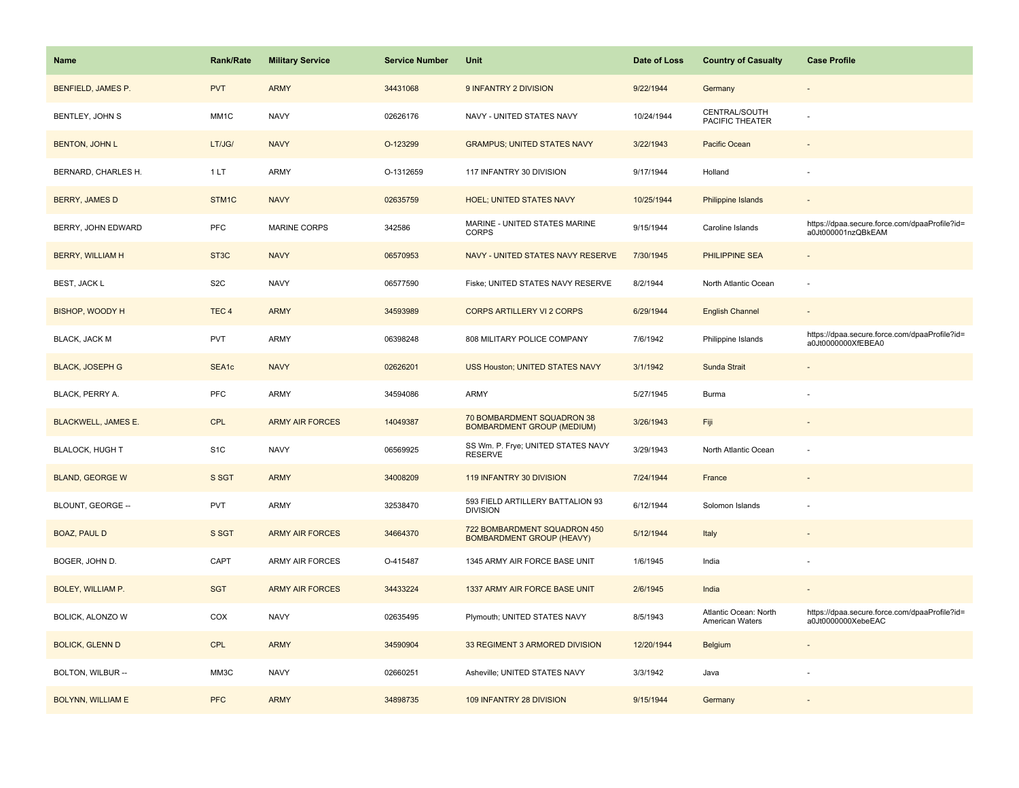| Name                       | Rank/Rate         | <b>Military Service</b> | <b>Service Number</b> | Unit                                                             | Date of Loss | <b>Country of Casualty</b>               | <b>Case Profile</b>                                                 |
|----------------------------|-------------------|-------------------------|-----------------------|------------------------------------------------------------------|--------------|------------------------------------------|---------------------------------------------------------------------|
| BENFIELD, JAMES P.         | <b>PVT</b>        | <b>ARMY</b>             | 34431068              | 9 INFANTRY 2 DIVISION                                            | 9/22/1944    | Germany                                  |                                                                     |
| BENTLEY, JOHN S            | MM1C              | <b>NAVY</b>             | 02626176              | NAVY - UNITED STATES NAVY                                        | 10/24/1944   | CENTRAL/SOUTH<br>PACIFIC THEATER         |                                                                     |
| <b>BENTON, JOHN L</b>      | LT/JG/            | <b>NAVY</b>             | O-123299              | <b>GRAMPUS; UNITED STATES NAVY</b>                               | 3/22/1943    | Pacific Ocean                            |                                                                     |
| BERNARD, CHARLES H.        | 1LT               | ARMY                    | O-1312659             | 117 INFANTRY 30 DIVISION                                         | 9/17/1944    | Holland                                  |                                                                     |
| <b>BERRY, JAMES D</b>      | STM1C             | <b>NAVY</b>             | 02635759              | <b>HOEL; UNITED STATES NAVY</b>                                  | 10/25/1944   | Philippine Islands                       |                                                                     |
| BERRY, JOHN EDWARD         | <b>PFC</b>        | <b>MARINE CORPS</b>     | 342586                | MARINE - UNITED STATES MARINE<br><b>CORPS</b>                    | 9/15/1944    | Caroline Islands                         | https://dpaa.secure.force.com/dpaaProfile?id=<br>a0Jt000001nzQBkEAM |
| <b>BERRY, WILLIAM H</b>    | ST <sub>3</sub> C | <b>NAVY</b>             | 06570953              | NAVY - UNITED STATES NAVY RESERVE                                | 7/30/1945    | <b>PHILIPPINE SEA</b>                    | $\sim$                                                              |
| BEST, JACK L               | S <sub>2</sub> C  | <b>NAVY</b>             | 06577590              | Fiske; UNITED STATES NAVY RESERVE                                | 8/2/1944     | North Atlantic Ocean                     | ÷,                                                                  |
| <b>BISHOP, WOODY H</b>     | TEC <sub>4</sub>  | <b>ARMY</b>             | 34593989              | <b>CORPS ARTILLERY VI 2 CORPS</b>                                | 6/29/1944    | <b>English Channel</b>                   |                                                                     |
| BLACK, JACK M              | PVT               | ARMY                    | 06398248              | 808 MILITARY POLICE COMPANY                                      | 7/6/1942     | Philippine Islands                       | https://dpaa.secure.force.com/dpaaProfile?id=<br>a0Jt0000000XfEBEA0 |
| <b>BLACK, JOSEPH G</b>     | SEA1c             | <b>NAVY</b>             | 02626201              | USS Houston; UNITED STATES NAVY                                  | 3/1/1942     | Sunda Strait                             |                                                                     |
| BLACK, PERRY A.            | PFC               | <b>ARMY</b>             | 34594086              | <b>ARMY</b>                                                      | 5/27/1945    | Burma                                    |                                                                     |
| <b>BLACKWELL, JAMES E.</b> | <b>CPL</b>        | <b>ARMY AIR FORCES</b>  | 14049387              | 70 BOMBARDMENT SQUADRON 38<br><b>BOMBARDMENT GROUP (MEDIUM)</b>  | 3/26/1943    | Fiji                                     |                                                                     |
| <b>BLALOCK, HUGH T</b>     | S <sub>1</sub> C  | <b>NAVY</b>             | 06569925              | SS Wm. P. Frye; UNITED STATES NAVY<br><b>RESERVE</b>             | 3/29/1943    | North Atlantic Ocean                     |                                                                     |
| <b>BLAND, GEORGE W</b>     | S SGT             | <b>ARMY</b>             | 34008209              | 119 INFANTRY 30 DIVISION                                         | 7/24/1944    | France                                   |                                                                     |
| BLOUNT, GEORGE --          | PVT               | <b>ARMY</b>             | 32538470              | 593 FIELD ARTILLERY BATTALION 93<br><b>DIVISION</b>              | 6/12/1944    | Solomon Islands                          |                                                                     |
| <b>BOAZ, PAUL D</b>        | S SGT             | <b>ARMY AIR FORCES</b>  | 34664370              | 722 BOMBARDMENT SQUADRON 450<br><b>BOMBARDMENT GROUP (HEAVY)</b> | 5/12/1944    | Italy                                    |                                                                     |
| BOGER, JOHN D.             | CAPT              | ARMY AIR FORCES         | O-415487              | 1345 ARMY AIR FORCE BASE UNIT                                    | 1/6/1945     | India                                    |                                                                     |
| BOLEY, WILLIAM P.          | <b>SGT</b>        | <b>ARMY AIR FORCES</b>  | 34433224              | 1337 ARMY AIR FORCE BASE UNIT                                    | 2/6/1945     | India                                    |                                                                     |
| BOLICK, ALONZO W           | COX               | <b>NAVY</b>             | 02635495              | Plymouth; UNITED STATES NAVY                                     | 8/5/1943     | Atlantic Ocean: North<br>American Waters | https://dpaa.secure.force.com/dpaaProfile?id=<br>a0Jt0000000XebeEAC |
| <b>BOLICK, GLENN D</b>     | CPL               | <b>ARMY</b>             | 34590904              | 33 REGIMENT 3 ARMORED DIVISION                                   | 12/20/1944   | Belgium                                  |                                                                     |
| BOLTON, WILBUR --          | MM3C              | <b>NAVY</b>             | 02660251              | Asheville; UNITED STATES NAVY                                    | 3/3/1942     | Java                                     |                                                                     |
| <b>BOLYNN, WILLIAM E</b>   | <b>PFC</b>        | <b>ARMY</b>             | 34898735              | 109 INFANTRY 28 DIVISION                                         | 9/15/1944    | Germany                                  |                                                                     |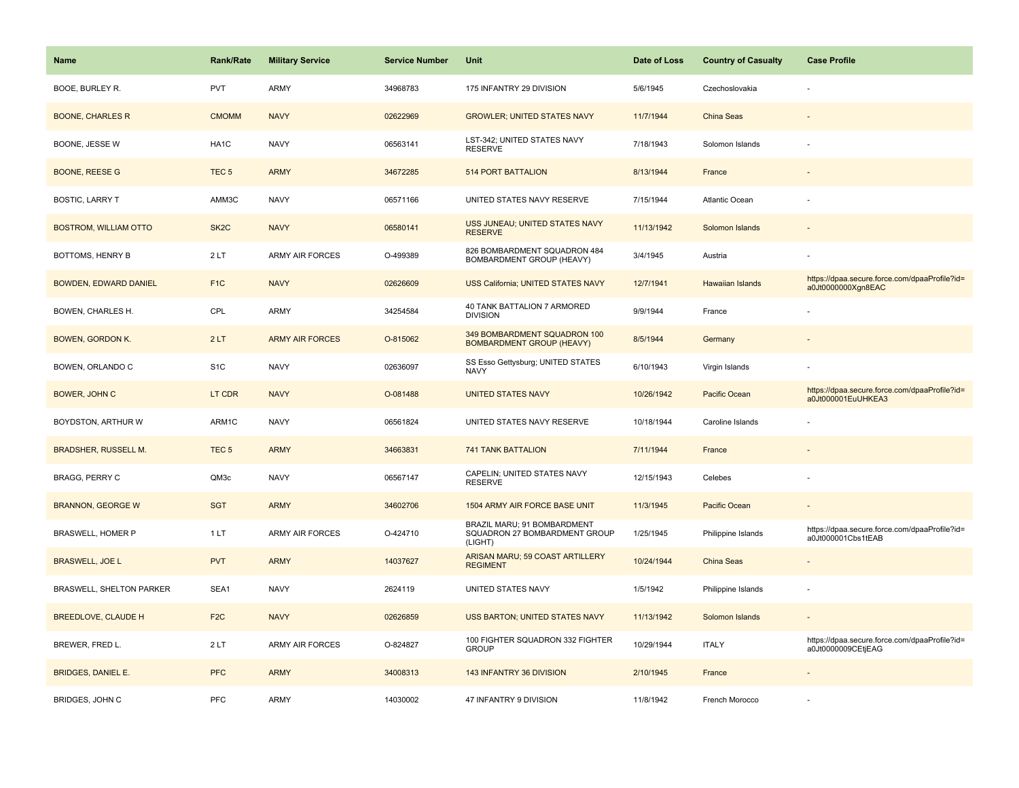| <b>Name</b>                  | <b>Rank/Rate</b>  | <b>Military Service</b> | <b>Service Number</b> | Unit                                                                    | Date of Loss | <b>Country of Casualty</b> | <b>Case Profile</b>                                                 |
|------------------------------|-------------------|-------------------------|-----------------------|-------------------------------------------------------------------------|--------------|----------------------------|---------------------------------------------------------------------|
| BOOE, BURLEY R.              | <b>PVT</b>        | <b>ARMY</b>             | 34968783              | 175 INFANTRY 29 DIVISION                                                | 5/6/1945     | Czechoslovakia             |                                                                     |
| <b>BOONE, CHARLES R</b>      | <b>CMOMM</b>      | <b>NAVY</b>             | 02622969              | <b>GROWLER; UNITED STATES NAVY</b>                                      | 11/7/1944    | China Seas                 |                                                                     |
| BOONE, JESSE W               | HA1C              | <b>NAVY</b>             | 06563141              | LST-342; UNITED STATES NAVY<br><b>RESERVE</b>                           | 7/18/1943    | Solomon Islands            |                                                                     |
| <b>BOONE, REESE G</b>        | TEC <sub>5</sub>  | <b>ARMY</b>             | 34672285              | <b>514 PORT BATTALION</b>                                               | 8/13/1944    | France                     |                                                                     |
| <b>BOSTIC, LARRY T</b>       | AMM3C             | <b>NAVY</b>             | 06571166              | UNITED STATES NAVY RESERVE                                              | 7/15/1944    | Atlantic Ocean             |                                                                     |
| <b>BOSTROM, WILLIAM OTTO</b> | SK <sub>2</sub> C | <b>NAVY</b>             | 06580141              | USS JUNEAU; UNITED STATES NAVY<br><b>RESERVE</b>                        | 11/13/1942   | Solomon Islands            |                                                                     |
| BOTTOMS, HENRY B             | 2LT               | ARMY AIR FORCES         | O-499389              | 826 BOMBARDMENT SQUADRON 484<br>BOMBARDMENT GROUP (HEAVY)               | 3/4/1945     | Austria                    |                                                                     |
| <b>BOWDEN, EDWARD DANIEL</b> | F <sub>1C</sub>   | <b>NAVY</b>             | 02626609              | <b>USS California; UNITED STATES NAVY</b>                               | 12/7/1941    | <b>Hawaiian Islands</b>    | https://dpaa.secure.force.com/dpaaProfile?id=<br>a0Jt0000000Xgn8EAC |
| BOWEN, CHARLES H.            | CPL               | ARMY                    | 34254584              | 40 TANK BATTALION 7 ARMORED<br><b>DIVISION</b>                          | 9/9/1944     | France                     |                                                                     |
| <b>BOWEN, GORDON K.</b>      | 2LT               | <b>ARMY AIR FORCES</b>  | O-815062              | 349 BOMBARDMENT SQUADRON 100<br><b>BOMBARDMENT GROUP (HEAVY)</b>        | 8/5/1944     | Germany                    |                                                                     |
| BOWEN, ORLANDO C             | S <sub>1</sub> C  | <b>NAVY</b>             | 02636097              | SS Esso Gettysburg; UNITED STATES<br><b>NAVY</b>                        | 6/10/1943    | Virgin Islands             |                                                                     |
| BOWER, JOHN C                | LT CDR            | <b>NAVY</b>             | O-081488              | <b>UNITED STATES NAVY</b>                                               | 10/26/1942   | Pacific Ocean              | https://dpaa.secure.force.com/dpaaProfile?id=<br>a0Jt000001EuUHKEA3 |
| BOYDSTON, ARTHUR W           | ARM1C             | <b>NAVY</b>             | 06561824              | UNITED STATES NAVY RESERVE                                              | 10/18/1944   | Caroline Islands           |                                                                     |
| <b>BRADSHER, RUSSELL M.</b>  | TEC <sub>5</sub>  | <b>ARMY</b>             | 34663831              | 741 TANK BATTALION                                                      | 7/11/1944    | France                     |                                                                     |
| <b>BRAGG, PERRY C</b>        | QM3c              | <b>NAVY</b>             | 06567147              | CAPELIN; UNITED STATES NAVY<br><b>RESERVE</b>                           | 12/15/1943   | Celebes                    |                                                                     |
| <b>BRANNON, GEORGE W</b>     | <b>SGT</b>        | <b>ARMY</b>             | 34602706              | 1504 ARMY AIR FORCE BASE UNIT                                           | 11/3/1945    | Pacific Ocean              |                                                                     |
| BRASWELL, HOMER P            | 1LT               | <b>ARMY AIR FORCES</b>  | O-424710              | BRAZIL MARU; 91 BOMBARDMENT<br>SQUADRON 27 BOMBARDMENT GROUP<br>(LIGHT) | 1/25/1945    | Philippine Islands         | https://dpaa.secure.force.com/dpaaProfile?id=<br>a0Jt000001Cbs1tEAB |
| <b>BRASWELL, JOE L</b>       | <b>PVT</b>        | <b>ARMY</b>             | 14037627              | ARISAN MARU; 59 COAST ARTILLERY<br><b>REGIMENT</b>                      | 10/24/1944   | China Seas                 |                                                                     |
| BRASWELL, SHELTON PARKER     | SEA1              | <b>NAVY</b>             | 2624119               | UNITED STATES NAVY                                                      | 1/5/1942     | Philippine Islands         | ÷,                                                                  |
| <b>BREEDLOVE, CLAUDE H</b>   | F <sub>2C</sub>   | <b>NAVY</b>             | 02626859              | <b>USS BARTON; UNITED STATES NAVY</b>                                   | 11/13/1942   | Solomon Islands            |                                                                     |
| BREWER, FRED L.              | 2LT               | ARMY AIR FORCES         | O-824827              | 100 FIGHTER SQUADRON 332 FIGHTER<br><b>GROUP</b>                        | 10/29/1944   | <b>ITALY</b>               | https://dpaa.secure.force.com/dpaaProfile?id=<br>a0Jt0000009CEtjEAG |
| <b>BRIDGES, DANIEL E.</b>    | <b>PFC</b>        | <b>ARMY</b>             | 34008313              | 143 INFANTRY 36 DIVISION                                                | 2/10/1945    | France                     |                                                                     |
| BRIDGES, JOHN C              | PFC               | ARMY                    | 14030002              | 47 INFANTRY 9 DIVISION                                                  | 11/8/1942    | French Morocco             |                                                                     |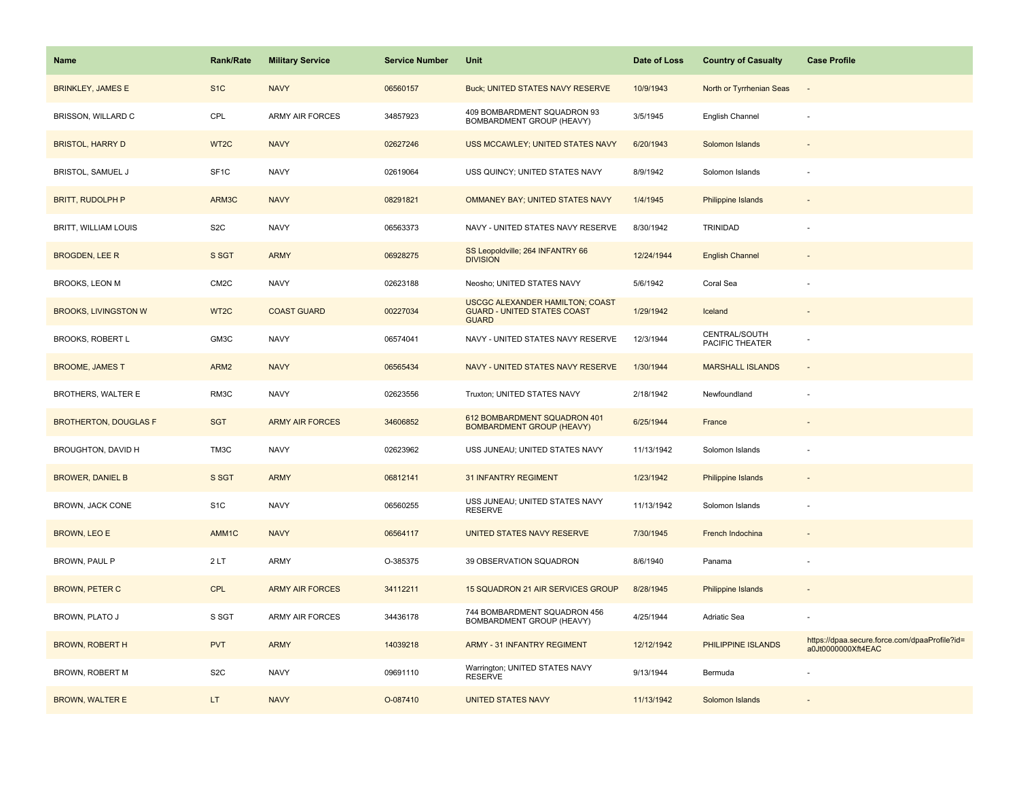| <b>Name</b>                  | <b>Rank/Rate</b>  | <b>Military Service</b> | <b>Service Number</b> | Unit                                                                                         | Date of Loss | <b>Country of Casualty</b>       | <b>Case Profile</b>                                                 |
|------------------------------|-------------------|-------------------------|-----------------------|----------------------------------------------------------------------------------------------|--------------|----------------------------------|---------------------------------------------------------------------|
| <b>BRINKLEY, JAMES E</b>     | S <sub>1</sub> C  | <b>NAVY</b>             | 06560157              | Buck; UNITED STATES NAVY RESERVE                                                             | 10/9/1943    | North or Tyrrhenian Seas         |                                                                     |
| BRISSON, WILLARD C           | CPL               | <b>ARMY AIR FORCES</b>  | 34857923              | 409 BOMBARDMENT SQUADRON 93<br>BOMBARDMENT GROUP (HEAVY)                                     | 3/5/1945     | English Channel                  |                                                                     |
| <b>BRISTOL, HARRY D</b>      | WT <sub>2</sub> C | <b>NAVY</b>             | 02627246              | USS MCCAWLEY; UNITED STATES NAVY                                                             | 6/20/1943    | Solomon Islands                  |                                                                     |
| <b>BRISTOL, SAMUEL J</b>     | SF <sub>1</sub> C | <b>NAVY</b>             | 02619064              | USS QUINCY; UNITED STATES NAVY                                                               | 8/9/1942     | Solomon Islands                  |                                                                     |
| <b>BRITT, RUDOLPH P</b>      | ARM3C             | <b>NAVY</b>             | 08291821              | OMMANEY BAY; UNITED STATES NAVY                                                              | 1/4/1945     | Philippine Islands               |                                                                     |
| BRITT, WILLIAM LOUIS         | S <sub>2</sub> C  | <b>NAVY</b>             | 06563373              | NAVY - UNITED STATES NAVY RESERVE                                                            | 8/30/1942    | TRINIDAD                         |                                                                     |
| <b>BROGDEN, LEE R</b>        | S SGT             | <b>ARMY</b>             | 06928275              | SS Leopoldville; 264 INFANTRY 66<br><b>DIVISION</b>                                          | 12/24/1944   | <b>English Channel</b>           |                                                                     |
| BROOKS, LEON M               | CM <sub>2</sub> C | <b>NAVY</b>             | 02623188              | Neosho; UNITED STATES NAVY                                                                   | 5/6/1942     | Coral Sea                        |                                                                     |
| <b>BROOKS, LIVINGSTON W</b>  | WT <sub>2</sub> C | <b>COAST GUARD</b>      | 00227034              | <b>USCGC ALEXANDER HAMILTON; COAST</b><br><b>GUARD - UNITED STATES COAST</b><br><b>GUARD</b> | 1/29/1942    | Iceland                          |                                                                     |
| <b>BROOKS, ROBERT L</b>      | GM3C              | <b>NAVY</b>             | 06574041              | NAVY - UNITED STATES NAVY RESERVE                                                            | 12/3/1944    | CENTRAL/SOUTH<br>PACIFIC THEATER |                                                                     |
| <b>BROOME, JAMES T</b>       | ARM <sub>2</sub>  | <b>NAVY</b>             | 06565434              | NAVY - UNITED STATES NAVY RESERVE                                                            | 1/30/1944    | <b>MARSHALL ISLANDS</b>          |                                                                     |
| BROTHERS, WALTER E           | RM3C              | <b>NAVY</b>             | 02623556              | Truxton; UNITED STATES NAVY                                                                  | 2/18/1942    | Newfoundland                     |                                                                     |
| <b>BROTHERTON, DOUGLAS F</b> | <b>SGT</b>        | <b>ARMY AIR FORCES</b>  | 34606852              | 612 BOMBARDMENT SQUADRON 401<br><b>BOMBARDMENT GROUP (HEAVY)</b>                             | 6/25/1944    | France                           |                                                                     |
| BROUGHTON, DAVID H           | TM3C              | <b>NAVY</b>             | 02623962              | USS JUNEAU; UNITED STATES NAVY                                                               | 11/13/1942   | Solomon Islands                  |                                                                     |
| <b>BROWER, DANIEL B</b>      | S SGT             | <b>ARMY</b>             | 06812141              | <b>31 INFANTRY REGIMENT</b>                                                                  | 1/23/1942    | Philippine Islands               |                                                                     |
| BROWN, JACK CONE             | S <sub>1C</sub>   | <b>NAVY</b>             | 06560255              | USS JUNEAU; UNITED STATES NAVY<br><b>RESERVE</b>                                             | 11/13/1942   | Solomon Islands                  |                                                                     |
| <b>BROWN, LEO E</b>          | AMM1C             | <b>NAVY</b>             | 06564117              | UNITED STATES NAVY RESERVE                                                                   | 7/30/1945    | French Indochina                 |                                                                     |
| BROWN, PAUL P                | 2LT               | ARMY                    | O-385375              | 39 OBSERVATION SQUADRON                                                                      | 8/6/1940     | Panama                           |                                                                     |
| <b>BROWN, PETER C</b>        | <b>CPL</b>        | <b>ARMY AIR FORCES</b>  | 34112211              | 15 SQUADRON 21 AIR SERVICES GROUP                                                            | 8/28/1945    | Philippine Islands               |                                                                     |
| BROWN, PLATO J               | S SGT             | <b>ARMY AIR FORCES</b>  | 34436178              | 744 BOMBARDMENT SQUADRON 456<br>BOMBARDMENT GROUP (HEAVY)                                    | 4/25/1944    | Adriatic Sea                     |                                                                     |
| <b>BROWN, ROBERT H</b>       | <b>PVT</b>        | <b>ARMY</b>             | 14039218              | <b>ARMY - 31 INFANTRY REGIMENT</b>                                                           | 12/12/1942   | PHILIPPINE ISLANDS               | https://dpaa.secure.force.com/dpaaProfile?id=<br>a0Jt0000000Xft4EAC |
| BROWN, ROBERT M              | S <sub>2</sub> C  | <b>NAVY</b>             | 09691110              | Warrington; UNITED STATES NAVY<br><b>RESERVE</b>                                             | 9/13/1944    | Bermuda                          |                                                                     |
| <b>BROWN, WALTER E</b>       | LT.               | <b>NAVY</b>             | O-087410              | <b>UNITED STATES NAVY</b>                                                                    | 11/13/1942   | Solomon Islands                  |                                                                     |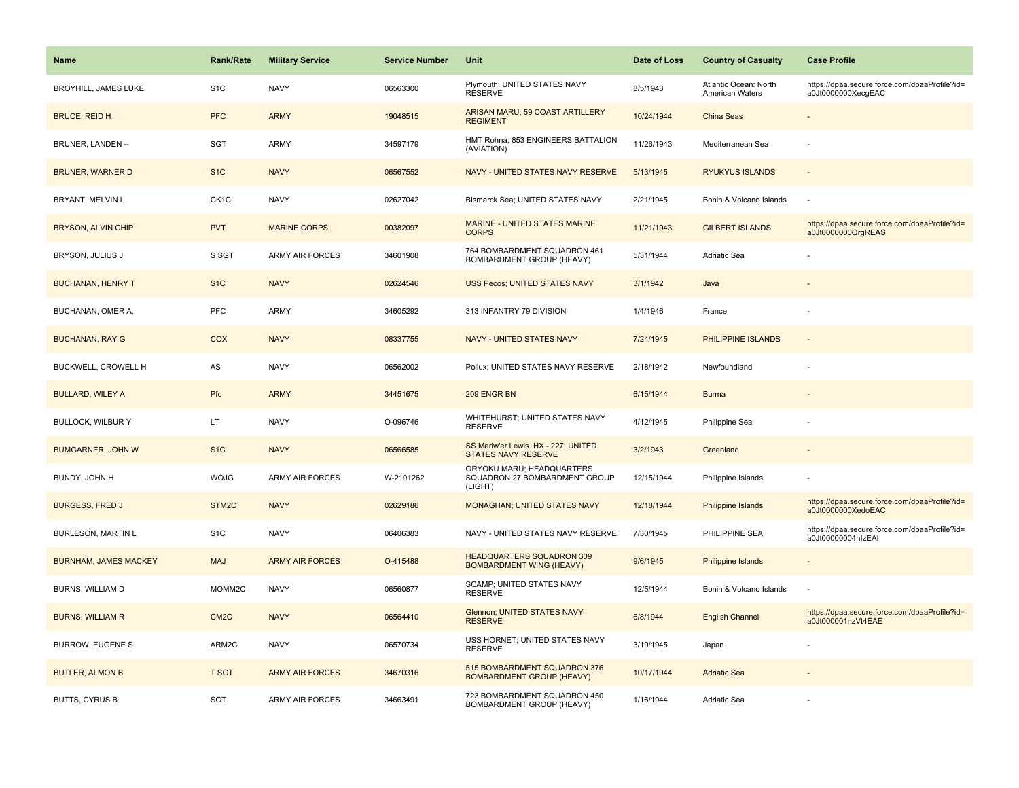| Name                         | <b>Rank/Rate</b>  | <b>Military Service</b> | <b>Service Number</b> | Unit                                                                  | Date of Loss | <b>Country of Casualty</b>                      | <b>Case Profile</b>                                                 |
|------------------------------|-------------------|-------------------------|-----------------------|-----------------------------------------------------------------------|--------------|-------------------------------------------------|---------------------------------------------------------------------|
| <b>BROYHILL, JAMES LUKE</b>  | S1C               | <b>NAVY</b>             | 06563300              | Plymouth; UNITED STATES NAVY<br><b>RESERVE</b>                        | 8/5/1943     | Atlantic Ocean: North<br><b>American Waters</b> | https://dpaa.secure.force.com/dpaaProfile?id=<br>a0Jt0000000XecqEAC |
| <b>BRUCE, REID H</b>         | <b>PFC</b>        | <b>ARMY</b>             | 19048515              | ARISAN MARU; 59 COAST ARTILLERY<br><b>REGIMENT</b>                    | 10/24/1944   | China Seas                                      |                                                                     |
| BRUNER, LANDEN --            | SGT               | ARMY                    | 34597179              | HMT Rohna; 853 ENGINEERS BATTALION<br>(AVIATION)                      | 11/26/1943   | Mediterranean Sea                               |                                                                     |
| <b>BRUNER, WARNER D</b>      | S <sub>1C</sub>   | <b>NAVY</b>             | 06567552              | NAVY - UNITED STATES NAVY RESERVE                                     | 5/13/1945    | <b>RYUKYUS ISLANDS</b>                          |                                                                     |
| BRYANT, MELVIN L             | CK <sub>1</sub> C | <b>NAVY</b>             | 02627042              | Bismarck Sea; UNITED STATES NAVY                                      | 2/21/1945    | Bonin & Volcano Islands                         |                                                                     |
| <b>BRYSON, ALVIN CHIP</b>    | <b>PVT</b>        | <b>MARINE CORPS</b>     | 00382097              | <b>MARINE - UNITED STATES MARINE</b><br><b>CORPS</b>                  | 11/21/1943   | <b>GILBERT ISLANDS</b>                          | https://dpaa.secure.force.com/dpaaProfile?id=<br>a0Jt0000000QrgREAS |
| BRYSON, JULIUS J             | S SGT             | ARMY AIR FORCES         | 34601908              | 764 BOMBARDMENT SQUADRON 461<br>BOMBARDMENT GROUP (HEAVY)             | 5/31/1944    | Adriatic Sea                                    |                                                                     |
| <b>BUCHANAN, HENRY T</b>     | S <sub>1</sub> C  | <b>NAVY</b>             | 02624546              | <b>USS Pecos; UNITED STATES NAVY</b>                                  | 3/1/1942     | Java                                            |                                                                     |
| BUCHANAN, OMER A.            | PFC               | ARMY                    | 34605292              | 313 INFANTRY 79 DIVISION                                              | 1/4/1946     | France                                          |                                                                     |
| <b>BUCHANAN, RAY G</b>       | COX               | <b>NAVY</b>             | 08337755              | NAVY - UNITED STATES NAVY                                             | 7/24/1945    | PHILIPPINE ISLANDS                              |                                                                     |
| BUCKWELL, CROWELL H          | AS                | <b>NAVY</b>             | 06562002              | Pollux; UNITED STATES NAVY RESERVE                                    | 2/18/1942    | Newfoundland                                    |                                                                     |
| <b>BULLARD, WILEY A</b>      | Pfc               | <b>ARMY</b>             | 34451675              | 209 ENGR BN                                                           | 6/15/1944    | <b>Burma</b>                                    |                                                                     |
| <b>BULLOCK, WILBUR Y</b>     | LT.               | <b>NAVY</b>             | O-096746              | WHITEHURST; UNITED STATES NAVY<br><b>RESERVE</b>                      | 4/12/1945    | Philippine Sea                                  |                                                                     |
| <b>BUMGARNER, JOHN W</b>     | S <sub>1C</sub>   | <b>NAVY</b>             | 06566585              | SS Meriw'er Lewis HX - 227; UNITED<br>STATES NAVY RESERVE             | 3/2/1943     | Greenland                                       |                                                                     |
| BUNDY, JOHN H                | <b>WOJG</b>       | <b>ARMY AIR FORCES</b>  | W-2101262             | ORYOKU MARU; HEADQUARTERS<br>SQUADRON 27 BOMBARDMENT GROUP<br>(LIGHT) | 12/15/1944   | Philippine Islands                              |                                                                     |
| <b>BURGESS, FRED J</b>       | STM2C             | <b>NAVY</b>             | 02629186              | MONAGHAN; UNITED STATES NAVY                                          | 12/18/1944   | Philippine Islands                              | https://dpaa.secure.force.com/dpaaProfile?id=<br>a0Jt0000000XedoEAC |
| <b>BURLESON, MARTIN L</b>    | S <sub>1</sub> C  | <b>NAVY</b>             | 06406383              | NAVY - UNITED STATES NAVY RESERVE                                     | 7/30/1945    | PHILIPPINE SEA                                  | https://dpaa.secure.force.com/dpaaProfile?id=<br>a0Jt00000004nlzEAI |
| <b>BURNHAM, JAMES MACKEY</b> | <b>MAJ</b>        | <b>ARMY AIR FORCES</b>  | O-415488              | <b>HEADQUARTERS SQUADRON 309</b><br><b>BOMBARDMENT WING (HEAVY)</b>   | 9/6/1945     | Philippine Islands                              |                                                                     |
| BURNS, WILLIAM D             | MOMM2C            | <b>NAVY</b>             | 06560877              | SCAMP; UNITED STATES NAVY<br><b>RESERVE</b>                           | 12/5/1944    | Bonin & Volcano Islands                         |                                                                     |
| <b>BURNS, WILLIAM R</b>      | CM <sub>2</sub> C | <b>NAVY</b>             | 06564410              | <b>Glennon; UNITED STATES NAVY</b><br><b>RESERVE</b>                  | 6/8/1944     | <b>English Channel</b>                          | https://dpaa.secure.force.com/dpaaProfile?id=<br>a0Jt000001nzVt4EAE |
| BURROW, EUGENE S             | ARM2C             | <b>NAVY</b>             | 06570734              | USS HORNET; UNITED STATES NAVY<br><b>RESERVE</b>                      | 3/19/1945    | Japan                                           |                                                                     |
| <b>BUTLER, ALMON B.</b>      | <b>T SGT</b>      | <b>ARMY AIR FORCES</b>  | 34670316              | 515 BOMBARDMENT SQUADRON 376<br><b>BOMBARDMENT GROUP (HEAVY)</b>      | 10/17/1944   | <b>Adriatic Sea</b>                             |                                                                     |
| <b>BUTTS, CYRUS B</b>        | <b>SGT</b>        | <b>ARMY AIR FORCES</b>  | 34663491              | 723 BOMBARDMENT SQUADRON 450<br>BOMBARDMENT GROUP (HEAVY)             | 1/16/1944    | Adriatic Sea                                    |                                                                     |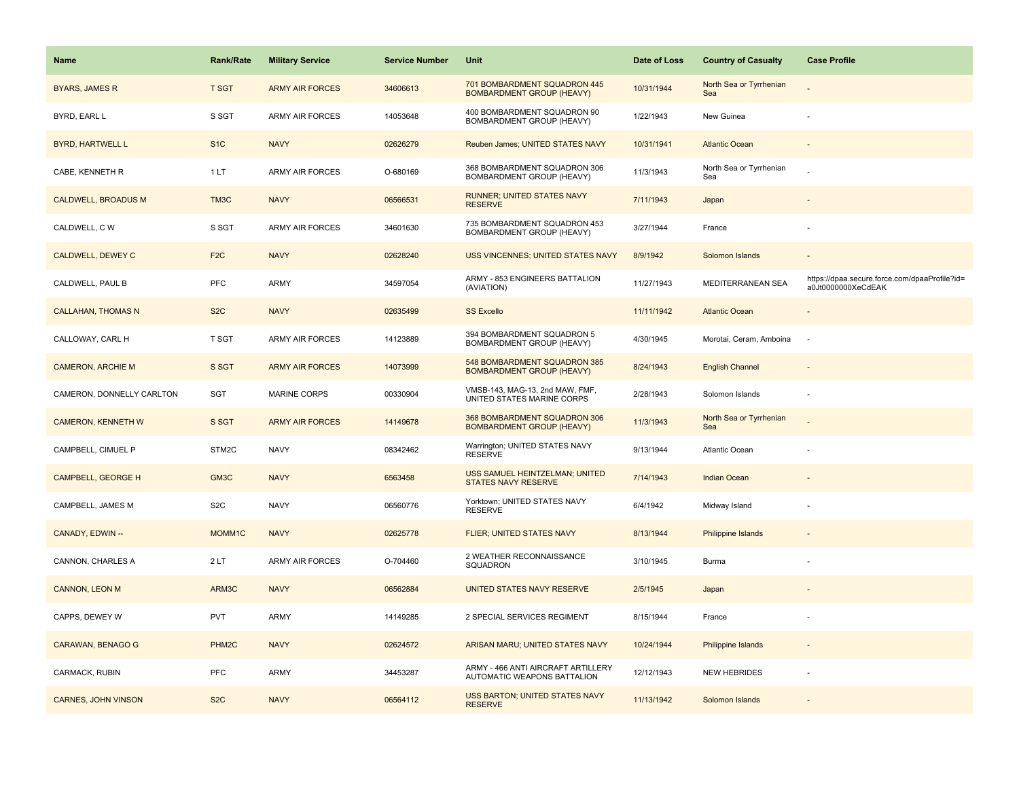| Name                       | <b>Rank/Rate</b>  | <b>Military Service</b> | <b>Service Number</b> | Unit                                                              | Date of Loss | <b>Country of Casualty</b>     | <b>Case Profile</b>                                                 |
|----------------------------|-------------------|-------------------------|-----------------------|-------------------------------------------------------------------|--------------|--------------------------------|---------------------------------------------------------------------|
| <b>BYARS, JAMES R</b>      | <b>T SGT</b>      | <b>ARMY AIR FORCES</b>  | 34606613              | 701 BOMBARDMENT SQUADRON 445<br><b>BOMBARDMENT GROUP (HEAVY)</b>  | 10/31/1944   | North Sea or Tyrrhenian<br>Sea |                                                                     |
| BYRD, EARL L               | S SGT             | ARMY AIR FORCES         | 14053648              | 400 BOMBARDMENT SQUADRON 90<br>BOMBARDMENT GROUP (HEAVY)          | 1/22/1943    | New Guinea                     |                                                                     |
| <b>BYRD, HARTWELL L</b>    | S <sub>1</sub> C  | <b>NAVY</b>             | 02626279              | Reuben James; UNITED STATES NAVY                                  | 10/31/1941   | <b>Atlantic Ocean</b>          |                                                                     |
| CABE, KENNETH R            | 1LT               | <b>ARMY AIR FORCES</b>  | O-680169              | 368 BOMBARDMENT SQUADRON 306<br>BOMBARDMENT GROUP (HEAVY)         | 11/3/1943    | North Sea or Tyrrhenian<br>Sea |                                                                     |
| <b>CALDWELL, BROADUS M</b> | TM3C              | <b>NAVY</b>             | 06566531              | RUNNER; UNITED STATES NAVY<br><b>RESERVE</b>                      | 7/11/1943    | Japan                          |                                                                     |
| CALDWELL, C W              | S SGT             | <b>ARMY AIR FORCES</b>  | 34601630              | 735 BOMBARDMENT SQUADRON 453<br>BOMBARDMENT GROUP (HEAVY)         | 3/27/1944    | France                         |                                                                     |
| <b>CALDWELL, DEWEY C</b>   | F <sub>2C</sub>   | <b>NAVY</b>             | 02628240              | <b>USS VINCENNES; UNITED STATES NAVY</b>                          | 8/9/1942     | Solomon Islands                |                                                                     |
| CALDWELL, PAUL B           | <b>PFC</b>        | <b>ARMY</b>             | 34597054              | ARMY - 853 ENGINEERS BATTALION<br>(AVIATION)                      | 11/27/1943   | MEDITERRANEAN SEA              | https://dpaa.secure.force.com/dpaaProfile?id=<br>a0Jt0000000XeCdEAK |
| <b>CALLAHAN, THOMAS N</b>  | S <sub>2</sub> C  | <b>NAVY</b>             | 02635499              | <b>SS Excello</b>                                                 | 11/11/1942   | <b>Atlantic Ocean</b>          |                                                                     |
| CALLOWAY, CARL H           | T SGT             | <b>ARMY AIR FORCES</b>  | 14123889              | 394 BOMBARDMENT SQUADRON 5<br>BOMBARDMENT GROUP (HEAVY)           | 4/30/1945    | Morotai, Ceram, Amboina        | $\overline{\phantom{a}}$                                            |
| <b>CAMERON, ARCHIE M</b>   | S SGT             | <b>ARMY AIR FORCES</b>  | 14073999              | 548 BOMBARDMENT SQUADRON 385<br><b>BOMBARDMENT GROUP (HEAVY)</b>  | 8/24/1943    | <b>English Channel</b>         |                                                                     |
| CAMERON, DONNELLY CARLTON  | <b>SGT</b>        | <b>MARINE CORPS</b>     | 00330904              | VMSB-143, MAG-13, 2nd MAW, FMF,<br>UNITED STATES MARINE CORPS     | 2/28/1943    | Solomon Islands                |                                                                     |
| <b>CAMERON, KENNETH W</b>  | S SGT             | <b>ARMY AIR FORCES</b>  | 14149678              | 368 BOMBARDMENT SQUADRON 306<br><b>BOMBARDMENT GROUP (HEAVY)</b>  | 11/3/1943    | North Sea or Tyrrhenian<br>Sea |                                                                     |
| CAMPBELL, CIMUEL P         | STM2C             | <b>NAVY</b>             | 08342462              | Warrington; UNITED STATES NAVY<br><b>RESERVE</b>                  | 9/13/1944    | Atlantic Ocean                 |                                                                     |
| <b>CAMPBELL, GEORGE H</b>  | GM3C              | <b>NAVY</b>             | 6563458               | USS SAMUEL HEINTZELMAN; UNITED<br>STATES NAVY RESERVE             | 7/14/1943    | Indian Ocean                   |                                                                     |
| CAMPBELL, JAMES M          | S <sub>2</sub> C  | <b>NAVY</b>             | 06560776              | Yorktown; UNITED STATES NAVY<br><b>RESERVE</b>                    | 6/4/1942     | Midway Island                  |                                                                     |
| CANADY, EDWIN --           | MOMM1C            | <b>NAVY</b>             | 02625778              | FLIER; UNITED STATES NAVY                                         | 8/13/1944    | <b>Philippine Islands</b>      |                                                                     |
| CANNON, CHARLES A          | 2LT               | <b>ARMY AIR FORCES</b>  | O-704460              | 2 WEATHER RECONNAISSANCE<br>SQUADRON                              | 3/10/1945    | Burma                          |                                                                     |
| <b>CANNON, LEON M</b>      | ARM3C             | <b>NAVY</b>             | 06562884              | UNITED STATES NAVY RESERVE                                        | 2/5/1945     | Japan                          |                                                                     |
| CAPPS, DEWEY W             | <b>PVT</b>        | <b>ARMY</b>             | 14149285              | 2 SPECIAL SERVICES REGIMENT                                       | 8/15/1944    | France                         |                                                                     |
| <b>CARAWAN, BENAGO G</b>   | PHM <sub>2C</sub> | <b>NAVY</b>             | 02624572              | ARISAN MARU; UNITED STATES NAVY                                   | 10/24/1944   | <b>Philippine Islands</b>      |                                                                     |
| CARMACK, RUBIN             | <b>PFC</b>        | ARMY                    | 34453287              | ARMY - 466 ANTI AIRCRAFT ARTILLERY<br>AUTOMATIC WEAPONS BATTALION | 12/12/1943   | <b>NEW HEBRIDES</b>            |                                                                     |
| <b>CARNES, JOHN VINSON</b> | S <sub>2</sub> C  | <b>NAVY</b>             | 06564112              | USS BARTON; UNITED STATES NAVY<br><b>RESERVE</b>                  | 11/13/1942   | Solomon Islands                |                                                                     |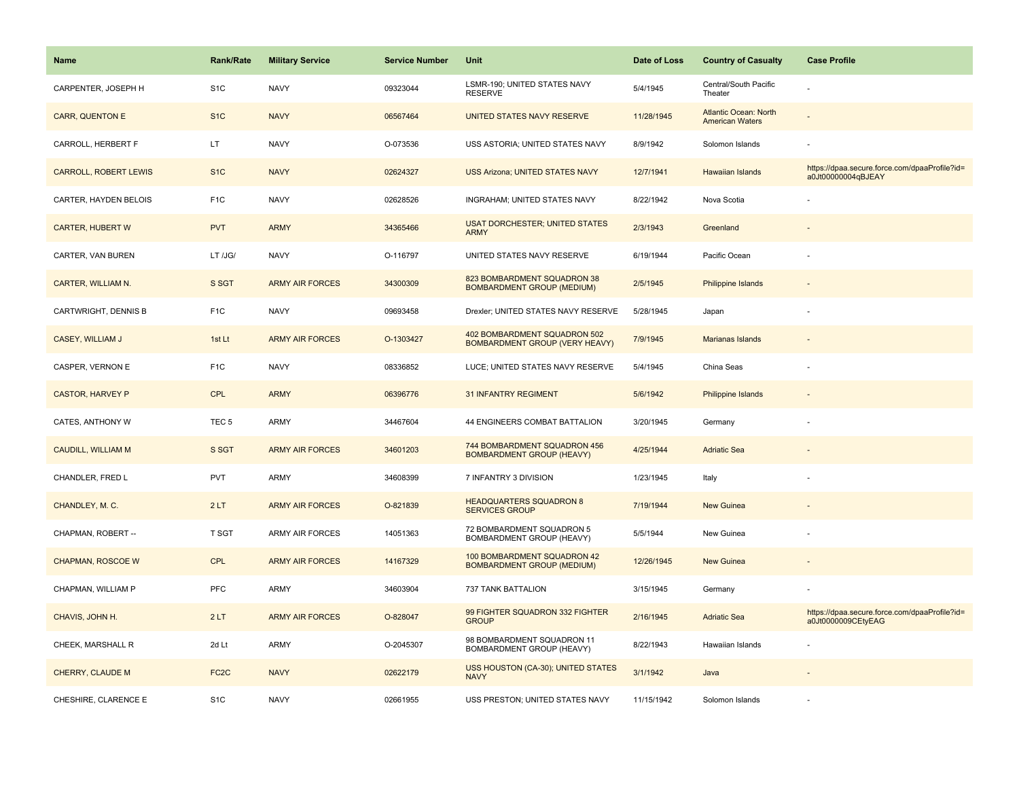| <b>Name</b>                  | Rank/Rate         | <b>Military Service</b> | <b>Service Number</b> | Unit                                                                  | Date of Loss | <b>Country of Casualty</b>                             | <b>Case Profile</b>                                                 |
|------------------------------|-------------------|-------------------------|-----------------------|-----------------------------------------------------------------------|--------------|--------------------------------------------------------|---------------------------------------------------------------------|
| CARPENTER, JOSEPH H          | S <sub>1</sub> C  | <b>NAVY</b>             | 09323044              | LSMR-190; UNITED STATES NAVY<br><b>RESERVE</b>                        | 5/4/1945     | Central/South Pacific<br>Theater                       |                                                                     |
| <b>CARR, QUENTON E</b>       | S <sub>1</sub> C  | <b>NAVY</b>             | 06567464              | UNITED STATES NAVY RESERVE                                            | 11/28/1945   | <b>Atlantic Ocean: North</b><br><b>American Waters</b> |                                                                     |
| CARROLL, HERBERT F           | LT                | <b>NAVY</b>             | O-073536              | USS ASTORIA; UNITED STATES NAVY                                       | 8/9/1942     | Solomon Islands                                        |                                                                     |
| <b>CARROLL, ROBERT LEWIS</b> | S <sub>1</sub> C  | <b>NAVY</b>             | 02624327              | <b>USS Arizona; UNITED STATES NAVY</b>                                | 12/7/1941    | Hawaiian Islands                                       | https://dpaa.secure.force.com/dpaaProfile?id=<br>a0Jt00000004qBJEAY |
| CARTER, HAYDEN BELOIS        | F <sub>1</sub> C  | <b>NAVY</b>             | 02628526              | INGRAHAM; UNITED STATES NAVY                                          | 8/22/1942    | Nova Scotia                                            |                                                                     |
| <b>CARTER, HUBERT W</b>      | <b>PVT</b>        | <b>ARMY</b>             | 34365466              | <b>USAT DORCHESTER; UNITED STATES</b><br><b>ARMY</b>                  | 2/3/1943     | Greenland                                              |                                                                     |
| CARTER, VAN BUREN            | LT /JG/           | <b>NAVY</b>             | O-116797              | UNITED STATES NAVY RESERVE                                            | 6/19/1944    | Pacific Ocean                                          |                                                                     |
| CARTER, WILLIAM N.           | S SGT             | <b>ARMY AIR FORCES</b>  | 34300309              | 823 BOMBARDMENT SQUADRON 38<br><b>BOMBARDMENT GROUP (MEDIUM)</b>      | 2/5/1945     | Philippine Islands                                     |                                                                     |
| CARTWRIGHT, DENNIS B         | F <sub>1</sub> C  | <b>NAVY</b>             | 09693458              | Drexler; UNITED STATES NAVY RESERVE                                   | 5/28/1945    | Japan                                                  |                                                                     |
| CASEY, WILLIAM J             | 1st Lt            | <b>ARMY AIR FORCES</b>  | O-1303427             | 402 BOMBARDMENT SQUADRON 502<br><b>BOMBARDMENT GROUP (VERY HEAVY)</b> | 7/9/1945     | Marianas Islands                                       |                                                                     |
| CASPER, VERNON E             | F <sub>1</sub> C  | <b>NAVY</b>             | 08336852              | LUCE; UNITED STATES NAVY RESERVE                                      | 5/4/1945     | China Seas                                             |                                                                     |
| <b>CASTOR, HARVEY P</b>      | <b>CPL</b>        | <b>ARMY</b>             | 06396776              | <b>31 INFANTRY REGIMENT</b>                                           | 5/6/1942     | <b>Philippine Islands</b>                              |                                                                     |
| CATES, ANTHONY W             | TEC <sub>5</sub>  | <b>ARMY</b>             | 34467604              | 44 ENGINEERS COMBAT BATTALION                                         | 3/20/1945    | Germany                                                |                                                                     |
| CAUDILL, WILLIAM M           | S SGT             | <b>ARMY AIR FORCES</b>  | 34601203              | 744 BOMBARDMENT SQUADRON 456<br><b>BOMBARDMENT GROUP (HEAVY)</b>      | 4/25/1944    | <b>Adriatic Sea</b>                                    |                                                                     |
| CHANDLER, FRED L             | <b>PVT</b>        | <b>ARMY</b>             | 34608399              | 7 INFANTRY 3 DIVISION                                                 | 1/23/1945    | Italy                                                  |                                                                     |
| CHANDLEY, M. C.              | 2LT               | <b>ARMY AIR FORCES</b>  | O-821839              | <b>HEADQUARTERS SQUADRON 8</b><br><b>SERVICES GROUP</b>               | 7/19/1944    | <b>New Guinea</b>                                      |                                                                     |
| CHAPMAN, ROBERT --           | <b>T SGT</b>      | <b>ARMY AIR FORCES</b>  | 14051363              | 72 BOMBARDMENT SQUADRON 5<br>BOMBARDMENT GROUP (HEAVY)                | 5/5/1944     | New Guinea                                             |                                                                     |
| <b>CHAPMAN, ROSCOE W</b>     | <b>CPL</b>        | <b>ARMY AIR FORCES</b>  | 14167329              | 100 BOMBARDMENT SQUADRON 42<br><b>BOMBARDMENT GROUP (MEDIUM)</b>      | 12/26/1945   | <b>New Guinea</b>                                      |                                                                     |
| CHAPMAN, WILLIAM P           | PFC               | ARMY                    | 34603904              | 737 TANK BATTALION                                                    | 3/15/1945    | Germany                                                |                                                                     |
| CHAVIS, JOHN H.              | 2LT               | <b>ARMY AIR FORCES</b>  | O-828047              | 99 FIGHTER SQUADRON 332 FIGHTER<br><b>GROUP</b>                       | 2/16/1945    | <b>Adriatic Sea</b>                                    | https://dpaa.secure.force.com/dpaaProfile?id=<br>a0Jt0000009CEtyEAG |
| CHEEK, MARSHALL R            | 2d Lt             | <b>ARMY</b>             | O-2045307             | 98 BOMBARDMENT SQUADRON 11<br>BOMBARDMENT GROUP (HEAVY)               | 8/22/1943    | Hawaiian Islands                                       |                                                                     |
| CHERRY, CLAUDE M             | FC <sub>2</sub> C | <b>NAVY</b>             | 02622179              | <b>USS HOUSTON (CA-30); UNITED STATES</b><br><b>NAVY</b>              | 3/1/1942     | Java                                                   |                                                                     |
| CHESHIRE, CLARENCE E         | S <sub>1</sub> C  | <b>NAVY</b>             | 02661955              | USS PRESTON; UNITED STATES NAVY                                       | 11/15/1942   | Solomon Islands                                        |                                                                     |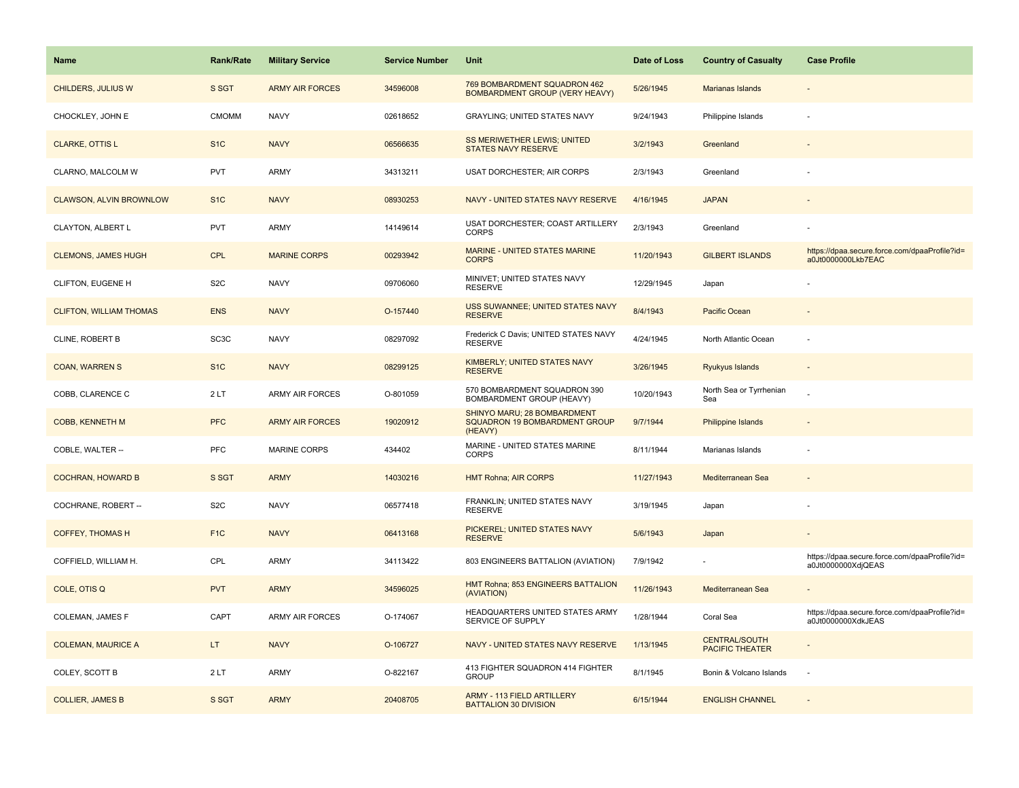| Name                           | <b>Rank/Rate</b>  | <b>Military Service</b> | <b>Service Number</b> | Unit                                                                    | Date of Loss | <b>Country of Casualty</b>                     | <b>Case Profile</b>                                                 |
|--------------------------------|-------------------|-------------------------|-----------------------|-------------------------------------------------------------------------|--------------|------------------------------------------------|---------------------------------------------------------------------|
| <b>CHILDERS, JULIUS W</b>      | S SGT             | <b>ARMY AIR FORCES</b>  | 34596008              | 769 BOMBARDMENT SQUADRON 462<br>BOMBARDMENT GROUP (VERY HEAVY)          | 5/26/1945    | Marianas Islands                               |                                                                     |
| CHOCKLEY, JOHN E               | <b>CMOMM</b>      | <b>NAVY</b>             | 02618652              | <b>GRAYLING: UNITED STATES NAVY</b>                                     | 9/24/1943    | Philippine Islands                             |                                                                     |
| <b>CLARKE, OTTIS L</b>         | S <sub>1</sub> C  | <b>NAVY</b>             | 06566635              | SS MERIWETHER LEWIS; UNITED<br><b>STATES NAVY RESERVE</b>               | 3/2/1943     | Greenland                                      |                                                                     |
| CLARNO, MALCOLM W              | <b>PVT</b>        | ARMY                    | 34313211              | <b>USAT DORCHESTER; AIR CORPS</b>                                       | 2/3/1943     | Greenland                                      |                                                                     |
| <b>CLAWSON, ALVIN BROWNLOW</b> | S <sub>1</sub> C  | <b>NAVY</b>             | 08930253              | NAVY - UNITED STATES NAVY RESERVE                                       | 4/16/1945    | <b>JAPAN</b>                                   |                                                                     |
| CLAYTON, ALBERT L              | <b>PVT</b>        | <b>ARMY</b>             | 14149614              | USAT DORCHESTER; COAST ARTILLERY<br><b>CORPS</b>                        | 2/3/1943     | Greenland                                      |                                                                     |
| <b>CLEMONS, JAMES HUGH</b>     | <b>CPL</b>        | <b>MARINE CORPS</b>     | 00293942              | MARINE - UNITED STATES MARINE<br><b>CORPS</b>                           | 11/20/1943   | <b>GILBERT ISLANDS</b>                         | https://dpaa.secure.force.com/dpaaProfile?id=<br>a0Jt0000000Lkb7EAC |
| CLIFTON, EUGENE H              | S <sub>2</sub> C  | <b>NAVY</b>             | 09706060              | MINIVET; UNITED STATES NAVY<br><b>RESERVE</b>                           | 12/29/1945   | Japan                                          |                                                                     |
| <b>CLIFTON, WILLIAM THOMAS</b> | <b>ENS</b>        | <b>NAVY</b>             | O-157440              | USS SUWANNEE; UNITED STATES NAVY<br><b>RESERVE</b>                      | 8/4/1943     | <b>Pacific Ocean</b>                           |                                                                     |
| <b>CLINE, ROBERT B</b>         | SC <sub>3</sub> C | <b>NAVY</b>             | 08297092              | Frederick C Davis; UNITED STATES NAVY<br><b>RESERVE</b>                 | 4/24/1945    | North Atlantic Ocean                           |                                                                     |
| <b>COAN, WARREN S</b>          | S <sub>1C</sub>   | <b>NAVY</b>             | 08299125              | KIMBERLY; UNITED STATES NAVY<br><b>RESERVE</b>                          | 3/26/1945    | <b>Ryukyus Islands</b>                         |                                                                     |
| COBB, CLARENCE C               | 2LT               | ARMY AIR FORCES         | O-801059              | 570 BOMBARDMENT SQUADRON 390<br>BOMBARDMENT GROUP (HEAVY)               | 10/20/1943   | North Sea or Tyrrhenian<br>Sea                 |                                                                     |
| COBB, KENNETH M                | <b>PFC</b>        | <b>ARMY AIR FORCES</b>  | 19020912              | SHINYO MARU; 28 BOMBARDMENT<br>SQUADRON 19 BOMBARDMENT GROUP<br>(HEAVY) | 9/7/1944     | Philippine Islands                             |                                                                     |
| COBLE, WALTER --               | <b>PFC</b>        | <b>MARINE CORPS</b>     | 434402                | MARINE - UNITED STATES MARINE<br><b>CORPS</b>                           | 8/11/1944    | Marianas Islands                               |                                                                     |
| <b>COCHRAN, HOWARD B</b>       | S SGT             | <b>ARMY</b>             | 14030216              | <b>HMT Rohna; AIR CORPS</b>                                             | 11/27/1943   | Mediterranean Sea                              |                                                                     |
| COCHRANE, ROBERT --            | S <sub>2</sub> C  | <b>NAVY</b>             | 06577418              | FRANKLIN; UNITED STATES NAVY<br><b>RESERVE</b>                          | 3/19/1945    | Japan                                          |                                                                     |
| <b>COFFEY, THOMAS H</b>        | F <sub>1C</sub>   | <b>NAVY</b>             | 06413168              | PICKEREL; UNITED STATES NAVY<br><b>RESERVE</b>                          | 5/6/1943     | Japan                                          |                                                                     |
| COFFIELD, WILLIAM H.           | CPL               | ARMY                    | 34113422              | 803 ENGINEERS BATTALION (AVIATION)                                      | 7/9/1942     |                                                | https://dpaa.secure.force.com/dpaaProfile?id=<br>a0Jt0000000XdjQEAS |
| COLE, OTIS Q                   | <b>PVT</b>        | <b>ARMY</b>             | 34596025              | HMT Rohna; 853 ENGINEERS BATTALION<br>(AVIATION)                        | 11/26/1943   | Mediterranean Sea                              |                                                                     |
| COLEMAN, JAMES F               | CAPT              | ARMY AIR FORCES         | O-174067              | HEADQUARTERS UNITED STATES ARMY<br>SERVICE OF SUPPLY                    | 1/28/1944    | Coral Sea                                      | https://dpaa.secure.force.com/dpaaProfile?id=<br>a0Jt0000000XdkJEAS |
| <b>COLEMAN, MAURICE A</b>      | LT.               | <b>NAVY</b>             | O-106727              | NAVY - UNITED STATES NAVY RESERVE                                       | 1/13/1945    | <b>CENTRAL/SOUTH</b><br><b>PACIFIC THEATER</b> |                                                                     |
| COLEY, SCOTT B                 | 2LT               | ARMY                    | O-822167              | 413 FIGHTER SQUADRON 414 FIGHTER<br><b>GROUP</b>                        | 8/1/1945     | Bonin & Volcano Islands                        | ÷.                                                                  |
| <b>COLLIER, JAMES B</b>        | S SGT             | <b>ARMY</b>             | 20408705              | ARMY - 113 FIELD ARTILLERY<br><b>BATTALION 30 DIVISION</b>              | 6/15/1944    | <b>ENGLISH CHANNEL</b>                         |                                                                     |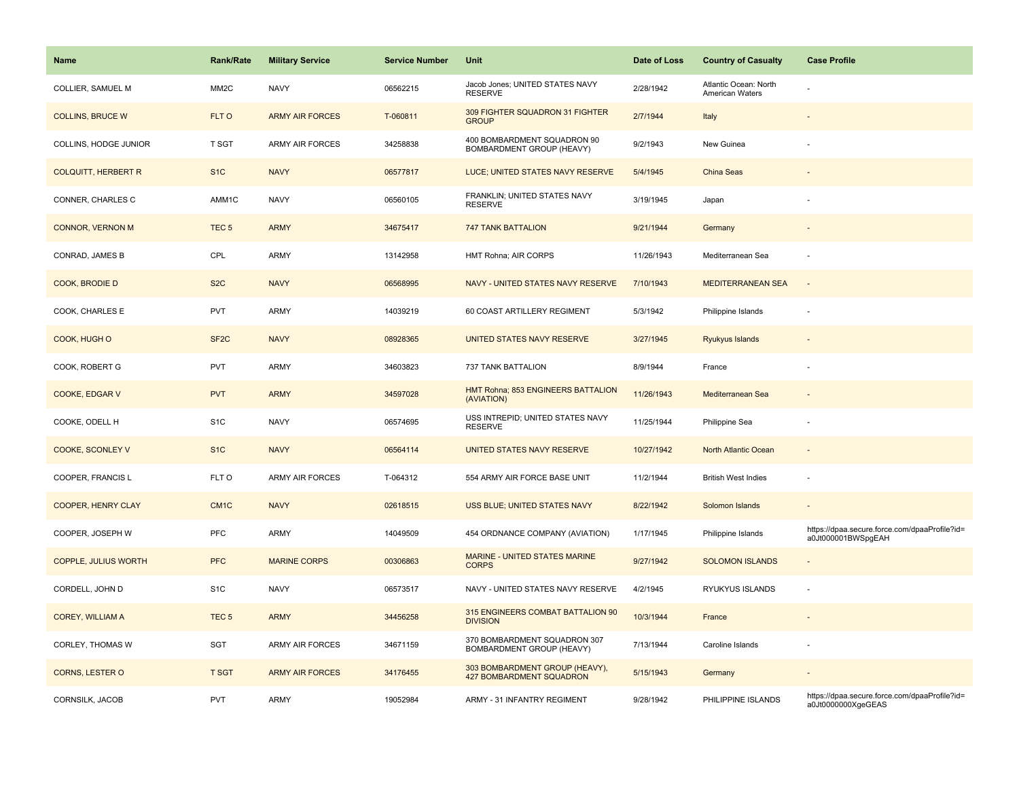| Name                        | Rank/Rate         | <b>Military Service</b> | <b>Service Number</b> | Unit                                                              | Date of Loss | <b>Country of Casualty</b>               | <b>Case Profile</b>                                                 |
|-----------------------------|-------------------|-------------------------|-----------------------|-------------------------------------------------------------------|--------------|------------------------------------------|---------------------------------------------------------------------|
| COLLIER, SAMUEL M           | MM <sub>2</sub> C | <b>NAVY</b>             | 06562215              | Jacob Jones; UNITED STATES NAVY<br><b>RESERVE</b>                 | 2/28/1942    | Atlantic Ocean: North<br>American Waters |                                                                     |
| <b>COLLINS, BRUCE W</b>     | FLT O             | <b>ARMY AIR FORCES</b>  | T-060811              | 309 FIGHTER SQUADRON 31 FIGHTER<br><b>GROUP</b>                   | 2/7/1944     | Italy                                    |                                                                     |
| COLLINS, HODGE JUNIOR       | T SGT             | ARMY AIR FORCES         | 34258838              | 400 BOMBARDMENT SQUADRON 90<br>BOMBARDMENT GROUP (HEAVY)          | 9/2/1943     | New Guinea                               |                                                                     |
| <b>COLQUITT, HERBERT R</b>  | S <sub>1</sub> C  | <b>NAVY</b>             | 06577817              | LUCE; UNITED STATES NAVY RESERVE                                  | 5/4/1945     | China Seas                               |                                                                     |
| CONNER, CHARLES C           | AMM1C             | <b>NAVY</b>             | 06560105              | FRANKLIN; UNITED STATES NAVY<br><b>RESERVE</b>                    | 3/19/1945    | Japan                                    |                                                                     |
| <b>CONNOR, VERNON M</b>     | TEC <sub>5</sub>  | <b>ARMY</b>             | 34675417              | <b>747 TANK BATTALION</b>                                         | 9/21/1944    | Germany                                  |                                                                     |
| CONRAD, JAMES B             | CPL               | <b>ARMY</b>             | 13142958              | HMT Rohna; AIR CORPS                                              | 11/26/1943   | Mediterranean Sea                        |                                                                     |
| COOK, BRODIE D              | S <sub>2</sub> C  | <b>NAVY</b>             | 06568995              | NAVY - UNITED STATES NAVY RESERVE                                 | 7/10/1943    | MEDITERRANEAN SEA                        | $\sim$                                                              |
| COOK, CHARLES E             | <b>PVT</b>        | <b>ARMY</b>             | 14039219              | 60 COAST ARTILLERY REGIMENT                                       | 5/3/1942     | Philippine Islands                       |                                                                     |
| COOK, HUGH O                | SF <sub>2</sub> C | <b>NAVY</b>             | 08928365              | UNITED STATES NAVY RESERVE                                        | 3/27/1945    | Ryukyus Islands                          |                                                                     |
| COOK, ROBERT G              | <b>PVT</b>        | <b>ARMY</b>             | 34603823              | 737 TANK BATTALION                                                | 8/9/1944     | France                                   |                                                                     |
| <b>COOKE, EDGAR V</b>       | <b>PVT</b>        | <b>ARMY</b>             | 34597028              | HMT Rohna; 853 ENGINEERS BATTALION<br>(AVIATION)                  | 11/26/1943   | Mediterranean Sea                        |                                                                     |
| COOKE, ODELL H              | S <sub>1</sub> C  | <b>NAVY</b>             | 06574695              | USS INTREPID; UNITED STATES NAVY<br><b>RESERVE</b>                | 11/25/1944   | Philippine Sea                           |                                                                     |
| COOKE, SCONLEY V            | S <sub>1</sub> C  | <b>NAVY</b>             | 06564114              | UNITED STATES NAVY RESERVE                                        | 10/27/1942   | North Atlantic Ocean                     | $\sim$                                                              |
| COOPER, FRANCIS L           | FLT O             | <b>ARMY AIR FORCES</b>  | T-064312              | 554 ARMY AIR FORCE BASE UNIT                                      | 11/2/1944    | <b>British West Indies</b>               |                                                                     |
| COOPER, HENRY CLAY          | CM <sub>1</sub> C | <b>NAVY</b>             | 02618515              | USS BLUE; UNITED STATES NAVY                                      | 8/22/1942    | Solomon Islands                          |                                                                     |
| COOPER, JOSEPH W            | PFC               | <b>ARMY</b>             | 14049509              | 454 ORDNANCE COMPANY (AVIATION)                                   | 1/17/1945    | Philippine Islands                       | https://dpaa.secure.force.com/dpaaProfile?id=<br>a0Jt000001BWSpgEAH |
| <b>COPPLE, JULIUS WORTH</b> | <b>PFC</b>        | <b>MARINE CORPS</b>     | 00306863              | <b>MARINE - UNITED STATES MARINE</b><br><b>CORPS</b>              | 9/27/1942    | <b>SOLOMON ISLANDS</b>                   |                                                                     |
| CORDELL, JOHN D             | S <sub>1</sub> C  | <b>NAVY</b>             | 06573517              | NAVY - UNITED STATES NAVY RESERVE                                 | 4/2/1945     | RYUKYUS ISLANDS                          |                                                                     |
| COREY, WILLIAM A            | TEC <sub>5</sub>  | <b>ARMY</b>             | 34456258              | 315 ENGINEERS COMBAT BATTALION 90<br><b>DIVISION</b>              | 10/3/1944    | France                                   |                                                                     |
| <b>CORLEY, THOMAS W</b>     | SGT               | <b>ARMY AIR FORCES</b>  | 34671159              | 370 BOMBARDMENT SQUADRON 307<br>BOMBARDMENT GROUP (HEAVY)         | 7/13/1944    | Caroline Islands                         |                                                                     |
| CORNS, LESTER O             | <b>T SGT</b>      | <b>ARMY AIR FORCES</b>  | 34176455              | 303 BOMBARDMENT GROUP (HEAVY),<br><b>427 BOMBARDMENT SQUADRON</b> | 5/15/1943    | Germany                                  |                                                                     |
| CORNSILK, JACOB             | <b>PVT</b>        | <b>ARMY</b>             | 19052984              | ARMY - 31 INFANTRY REGIMENT                                       | 9/28/1942    | PHILIPPINE ISLANDS                       | https://dpaa.secure.force.com/dpaaProfile?id=<br>a0Jt0000000XgeGEAS |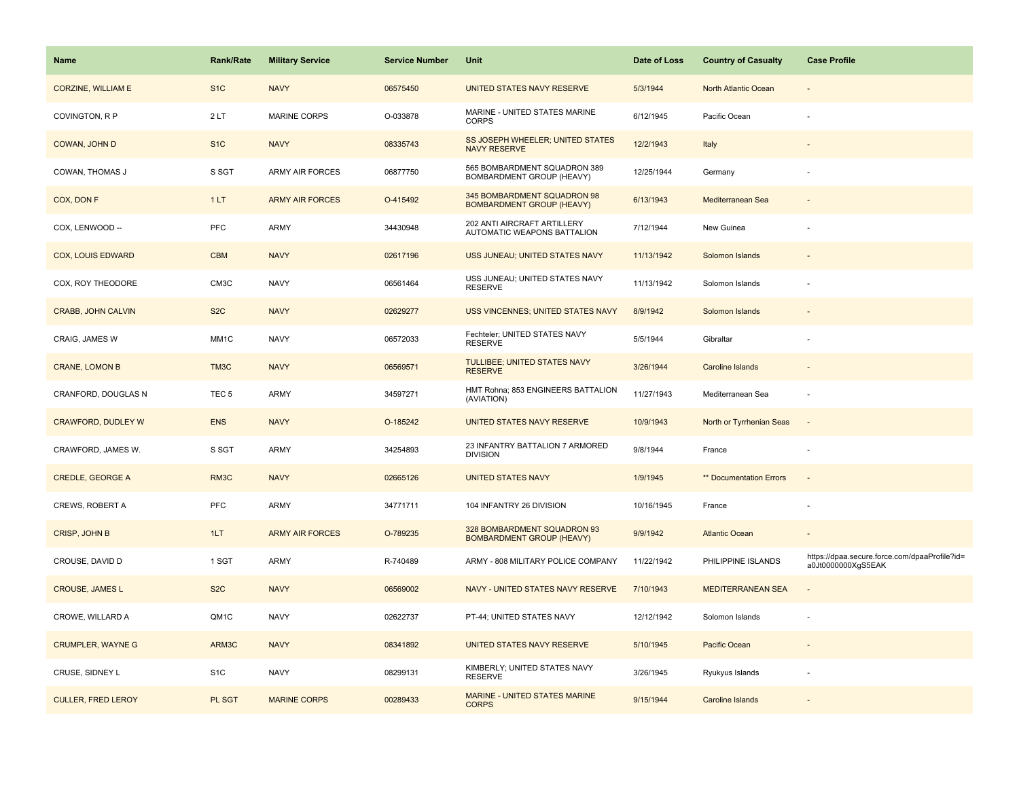| Name                      | <b>Rank/Rate</b> | <b>Military Service</b> | <b>Service Number</b> | Unit                                                            | Date of Loss | <b>Country of Casualty</b> | <b>Case Profile</b>                                                 |
|---------------------------|------------------|-------------------------|-----------------------|-----------------------------------------------------------------|--------------|----------------------------|---------------------------------------------------------------------|
| <b>CORZINE, WILLIAM E</b> | S <sub>1</sub> C | <b>NAVY</b>             | 06575450              | UNITED STATES NAVY RESERVE                                      | 5/3/1944     | North Atlantic Ocean       |                                                                     |
| COVINGTON, R P            | 2LT              | MARINE CORPS            | O-033878              | MARINE - UNITED STATES MARINE<br><b>CORPS</b>                   | 6/12/1945    | Pacific Ocean              |                                                                     |
| COWAN, JOHN D             | S <sub>1</sub> C | <b>NAVY</b>             | 08335743              | SS JOSEPH WHEELER; UNITED STATES<br><b>NAVY RESERVE</b>         | 12/2/1943    | Italy                      |                                                                     |
| COWAN, THOMAS J           | S SGT            | ARMY AIR FORCES         | 06877750              | 565 BOMBARDMENT SQUADRON 389<br>BOMBARDMENT GROUP (HEAVY)       | 12/25/1944   | Germany                    |                                                                     |
| COX, DON F                | 1LT              | <b>ARMY AIR FORCES</b>  | O-415492              | 345 BOMBARDMENT SQUADRON 98<br><b>BOMBARDMENT GROUP (HEAVY)</b> | 6/13/1943    | Mediterranean Sea          |                                                                     |
| COX, LENWOOD --           | <b>PFC</b>       | ARMY                    | 34430948              | 202 ANTI AIRCRAFT ARTILLERY<br>AUTOMATIC WEAPONS BATTALION      | 7/12/1944    | New Guinea                 |                                                                     |
| <b>COX, LOUIS EDWARD</b>  | <b>CBM</b>       | <b>NAVY</b>             | 02617196              | USS JUNEAU; UNITED STATES NAVY                                  | 11/13/1942   | Solomon Islands            |                                                                     |
| COX, ROY THEODORE         | CM3C             | <b>NAVY</b>             | 06561464              | USS JUNEAU; UNITED STATES NAVY<br><b>RESERVE</b>                | 11/13/1942   | Solomon Islands            |                                                                     |
| <b>CRABB, JOHN CALVIN</b> | S <sub>2</sub> C | <b>NAVY</b>             | 02629277              | USS VINCENNES; UNITED STATES NAVY                               | 8/9/1942     | Solomon Islands            |                                                                     |
| CRAIG, JAMES W            | MM1C             | <b>NAVY</b>             | 06572033              | Fechteler; UNITED STATES NAVY<br><b>RESERVE</b>                 | 5/5/1944     | Gibraltar                  |                                                                     |
| <b>CRANE, LOMON B</b>     | TM3C             | <b>NAVY</b>             | 06569571              | TULLIBEE; UNITED STATES NAVY<br><b>RESERVE</b>                  | 3/26/1944    | Caroline Islands           |                                                                     |
| CRANFORD, DOUGLAS N       | TEC <sub>5</sub> | ARMY                    | 34597271              | HMT Rohna; 853 ENGINEERS BATTALION<br>(AVIATION)                | 11/27/1943   | Mediterranean Sea          |                                                                     |
| <b>CRAWFORD, DUDLEY W</b> | <b>ENS</b>       | <b>NAVY</b>             | O-185242              | UNITED STATES NAVY RESERVE                                      | 10/9/1943    | North or Tyrrhenian Seas   |                                                                     |
| CRAWFORD, JAMES W.        | S SGT            | ARMY                    | 34254893              | 23 INFANTRY BATTALION 7 ARMORED<br><b>DIVISION</b>              | 9/8/1944     | France                     |                                                                     |
| <b>CREDLE, GEORGE A</b>   | RM3C             | <b>NAVY</b>             | 02665126              | <b>UNITED STATES NAVY</b>                                       | 1/9/1945     | ** Documentation Errors    | $\sim$                                                              |
| CREWS, ROBERT A           | <b>PFC</b>       | ARMY                    | 34771711              | 104 INFANTRY 26 DIVISION                                        | 10/16/1945   | France                     |                                                                     |
| CRISP, JOHN B             | 1LT              | <b>ARMY AIR FORCES</b>  | O-789235              | 328 BOMBARDMENT SQUADRON 93<br><b>BOMBARDMENT GROUP (HEAVY)</b> | 9/9/1942     | <b>Atlantic Ocean</b>      |                                                                     |
| CROUSE, DAVID D           | $1$ SGT $\,$     | ARMY                    | R-740489              | ARMY - 808 MILITARY POLICE COMPANY                              | 11/22/1942   | PHILIPPINE ISLANDS         | https://dpaa.secure.force.com/dpaaProfile?id=<br>a0Jt0000000XgS5EAK |
| <b>CROUSE, JAMES L</b>    | S <sub>2</sub> C | <b>NAVY</b>             | 06569002              | NAVY - UNITED STATES NAVY RESERVE                               | 7/10/1943    | <b>MEDITERRANEAN SEA</b>   |                                                                     |
| CROWE, WILLARD A          | QM1C             | <b>NAVY</b>             | 02622737              | PT-44; UNITED STATES NAVY                                       | 12/12/1942   | Solomon Islands            |                                                                     |
| <b>CRUMPLER, WAYNE G</b>  | ARM3C            | <b>NAVY</b>             | 08341892              | UNITED STATES NAVY RESERVE                                      | 5/10/1945    | Pacific Ocean              |                                                                     |
| CRUSE, SIDNEY L           | S <sub>1</sub> C | <b>NAVY</b>             | 08299131              | KIMBERLY; UNITED STATES NAVY<br><b>RESERVE</b>                  | 3/26/1945    | Ryukyus Islands            |                                                                     |
| <b>CULLER, FRED LEROY</b> | PL SGT           | <b>MARINE CORPS</b>     | 00289433              | <b>MARINE - UNITED STATES MARINE</b><br><b>CORPS</b>            | 9/15/1944    | Caroline Islands           |                                                                     |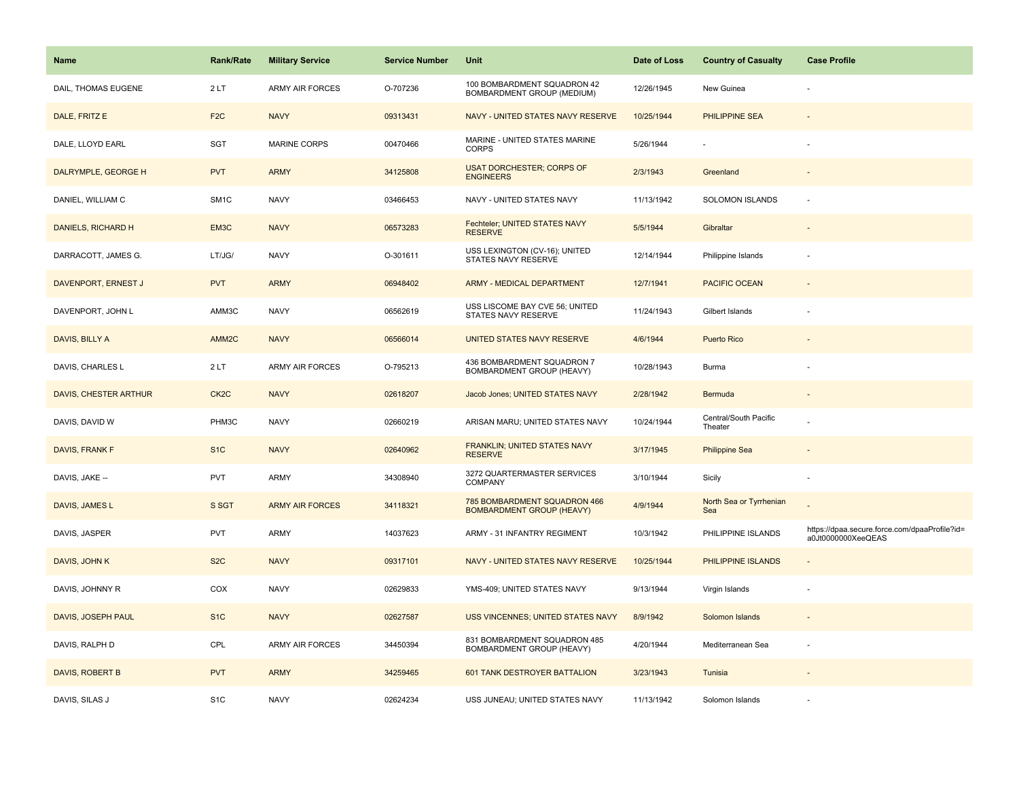| Name                  | <b>Rank/Rate</b>  | <b>Military Service</b> | <b>Service Number</b> | Unit                                                             | Date of Loss | <b>Country of Casualty</b>       | <b>Case Profile</b>                                                 |
|-----------------------|-------------------|-------------------------|-----------------------|------------------------------------------------------------------|--------------|----------------------------------|---------------------------------------------------------------------|
| DAIL, THOMAS EUGENE   | 2LT               | <b>ARMY AIR FORCES</b>  | O-707236              | 100 BOMBARDMENT SQUADRON 42<br>BOMBARDMENT GROUP (MEDIUM)        | 12/26/1945   | New Guinea                       |                                                                     |
| DALE, FRITZ E         | F <sub>2C</sub>   | <b>NAVY</b>             | 09313431              | NAVY - UNITED STATES NAVY RESERVE                                | 10/25/1944   | <b>PHILIPPINE SEA</b>            |                                                                     |
| DALE, LLOYD EARL      | SGT               | <b>MARINE CORPS</b>     | 00470466              | MARINE - UNITED STATES MARINE<br><b>CORPS</b>                    | 5/26/1944    |                                  |                                                                     |
| DALRYMPLE, GEORGE H   | <b>PVT</b>        | <b>ARMY</b>             | 34125808              | <b>USAT DORCHESTER; CORPS OF</b><br><b>ENGINEERS</b>             | 2/3/1943     | Greenland                        |                                                                     |
| DANIEL, WILLIAM C     | SM <sub>1</sub> C | <b>NAVY</b>             | 03466453              | NAVY - UNITED STATES NAVY                                        | 11/13/1942   | SOLOMON ISLANDS                  |                                                                     |
| DANIELS, RICHARD H    | EM3C              | <b>NAVY</b>             | 06573283              | Fechteler; UNITED STATES NAVY<br><b>RESERVE</b>                  | 5/5/1944     | Gibraltar                        |                                                                     |
| DARRACOTT, JAMES G.   | LT/JG/            | <b>NAVY</b>             | O-301611              | USS LEXINGTON (CV-16); UNITED<br>STATES NAVY RESERVE             | 12/14/1944   | Philippine Islands               |                                                                     |
| DAVENPORT, ERNEST J   | <b>PVT</b>        | <b>ARMY</b>             | 06948402              | ARMY - MEDICAL DEPARTMENT                                        | 12/7/1941    | <b>PACIFIC OCEAN</b>             |                                                                     |
| DAVENPORT, JOHN L     | AMM3C             | <b>NAVY</b>             | 06562619              | USS LISCOME BAY CVE 56; UNITED<br>STATES NAVY RESERVE            | 11/24/1943   | Gilbert Islands                  |                                                                     |
| DAVIS, BILLY A        | AMM <sub>2C</sub> | <b>NAVY</b>             | 06566014              | UNITED STATES NAVY RESERVE                                       | 4/6/1944     | <b>Puerto Rico</b>               |                                                                     |
| DAVIS, CHARLES L      | 2LT               | <b>ARMY AIR FORCES</b>  | O-795213              | 436 BOMBARDMENT SQUADRON 7<br>BOMBARDMENT GROUP (HEAVY)          | 10/28/1943   | <b>Burma</b>                     |                                                                     |
| DAVIS, CHESTER ARTHUR | CK <sub>2</sub> C | <b>NAVY</b>             | 02618207              | Jacob Jones; UNITED STATES NAVY                                  | 2/28/1942    | Bermuda                          | $\sim$                                                              |
| DAVIS, DAVID W        | PHM3C             | <b>NAVY</b>             | 02660219              | ARISAN MARU; UNITED STATES NAVY                                  | 10/24/1944   | Central/South Pacific<br>Theater |                                                                     |
| DAVIS, FRANK F        | S <sub>1</sub> C  | <b>NAVY</b>             | 02640962              | FRANKLIN; UNITED STATES NAVY<br><b>RESERVE</b>                   | 3/17/1945    | <b>Philippine Sea</b>            |                                                                     |
| DAVIS, JAKE --        | PVT               | ARMY                    | 34308940              | 3272 QUARTERMASTER SERVICES<br>COMPANY                           | 3/10/1944    | Sicily                           |                                                                     |
| DAVIS, JAMES L        | S SGT             | <b>ARMY AIR FORCES</b>  | 34118321              | 785 BOMBARDMENT SQUADRON 466<br><b>BOMBARDMENT GROUP (HEAVY)</b> | 4/9/1944     | North Sea or Tyrrhenian<br>Sea   |                                                                     |
| DAVIS, JASPER         | <b>PVT</b>        | <b>ARMY</b>             | 14037623              | ARMY - 31 INFANTRY REGIMENT                                      | 10/3/1942    | PHILIPPINE ISLANDS               | https://dpaa.secure.force.com/dpaaProfile?id=<br>a0Jt0000000XeeQEAS |
| DAVIS, JOHN K         | S <sub>2</sub> C  | <b>NAVY</b>             | 09317101              | NAVY - UNITED STATES NAVY RESERVE                                | 10/25/1944   | PHILIPPINE ISLANDS               |                                                                     |
| DAVIS, JOHNNY R       | COX               | <b>NAVY</b>             | 02629833              | YMS-409; UNITED STATES NAVY                                      | 9/13/1944    | Virgin Islands                   | $\sim$                                                              |
| DAVIS, JOSEPH PAUL    | S <sub>1</sub> C  | <b>NAVY</b>             | 02627587              | USS VINCENNES; UNITED STATES NAVY                                | 8/9/1942     | Solomon Islands                  |                                                                     |
| DAVIS, RALPH D        | CPL               | <b>ARMY AIR FORCES</b>  | 34450394              | 831 BOMBARDMENT SQUADRON 485<br>BOMBARDMENT GROUP (HEAVY)        | 4/20/1944    | Mediterranean Sea                |                                                                     |
| DAVIS, ROBERT B       | <b>PVT</b>        | <b>ARMY</b>             | 34259465              | <b>601 TANK DESTROYER BATTALION</b>                              | 3/23/1943    | Tunisia                          |                                                                     |
| DAVIS, SILAS J        | S <sub>1</sub> C  | <b>NAVY</b>             | 02624234              | USS JUNEAU; UNITED STATES NAVY                                   | 11/13/1942   | Solomon Islands                  |                                                                     |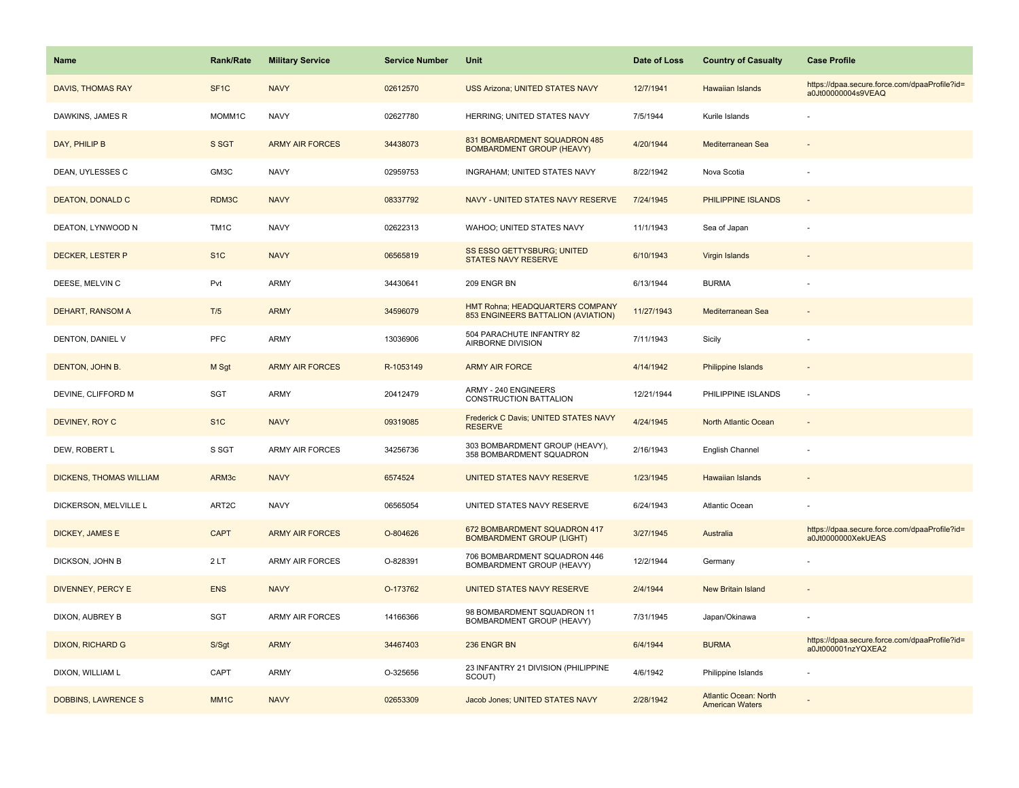| <b>Name</b>                    | <b>Rank/Rate</b>  | <b>Military Service</b> | <b>Service Number</b> | Unit                                                                  | Date of Loss | <b>Country of Casualty</b>                             | <b>Case Profile</b>                                                 |
|--------------------------------|-------------------|-------------------------|-----------------------|-----------------------------------------------------------------------|--------------|--------------------------------------------------------|---------------------------------------------------------------------|
| <b>DAVIS, THOMAS RAY</b>       | SF <sub>1</sub> C | <b>NAVY</b>             | 02612570              | <b>USS Arizona; UNITED STATES NAVY</b>                                | 12/7/1941    | Hawaiian Islands                                       | https://dpaa.secure.force.com/dpaaProfile?id=<br>a0Jt00000004s9VEAQ |
| DAWKINS, JAMES R               | MOMM1C            | <b>NAVY</b>             | 02627780              | HERRING; UNITED STATES NAVY                                           | 7/5/1944     | Kurile Islands                                         |                                                                     |
| DAY, PHILIP B                  | S SGT             | <b>ARMY AIR FORCES</b>  | 34438073              | 831 BOMBARDMENT SQUADRON 485<br><b>BOMBARDMENT GROUP (HEAVY)</b>      | 4/20/1944    | Mediterranean Sea                                      |                                                                     |
| DEAN, UYLESSES C               | GM3C              | <b>NAVY</b>             | 02959753              | INGRAHAM; UNITED STATES NAVY                                          | 8/22/1942    | Nova Scotia                                            |                                                                     |
| <b>DEATON, DONALD C</b>        | RDM3C             | <b>NAVY</b>             | 08337792              | NAVY - UNITED STATES NAVY RESERVE                                     | 7/24/1945    | PHILIPPINE ISLANDS                                     |                                                                     |
| DEATON, LYNWOOD N              | TM <sub>1C</sub>  | <b>NAVY</b>             | 02622313              | WAHOO; UNITED STATES NAVY                                             | 11/1/1943    | Sea of Japan                                           |                                                                     |
| DECKER, LESTER P               | S <sub>1</sub> C  | <b>NAVY</b>             | 06565819              | SS ESSO GETTYSBURG; UNITED<br><b>STATES NAVY RESERVE</b>              | 6/10/1943    | Virgin Islands                                         |                                                                     |
| DEESE, MELVIN C                | Pvt               | <b>ARMY</b>             | 34430641              | 209 ENGR BN                                                           | 6/13/1944    | <b>BURMA</b>                                           |                                                                     |
| DEHART, RANSOM A               | T/5               | <b>ARMY</b>             | 34596079              | HMT Rohna; HEADQUARTERS COMPANY<br>853 ENGINEERS BATTALION (AVIATION) | 11/27/1943   | Mediterranean Sea                                      |                                                                     |
| DENTON, DANIEL V               | <b>PFC</b>        | <b>ARMY</b>             | 13036906              | 504 PARACHUTE INFANTRY 82<br>AIRBORNE DIVISION                        | 7/11/1943    | Sicily                                                 |                                                                     |
| DENTON, JOHN B.                | M Sgt             | <b>ARMY AIR FORCES</b>  | R-1053149             | <b>ARMY AIR FORCE</b>                                                 | 4/14/1942    | Philippine Islands                                     |                                                                     |
| DEVINE, CLIFFORD M             | SGT               | <b>ARMY</b>             | 20412479              | ARMY - 240 ENGINEERS<br>CONSTRUCTION BATTALION                        | 12/21/1944   | PHILIPPINE ISLANDS                                     | $\sim$                                                              |
| DEVINEY, ROY C                 | S <sub>1</sub> C  | <b>NAVY</b>             | 09319085              | Frederick C Davis; UNITED STATES NAVY<br><b>RESERVE</b>               | 4/24/1945    | North Atlantic Ocean                                   |                                                                     |
| DEW, ROBERT L                  | S SGT             | <b>ARMY AIR FORCES</b>  | 34256736              | 303 BOMBARDMENT GROUP (HEAVY),<br>358 BOMBARDMENT SQUADRON            | 2/16/1943    | English Channel                                        |                                                                     |
| <b>DICKENS, THOMAS WILLIAM</b> | ARM3c             | <b>NAVY</b>             | 6574524               | UNITED STATES NAVY RESERVE                                            | 1/23/1945    | Hawaiian Islands                                       |                                                                     |
| DICKERSON, MELVILLE L          | ART <sub>2C</sub> | <b>NAVY</b>             | 06565054              | UNITED STATES NAVY RESERVE                                            | 6/24/1943    | Atlantic Ocean                                         |                                                                     |
| <b>DICKEY, JAMES E</b>         | <b>CAPT</b>       | <b>ARMY AIR FORCES</b>  | O-804626              | 672 BOMBARDMENT SQUADRON 417<br><b>BOMBARDMENT GROUP (LIGHT)</b>      | 3/27/1945    | Australia                                              | https://dpaa.secure.force.com/dpaaProfile?id=<br>a0Jt0000000XekUEAS |
| DICKSON, JOHN B                | 2LT               | <b>ARMY AIR FORCES</b>  | O-828391              | 706 BOMBARDMENT SQUADRON 446<br>BOMBARDMENT GROUP (HEAVY)             | 12/2/1944    | Germany                                                |                                                                     |
| DIVENNEY, PERCY E              | <b>ENS</b>        | <b>NAVY</b>             | O-173762              | UNITED STATES NAVY RESERVE                                            | 2/4/1944     | <b>New Britain Island</b>                              |                                                                     |
| DIXON, AUBREY B                | SGT               | <b>ARMY AIR FORCES</b>  | 14166366              | 98 BOMBARDMENT SQUADRON 11<br>BOMBARDMENT GROUP (HEAVY)               | 7/31/1945    | Japan/Okinawa                                          |                                                                     |
| <b>DIXON, RICHARD G</b>        | S/Sgt             | <b>ARMY</b>             | 34467403              | 236 ENGR BN                                                           | 6/4/1944     | <b>BURMA</b>                                           | https://dpaa.secure.force.com/dpaaProfile?id=<br>a0Jt000001nzYQXEA2 |
| DIXON, WILLIAM L               | CAPT              | ARMY                    | O-325656              | 23 INFANTRY 21 DIVISION (PHILIPPINE<br>SCOUT)                         | 4/6/1942     | Philippine Islands                                     |                                                                     |
| <b>DOBBINS, LAWRENCE S</b>     | MM <sub>1</sub> C | <b>NAVY</b>             | 02653309              | Jacob Jones; UNITED STATES NAVY                                       | 2/28/1942    | <b>Atlantic Ocean: North</b><br><b>American Waters</b> |                                                                     |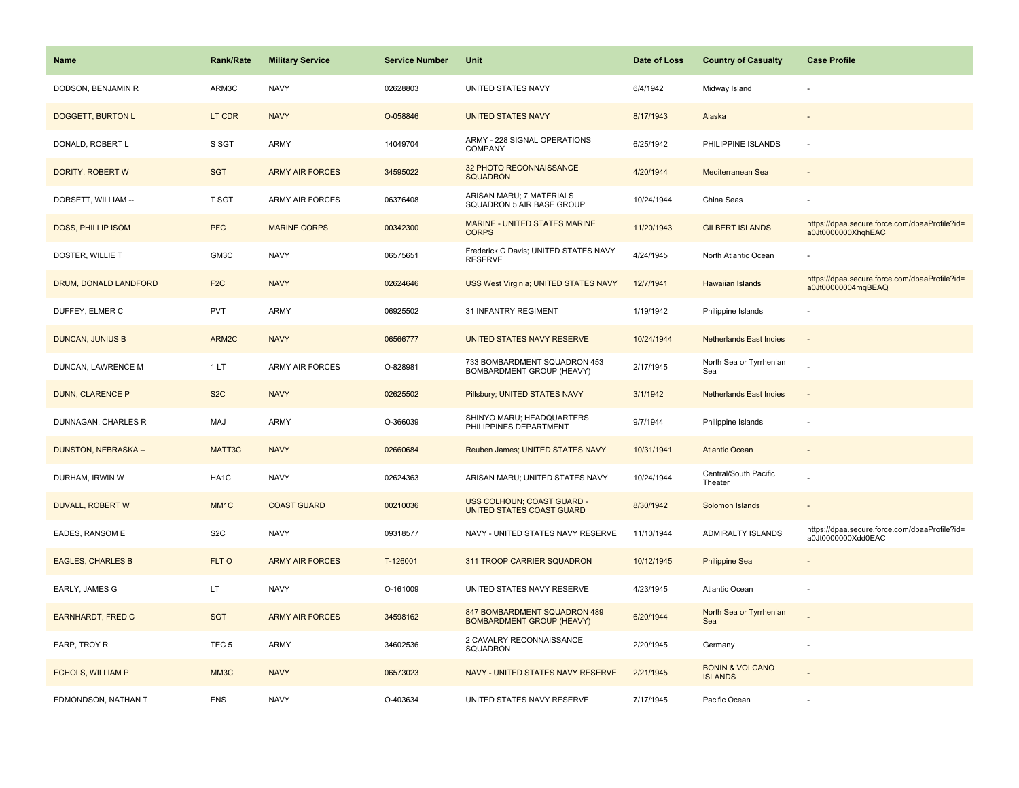| <b>Name</b>              | <b>Rank/Rate</b>  | <b>Military Service</b> | <b>Service Number</b> | Unit                                                             | Date of Loss | <b>Country of Casualty</b>                   | <b>Case Profile</b>                                                 |
|--------------------------|-------------------|-------------------------|-----------------------|------------------------------------------------------------------|--------------|----------------------------------------------|---------------------------------------------------------------------|
| DODSON, BENJAMIN R       | ARM3C             | <b>NAVY</b>             | 02628803              | UNITED STATES NAVY                                               | 6/4/1942     | Midway Island                                |                                                                     |
| <b>DOGGETT, BURTON L</b> | LT CDR            | <b>NAVY</b>             | O-058846              | <b>UNITED STATES NAVY</b>                                        | 8/17/1943    | Alaska                                       |                                                                     |
| DONALD, ROBERT L         | S SGT             | <b>ARMY</b>             | 14049704              | ARMY - 228 SIGNAL OPERATIONS<br><b>COMPANY</b>                   | 6/25/1942    | PHILIPPINE ISLANDS                           |                                                                     |
| DORITY, ROBERT W         | <b>SGT</b>        | <b>ARMY AIR FORCES</b>  | 34595022              | 32 PHOTO RECONNAISSANCE<br><b>SQUADRON</b>                       | 4/20/1944    | Mediterranean Sea                            |                                                                     |
| DORSETT, WILLIAM --      | T SGT             | <b>ARMY AIR FORCES</b>  | 06376408              | ARISAN MARU; 7 MATERIALS<br>SQUADRON 5 AIR BASE GROUP            | 10/24/1944   | China Seas                                   |                                                                     |
| DOSS, PHILLIP ISOM       | <b>PFC</b>        | <b>MARINE CORPS</b>     | 00342300              | MARINE - UNITED STATES MARINE<br><b>CORPS</b>                    | 11/20/1943   | <b>GILBERT ISLANDS</b>                       | https://dpaa.secure.force.com/dpaaProfile?id=<br>a0Jt0000000XhqhEAC |
| DOSTER, WILLIE T         | GM3C              | <b>NAVY</b>             | 06575651              | Frederick C Davis; UNITED STATES NAVY<br><b>RESERVE</b>          | 4/24/1945    | North Atlantic Ocean                         |                                                                     |
| DRUM, DONALD LANDFORD    | F <sub>2</sub> C  | <b>NAVY</b>             | 02624646              | USS West Virginia; UNITED STATES NAVY                            | 12/7/1941    | <b>Hawaiian Islands</b>                      | https://dpaa.secure.force.com/dpaaProfile?id=<br>a0Jt00000004mqBEAQ |
| DUFFEY, ELMER C          | <b>PVT</b>        | ARMY                    | 06925502              | 31 INFANTRY REGIMENT                                             | 1/19/1942    | Philippine Islands                           |                                                                     |
| <b>DUNCAN, JUNIUS B</b>  | ARM2C             | <b>NAVY</b>             | 06566777              | UNITED STATES NAVY RESERVE                                       | 10/24/1944   | <b>Netherlands East Indies</b>               |                                                                     |
| DUNCAN, LAWRENCE M       | 1 LT              | <b>ARMY AIR FORCES</b>  | O-828981              | 733 BOMBARDMENT SQUADRON 453<br>BOMBARDMENT GROUP (HEAVY)        | 2/17/1945    | North Sea or Tyrrhenian<br>Sea               |                                                                     |
| DUNN, CLARENCE P         | S <sub>2</sub> C  | <b>NAVY</b>             | 02625502              | Pillsbury; UNITED STATES NAVY                                    | 3/1/1942     | <b>Netherlands East Indies</b>               | $\sim$                                                              |
| DUNNAGAN, CHARLES R      | MAJ               | <b>ARMY</b>             | O-366039              | SHINYO MARU; HEADQUARTERS<br>PHILIPPINES DEPARTMENT              | 9/7/1944     | Philippine Islands                           |                                                                     |
| DUNSTON, NEBRASKA --     | MATT3C            | <b>NAVY</b>             | 02660684              | Reuben James; UNITED STATES NAVY                                 | 10/31/1941   | <b>Atlantic Ocean</b>                        |                                                                     |
| DURHAM, IRWIN W          | HA <sub>1</sub> C | <b>NAVY</b>             | 02624363              | ARISAN MARU; UNITED STATES NAVY                                  | 10/24/1944   | Central/South Pacific<br>Theater             |                                                                     |
| <b>DUVALL, ROBERT W</b>  | MM <sub>1</sub> C | <b>COAST GUARD</b>      | 00210036              | USS COLHOUN; COAST GUARD -<br>UNITED STATES COAST GUARD          | 8/30/1942    | Solomon Islands                              |                                                                     |
| EADES, RANSOM E          | S <sub>2</sub> C  | <b>NAVY</b>             | 09318577              | NAVY - UNITED STATES NAVY RESERVE                                | 11/10/1944   | ADMIRALTY ISLANDS                            | https://dpaa.secure.force.com/dpaaProfile?id=<br>a0Jt0000000Xdd0EAC |
| <b>EAGLES, CHARLES B</b> | FLT O             | <b>ARMY AIR FORCES</b>  | T-126001              | 311 TROOP CARRIER SQUADRON                                       | 10/12/1945   | <b>Philippine Sea</b>                        |                                                                     |
| EARLY, JAMES G           | LT                | <b>NAVY</b>             | O-161009              | UNITED STATES NAVY RESERVE                                       | 4/23/1945    | Atlantic Ocean                               |                                                                     |
| <b>EARNHARDT, FRED C</b> | <b>SGT</b>        | <b>ARMY AIR FORCES</b>  | 34598162              | 847 BOMBARDMENT SQUADRON 489<br><b>BOMBARDMENT GROUP (HEAVY)</b> | 6/20/1944    | North Sea or Tyrrhenian<br>Sea               |                                                                     |
| EARP, TROY R             | TEC <sub>5</sub>  | <b>ARMY</b>             | 34602536              | 2 CAVALRY RECONNAISSANCE<br>SQUADRON                             | 2/20/1945    | Germany                                      |                                                                     |
| <b>ECHOLS, WILLIAM P</b> | MM3C              | <b>NAVY</b>             | 06573023              | NAVY - UNITED STATES NAVY RESERVE                                | 2/21/1945    | <b>BONIN &amp; VOLCANO</b><br><b>ISLANDS</b> |                                                                     |
| EDMONDSON, NATHAN T      | <b>ENS</b>        | <b>NAVY</b>             | O-403634              | UNITED STATES NAVY RESERVE                                       | 7/17/1945    | Pacific Ocean                                |                                                                     |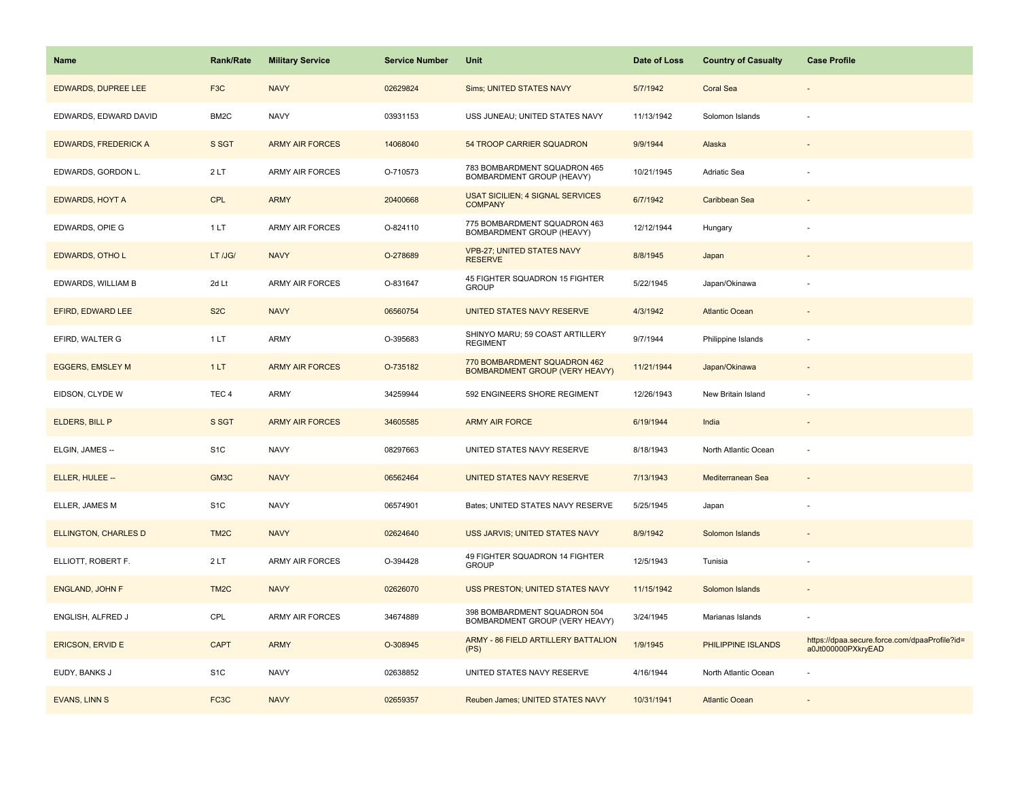| <b>Name</b>                 | <b>Rank/Rate</b>  | <b>Military Service</b> | <b>Service Number</b> | Unit                                                                  | Date of Loss | <b>Country of Casualty</b> | <b>Case Profile</b>                                                 |
|-----------------------------|-------------------|-------------------------|-----------------------|-----------------------------------------------------------------------|--------------|----------------------------|---------------------------------------------------------------------|
| <b>EDWARDS, DUPREE LEE</b>  | F <sub>3</sub> C  | <b>NAVY</b>             | 02629824              | Sims; UNITED STATES NAVY                                              | 5/7/1942     | <b>Coral Sea</b>           |                                                                     |
| EDWARDS, EDWARD DAVID       | BM <sub>2</sub> C | <b>NAVY</b>             | 03931153              | USS JUNEAU; UNITED STATES NAVY                                        | 11/13/1942   | Solomon Islands            |                                                                     |
| <b>EDWARDS, FREDERICK A</b> | S SGT             | <b>ARMY AIR FORCES</b>  | 14068040              | 54 TROOP CARRIER SQUADRON                                             | 9/9/1944     | Alaska                     |                                                                     |
| EDWARDS, GORDON L.          | 2LT               | <b>ARMY AIR FORCES</b>  | O-710573              | 783 BOMBARDMENT SQUADRON 465<br>BOMBARDMENT GROUP (HEAVY)             | 10/21/1945   | Adriatic Sea               |                                                                     |
| <b>EDWARDS, HOYT A</b>      | <b>CPL</b>        | <b>ARMY</b>             | 20400668              | USAT SICILIEN; 4 SIGNAL SERVICES<br><b>COMPANY</b>                    | 6/7/1942     | Caribbean Sea              |                                                                     |
| EDWARDS, OPIE G             | 1LT               | <b>ARMY AIR FORCES</b>  | O-824110              | 775 BOMBARDMENT SQUADRON 463<br>BOMBARDMENT GROUP (HEAVY)             | 12/12/1944   | Hungary                    |                                                                     |
| <b>EDWARDS, OTHO L</b>      | LT /JG/           | <b>NAVY</b>             | O-278689              | <b>VPB-27; UNITED STATES NAVY</b><br><b>RESERVE</b>                   | 8/8/1945     | Japan                      |                                                                     |
| EDWARDS, WILLIAM B          | 2d Lt             | <b>ARMY AIR FORCES</b>  | O-831647              | 45 FIGHTER SQUADRON 15 FIGHTER<br><b>GROUP</b>                        | 5/22/1945    | Japan/Okinawa              |                                                                     |
| EFIRD, EDWARD LEE           | S <sub>2</sub> C  | <b>NAVY</b>             | 06560754              | UNITED STATES NAVY RESERVE                                            | 4/3/1942     | <b>Atlantic Ocean</b>      |                                                                     |
| EFIRD, WALTER G             | 1LT               | <b>ARMY</b>             | O-395683              | SHINYO MARU; 59 COAST ARTILLERY<br><b>REGIMENT</b>                    | 9/7/1944     | Philippine Islands         |                                                                     |
| <b>EGGERS, EMSLEY M</b>     | 1LT               | <b>ARMY AIR FORCES</b>  | O-735182              | 770 BOMBARDMENT SQUADRON 462<br><b>BOMBARDMENT GROUP (VERY HEAVY)</b> | 11/21/1944   | Japan/Okinawa              |                                                                     |
| EIDSON, CLYDE W             | TEC <sub>4</sub>  | <b>ARMY</b>             | 34259944              | 592 ENGINEERS SHORE REGIMENT                                          | 12/26/1943   | New Britain Island         |                                                                     |
| ELDERS, BILL P              | S SGT             | <b>ARMY AIR FORCES</b>  | 34605585              | <b>ARMY AIR FORCE</b>                                                 | 6/19/1944    | India                      |                                                                     |
| ELGIN, JAMES --             | S <sub>1</sub> C  | <b>NAVY</b>             | 08297663              | UNITED STATES NAVY RESERVE                                            | 8/18/1943    | North Atlantic Ocean       | $\overline{\phantom{a}}$                                            |
| ELLER, HULEE --             | GM3C              | <b>NAVY</b>             | 06562464              | UNITED STATES NAVY RESERVE                                            | 7/13/1943    | Mediterranean Sea          |                                                                     |
| ELLER, JAMES M              | S <sub>1</sub> C  | <b>NAVY</b>             | 06574901              | Bates; UNITED STATES NAVY RESERVE                                     | 5/25/1945    | Japan                      |                                                                     |
| <b>ELLINGTON, CHARLES D</b> | TM <sub>2</sub> C | <b>NAVY</b>             | 02624640              | USS JARVIS; UNITED STATES NAVY                                        | 8/9/1942     | Solomon Islands            |                                                                     |
| ELLIOTT, ROBERT F.          | 2LT               | <b>ARMY AIR FORCES</b>  | O-394428              | 49 FIGHTER SQUADRON 14 FIGHTER<br><b>GROUP</b>                        | 12/5/1943    | Tunisia                    |                                                                     |
| <b>ENGLAND, JOHN F</b>      | TM <sub>2</sub> C | <b>NAVY</b>             | 02626070              | USS PRESTON; UNITED STATES NAVY                                       | 11/15/1942   | Solomon Islands            |                                                                     |
| ENGLISH, ALFRED J           | CPL               | <b>ARMY AIR FORCES</b>  | 34674889              | 398 BOMBARDMENT SQUADRON 504<br>BOMBARDMENT GROUP (VERY HEAVY)        | 3/24/1945    | Marianas Islands           |                                                                     |
| <b>ERICSON, ERVID E</b>     | <b>CAPT</b>       | <b>ARMY</b>             | O-308945              | ARMY - 86 FIELD ARTILLERY BATTALION<br>(PS)                           | 1/9/1945     | PHILIPPINE ISLANDS         | https://dpaa.secure.force.com/dpaaProfile?id=<br>a0Jt000000PXkryEAD |
| EUDY, BANKS J               | S <sub>1</sub> C  | <b>NAVY</b>             | 02638852              | UNITED STATES NAVY RESERVE                                            | 4/16/1944    | North Atlantic Ocean       |                                                                     |
| <b>EVANS, LINN S</b>        | FC <sub>3</sub> C | <b>NAVY</b>             | 02659357              | Reuben James; UNITED STATES NAVY                                      | 10/31/1941   | <b>Atlantic Ocean</b>      |                                                                     |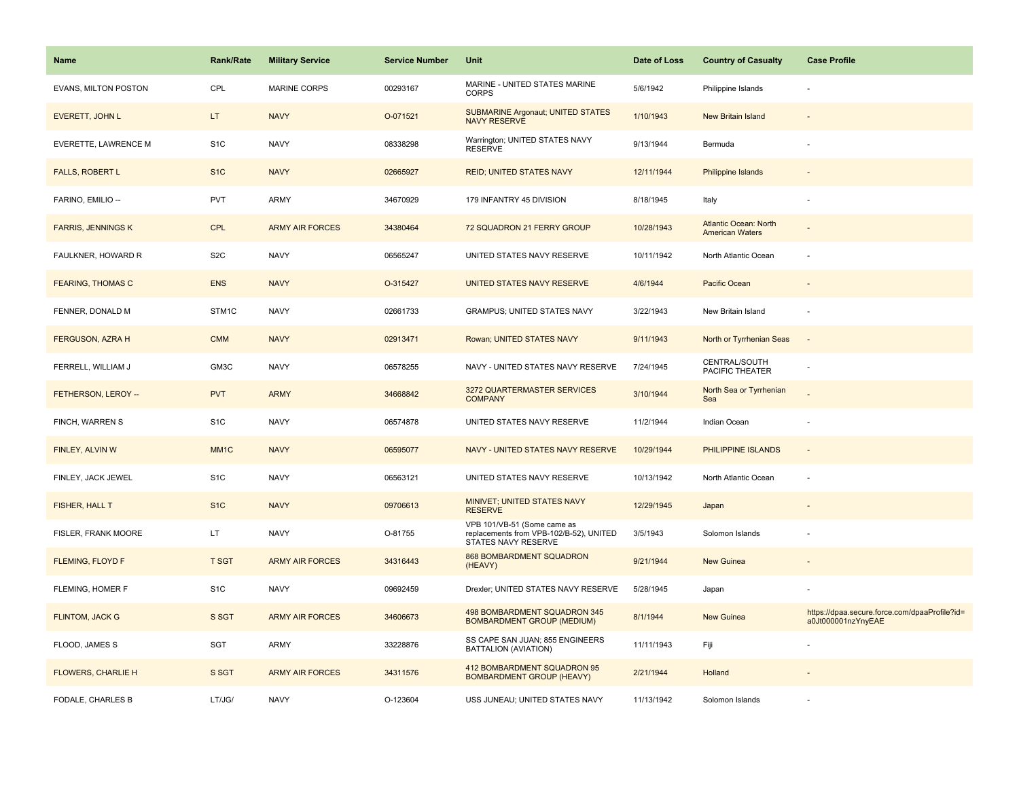| <b>Name</b>                 | <b>Rank/Rate</b>  | <b>Military Service</b> | <b>Service Number</b> | Unit                                                                                          | Date of Loss | <b>Country of Casualty</b>                             | <b>Case Profile</b>                                                 |
|-----------------------------|-------------------|-------------------------|-----------------------|-----------------------------------------------------------------------------------------------|--------------|--------------------------------------------------------|---------------------------------------------------------------------|
| <b>EVANS, MILTON POSTON</b> | CPL               | <b>MARINE CORPS</b>     | 00293167              | MARINE - UNITED STATES MARINE<br><b>CORPS</b>                                                 | 5/6/1942     | Philippine Islands                                     |                                                                     |
| EVERETT, JOHN L             | LT.               | <b>NAVY</b>             | O-071521              | <b>SUBMARINE Argonaut; UNITED STATES</b><br><b>NAVY RESERVE</b>                               | 1/10/1943    | <b>New Britain Island</b>                              |                                                                     |
| EVERETTE, LAWRENCE M        | S <sub>1</sub> C  | <b>NAVY</b>             | 08338298              | Warrington; UNITED STATES NAVY<br><b>RESERVE</b>                                              | 9/13/1944    | Bermuda                                                |                                                                     |
| <b>FALLS, ROBERT L</b>      | S <sub>1</sub> C  | <b>NAVY</b>             | 02665927              | <b>REID; UNITED STATES NAVY</b>                                                               | 12/11/1944   | <b>Philippine Islands</b>                              |                                                                     |
| FARINO, EMILIO --           | <b>PVT</b>        | ARMY                    | 34670929              | 179 INFANTRY 45 DIVISION                                                                      | 8/18/1945    | Italy                                                  |                                                                     |
| <b>FARRIS, JENNINGS K</b>   | <b>CPL</b>        | <b>ARMY AIR FORCES</b>  | 34380464              | 72 SQUADRON 21 FERRY GROUP                                                                    | 10/28/1943   | <b>Atlantic Ocean: North</b><br><b>American Waters</b> |                                                                     |
| FAULKNER, HOWARD R          | S <sub>2</sub> C  | <b>NAVY</b>             | 06565247              | UNITED STATES NAVY RESERVE                                                                    | 10/11/1942   | North Atlantic Ocean                                   |                                                                     |
| <b>FEARING, THOMAS C</b>    | <b>ENS</b>        | <b>NAVY</b>             | O-315427              | <b>UNITED STATES NAVY RESERVE</b>                                                             | 4/6/1944     | Pacific Ocean                                          |                                                                     |
| FENNER, DONALD M            | STM1C             | <b>NAVY</b>             | 02661733              | <b>GRAMPUS; UNITED STATES NAVY</b>                                                            | 3/22/1943    | New Britain Island                                     |                                                                     |
| FERGUSON, AZRA H            | <b>CMM</b>        | <b>NAVY</b>             | 02913471              | Rowan; UNITED STATES NAVY                                                                     | 9/11/1943    | North or Tyrrhenian Seas                               | $\sim$                                                              |
| FERRELL, WILLIAM J          | GM3C              | <b>NAVY</b>             | 06578255              | NAVY - UNITED STATES NAVY RESERVE                                                             | 7/24/1945    | CENTRAL/SOUTH<br>PACIFIC THEATER                       |                                                                     |
| FETHERSON, LEROY --         | <b>PVT</b>        | <b>ARMY</b>             | 34668842              | 3272 QUARTERMASTER SERVICES<br><b>COMPANY</b>                                                 | 3/10/1944    | North Sea or Tyrrhenian<br>Sea                         |                                                                     |
| FINCH, WARREN S             | S <sub>1</sub> C  | <b>NAVY</b>             | 06574878              | UNITED STATES NAVY RESERVE                                                                    | 11/2/1944    | Indian Ocean                                           |                                                                     |
| FINLEY, ALVIN W             | MM <sub>1</sub> C | <b>NAVY</b>             | 06595077              | NAVY - UNITED STATES NAVY RESERVE                                                             | 10/29/1944   | PHILIPPINE ISLANDS                                     | $\sim$                                                              |
| FINLEY, JACK JEWEL          | S <sub>1</sub> C  | <b>NAVY</b>             | 06563121              | UNITED STATES NAVY RESERVE                                                                    | 10/13/1942   | North Atlantic Ocean                                   | ×.                                                                  |
| FISHER, HALL T              | S <sub>1</sub> C  | <b>NAVY</b>             | 09706613              | MINIVET; UNITED STATES NAVY<br><b>RESERVE</b>                                                 | 12/29/1945   | Japan                                                  |                                                                     |
| FISLER, FRANK MOORE         | LT.               | <b>NAVY</b>             | O-81755               | VPB 101/VB-51 (Some came as<br>replacements from VPB-102/B-52), UNITED<br>STATES NAVY RESERVE | 3/5/1943     | Solomon Islands                                        |                                                                     |
| <b>FLEMING, FLOYD F</b>     | <b>T SGT</b>      | <b>ARMY AIR FORCES</b>  | 34316443              | 868 BOMBARDMENT SQUADRON<br>(HEAVY)                                                           | 9/21/1944    | <b>New Guinea</b>                                      |                                                                     |
| FLEMING, HOMER F            | S <sub>1</sub> C  | <b>NAVY</b>             | 09692459              | Drexler; UNITED STATES NAVY RESERVE                                                           | 5/28/1945    | Japan                                                  |                                                                     |
| <b>FLINTOM, JACK G</b>      | S SGT             | <b>ARMY AIR FORCES</b>  | 34606673              | 498 BOMBARDMENT SQUADRON 345<br><b>BOMBARDMENT GROUP (MEDIUM)</b>                             | 8/1/1944     | New Guinea                                             | https://dpaa.secure.force.com/dpaaProfile?id=<br>a0Jt000001nzYnyEAE |
| FLOOD, JAMES S              | SGT               | <b>ARMY</b>             | 33228876              | SS CAPE SAN JUAN; 855 ENGINEERS<br>BATTALION (AVIATION)                                       | 11/11/1943   | Fiji                                                   |                                                                     |
| <b>FLOWERS, CHARLIE H</b>   | S SGT             | <b>ARMY AIR FORCES</b>  | 34311576              | 412 BOMBARDMENT SQUADRON 95<br><b>BOMBARDMENT GROUP (HEAVY)</b>                               | 2/21/1944    | Holland                                                |                                                                     |
| FODALE, CHARLES B           | LT/JG/            | <b>NAVY</b>             | O-123604              | USS JUNEAU; UNITED STATES NAVY                                                                | 11/13/1942   | Solomon Islands                                        |                                                                     |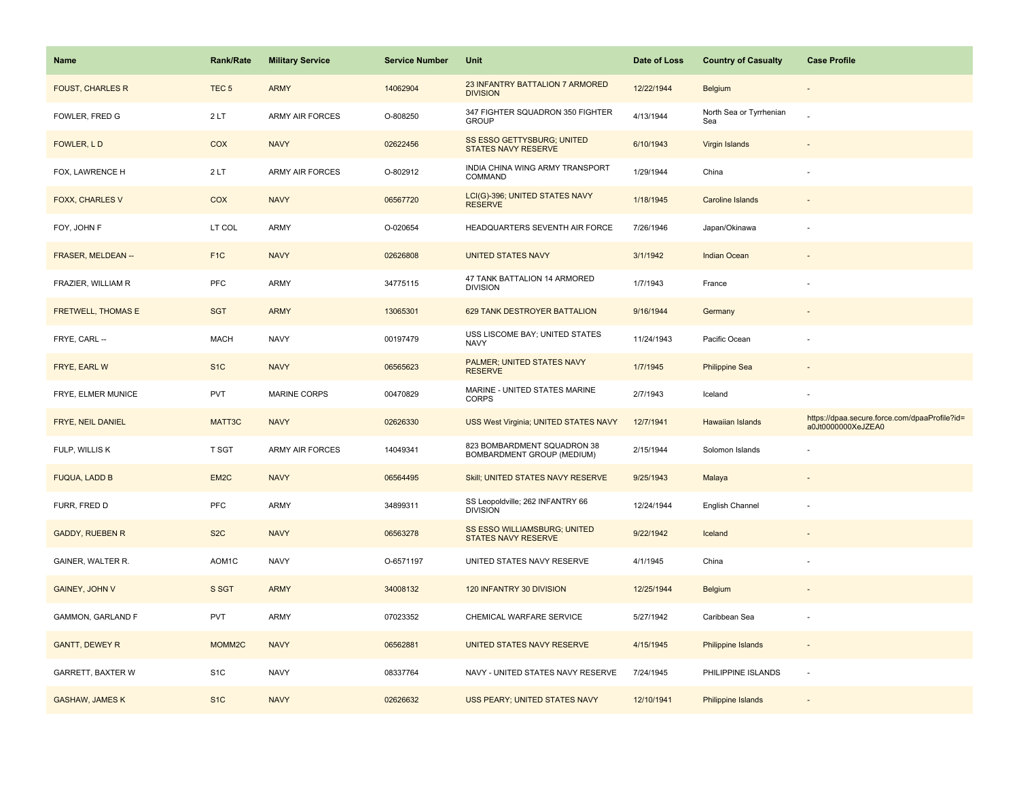| <b>Name</b>               | <b>Rank/Rate</b>   | <b>Military Service</b> | <b>Service Number</b> | Unit                                                       | Date of Loss | <b>Country of Casualty</b>     | <b>Case Profile</b>                                                 |
|---------------------------|--------------------|-------------------------|-----------------------|------------------------------------------------------------|--------------|--------------------------------|---------------------------------------------------------------------|
| <b>FOUST, CHARLES R</b>   | TEC <sub>5</sub>   | <b>ARMY</b>             | 14062904              | 23 INFANTRY BATTALION 7 ARMORED<br><b>DIVISION</b>         | 12/22/1944   | <b>Belgium</b>                 |                                                                     |
| FOWLER, FRED G            | 2LT                | <b>ARMY AIR FORCES</b>  | O-808250              | 347 FIGHTER SQUADRON 350 FIGHTER<br><b>GROUP</b>           | 4/13/1944    | North Sea or Tyrrhenian<br>Sea |                                                                     |
| FOWLER, LD                | COX                | <b>NAVY</b>             | 02622456              | SS ESSO GETTYSBURG; UNITED<br>STATES NAVY RESERVE          | 6/10/1943    | Virgin Islands                 |                                                                     |
| FOX, LAWRENCE H           | 2LT                | <b>ARMY AIR FORCES</b>  | O-802912              | INDIA CHINA WING ARMY TRANSPORT<br>COMMAND                 | 1/29/1944    | China                          |                                                                     |
| <b>FOXX, CHARLES V</b>    | COX                | <b>NAVY</b>             | 06567720              | LCI(G)-396; UNITED STATES NAVY<br><b>RESERVE</b>           | 1/18/1945    | <b>Caroline Islands</b>        |                                                                     |
| FOY, JOHN F               | LT COL             | ARMY                    | O-020654              | HEADQUARTERS SEVENTH AIR FORCE                             | 7/26/1946    | Japan/Okinawa                  |                                                                     |
| FRASER, MELDEAN --        | F <sub>1</sub> C   | <b>NAVY</b>             | 02626808              | <b>UNITED STATES NAVY</b>                                  | 3/1/1942     | Indian Ocean                   |                                                                     |
| FRAZIER, WILLIAM R        | PFC                | ARMY                    | 34775115              | 47 TANK BATTALION 14 ARMORED<br><b>DIVISION</b>            | 1/7/1943     | France                         |                                                                     |
| <b>FRETWELL, THOMAS E</b> | <b>SGT</b>         | <b>ARMY</b>             | 13065301              | 629 TANK DESTROYER BATTALION                               | 9/16/1944    | Germany                        |                                                                     |
| FRYE, CARL --             | <b>MACH</b>        | <b>NAVY</b>             | 00197479              | USS LISCOME BAY; UNITED STATES<br><b>NAVY</b>              | 11/24/1943   | Pacific Ocean                  |                                                                     |
| FRYE, EARL W              | S <sub>1</sub> C   | <b>NAVY</b>             | 06565623              | PALMER; UNITED STATES NAVY<br><b>RESERVE</b>               | 1/7/1945     | <b>Philippine Sea</b>          |                                                                     |
| FRYE, ELMER MUNICE        | <b>PVT</b>         | <b>MARINE CORPS</b>     | 00470829              | MARINE - UNITED STATES MARINE<br><b>CORPS</b>              | 2/7/1943     | Iceland                        |                                                                     |
| FRYE, NEIL DANIEL         | MATT3C             | <b>NAVY</b>             | 02626330              | USS West Virginia; UNITED STATES NAVY                      | 12/7/1941    | <b>Hawaiian Islands</b>        | https://dpaa.secure.force.com/dpaaProfile?id=<br>a0Jt0000000XeJZEA0 |
| FULP, WILLIS K            | T SGT              | <b>ARMY AIR FORCES</b>  | 14049341              | 823 BOMBARDMENT SQUADRON 38<br>BOMBARDMENT GROUP (MEDIUM)  | 2/15/1944    | Solomon Islands                |                                                                     |
| <b>FUQUA, LADD B</b>      | EM <sub>2</sub> C  | <b>NAVY</b>             | 06564495              | Skill; UNITED STATES NAVY RESERVE                          | 9/25/1943    | Malaya                         |                                                                     |
| FURR, FRED D              | PFC                | <b>ARMY</b>             | 34899311              | SS Leopoldville; 262 INFANTRY 66<br><b>DIVISION</b>        | 12/24/1944   | English Channel                |                                                                     |
| <b>GADDY, RUEBEN R</b>    | S <sub>2</sub> C   | <b>NAVY</b>             | 06563278              | SS ESSO WILLIAMSBURG; UNITED<br><b>STATES NAVY RESERVE</b> | 9/22/1942    | Iceland                        |                                                                     |
| GAINER, WALTER R.         | AOM1C              | <b>NAVY</b>             | O-6571197             | UNITED STATES NAVY RESERVE                                 | 4/1/1945     | China                          |                                                                     |
| GAINEY, JOHN V            | S SGT              | <b>ARMY</b>             | 34008132              | 120 INFANTRY 30 DIVISION                                   | 12/25/1944   | Belgium                        |                                                                     |
| GAMMON, GARLAND F         | <b>PVT</b>         | <b>ARMY</b>             | 07023352              | CHEMICAL WARFARE SERVICE                                   | 5/27/1942    | Caribbean Sea                  |                                                                     |
| <b>GANTT, DEWEY R</b>     | MOMM <sub>2C</sub> | <b>NAVY</b>             | 06562881              | UNITED STATES NAVY RESERVE                                 | 4/15/1945    | Philippine Islands             |                                                                     |
| GARRETT, BAXTER W         | S <sub>1</sub> C   | <b>NAVY</b>             | 08337764              | NAVY - UNITED STATES NAVY RESERVE                          | 7/24/1945    | PHILIPPINE ISLANDS             | $\overline{\phantom{a}}$                                            |
| <b>GASHAW, JAMES K</b>    | S <sub>1C</sub>    | <b>NAVY</b>             | 02626632              | <b>USS PEARY; UNITED STATES NAVY</b>                       | 12/10/1941   | Philippine Islands             |                                                                     |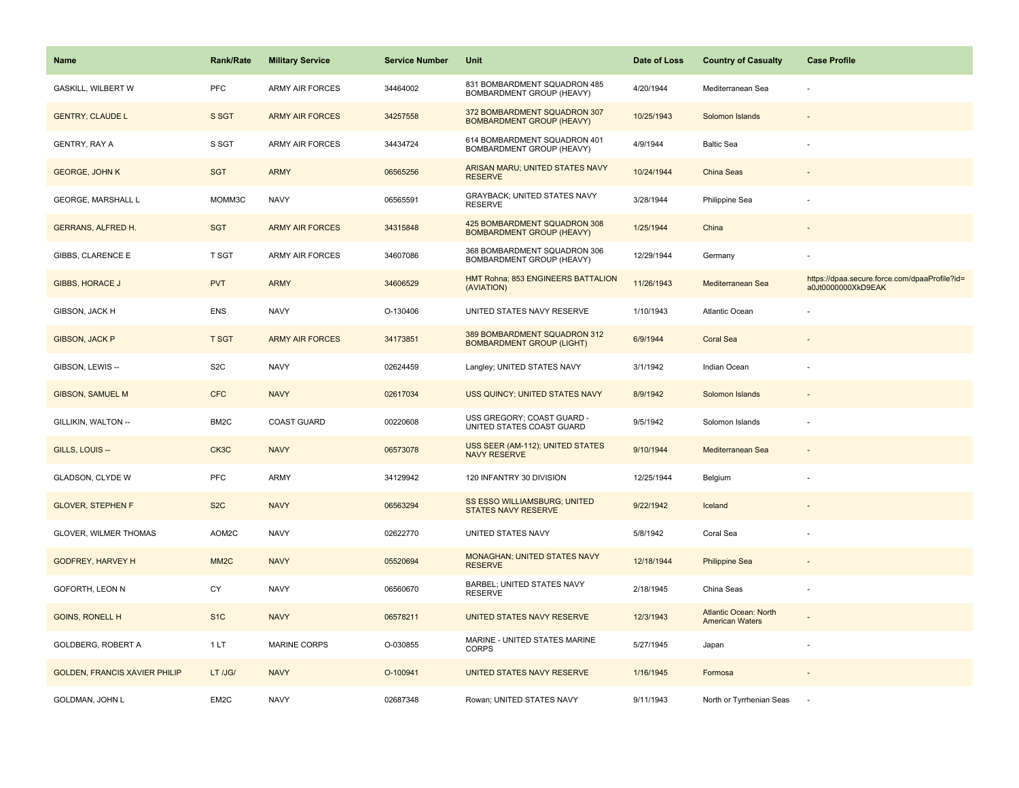| <b>Name</b>                          | <b>Rank/Rate</b>  | <b>Military Service</b> | <b>Service Number</b> | Unit                                                             | Date of Loss | <b>Country of Casualty</b>                             | <b>Case Profile</b>                                                 |
|--------------------------------------|-------------------|-------------------------|-----------------------|------------------------------------------------------------------|--------------|--------------------------------------------------------|---------------------------------------------------------------------|
| <b>GASKILL, WILBERT W</b>            | PFC               | <b>ARMY AIR FORCES</b>  | 34464002              | 831 BOMBARDMENT SQUADRON 485<br>BOMBARDMENT GROUP (HEAVY)        | 4/20/1944    | Mediterranean Sea                                      |                                                                     |
| <b>GENTRY, CLAUDE L</b>              | S SGT             | <b>ARMY AIR FORCES</b>  | 34257558              | 372 BOMBARDMENT SQUADRON 307<br><b>BOMBARDMENT GROUP (HEAVY)</b> | 10/25/1943   | Solomon Islands                                        |                                                                     |
| <b>GENTRY, RAY A</b>                 | S SGT             | <b>ARMY AIR FORCES</b>  | 34434724              | 614 BOMBARDMENT SQUADRON 401<br>BOMBARDMENT GROUP (HEAVY)        | 4/9/1944     | <b>Baltic Sea</b>                                      |                                                                     |
| <b>GEORGE, JOHN K</b>                | <b>SGT</b>        | <b>ARMY</b>             | 06565256              | ARISAN MARU; UNITED STATES NAVY<br><b>RESERVE</b>                | 10/24/1944   | China Seas                                             |                                                                     |
| <b>GEORGE, MARSHALL L</b>            | MOMM3C            | <b>NAVY</b>             | 06565591              | <b>GRAYBACK: UNITED STATES NAVY</b><br><b>RESERVE</b>            | 3/28/1944    | Philippine Sea                                         |                                                                     |
| <b>GERRANS, ALFRED H.</b>            | <b>SGT</b>        | <b>ARMY AIR FORCES</b>  | 34315848              | 425 BOMBARDMENT SQUADRON 308<br><b>BOMBARDMENT GROUP (HEAVY)</b> | 1/25/1944    | China                                                  |                                                                     |
| GIBBS, CLARENCE E                    | <b>T SGT</b>      | <b>ARMY AIR FORCES</b>  | 34607086              | 368 BOMBARDMENT SQUADRON 306<br>BOMBARDMENT GROUP (HEAVY)        | 12/29/1944   | Germany                                                |                                                                     |
| <b>GIBBS, HORACE J</b>               | <b>PVT</b>        | <b>ARMY</b>             | 34606529              | HMT Rohna; 853 ENGINEERS BATTALION<br>(AVIATION)                 | 11/26/1943   | Mediterranean Sea                                      | https://dpaa.secure.force.com/dpaaProfile?id=<br>a0Jt0000000XkD9EAK |
| GIBSON, JACK H                       | <b>ENS</b>        | <b>NAVY</b>             | O-130406              | UNITED STATES NAVY RESERVE                                       | 1/10/1943    | Atlantic Ocean                                         |                                                                     |
| <b>GIBSON, JACK P</b>                | <b>T SGT</b>      | <b>ARMY AIR FORCES</b>  | 34173851              | 389 BOMBARDMENT SQUADRON 312<br><b>BOMBARDMENT GROUP (LIGHT)</b> | 6/9/1944     | <b>Coral Sea</b>                                       |                                                                     |
| GIBSON, LEWIS --                     | S <sub>2</sub> C  | <b>NAVY</b>             | 02624459              | Langley; UNITED STATES NAVY                                      | 3/1/1942     | Indian Ocean                                           |                                                                     |
| <b>GIBSON, SAMUEL M</b>              | <b>CFC</b>        | <b>NAVY</b>             | 02617034              | USS QUINCY; UNITED STATES NAVY                                   | 8/9/1942     | Solomon Islands                                        |                                                                     |
| GILLIKIN, WALTON --                  | BM <sub>2</sub> C | <b>COAST GUARD</b>      | 00220608              | USS GREGORY; COAST GUARD -<br>UNITED STATES COAST GUARD          | 9/5/1942     | Solomon Islands                                        |                                                                     |
| GILLS, LOUIS --                      | CK3C              | <b>NAVY</b>             | 06573078              | USS SEER (AM-112); UNITED STATES<br><b>NAVY RESERVE</b>          | 9/10/1944    | Mediterranean Sea                                      |                                                                     |
| GLADSON, CLYDE W                     | PFC               | <b>ARMY</b>             | 34129942              | 120 INFANTRY 30 DIVISION                                         | 12/25/1944   | Belgium                                                |                                                                     |
| <b>GLOVER, STEPHEN F</b>             | S <sub>2</sub> C  | <b>NAVY</b>             | 06563294              | SS ESSO WILLIAMSBURG; UNITED<br><b>STATES NAVY RESERVE</b>       | 9/22/1942    | Iceland                                                |                                                                     |
| <b>GLOVER, WILMER THOMAS</b>         | AOM2C             | <b>NAVY</b>             | 02622770              | UNITED STATES NAVY                                               | 5/8/1942     | Coral Sea                                              |                                                                     |
| <b>GODFREY, HARVEY H</b>             | MM <sub>2</sub> C | <b>NAVY</b>             | 05520694              | <b>MONAGHAN; UNITED STATES NAVY</b><br><b>RESERVE</b>            | 12/18/1944   | <b>Philippine Sea</b>                                  |                                                                     |
| GOFORTH, LEON N                      | CY                | <b>NAVY</b>             | 06560670              | BARBEL; UNITED STATES NAVY<br><b>RESERVE</b>                     | 2/18/1945    | China Seas                                             |                                                                     |
| <b>GOINS, RONELL H</b>               | S <sub>1</sub> C  | <b>NAVY</b>             | 06578211              | <b>UNITED STATES NAVY RESERVE</b>                                | 12/3/1943    | <b>Atlantic Ocean: North</b><br><b>American Waters</b> |                                                                     |
| <b>GOLDBERG, ROBERT A</b>            | 1LT               | <b>MARINE CORPS</b>     | O-030855              | MARINE - UNITED STATES MARINE<br><b>CORPS</b>                    | 5/27/1945    | Japan                                                  |                                                                     |
| <b>GOLDEN, FRANCIS XAVIER PHILIP</b> | LT /JG/           | <b>NAVY</b>             | O-100941              | UNITED STATES NAVY RESERVE                                       | 1/16/1945    | Formosa                                                |                                                                     |
| GOLDMAN, JOHN L                      | EM2C              | <b>NAVY</b>             | 02687348              | Rowan; UNITED STATES NAVY                                        | 9/11/1943    | North or Tyrrhenian Seas                               |                                                                     |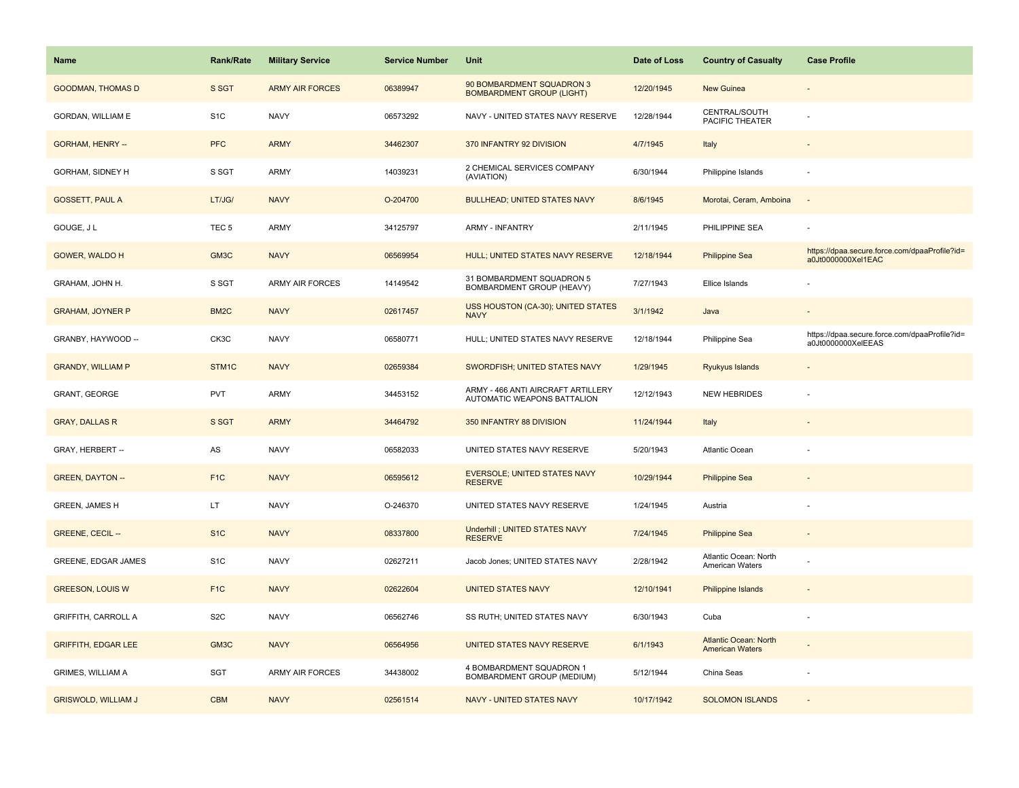| <b>Name</b>                | Rank/Rate         | <b>Military Service</b> | <b>Service Number</b> | Unit                                                              | Date of Loss | <b>Country of Casualty</b>                             | <b>Case Profile</b>                                                 |
|----------------------------|-------------------|-------------------------|-----------------------|-------------------------------------------------------------------|--------------|--------------------------------------------------------|---------------------------------------------------------------------|
| <b>GOODMAN, THOMAS D</b>   | S SGT             | <b>ARMY AIR FORCES</b>  | 06389947              | 90 BOMBARDMENT SQUADRON 3<br><b>BOMBARDMENT GROUP (LIGHT)</b>     | 12/20/1945   | <b>New Guinea</b>                                      |                                                                     |
| GORDAN, WILLIAM E          | S <sub>1</sub> C  | <b>NAVY</b>             | 06573292              | NAVY - UNITED STATES NAVY RESERVE                                 | 12/28/1944   | CENTRAL/SOUTH<br>PACIFIC THEATER                       |                                                                     |
| <b>GORHAM, HENRY --</b>    | <b>PFC</b>        | <b>ARMY</b>             | 34462307              | 370 INFANTRY 92 DIVISION                                          | 4/7/1945     | Italy                                                  |                                                                     |
| GORHAM, SIDNEY H           | S SGT             | ARMY                    | 14039231              | 2 CHEMICAL SERVICES COMPANY<br>(AVIATION)                         | 6/30/1944    | Philippine Islands                                     |                                                                     |
| <b>GOSSETT, PAUL A</b>     | LT/JG/            | <b>NAVY</b>             | O-204700              | <b>BULLHEAD; UNITED STATES NAVY</b>                               | 8/6/1945     | Morotai, Ceram, Amboina                                | $\overline{\phantom{a}}$                                            |
| GOUGE, J L                 | TEC <sub>5</sub>  | ARMY                    | 34125797              | <b>ARMY - INFANTRY</b>                                            | 2/11/1945    | PHILIPPINE SEA                                         |                                                                     |
| <b>GOWER, WALDO H</b>      | GM3C              | <b>NAVY</b>             | 06569954              | HULL; UNITED STATES NAVY RESERVE                                  | 12/18/1944   | <b>Philippine Sea</b>                                  | https://dpaa.secure.force.com/dpaaProfile?id=<br>a0Jt0000000Xel1EAC |
| GRAHAM, JOHN H.            | S SGT             | ARMY AIR FORCES         | 14149542              | 31 BOMBARDMENT SQUADRON 5<br>BOMBARDMENT GROUP (HEAVY)            | 7/27/1943    | Ellice Islands                                         |                                                                     |
| <b>GRAHAM, JOYNER P</b>    | BM <sub>2</sub> C | <b>NAVY</b>             | 02617457              | USS HOUSTON (CA-30); UNITED STATES<br><b>NAVY</b>                 | 3/1/1942     | Java                                                   |                                                                     |
| GRANBY, HAYWOOD --         | CK3C              | <b>NAVY</b>             | 06580771              | HULL; UNITED STATES NAVY RESERVE                                  | 12/18/1944   | Philippine Sea                                         | https://dpaa.secure.force.com/dpaaProfile?id=<br>a0Jt0000000XelEEAS |
| <b>GRANDY, WILLIAM P</b>   | STM1C             | <b>NAVY</b>             | 02659384              | SWORDFISH; UNITED STATES NAVY                                     | 1/29/1945    | Ryukyus Islands                                        |                                                                     |
| GRANT, GEORGE              | <b>PVT</b>        | <b>ARMY</b>             | 34453152              | ARMY - 466 ANTI AIRCRAFT ARTILLERY<br>AUTOMATIC WEAPONS BATTALION | 12/12/1943   | <b>NEW HEBRIDES</b>                                    |                                                                     |
| <b>GRAY, DALLAS R</b>      | S SGT             | <b>ARMY</b>             | 34464792              | 350 INFANTRY 88 DIVISION                                          | 11/24/1944   | Italy                                                  |                                                                     |
| GRAY, HERBERT --           | AS                | <b>NAVY</b>             | 06582033              | UNITED STATES NAVY RESERVE                                        | 5/20/1943    | <b>Atlantic Ocean</b>                                  |                                                                     |
| <b>GREEN, DAYTON --</b>    | F <sub>1</sub> C  | <b>NAVY</b>             | 06595612              | <b>EVERSOLE; UNITED STATES NAVY</b><br><b>RESERVE</b>             | 10/29/1944   | <b>Philippine Sea</b>                                  |                                                                     |
| GREEN, JAMES H             | LT.               | <b>NAVY</b>             | O-246370              | UNITED STATES NAVY RESERVE                                        | 1/24/1945    | Austria                                                |                                                                     |
| <b>GREENE, CECIL --</b>    | S <sub>1</sub> C  | <b>NAVY</b>             | 08337800              | <b>Underhill ; UNITED STATES NAVY</b><br><b>RESERVE</b>           | 7/24/1945    | <b>Philippine Sea</b>                                  |                                                                     |
| GREENE, EDGAR JAMES        | S <sub>1</sub> C  | <b>NAVY</b>             | 02627211              | Jacob Jones; UNITED STATES NAVY                                   | 2/28/1942    | Atlantic Ocean: North<br>American Waters               |                                                                     |
| <b>GREESON, LOUIS W</b>    | F <sub>1</sub> C  | <b>NAVY</b>             | 02622604              | <b>UNITED STATES NAVY</b>                                         | 12/10/1941   | <b>Philippine Islands</b>                              |                                                                     |
| <b>GRIFFITH, CARROLL A</b> | S <sub>2</sub> C  | <b>NAVY</b>             | 06562746              | SS RUTH; UNITED STATES NAVY                                       | 6/30/1943    | Cuba                                                   |                                                                     |
| <b>GRIFFITH, EDGAR LEE</b> | GM3C              | <b>NAVY</b>             | 06564956              | UNITED STATES NAVY RESERVE                                        | 6/1/1943     | <b>Atlantic Ocean: North</b><br><b>American Waters</b> |                                                                     |
| GRIMES, WILLIAM A          | SGT               | <b>ARMY AIR FORCES</b>  | 34438002              | 4 BOMBARDMENT SQUADRON 1<br>BOMBARDMENT GROUP (MEDIUM)            | 5/12/1944    | China Seas                                             | ÷                                                                   |
| <b>GRISWOLD, WILLIAM J</b> | <b>CBM</b>        | <b>NAVY</b>             | 02561514              | <b>NAVY - UNITED STATES NAVY</b>                                  | 10/17/1942   | <b>SOLOMON ISLANDS</b>                                 |                                                                     |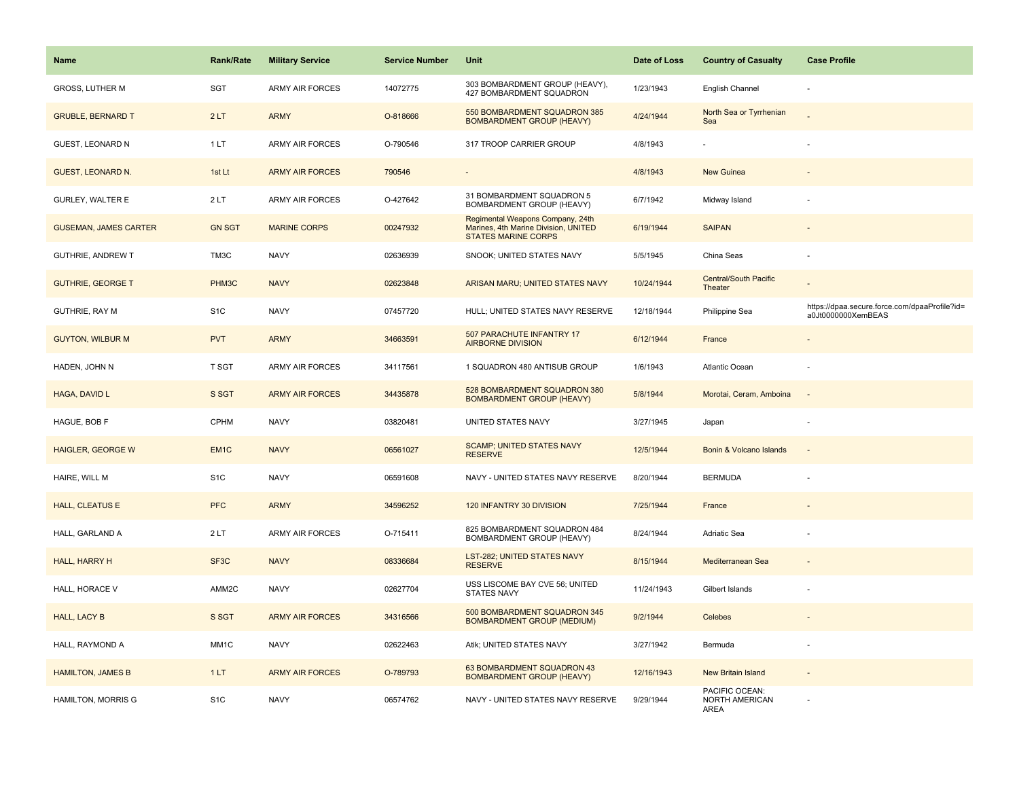| Name                         | <b>Rank/Rate</b>  | <b>Military Service</b> | <b>Service Number</b> | Unit                                                                                                   | Date of Loss | <b>Country of Casualty</b>                      | <b>Case Profile</b>                                                 |
|------------------------------|-------------------|-------------------------|-----------------------|--------------------------------------------------------------------------------------------------------|--------------|-------------------------------------------------|---------------------------------------------------------------------|
| <b>GROSS, LUTHER M</b>       | <b>SGT</b>        | <b>ARMY AIR FORCES</b>  | 14072775              | 303 BOMBARDMENT GROUP (HEAVY),<br>427 BOMBARDMENT SQUADRON                                             | 1/23/1943    | English Channel                                 |                                                                     |
| <b>GRUBLE, BERNARD T</b>     | 2LT               | <b>ARMY</b>             | O-818666              | 550 BOMBARDMENT SQUADRON 385<br><b>BOMBARDMENT GROUP (HEAVY)</b>                                       | 4/24/1944    | North Sea or Tyrrhenian<br>Sea                  |                                                                     |
| <b>GUEST, LEONARD N</b>      | 1LT               | <b>ARMY AIR FORCES</b>  | O-790546              | 317 TROOP CARRIER GROUP                                                                                | 4/8/1943     |                                                 |                                                                     |
| <b>GUEST, LEONARD N.</b>     | 1st Lt            | <b>ARMY AIR FORCES</b>  | 790546                |                                                                                                        | 4/8/1943     | <b>New Guinea</b>                               |                                                                     |
| <b>GURLEY, WALTER E</b>      | 2LT               | <b>ARMY AIR FORCES</b>  | O-427642              | 31 BOMBARDMENT SQUADRON 5<br>BOMBARDMENT GROUP (HEAVY)                                                 | 6/7/1942     | Midway Island                                   |                                                                     |
| <b>GUSEMAN, JAMES CARTER</b> | <b>GN SGT</b>     | <b>MARINE CORPS</b>     | 00247932              | Regimental Weapons Company, 24th<br>Marines, 4th Marine Division, UNITED<br><b>STATES MARINE CORPS</b> | 6/19/1944    | <b>SAIPAN</b>                                   | $\overline{a}$                                                      |
| GUTHRIE, ANDREW T            | TM3C              | <b>NAVY</b>             | 02636939              | SNOOK; UNITED STATES NAVY                                                                              | 5/5/1945     | China Seas                                      | ä,                                                                  |
| <b>GUTHRIE, GEORGE T</b>     | PHM3C             | <b>NAVY</b>             | 02623848              | ARISAN MARU; UNITED STATES NAVY                                                                        | 10/24/1944   | Central/South Pacific<br>Theater                |                                                                     |
| <b>GUTHRIE, RAY M</b>        | S <sub>1</sub> C  | <b>NAVY</b>             | 07457720              | HULL; UNITED STATES NAVY RESERVE                                                                       | 12/18/1944   | Philippine Sea                                  | https://dpaa.secure.force.com/dpaaProfile?id=<br>a0Jt0000000XemBEAS |
| <b>GUYTON, WILBUR M</b>      | <b>PVT</b>        | <b>ARMY</b>             | 34663591              | 507 PARACHUTE INFANTRY 17<br><b>AIRBORNE DIVISION</b>                                                  | 6/12/1944    | France                                          |                                                                     |
| HADEN, JOHN N                | <b>T SGT</b>      | <b>ARMY AIR FORCES</b>  | 34117561              | 1 SQUADRON 480 ANTISUB GROUP                                                                           | 1/6/1943     | Atlantic Ocean                                  |                                                                     |
| HAGA, DAVID L                | S SGT             | <b>ARMY AIR FORCES</b>  | 34435878              | 528 BOMBARDMENT SQUADRON 380<br><b>BOMBARDMENT GROUP (HEAVY)</b>                                       | 5/8/1944     | Morotai, Ceram, Amboina                         |                                                                     |
| HAGUE, BOB F                 | <b>CPHM</b>       | <b>NAVY</b>             | 03820481              | UNITED STATES NAVY                                                                                     | 3/27/1945    | Japan                                           |                                                                     |
| <b>HAIGLER, GEORGE W</b>     | EM <sub>1C</sub>  | <b>NAVY</b>             | 06561027              | <b>SCAMP; UNITED STATES NAVY</b><br><b>RESERVE</b>                                                     | 12/5/1944    | Bonin & Volcano Islands                         | $\sim$                                                              |
| HAIRE, WILL M                | S <sub>1</sub> C  | <b>NAVY</b>             | 06591608              | NAVY - UNITED STATES NAVY RESERVE                                                                      | 8/20/1944    | <b>BERMUDA</b>                                  | ÷,                                                                  |
| <b>HALL, CLEATUS E</b>       | PFC               | <b>ARMY</b>             | 34596252              | 120 INFANTRY 30 DIVISION                                                                               | 7/25/1944    | France                                          |                                                                     |
| HALL, GARLAND A              | 2LT               | <b>ARMY AIR FORCES</b>  | O-715411              | 825 BOMBARDMENT SQUADRON 484<br>BOMBARDMENT GROUP (HEAVY)                                              | 8/24/1944    | Adriatic Sea                                    |                                                                     |
| HALL, HARRY H                | SF3C              | <b>NAVY</b>             | 08336684              | LST-282; UNITED STATES NAVY<br><b>RESERVE</b>                                                          | 8/15/1944    | Mediterranean Sea                               |                                                                     |
| HALL, HORACE V               | AMM <sub>2C</sub> | <b>NAVY</b>             | 02627704              | USS LISCOME BAY CVE 56; UNITED<br><b>STATES NAVY</b>                                                   | 11/24/1943   | Gilbert Islands                                 |                                                                     |
| <b>HALL, LACY B</b>          | S SGT             | <b>ARMY AIR FORCES</b>  | 34316566              | 500 BOMBARDMENT SQUADRON 345<br><b>BOMBARDMENT GROUP (MEDIUM)</b>                                      | 9/2/1944     | Celebes                                         |                                                                     |
| HALL, RAYMOND A              | MM1C              | <b>NAVY</b>             | 02622463              | Atik; UNITED STATES NAVY                                                                               | 3/27/1942    | Bermuda                                         |                                                                     |
| <b>HAMILTON, JAMES B</b>     | 1LT               | <b>ARMY AIR FORCES</b>  | O-789793              | 63 BOMBARDMENT SQUADRON 43<br><b>BOMBARDMENT GROUP (HEAVY)</b>                                         | 12/16/1943   | New Britain Island                              | $\blacksquare$                                                      |
| HAMILTON, MORRIS G           | S <sub>1</sub> C  | <b>NAVY</b>             | 06574762              | NAVY - UNITED STATES NAVY RESERVE                                                                      | 9/29/1944    | PACIFIC OCEAN:<br>NORTH AMERICAN<br><b>AREA</b> |                                                                     |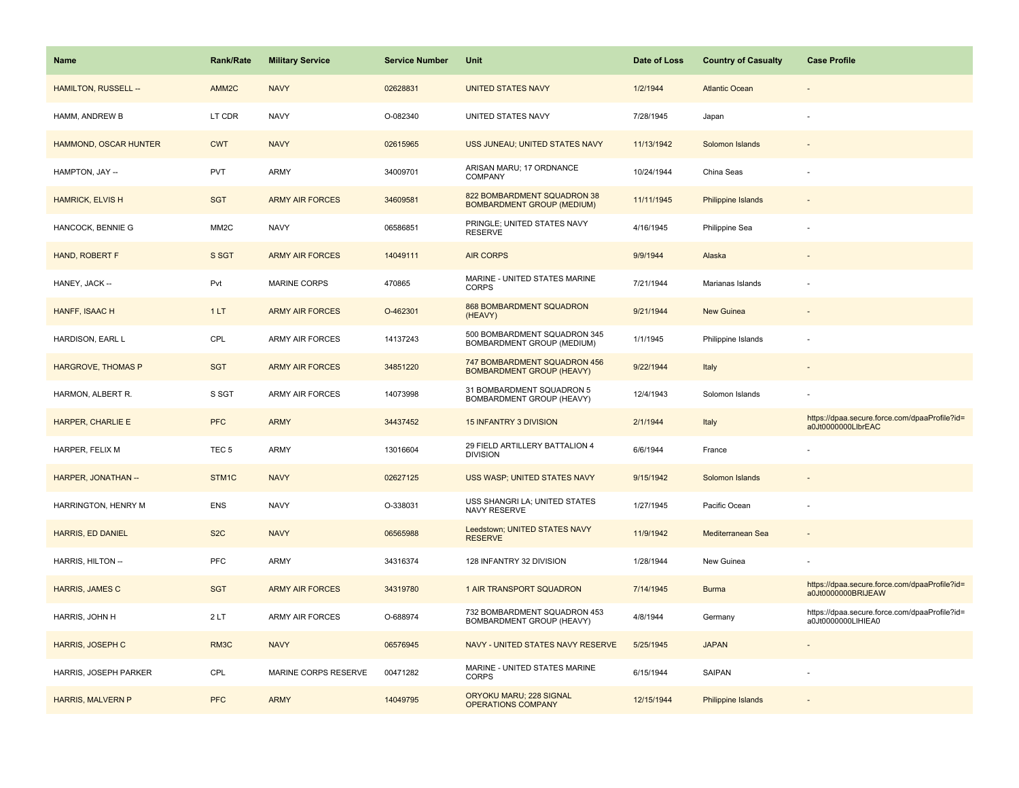| <b>Name</b>               | <b>Rank/Rate</b>  | <b>Military Service</b> | <b>Service Number</b> | Unit                                                             | Date of Loss | <b>Country of Casualty</b> | <b>Case Profile</b>                                                 |
|---------------------------|-------------------|-------------------------|-----------------------|------------------------------------------------------------------|--------------|----------------------------|---------------------------------------------------------------------|
| HAMILTON, RUSSELL --      | AMM <sub>2C</sub> | <b>NAVY</b>             | 02628831              | <b>UNITED STATES NAVY</b>                                        | 1/2/1944     | <b>Atlantic Ocean</b>      |                                                                     |
| HAMM, ANDREW B            | LT CDR            | <b>NAVY</b>             | O-082340              | UNITED STATES NAVY                                               | 7/28/1945    | Japan                      |                                                                     |
| HAMMOND, OSCAR HUNTER     | <b>CWT</b>        | <b>NAVY</b>             | 02615965              | USS JUNEAU; UNITED STATES NAVY                                   | 11/13/1942   | Solomon Islands            |                                                                     |
| HAMPTON, JAY --           | <b>PVT</b>        | ARMY                    | 34009701              | ARISAN MARU; 17 ORDNANCE<br>COMPANY                              | 10/24/1944   | China Seas                 |                                                                     |
| <b>HAMRICK, ELVIS H</b>   | <b>SGT</b>        | <b>ARMY AIR FORCES</b>  | 34609581              | 822 BOMBARDMENT SQUADRON 38<br><b>BOMBARDMENT GROUP (MEDIUM)</b> | 11/11/1945   | <b>Philippine Islands</b>  |                                                                     |
| HANCOCK, BENNIE G         | MM <sub>2</sub> C | <b>NAVY</b>             | 06586851              | PRINGLE; UNITED STATES NAVY<br><b>RESERVE</b>                    | 4/16/1945    | Philippine Sea             |                                                                     |
| HAND, ROBERT F            | S SGT             | <b>ARMY AIR FORCES</b>  | 14049111              | <b>AIR CORPS</b>                                                 | 9/9/1944     | Alaska                     |                                                                     |
| HANEY, JACK --            | Pvt               | <b>MARINE CORPS</b>     | 470865                | MARINE - UNITED STATES MARINE<br><b>CORPS</b>                    | 7/21/1944    | Marianas Islands           |                                                                     |
| HANFF, ISAAC H            | 1LT               | <b>ARMY AIR FORCES</b>  | O-462301              | 868 BOMBARDMENT SQUADRON<br>(HEAVY)                              | 9/21/1944    | New Guinea                 |                                                                     |
| HARDISON, EARL L          | CPL               | <b>ARMY AIR FORCES</b>  | 14137243              | 500 BOMBARDMENT SQUADRON 345<br>BOMBARDMENT GROUP (MEDIUM)       | 1/1/1945     | Philippine Islands         |                                                                     |
| <b>HARGROVE, THOMAS P</b> | <b>SGT</b>        | <b>ARMY AIR FORCES</b>  | 34851220              | 747 BOMBARDMENT SQUADRON 456<br><b>BOMBARDMENT GROUP (HEAVY)</b> | 9/22/1944    | Italy                      |                                                                     |
| HARMON, ALBERT R.         | S SGT             | <b>ARMY AIR FORCES</b>  | 14073998              | 31 BOMBARDMENT SQUADRON 5<br>BOMBARDMENT GROUP (HEAVY)           | 12/4/1943    | Solomon Islands            |                                                                     |
| <b>HARPER, CHARLIE E</b>  | <b>PFC</b>        | <b>ARMY</b>             | 34437452              | <b>15 INFANTRY 3 DIVISION</b>                                    | 2/1/1944     | Italy                      | https://dpaa.secure.force.com/dpaaProfile?id=<br>a0Jt0000000LlbrEAC |
| HARPER, FELIX M           | TEC <sub>5</sub>  | ARMY                    | 13016604              | 29 FIELD ARTILLERY BATTALION 4<br><b>DIVISION</b>                | 6/6/1944     | France                     |                                                                     |
| HARPER, JONATHAN --       | STM1C             | <b>NAVY</b>             | 02627125              | USS WASP; UNITED STATES NAVY                                     | 9/15/1942    | Solomon Islands            |                                                                     |
| HARRINGTON, HENRY M       | <b>ENS</b>        | <b>NAVY</b>             | O-338031              | USS SHANGRI LA; UNITED STATES<br>NAVY RESERVE                    | 1/27/1945    | Pacific Ocean              |                                                                     |
| HARRIS, ED DANIEL         | S <sub>2</sub> C  | <b>NAVY</b>             | 06565988              | Leedstown; UNITED STATES NAVY<br><b>RESERVE</b>                  | 11/9/1942    | Mediterranean Sea          |                                                                     |
| HARRIS, HILTON --         | PFC               | ARMY                    | 34316374              | 128 INFANTRY 32 DIVISION                                         | 1/28/1944    | New Guinea                 |                                                                     |
| HARRIS, JAMES C           | <b>SGT</b>        | <b>ARMY AIR FORCES</b>  | 34319780              | 1 AIR TRANSPORT SQUADRON                                         | 7/14/1945    | <b>Burma</b>               | https://dpaa.secure.force.com/dpaaProfile?id=<br>a0Jt0000000BRIJEAW |
| HARRIS, JOHN H            | 2LT               | <b>ARMY AIR FORCES</b>  | O-688974              | 732 BOMBARDMENT SQUADRON 453<br>BOMBARDMENT GROUP (HEAVY)        | 4/8/1944     | Germany                    | https://dpaa.secure.force.com/dpaaProfile?id=<br>a0Jt0000000LIHIEA0 |
| HARRIS, JOSEPH C          | RM3C              | <b>NAVY</b>             | 06576945              | NAVY - UNITED STATES NAVY RESERVE                                | 5/25/1945    | <b>JAPAN</b>               |                                                                     |
| HARRIS, JOSEPH PARKER     | CPL               | MARINE CORPS RESERVE    | 00471282              | MARINE - UNITED STATES MARINE<br><b>CORPS</b>                    | 6/15/1944    | SAIPAN                     |                                                                     |
| <b>HARRIS, MALVERN P</b>  | <b>PFC</b>        | <b>ARMY</b>             | 14049795              | ORYOKU MARU; 228 SIGNAL<br>OPERATIONS COMPANY                    | 12/15/1944   | Philippine Islands         |                                                                     |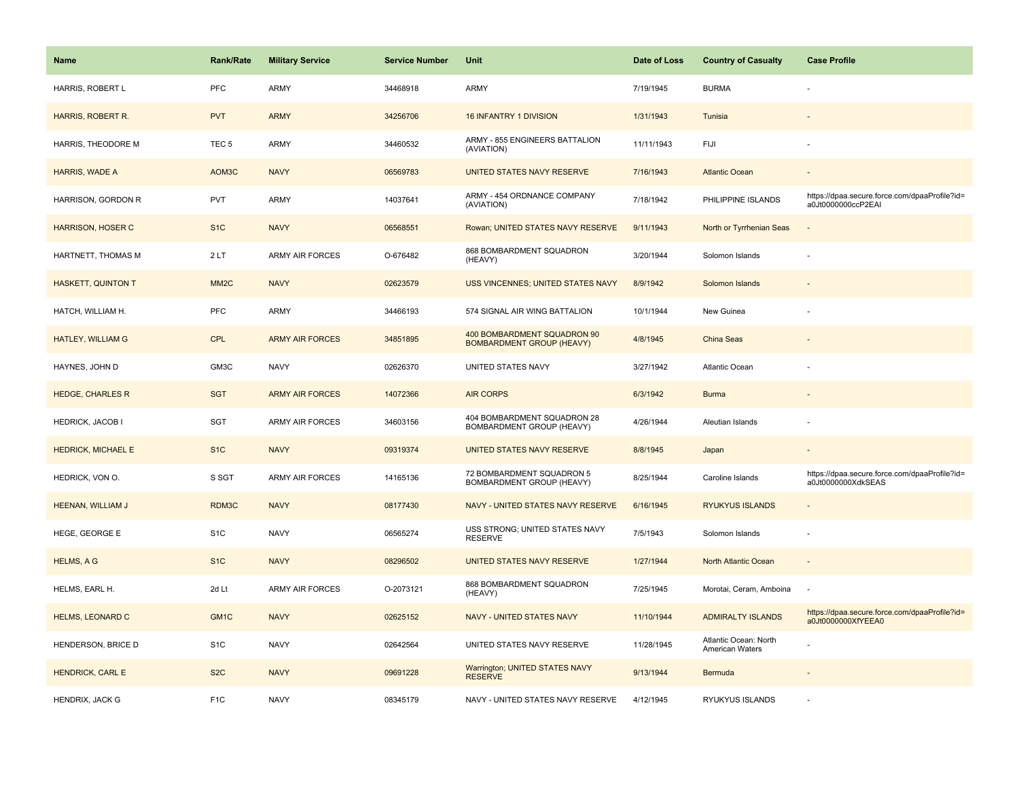| Name                      | <b>Rank/Rate</b>  | <b>Military Service</b> | <b>Service Number</b> | Unit                                                            | Date of Loss | <b>Country of Casualty</b>               | <b>Case Profile</b>                                                 |
|---------------------------|-------------------|-------------------------|-----------------------|-----------------------------------------------------------------|--------------|------------------------------------------|---------------------------------------------------------------------|
| HARRIS, ROBERT L          | <b>PFC</b>        | ARMY                    | 34468918              | <b>ARMY</b>                                                     | 7/19/1945    | <b>BURMA</b>                             |                                                                     |
| HARRIS, ROBERT R.         | <b>PVT</b>        | <b>ARMY</b>             | 34256706              | <b>16 INFANTRY 1 DIVISION</b>                                   | 1/31/1943    | Tunisia                                  |                                                                     |
| HARRIS, THEODORE M        | TEC <sub>5</sub>  | <b>ARMY</b>             | 34460532              | ARMY - 855 ENGINEERS BATTALION<br>(AVIATION)                    | 11/11/1943   | FIJI                                     |                                                                     |
| <b>HARRIS, WADE A</b>     | AOM3C             | <b>NAVY</b>             | 06569783              | UNITED STATES NAVY RESERVE                                      | 7/16/1943    | <b>Atlantic Ocean</b>                    |                                                                     |
| HARRISON, GORDON R        | <b>PVT</b>        | ARMY                    | 14037641              | ARMY - 454 ORDNANCE COMPANY<br>(AVIATION)                       | 7/18/1942    | PHILIPPINE ISLANDS                       | https://dpaa.secure.force.com/dpaaProfile?id=<br>a0Jt0000000ccP2EAI |
| <b>HARRISON, HOSER C</b>  | S <sub>1</sub> C  | <b>NAVY</b>             | 06568551              | Rowan; UNITED STATES NAVY RESERVE                               | 9/11/1943    | North or Tyrrhenian Seas                 | $\overline{\phantom{a}}$                                            |
| HARTNETT, THOMAS M        | 2LT               | <b>ARMY AIR FORCES</b>  | O-676482              | 868 BOMBARDMENT SQUADRON<br>(HEAVY)                             | 3/20/1944    | Solomon Islands                          |                                                                     |
| <b>HASKETT, QUINTON T</b> | MM <sub>2</sub> C | <b>NAVY</b>             | 02623579              | USS VINCENNES; UNITED STATES NAVY                               | 8/9/1942     | Solomon Islands                          |                                                                     |
| HATCH, WILLIAM H.         | PFC               | ARMY                    | 34466193              | 574 SIGNAL AIR WING BATTALION                                   | 10/1/1944    | New Guinea                               |                                                                     |
| HATLEY, WILLIAM G         | <b>CPL</b>        | <b>ARMY AIR FORCES</b>  | 34851895              | 400 BOMBARDMENT SQUADRON 90<br><b>BOMBARDMENT GROUP (HEAVY)</b> | 4/8/1945     | China Seas                               |                                                                     |
| HAYNES, JOHN D            | GM3C              | <b>NAVY</b>             | 02626370              | UNITED STATES NAVY                                              | 3/27/1942    | Atlantic Ocean                           |                                                                     |
| <b>HEDGE, CHARLES R</b>   | <b>SGT</b>        | <b>ARMY AIR FORCES</b>  | 14072366              | <b>AIR CORPS</b>                                                | 6/3/1942     | <b>Burma</b>                             | $\overline{\phantom{a}}$                                            |
| <b>HEDRICK, JACOB I</b>   | SGT               | <b>ARMY AIR FORCES</b>  | 34603156              | 404 BOMBARDMENT SQUADRON 28<br>BOMBARDMENT GROUP (HEAVY)        | 4/26/1944    | Aleutian Islands                         |                                                                     |
| <b>HEDRICK, MICHAEL E</b> | S <sub>1</sub> C  | <b>NAVY</b>             | 09319374              | UNITED STATES NAVY RESERVE                                      | 8/8/1945     | Japan                                    |                                                                     |
| HEDRICK, VON O.           | S SGT             | <b>ARMY AIR FORCES</b>  | 14165136              | 72 BOMBARDMENT SQUADRON 5<br>BOMBARDMENT GROUP (HEAVY)          | 8/25/1944    | Caroline Islands                         | https://dpaa.secure.force.com/dpaaProfile?id=<br>a0Jt0000000XdkSEAS |
| HEENAN, WILLIAM J         | RDM3C             | <b>NAVY</b>             | 08177430              | NAVY - UNITED STATES NAVY RESERVE                               | 6/16/1945    | <b>RYUKYUS ISLANDS</b>                   |                                                                     |
| HEGE, GEORGE E            | S <sub>1</sub> C  | <b>NAVY</b>             | 06565274              | USS STRONG; UNITED STATES NAVY<br><b>RESERVE</b>                | 7/5/1943     | Solomon Islands                          |                                                                     |
| <b>HELMS, A G</b>         | S <sub>1C</sub>   | <b>NAVY</b>             | 08296502              | UNITED STATES NAVY RESERVE                                      | 1/27/1944    | <b>North Atlantic Ocean</b>              |                                                                     |
| HELMS, EARL H.            | 2d Lt             | ARMY AIR FORCES         | O-2073121             | 868 BOMBARDMENT SQUADRON<br>(HEAVY)                             | 7/25/1945    | Morotai, Ceram, Amboina                  | $\sim$                                                              |
| <b>HELMS, LEONARD C</b>   | GM <sub>1C</sub>  | <b>NAVY</b>             | 02625152              | NAVY - UNITED STATES NAVY                                       | 11/10/1944   | <b>ADMIRALTY ISLANDS</b>                 | https://dpaa.secure.force.com/dpaaProfile?id=<br>a0Jt0000000XfYEEA0 |
| HENDERSON, BRICE D        | S <sub>1</sub> C  | <b>NAVY</b>             | 02642564              | UNITED STATES NAVY RESERVE                                      | 11/28/1945   | Atlantic Ocean: North<br>American Waters |                                                                     |
| <b>HENDRICK, CARL E</b>   | S <sub>2</sub> C  | <b>NAVY</b>             | 09691228              | Warrington; UNITED STATES NAVY<br><b>RESERVE</b>                | 9/13/1944    | Bermuda                                  |                                                                     |
| HENDRIX, JACK G           | F <sub>1</sub> C  | <b>NAVY</b>             | 08345179              | NAVY - UNITED STATES NAVY RESERVE                               | 4/12/1945    | RYUKYUS ISLANDS                          |                                                                     |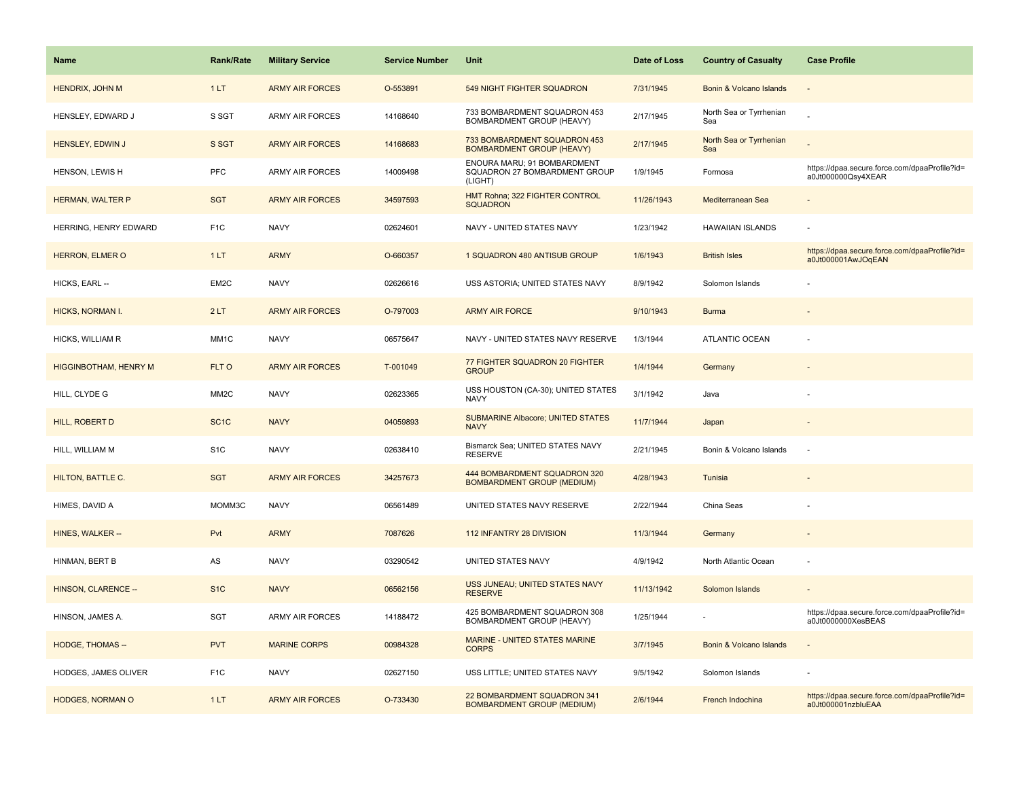| <b>Name</b>                  | <b>Rank/Rate</b>  | <b>Military Service</b> | <b>Service Number</b> | <b>Unit</b>                                                             | Date of Loss | <b>Country of Casualty</b>     | <b>Case Profile</b>                                                 |
|------------------------------|-------------------|-------------------------|-----------------------|-------------------------------------------------------------------------|--------------|--------------------------------|---------------------------------------------------------------------|
| HENDRIX, JOHN M              | 1LT               | <b>ARMY AIR FORCES</b>  | O-553891              | 549 NIGHT FIGHTER SQUADRON                                              | 7/31/1945    | Bonin & Volcano Islands        |                                                                     |
| HENSLEY, EDWARD J            | S SGT             | <b>ARMY AIR FORCES</b>  | 14168640              | 733 BOMBARDMENT SQUADRON 453<br>BOMBARDMENT GROUP (HEAVY)               | 2/17/1945    | North Sea or Tyrrhenian<br>Sea |                                                                     |
| HENSLEY, EDWIN J             | S SGT             | <b>ARMY AIR FORCES</b>  | 14168683              | 733 BOMBARDMENT SQUADRON 453<br><b>BOMBARDMENT GROUP (HEAVY)</b>        | 2/17/1945    | North Sea or Tyrrhenian<br>Sea |                                                                     |
| HENSON, LEWIS H              | <b>PFC</b>        | <b>ARMY AIR FORCES</b>  | 14009498              | ENOURA MARU; 91 BOMBARDMENT<br>SQUADRON 27 BOMBARDMENT GROUP<br>(LIGHT) | 1/9/1945     | Formosa                        | https://dpaa.secure.force.com/dpaaProfile?id=<br>a0Jt000000Qsy4XEAR |
| <b>HERMAN, WALTER P</b>      | <b>SGT</b>        | <b>ARMY AIR FORCES</b>  | 34597593              | HMT Rohna; 322 FIGHTER CONTROL<br><b>SQUADRON</b>                       | 11/26/1943   | Mediterranean Sea              |                                                                     |
| HERRING, HENRY EDWARD        | F <sub>1</sub> C  | <b>NAVY</b>             | 02624601              | NAVY - UNITED STATES NAVY                                               | 1/23/1942    | <b>HAWAIIAN ISLANDS</b>        |                                                                     |
| <b>HERRON, ELMER O</b>       | 1LT               | <b>ARMY</b>             | O-660357              | 1 SQUADRON 480 ANTISUB GROUP                                            | 1/6/1943     | <b>British Isles</b>           | https://dpaa.secure.force.com/dpaaProfile?id=<br>a0Jt000001AwJOqEAN |
| HICKS, EARL --               | EM2C              | <b>NAVY</b>             | 02626616              | USS ASTORIA; UNITED STATES NAVY                                         | 8/9/1942     | Solomon Islands                |                                                                     |
| <b>HICKS, NORMAN I.</b>      | 2LT               | <b>ARMY AIR FORCES</b>  | O-797003              | <b>ARMY AIR FORCE</b>                                                   | 9/10/1943    | <b>Burma</b>                   |                                                                     |
| HICKS, WILLIAM R             | MM1C              | <b>NAVY</b>             | 06575647              | NAVY - UNITED STATES NAVY RESERVE                                       | 1/3/1944     | <b>ATLANTIC OCEAN</b>          |                                                                     |
| <b>HIGGINBOTHAM, HENRY M</b> | FLT O             | <b>ARMY AIR FORCES</b>  | T-001049              | 77 FIGHTER SQUADRON 20 FIGHTER<br><b>GROUP</b>                          | 1/4/1944     | Germany                        |                                                                     |
| HILL, CLYDE G                | MM <sub>2</sub> C | <b>NAVY</b>             | 02623365              | USS HOUSTON (CA-30); UNITED STATES<br><b>NAVY</b>                       | 3/1/1942     | Java                           |                                                                     |
| <b>HILL, ROBERT D</b>        | SC <sub>1</sub> C | <b>NAVY</b>             | 04059893              | <b>SUBMARINE Albacore; UNITED STATES</b><br><b>NAVY</b>                 | 11/7/1944    | Japan                          |                                                                     |
| HILL, WILLIAM M              | S <sub>1</sub> C  | <b>NAVY</b>             | 02638410              | Bismarck Sea; UNITED STATES NAVY<br><b>RESERVE</b>                      | 2/21/1945    | Bonin & Volcano Islands        |                                                                     |
| <b>HILTON, BATTLE C.</b>     | <b>SGT</b>        | <b>ARMY AIR FORCES</b>  | 34257673              | 444 BOMBARDMENT SQUADRON 320<br><b>BOMBARDMENT GROUP (MEDIUM)</b>       | 4/28/1943    | Tunisia                        |                                                                     |
| HIMES, DAVID A               | MOMM3C            | <b>NAVY</b>             | 06561489              | UNITED STATES NAVY RESERVE                                              | 2/22/1944    | China Seas                     |                                                                     |
| HINES, WALKER --             | Pvt               | <b>ARMY</b>             | 7087626               | 112 INFANTRY 28 DIVISION                                                | 11/3/1944    | Germany                        |                                                                     |
| HINMAN, BERT B               | AS                | <b>NAVY</b>             | 03290542              | UNITED STATES NAVY                                                      | 4/9/1942     | North Atlantic Ocean           |                                                                     |
| HINSON, CLARENCE --          | S <sub>1</sub> C  | <b>NAVY</b>             | 06562156              | USS JUNEAU; UNITED STATES NAVY<br><b>RESERVE</b>                        | 11/13/1942   | Solomon Islands                |                                                                     |
| HINSON, JAMES A.             | SGT               | <b>ARMY AIR FORCES</b>  | 14188472              | 425 BOMBARDMENT SQUADRON 308<br>BOMBARDMENT GROUP (HEAVY)               | 1/25/1944    |                                | https://dpaa.secure.force.com/dpaaProfile?id=<br>a0Jt0000000XesBEAS |
| <b>HODGE, THOMAS --</b>      | <b>PVT</b>        | <b>MARINE CORPS</b>     | 00984328              | <b>MARINE - UNITED STATES MARINE</b><br><b>CORPS</b>                    | 3/7/1945     | Bonin & Volcano Islands        |                                                                     |
| <b>HODGES, JAMES OLIVER</b>  | F <sub>1</sub> C  | <b>NAVY</b>             | 02627150              | USS LITTLE; UNITED STATES NAVY                                          | 9/5/1942     | Solomon Islands                |                                                                     |
| <b>HODGES, NORMAN O</b>      | 1LT               | <b>ARMY AIR FORCES</b>  | O-733430              | 22 BOMBARDMENT SQUADRON 341<br><b>BOMBARDMENT GROUP (MEDIUM)</b>        | 2/6/1944     | French Indochina               | https://dpaa.secure.force.com/dpaaProfile?id=<br>a0Jt000001nzbluEAA |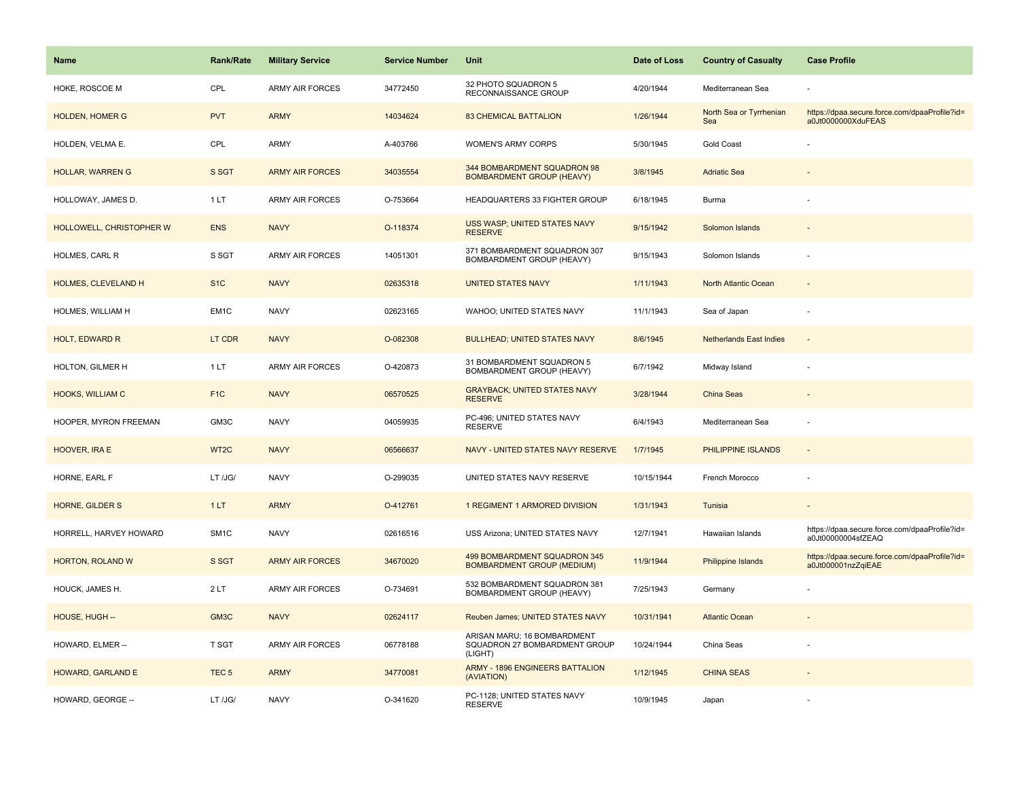| <b>Name</b>                | <b>Rank/Rate</b>  | <b>Military Service</b> | <b>Service Number</b> | Unit                                                                    | Date of Loss | <b>Country of Casualty</b>     | <b>Case Profile</b>                                                 |
|----------------------------|-------------------|-------------------------|-----------------------|-------------------------------------------------------------------------|--------------|--------------------------------|---------------------------------------------------------------------|
| HOKE, ROSCOE M             | CPL               | <b>ARMY AIR FORCES</b>  | 34772450              | 32 PHOTO SQUADRON 5<br>RECONNAISSANCE GROUP                             | 4/20/1944    | Mediterranean Sea              |                                                                     |
| <b>HOLDEN, HOMER G</b>     | <b>PVT</b>        | <b>ARMY</b>             | 14034624              | <b>83 CHEMICAL BATTALION</b>                                            | 1/26/1944    | North Sea or Tyrrhenian<br>Sea | https://dpaa.secure.force.com/dpaaProfile?id=<br>a0Jt0000000XduFEAS |
| HOLDEN, VELMA E.           | CPL               | <b>ARMY</b>             | A-403766              | WOMEN'S ARMY CORPS                                                      | 5/30/1945    | <b>Gold Coast</b>              |                                                                     |
| <b>HOLLAR, WARREN G</b>    | S SGT             | <b>ARMY AIR FORCES</b>  | 34035554              | 344 BOMBARDMENT SQUADRON 98<br><b>BOMBARDMENT GROUP (HEAVY)</b>         | 3/8/1945     | <b>Adriatic Sea</b>            |                                                                     |
| HOLLOWAY, JAMES D.         | 1 LT              | <b>ARMY AIR FORCES</b>  | O-753664              | HEADQUARTERS 33 FIGHTER GROUP                                           | 6/18/1945    | Burma                          |                                                                     |
| HOLLOWELL, CHRISTOPHER W   | <b>ENS</b>        | <b>NAVY</b>             | O-118374              | USS WASP; UNITED STATES NAVY<br><b>RESERVE</b>                          | 9/15/1942    | Solomon Islands                |                                                                     |
| HOLMES, CARL R             | S SGT             | ARMY AIR FORCES         | 14051301              | 371 BOMBARDMENT SQUADRON 307<br>BOMBARDMENT GROUP (HEAVY)               | 9/15/1943    | Solomon Islands                |                                                                     |
| <b>HOLMES, CLEVELAND H</b> | S <sub>1</sub> C  | <b>NAVY</b>             | 02635318              | <b>UNITED STATES NAVY</b>                                               | 1/11/1943    | North Atlantic Ocean           |                                                                     |
| HOLMES, WILLIAM H          | EM1C              | <b>NAVY</b>             | 02623165              | WAHOO; UNITED STATES NAVY                                               | 11/1/1943    | Sea of Japan                   |                                                                     |
| <b>HOLT, EDWARD R</b>      | LT CDR            | <b>NAVY</b>             | O-082308              | <b>BULLHEAD; UNITED STATES NAVY</b>                                     | 8/6/1945     | <b>Netherlands East Indies</b> |                                                                     |
| HOLTON, GILMER H           | 1LT               | <b>ARMY AIR FORCES</b>  | O-420873              | 31 BOMBARDMENT SQUADRON 5<br>BOMBARDMENT GROUP (HEAVY)                  | 6/7/1942     | Midway Island                  |                                                                     |
| <b>HOOKS, WILLIAM C</b>    | F <sub>1</sub> C  | <b>NAVY</b>             | 06570525              | <b>GRAYBACK: UNITED STATES NAVY</b><br><b>RESERVE</b>                   | 3/28/1944    | China Seas                     |                                                                     |
| HOOPER, MYRON FREEMAN      | GM3C              | <b>NAVY</b>             | 04059935              | PC-496; UNITED STATES NAVY<br><b>RESERVE</b>                            | 6/4/1943     | Mediterranean Sea              |                                                                     |
| HOOVER, IRA E              | WT2C              | <b>NAVY</b>             | 06566637              | NAVY - UNITED STATES NAVY RESERVE                                       | 1/7/1945     | PHILIPPINE ISLANDS             | $\sim$                                                              |
| HORNE, EARL F              | LT /JG/           | <b>NAVY</b>             | O-299035              | UNITED STATES NAVY RESERVE                                              | 10/15/1944   | French Morocco                 |                                                                     |
| HORNE, GILDER S            | 1LT               | <b>ARMY</b>             | O-412761              | 1 REGIMENT 1 ARMORED DIVISION                                           | 1/31/1943    | Tunisia                        |                                                                     |
| HORRELL, HARVEY HOWARD     | SM <sub>1</sub> C | <b>NAVY</b>             | 02616516              | USS Arizona; UNITED STATES NAVY                                         | 12/7/1941    | Hawaiian Islands               | https://dpaa.secure.force.com/dpaaProfile?id=<br>a0Jt00000004sfZEAQ |
| HORTON, ROLAND W           | S SGT             | <b>ARMY AIR FORCES</b>  | 34670020              | 499 BOMBARDMENT SQUADRON 345<br><b>BOMBARDMENT GROUP (MEDIUM)</b>       | 11/9/1944    | Philippine Islands             | https://dpaa.secure.force.com/dpaaProfile?id=<br>a0Jt000001nzZqiEAE |
| HOUCK, JAMES H.            | 2LT               | ARMY AIR FORCES         | O-734691              | 532 BOMBARDMENT SQUADRON 381<br>BOMBARDMENT GROUP (HEAVY)               | 7/25/1943    | Germany                        |                                                                     |
| HOUSE, HUGH --             | GM <sub>3</sub> C | <b>NAVY</b>             | 02624117              | Reuben James; UNITED STATES NAVY                                        | 10/31/1941   | <b>Atlantic Ocean</b>          |                                                                     |
| HOWARD, ELMER --           | T SGT             | ARMY AIR FORCES         | 06778188              | ARISAN MARU; 16 BOMBARDMENT<br>SQUADRON 27 BOMBARDMENT GROUP<br>(LIGHT) | 10/24/1944   | China Seas                     |                                                                     |
| HOWARD, GARLAND E          | TEC <sub>5</sub>  | <b>ARMY</b>             | 34770081              | ARMY - 1896 ENGINEERS BATTALION<br>(AVIATION)                           | 1/12/1945    | <b>CHINA SEAS</b>              |                                                                     |
| HOWARD, GEORGE --          | LT /JG/           | <b>NAVY</b>             | O-341620              | PC-1128; UNITED STATES NAVY<br><b>RESERVE</b>                           | 10/9/1945    | Japan                          |                                                                     |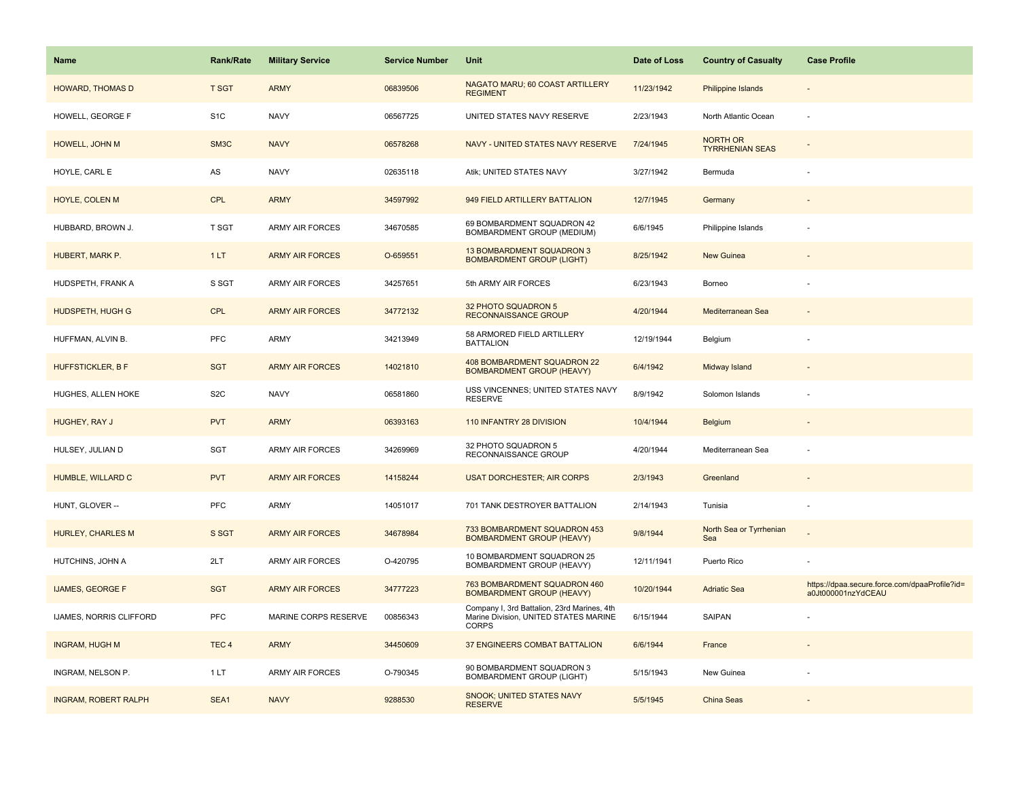| <b>Name</b>                 | <b>Rank/Rate</b> | <b>Military Service</b> | <b>Service Number</b> | Unit                                                                                          | Date of Loss | <b>Country of Casualty</b>                | <b>Case Profile</b>                                                 |
|-----------------------------|------------------|-------------------------|-----------------------|-----------------------------------------------------------------------------------------------|--------------|-------------------------------------------|---------------------------------------------------------------------|
| <b>HOWARD, THOMAS D</b>     | <b>T SGT</b>     | <b>ARMY</b>             | 06839506              | NAGATO MARU; 60 COAST ARTILLERY<br><b>REGIMENT</b>                                            | 11/23/1942   | <b>Philippine Islands</b>                 |                                                                     |
| HOWELL, GEORGE F            | S <sub>1C</sub>  | <b>NAVY</b>             | 06567725              | UNITED STATES NAVY RESERVE                                                                    | 2/23/1943    | North Atlantic Ocean                      |                                                                     |
| HOWELL, JOHN M              | SM3C             | <b>NAVY</b>             | 06578268              | NAVY - UNITED STATES NAVY RESERVE                                                             | 7/24/1945    | <b>NORTH OR</b><br><b>TYRRHENIAN SEAS</b> |                                                                     |
| HOYLE, CARL E               | AS               | <b>NAVY</b>             | 02635118              | Atik; UNITED STATES NAVY                                                                      | 3/27/1942    | Bermuda                                   |                                                                     |
| HOYLE, COLEN M              | <b>CPL</b>       | <b>ARMY</b>             | 34597992              | 949 FIELD ARTILLERY BATTALION                                                                 | 12/7/1945    | Germany                                   |                                                                     |
| HUBBARD, BROWN J.           | T SGT            | ARMY AIR FORCES         | 34670585              | 69 BOMBARDMENT SQUADRON 42<br>BOMBARDMENT GROUP (MEDIUM)                                      | 6/6/1945     | Philippine Islands                        |                                                                     |
| HUBERT, MARK P.             | 1LT              | <b>ARMY AIR FORCES</b>  | O-659551              | 13 BOMBARDMENT SQUADRON 3<br><b>BOMBARDMENT GROUP (LIGHT)</b>                                 | 8/25/1942    | New Guinea                                |                                                                     |
| HUDSPETH, FRANK A           | S SGT            | <b>ARMY AIR FORCES</b>  | 34257651              | 5th ARMY AIR FORCES                                                                           | 6/23/1943    | Borneo                                    |                                                                     |
| <b>HUDSPETH, HUGH G</b>     | <b>CPL</b>       | <b>ARMY AIR FORCES</b>  | 34772132              | 32 PHOTO SQUADRON 5<br>RECONNAISSANCE GROUP                                                   | 4/20/1944    | Mediterranean Sea                         |                                                                     |
| HUFFMAN, ALVIN B.           | PFC              | ARMY                    | 34213949              | 58 ARMORED FIELD ARTILLERY<br><b>BATTALION</b>                                                | 12/19/1944   | Belgium                                   |                                                                     |
| <b>HUFFSTICKLER, B F</b>    | <b>SGT</b>       | <b>ARMY AIR FORCES</b>  | 14021810              | 408 BOMBARDMENT SQUADRON 22<br><b>BOMBARDMENT GROUP (HEAVY)</b>                               | 6/4/1942     | Midway Island                             |                                                                     |
| HUGHES, ALLEN HOKE          | S <sub>2</sub> C | <b>NAVY</b>             | 06581860              | USS VINCENNES; UNITED STATES NAVY<br><b>RESERVE</b>                                           | 8/9/1942     | Solomon Islands                           |                                                                     |
| HUGHEY, RAY J               | <b>PVT</b>       | <b>ARMY</b>             | 06393163              | 110 INFANTRY 28 DIVISION                                                                      | 10/4/1944    | <b>Belgium</b>                            |                                                                     |
| HULSEY, JULIAN D            | SGT              | ARMY AIR FORCES         | 34269969              | 32 PHOTO SQUADRON 5<br>RECONNAISSANCE GROUP                                                   | 4/20/1944    | Mediterranean Sea                         |                                                                     |
| HUMBLE, WILLARD C           | <b>PVT</b>       | <b>ARMY AIR FORCES</b>  | 14158244              | <b>USAT DORCHESTER: AIR CORPS</b>                                                             | 2/3/1943     | Greenland                                 |                                                                     |
| HUNT, GLOVER --             | PFC              | ARMY                    | 14051017              | 701 TANK DESTROYER BATTALION                                                                  | 2/14/1943    | Tunisia                                   |                                                                     |
| <b>HURLEY, CHARLES M</b>    | S SGT            | <b>ARMY AIR FORCES</b>  | 34678984              | 733 BOMBARDMENT SQUADRON 453<br><b>BOMBARDMENT GROUP (HEAVY)</b>                              | 9/8/1944     | North Sea or Tyrrhenian<br>Sea            |                                                                     |
| HUTCHINS, JOHN A            | 2LT              | ARMY AIR FORCES         | O-420795              | 10 BOMBARDMENT SQUADRON 25<br>BOMBARDMENT GROUP (HEAVY)                                       | 12/11/1941   | Puerto Rico                               |                                                                     |
| <b>IJAMES, GEORGE F</b>     | <b>SGT</b>       | <b>ARMY AIR FORCES</b>  | 34777223              | 763 BOMBARDMENT SQUADRON 460<br><b>BOMBARDMENT GROUP (HEAVY)</b>                              | 10/20/1944   | <b>Adriatic Sea</b>                       | https://dpaa.secure.force.com/dpaaProfile?id=<br>a0Jt000001nzYdCEAU |
| IJAMES, NORRIS CLIFFORD     | PFC              | MARINE CORPS RESERVE    | 00856343              | Company I, 3rd Battalion, 23rd Marines, 4th<br>Marine Division, UNITED STATES MARINE<br>CORPS | 6/15/1944    | <b>SAIPAN</b>                             |                                                                     |
| <b>INGRAM, HUGH M</b>       | TEC <sub>4</sub> | <b>ARMY</b>             | 34450609              | 37 ENGINEERS COMBAT BATTALION                                                                 | 6/6/1944     | France                                    |                                                                     |
| INGRAM, NELSON P.           | 1LT              | <b>ARMY AIR FORCES</b>  | O-790345              | 90 BOMBARDMENT SQUADRON 3<br><b>BOMBARDMENT GROUP (LIGHT)</b>                                 | 5/15/1943    | New Guinea                                |                                                                     |
| <b>INGRAM, ROBERT RALPH</b> | SEA1             | <b>NAVY</b>             | 9288530               | <b>SNOOK; UNITED STATES NAVY</b><br><b>RESERVE</b>                                            | 5/5/1945     | <b>China Seas</b>                         |                                                                     |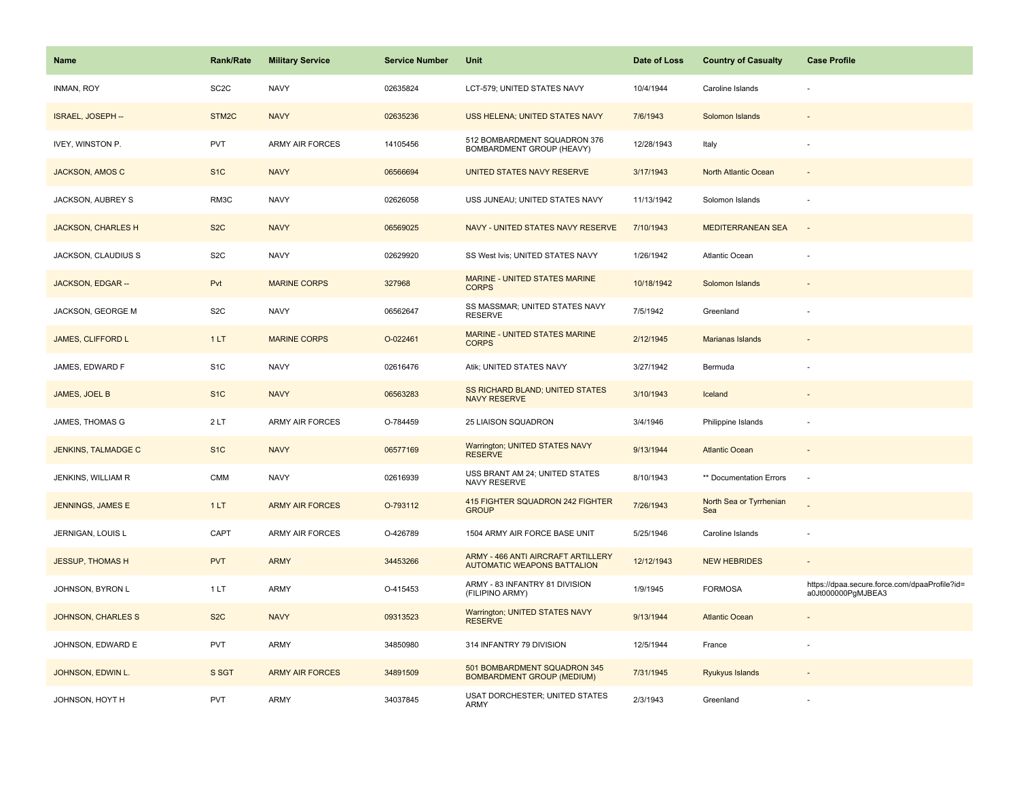| <b>Name</b>                | <b>Rank/Rate</b>   | <b>Military Service</b> | <b>Service Number</b> | Unit                                                                     | Date of Loss | <b>Country of Casualty</b>     | <b>Case Profile</b>                                                 |
|----------------------------|--------------------|-------------------------|-----------------------|--------------------------------------------------------------------------|--------------|--------------------------------|---------------------------------------------------------------------|
| INMAN, ROY                 | SC <sub>2</sub> C  | <b>NAVY</b>             | 02635824              | LCT-579; UNITED STATES NAVY                                              | 10/4/1944    | Caroline Islands               |                                                                     |
| ISRAEL, JOSEPH --          | STM <sub>2</sub> C | <b>NAVY</b>             | 02635236              | USS HELENA; UNITED STATES NAVY                                           | 7/6/1943     | Solomon Islands                |                                                                     |
| IVEY, WINSTON P.           | <b>PVT</b>         | ARMY AIR FORCES         | 14105456              | 512 BOMBARDMENT SQUADRON 376<br>BOMBARDMENT GROUP (HEAVY)                | 12/28/1943   | Italy                          |                                                                     |
| <b>JACKSON, AMOS C</b>     | S <sub>1C</sub>    | <b>NAVY</b>             | 06566694              | UNITED STATES NAVY RESERVE                                               | 3/17/1943    | North Atlantic Ocean           |                                                                     |
| JACKSON, AUBREY S          | RM3C               | <b>NAVY</b>             | 02626058              | USS JUNEAU; UNITED STATES NAVY                                           | 11/13/1942   | Solomon Islands                |                                                                     |
| <b>JACKSON, CHARLES H</b>  | S <sub>2</sub> C   | <b>NAVY</b>             | 06569025              | NAVY - UNITED STATES NAVY RESERVE                                        | 7/10/1943    | <b>MEDITERRANEAN SEA</b>       | $\overline{a}$                                                      |
| JACKSON, CLAUDIUS S        | S <sub>2</sub> C   | <b>NAVY</b>             | 02629920              | SS West Ivis; UNITED STATES NAVY                                         | 1/26/1942    | <b>Atlantic Ocean</b>          |                                                                     |
| JACKSON, EDGAR --          | Pvt                | <b>MARINE CORPS</b>     | 327968                | MARINE - UNITED STATES MARINE<br><b>CORPS</b>                            | 10/18/1942   | Solomon Islands                |                                                                     |
| JACKSON, GEORGE M          | S <sub>2</sub> C   | <b>NAVY</b>             | 06562647              | SS MASSMAR; UNITED STATES NAVY<br><b>RESERVE</b>                         | 7/5/1942     | Greenland                      |                                                                     |
| JAMES, CLIFFORD L          | 1LT                | <b>MARINE CORPS</b>     | O-022461              | MARINE - UNITED STATES MARINE<br><b>CORPS</b>                            | 2/12/1945    | <b>Marianas Islands</b>        |                                                                     |
| JAMES, EDWARD F            | S <sub>1</sub> C   | <b>NAVY</b>             | 02616476              | Atik; UNITED STATES NAVY                                                 | 3/27/1942    | Bermuda                        |                                                                     |
| <b>JAMES, JOEL B</b>       | S <sub>1</sub> C   | <b>NAVY</b>             | 06563283              | SS RICHARD BLAND; UNITED STATES<br><b>NAVY RESERVE</b>                   | 3/10/1943    | Iceland                        |                                                                     |
| JAMES, THOMAS G            | 2LT                | <b>ARMY AIR FORCES</b>  | O-784459              | 25 LIAISON SQUADRON                                                      | 3/4/1946     | Philippine Islands             |                                                                     |
| <b>JENKINS, TALMADGE C</b> | S <sub>1</sub> C   | <b>NAVY</b>             | 06577169              | <b>Warrington; UNITED STATES NAVY</b><br><b>RESERVE</b>                  | 9/13/1944    | <b>Atlantic Ocean</b>          | $\sim$                                                              |
| JENKINS, WILLIAM R         | CMM                | <b>NAVY</b>             | 02616939              | USS BRANT AM 24; UNITED STATES<br>NAVY RESERVE                           | 8/10/1943    | ** Documentation Errors        | $\sim$                                                              |
| <b>JENNINGS, JAMES E</b>   | 1LT                | <b>ARMY AIR FORCES</b>  | O-793112              | 415 FIGHTER SQUADRON 242 FIGHTER<br><b>GROUP</b>                         | 7/26/1943    | North Sea or Tyrrhenian<br>Sea |                                                                     |
| JERNIGAN, LOUIS L          | CAPT               | ARMY AIR FORCES         | O-426789              | 1504 ARMY AIR FORCE BASE UNIT                                            | 5/25/1946    | Caroline Islands               |                                                                     |
| <b>JESSUP, THOMAS H</b>    | <b>PVT</b>         | <b>ARMY</b>             | 34453266              | ARMY - 466 ANTI AIRCRAFT ARTILLERY<br><b>AUTOMATIC WEAPONS BATTALION</b> | 12/12/1943   | <b>NEW HEBRIDES</b>            |                                                                     |
| JOHNSON, BYRON L           | 1 LT               | ARMY                    | O-415453              | ARMY - 83 INFANTRY 81 DIVISION<br>(FILIPINO ARMY)                        | 1/9/1945     | <b>FORMOSA</b>                 | https://dpaa.secure.force.com/dpaaProfile?id=<br>a0Jt000000PgMJBEA3 |
| <b>JOHNSON, CHARLES S</b>  | S <sub>2</sub> C   | <b>NAVY</b>             | 09313523              | Warrington; UNITED STATES NAVY<br><b>RESERVE</b>                         | 9/13/1944    | <b>Atlantic Ocean</b>          |                                                                     |
| JOHNSON, EDWARD E          | <b>PVT</b>         | ARMY                    | 34850980              | 314 INFANTRY 79 DIVISION                                                 | 12/5/1944    | France                         |                                                                     |
| JOHNSON, EDWIN L.          | S SGT              | <b>ARMY AIR FORCES</b>  | 34891509              | 501 BOMBARDMENT SQUADRON 345<br><b>BOMBARDMENT GROUP (MEDIUM)</b>        | 7/31/1945    | Ryukyus Islands                |                                                                     |
| JOHNSON, HOYT H            | <b>PVT</b>         | ARMY                    | 34037845              | <b>USAT DORCHESTER; UNITED STATES</b><br>ARMY                            | 2/3/1943     | Greenland                      |                                                                     |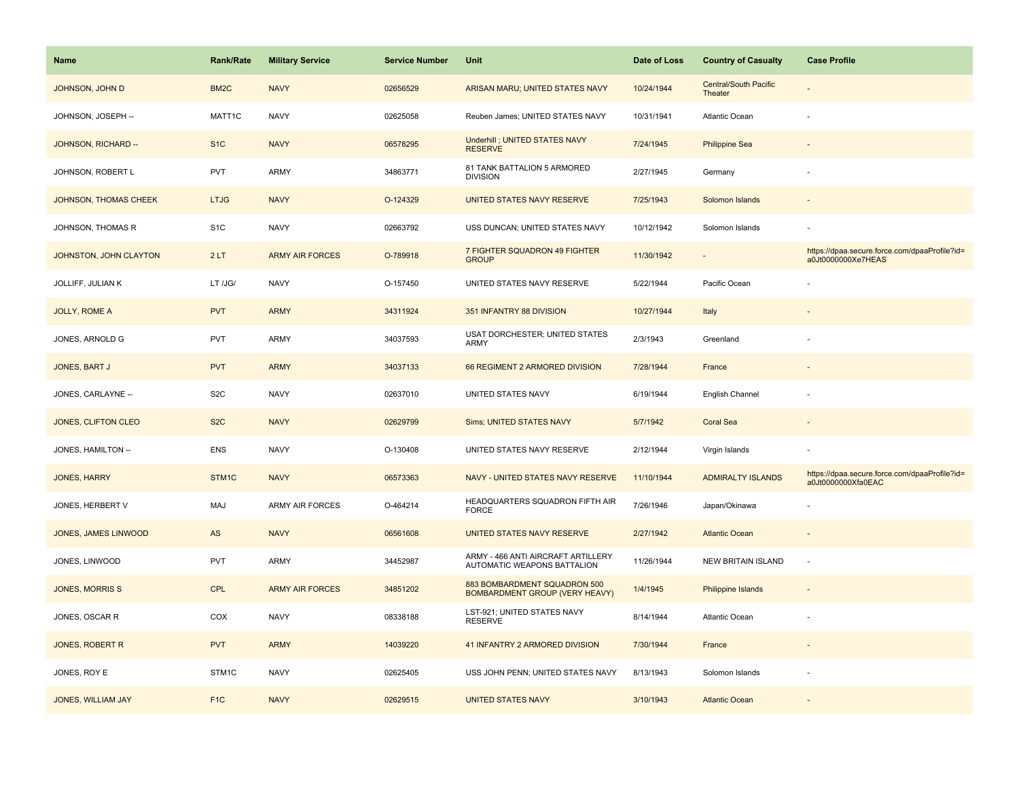| Name                         | Rank/Rate         | <b>Military Service</b> | <b>Service Number</b> | Unit                                                                  | Date of Loss | <b>Country of Casualty</b>              | <b>Case Profile</b>                                                 |
|------------------------------|-------------------|-------------------------|-----------------------|-----------------------------------------------------------------------|--------------|-----------------------------------------|---------------------------------------------------------------------|
| JOHNSON, JOHN D              | BM <sub>2</sub> C | <b>NAVY</b>             | 02656529              | ARISAN MARU; UNITED STATES NAVY                                       | 10/24/1944   | <b>Central/South Pacific</b><br>Theater |                                                                     |
| JOHNSON, JOSEPH --           | MATT1C            | <b>NAVY</b>             | 02625058              | Reuben James; UNITED STATES NAVY                                      | 10/31/1941   | Atlantic Ocean                          | ÷,                                                                  |
| JOHNSON, RICHARD --          | S <sub>1</sub> C  | <b>NAVY</b>             | 06578295              | <b>Underhill ; UNITED STATES NAVY</b><br><b>RESERVE</b>               | 7/24/1945    | <b>Philippine Sea</b>                   |                                                                     |
| JOHNSON, ROBERT L            | <b>PVT</b>        | ARMY                    | 34863771              | 81 TANK BATTALION 5 ARMORED<br><b>DIVISION</b>                        | 2/27/1945    | Germany                                 |                                                                     |
| <b>JOHNSON, THOMAS CHEEK</b> | <b>LTJG</b>       | <b>NAVY</b>             | O-124329              | UNITED STATES NAVY RESERVE                                            | 7/25/1943    | Solomon Islands                         |                                                                     |
| JOHNSON, THOMAS R            | S <sub>1</sub> C  | <b>NAVY</b>             | 02663792              | USS DUNCAN; UNITED STATES NAVY                                        | 10/12/1942   | Solomon Islands                         |                                                                     |
| JOHNSTON, JOHN CLAYTON       | 2LT               | <b>ARMY AIR FORCES</b>  | O-789918              | 7 FIGHTER SQUADRON 49 FIGHTER<br><b>GROUP</b>                         | 11/30/1942   | $\sim$                                  | https://dpaa.secure.force.com/dpaaProfile?id=<br>a0Jt0000000Xe7HEAS |
| JOLLIFF, JULIAN K            | LT /JG/           | <b>NAVY</b>             | O-157450              | UNITED STATES NAVY RESERVE                                            | 5/22/1944    | Pacific Ocean                           |                                                                     |
| JOLLY, ROME A                | <b>PVT</b>        | <b>ARMY</b>             | 34311924              | 351 INFANTRY 88 DIVISION                                              | 10/27/1944   | Italy                                   |                                                                     |
| JONES, ARNOLD G              | <b>PVT</b>        | ARMY                    | 34037593              | USAT DORCHESTER; UNITED STATES<br>ARMY                                | 2/3/1943     | Greenland                               |                                                                     |
| JONES, BART J                | <b>PVT</b>        | <b>ARMY</b>             | 34037133              | 66 REGIMENT 2 ARMORED DIVISION                                        | 7/28/1944    | France                                  |                                                                     |
| JONES, CARLAYNE --           | S <sub>2</sub> C  | <b>NAVY</b>             | 02637010              | UNITED STATES NAVY                                                    | 6/19/1944    | English Channel                         |                                                                     |
| JONES, CLIFTON CLEO          | S <sub>2</sub> C  | <b>NAVY</b>             | 02629799              | <b>Sims; UNITED STATES NAVY</b>                                       | 5/7/1942     | <b>Coral Sea</b>                        |                                                                     |
| JONES, HAMILTON --           | <b>ENS</b>        | <b>NAVY</b>             | O-130408              | UNITED STATES NAVY RESERVE                                            | 2/12/1944    | Virgin Islands                          |                                                                     |
| <b>JONES, HARRY</b>          | STM1C             | <b>NAVY</b>             | 06573363              | NAVY - UNITED STATES NAVY RESERVE                                     | 11/10/1944   | <b>ADMIRALTY ISLANDS</b>                | https://dpaa.secure.force.com/dpaaProfile?id=<br>a0Jt0000000Xfa0EAC |
| JONES, HERBERT V             | MAJ               | <b>ARMY AIR FORCES</b>  | O-464214              | HEADQUARTERS SQUADRON FIFTH AIR<br><b>FORCE</b>                       | 7/26/1946    | Japan/Okinawa                           |                                                                     |
| JONES, JAMES LINWOOD         | $\mathsf{AS}$     | <b>NAVY</b>             | 06561608              | UNITED STATES NAVY RESERVE                                            | 2/27/1942    | <b>Atlantic Ocean</b>                   |                                                                     |
| JONES, LINWOOD               | <b>PVT</b>        | <b>ARMY</b>             | 34452987              | ARMY - 466 ANTI AIRCRAFT ARTILLERY<br>AUTOMATIC WEAPONS BATTALION     | 11/26/1944   | NEW BRITAIN ISLAND                      | ÷,                                                                  |
| <b>JONES, MORRIS S</b>       | <b>CPL</b>        | <b>ARMY AIR FORCES</b>  | 34851202              | 883 BOMBARDMENT SQUADRON 500<br><b>BOMBARDMENT GROUP (VERY HEAVY)</b> | 1/4/1945     | Philippine Islands                      |                                                                     |
| JONES, OSCAR R               | COX               | <b>NAVY</b>             | 08338188              | LST-921; UNITED STATES NAVY<br><b>RESERVE</b>                         | 8/14/1944    | Atlantic Ocean                          |                                                                     |
| JONES, ROBERT R              | <b>PVT</b>        | <b>ARMY</b>             | 14039220              | 41 INFANTRY 2 ARMORED DIVISION                                        | 7/30/1944    | France                                  | $\sim$                                                              |
| JONES, ROY E                 | STM1C             | <b>NAVY</b>             | 02625405              | USS JOHN PENN; UNITED STATES NAVY                                     | 8/13/1943    | Solomon Islands                         |                                                                     |
| JONES, WILLIAM JAY           | F <sub>1C</sub>   | <b>NAVY</b>             | 02629515              | <b>UNITED STATES NAVY</b>                                             | 3/10/1943    | <b>Atlantic Ocean</b>                   |                                                                     |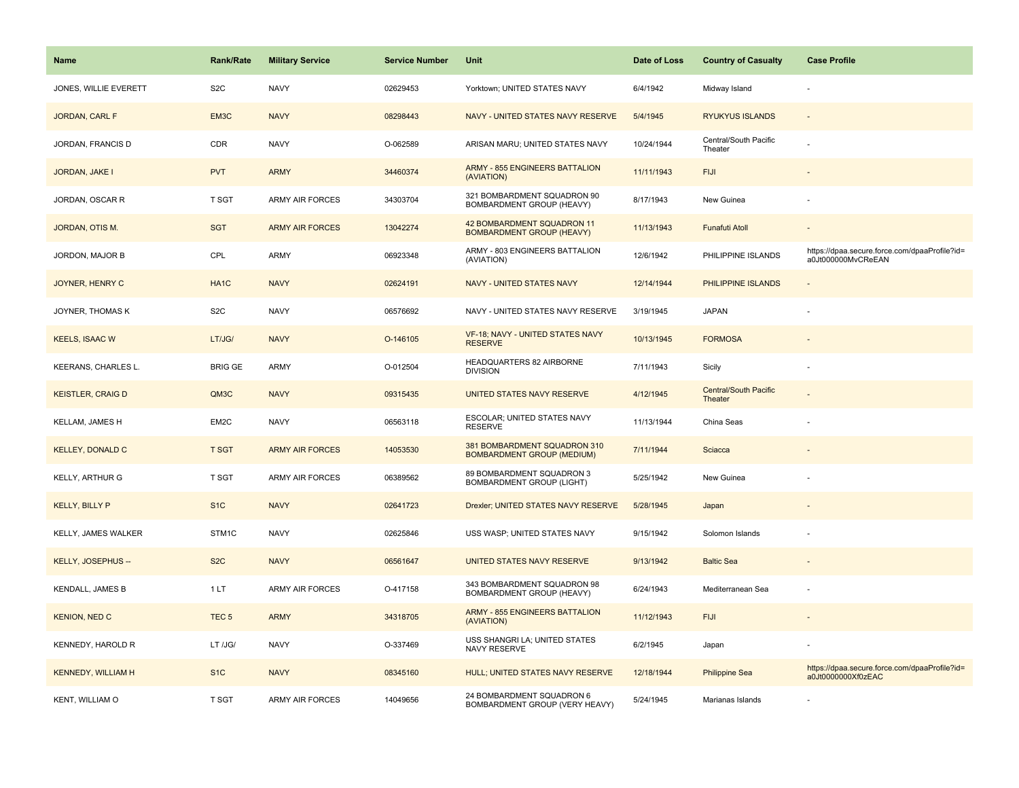| <b>Name</b>               | <b>Rank/Rate</b>  | <b>Military Service</b> | <b>Service Number</b> | Unit                                                              | Date of Loss | <b>Country of Casualty</b>              | <b>Case Profile</b>                                                 |
|---------------------------|-------------------|-------------------------|-----------------------|-------------------------------------------------------------------|--------------|-----------------------------------------|---------------------------------------------------------------------|
| JONES, WILLIE EVERETT     | S <sub>2</sub> C  | <b>NAVY</b>             | 02629453              | Yorktown; UNITED STATES NAVY                                      | 6/4/1942     | Midway Island                           |                                                                     |
| JORDAN, CARL F            | EM3C              | <b>NAVY</b>             | 08298443              | NAVY - UNITED STATES NAVY RESERVE                                 | 5/4/1945     | <b>RYUKYUS ISLANDS</b>                  | $\overline{\phantom{a}}$                                            |
| JORDAN, FRANCIS D         | CDR               | <b>NAVY</b>             | O-062589              | ARISAN MARU; UNITED STATES NAVY                                   | 10/24/1944   | Central/South Pacific<br>Theater        |                                                                     |
| JORDAN, JAKE I            | <b>PVT</b>        | <b>ARMY</b>             | 34460374              | <b>ARMY - 855 ENGINEERS BATTALION</b><br>(AVIATION)               | 11/11/1943   | <b>FIJI</b>                             |                                                                     |
| JORDAN, OSCAR R           | T SGT             | <b>ARMY AIR FORCES</b>  | 34303704              | 321 BOMBARDMENT SQUADRON 90<br>BOMBARDMENT GROUP (HEAVY)          | 8/17/1943    | New Guinea                              |                                                                     |
| JORDAN, OTIS M.           | <b>SGT</b>        | <b>ARMY AIR FORCES</b>  | 13042274              | 42 BOMBARDMENT SQUADRON 11<br><b>BOMBARDMENT GROUP (HEAVY)</b>    | 11/13/1943   | <b>Funafuti Atoll</b>                   | $\blacksquare$                                                      |
| JORDON, MAJOR B           | CPL               | <b>ARMY</b>             | 06923348              | ARMY - 803 ENGINEERS BATTALION<br>(AVIATION)                      | 12/6/1942    | PHILIPPINE ISLANDS                      | https://dpaa.secure.force.com/dpaaProfile?id=<br>a0Jt000000MvCReEAN |
| <b>JOYNER, HENRY C</b>    | HA <sub>1</sub> C | <b>NAVY</b>             | 02624191              | <b>NAVY - UNITED STATES NAVY</b>                                  | 12/14/1944   | PHILIPPINE ISLANDS                      | ÷,                                                                  |
| JOYNER, THOMAS K          | S <sub>2</sub> C  | <b>NAVY</b>             | 06576692              | NAVY - UNITED STATES NAVY RESERVE                                 | 3/19/1945    | <b>JAPAN</b>                            |                                                                     |
| <b>KEELS, ISAAC W</b>     | LT/JG/            | <b>NAVY</b>             | O-146105              | VF-18; NAVY - UNITED STATES NAVY<br><b>RESERVE</b>                | 10/13/1945   | <b>FORMOSA</b>                          |                                                                     |
| KEERANS, CHARLES L.       | <b>BRIG GE</b>    | <b>ARMY</b>             | O-012504              | HEADQUARTERS 82 AIRBORNE<br><b>DIVISION</b>                       | 7/11/1943    | Sicily                                  |                                                                     |
| <b>KEISTLER, CRAIG D</b>  | QM3C              | <b>NAVY</b>             | 09315435              | UNITED STATES NAVY RESERVE                                        | 4/12/1945    | <b>Central/South Pacific</b><br>Theater |                                                                     |
| <b>KELLAM, JAMES H</b>    | EM2C              | <b>NAVY</b>             | 06563118              | ESCOLAR; UNITED STATES NAVY<br><b>RESERVE</b>                     | 11/13/1944   | China Seas                              |                                                                     |
| <b>KELLEY, DONALD C</b>   | <b>T SGT</b>      | <b>ARMY AIR FORCES</b>  | 14053530              | 381 BOMBARDMENT SQUADRON 310<br><b>BOMBARDMENT GROUP (MEDIUM)</b> | 7/11/1944    | Sciacca                                 |                                                                     |
| KELLY, ARTHUR G           | T SGT             | ARMY AIR FORCES         | 06389562              | 89 BOMBARDMENT SQUADRON 3<br><b>BOMBARDMENT GROUP (LIGHT)</b>     | 5/25/1942    | New Guinea                              |                                                                     |
| <b>KELLY, BILLY P</b>     | S <sub>1</sub> C  | <b>NAVY</b>             | 02641723              | Drexler; UNITED STATES NAVY RESERVE                               | 5/28/1945    | Japan                                   |                                                                     |
| KELLY, JAMES WALKER       | STM1C             | <b>NAVY</b>             | 02625846              | USS WASP; UNITED STATES NAVY                                      | 9/15/1942    | Solomon Islands                         |                                                                     |
| KELLY, JOSEPHUS --        | S <sub>2</sub> C  | <b>NAVY</b>             | 06561647              | UNITED STATES NAVY RESERVE                                        | 9/13/1942    | <b>Baltic Sea</b>                       |                                                                     |
| <b>KENDALL, JAMES B</b>   | 1LT               | ARMY AIR FORCES         | O-417158              | 343 BOMBARDMENT SQUADRON 98<br>BOMBARDMENT GROUP (HEAVY)          | 6/24/1943    | Mediterranean Sea                       | ÷,                                                                  |
| <b>KENION, NED C</b>      | TEC <sub>5</sub>  | <b>ARMY</b>             | 34318705              | <b>ARMY - 855 ENGINEERS BATTALION</b><br>(AVIATION)               | 11/12/1943   | <b>FIJI</b>                             |                                                                     |
| <b>KENNEDY, HAROLD R</b>  | LT /JG/           | <b>NAVY</b>             | O-337469              | USS SHANGRI LA; UNITED STATES<br>NAVY RESERVE                     | 6/2/1945     | Japan                                   |                                                                     |
| <b>KENNEDY, WILLIAM H</b> | S <sub>1</sub> C  | <b>NAVY</b>             | 08345160              | HULL; UNITED STATES NAVY RESERVE                                  | 12/18/1944   | <b>Philippine Sea</b>                   | https://dpaa.secure.force.com/dpaaProfile?id=<br>a0Jt0000000Xf0zEAC |
| KENT, WILLIAM O           | T SGT             | ARMY AIR FORCES         | 14049656              | 24 BOMBARDMENT SQUADRON 6<br>BOMBARDMENT GROUP (VERY HEAVY)       | 5/24/1945    | Marianas Islands                        |                                                                     |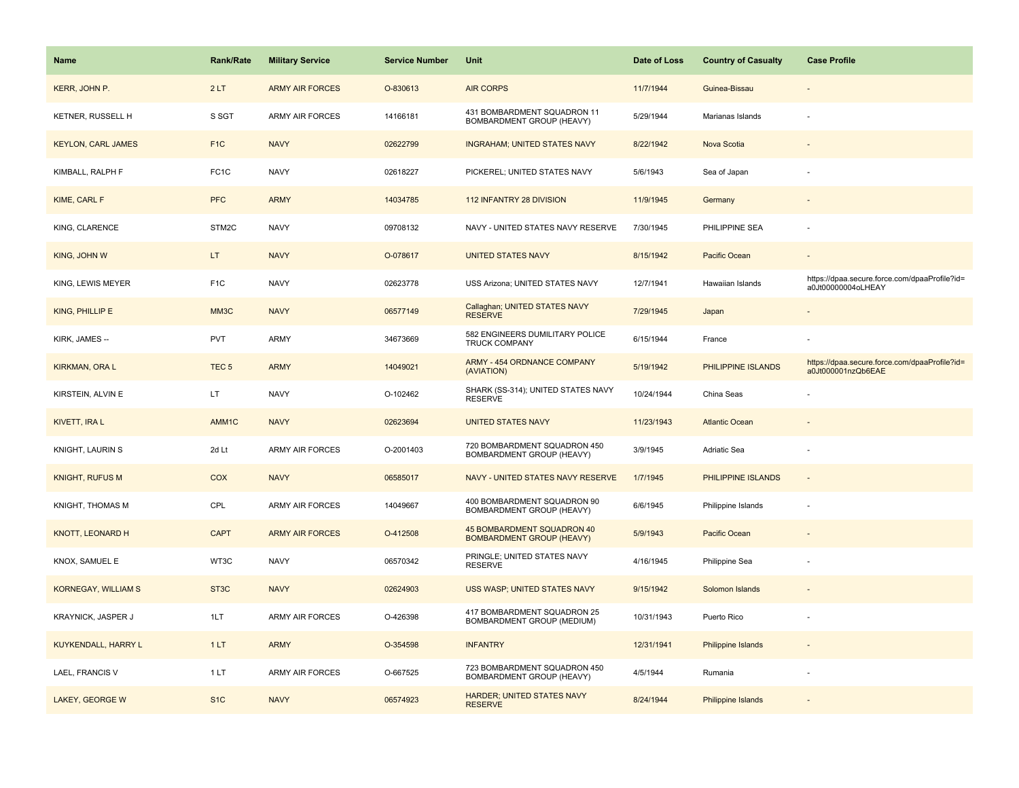| <b>Name</b>                | <b>Rank/Rate</b>   | <b>Military Service</b> | <b>Service Number</b> | Unit                                                           | Date of Loss | <b>Country of Casualty</b> | <b>Case Profile</b>                                                 |
|----------------------------|--------------------|-------------------------|-----------------------|----------------------------------------------------------------|--------------|----------------------------|---------------------------------------------------------------------|
| KERR, JOHN P.              | 2LT                | <b>ARMY AIR FORCES</b>  | O-830613              | <b>AIR CORPS</b>                                               | 11/7/1944    | Guinea-Bissau              |                                                                     |
| KETNER, RUSSELL H          | S SGT              | ARMY AIR FORCES         | 14166181              | 431 BOMBARDMENT SQUADRON 11<br>BOMBARDMENT GROUP (HEAVY)       | 5/29/1944    | Marianas Islands           |                                                                     |
| <b>KEYLON, CARL JAMES</b>  | F <sub>1C</sub>    | <b>NAVY</b>             | 02622799              | <b>INGRAHAM; UNITED STATES NAVY</b>                            | 8/22/1942    | Nova Scotia                |                                                                     |
| KIMBALL, RALPH F           | FC <sub>1</sub> C  | <b>NAVY</b>             | 02618227              | PICKEREL; UNITED STATES NAVY                                   | 5/6/1943     | Sea of Japan               |                                                                     |
| KIME, CARL F               | <b>PFC</b>         | <b>ARMY</b>             | 14034785              | 112 INFANTRY 28 DIVISION                                       | 11/9/1945    | Germany                    |                                                                     |
| KING, CLARENCE             | STM2C              | <b>NAVY</b>             | 09708132              | NAVY - UNITED STATES NAVY RESERVE                              | 7/30/1945    | PHILIPPINE SEA             |                                                                     |
| KING, JOHN W               | LT.                | <b>NAVY</b>             | O-078617              | <b>UNITED STATES NAVY</b>                                      | 8/15/1942    | Pacific Ocean              |                                                                     |
| KING, LEWIS MEYER          | F <sub>1</sub> C   | <b>NAVY</b>             | 02623778              | USS Arizona; UNITED STATES NAVY                                | 12/7/1941    | Hawaiian Islands           | https://dpaa.secure.force.com/dpaaProfile?id=<br>a0Jt00000004oLHEAY |
| KING, PHILLIP E            | MM3C               | <b>NAVY</b>             | 06577149              | Callaghan; UNITED STATES NAVY<br><b>RESERVE</b>                | 7/29/1945    | Japan                      |                                                                     |
| KIRK, JAMES --             | <b>PVT</b>         | ARMY                    | 34673669              | 582 ENGINEERS DUMILITARY POLICE<br><b>TRUCK COMPANY</b>        | 6/15/1944    | France                     |                                                                     |
| <b>KIRKMAN, ORA L</b>      | TEC <sub>5</sub>   | <b>ARMY</b>             | 14049021              | <b>ARMY - 454 ORDNANCE COMPANY</b><br>(AVIATION)               | 5/19/1942    | PHILIPPINE ISLANDS         | https://dpaa.secure.force.com/dpaaProfile?id=<br>a0Jt000001nzQb6EAE |
| KIRSTEIN, ALVIN E          | LT.                | <b>NAVY</b>             | O-102462              | SHARK (SS-314); UNITED STATES NAVY<br><b>RESERVE</b>           | 10/24/1944   | China Seas                 |                                                                     |
| KIVETT, IRA L              | AMM <sub>1</sub> C | <b>NAVY</b>             | 02623694              | <b>UNITED STATES NAVY</b>                                      | 11/23/1943   | <b>Atlantic Ocean</b>      |                                                                     |
| KNIGHT, LAURIN S           | 2d Lt              | <b>ARMY AIR FORCES</b>  | O-2001403             | 720 BOMBARDMENT SQUADRON 450<br>BOMBARDMENT GROUP (HEAVY)      | 3/9/1945     | Adriatic Sea               |                                                                     |
| <b>KNIGHT, RUFUS M</b>     | COX                | <b>NAVY</b>             | 06585017              | NAVY - UNITED STATES NAVY RESERVE                              | 1/7/1945     | PHILIPPINE ISLANDS         | $\blacksquare$                                                      |
| KNIGHT, THOMAS M           | CPL                | <b>ARMY AIR FORCES</b>  | 14049667              | 400 BOMBARDMENT SQUADRON 90<br>BOMBARDMENT GROUP (HEAVY)       | 6/6/1945     | Philippine Islands         | ÷,                                                                  |
| <b>KNOTT, LEONARD H</b>    | <b>CAPT</b>        | <b>ARMY AIR FORCES</b>  | O-412508              | 45 BOMBARDMENT SQUADRON 40<br><b>BOMBARDMENT GROUP (HEAVY)</b> | 5/9/1943     | Pacific Ocean              |                                                                     |
| KNOX, SAMUEL E             | WT3C               | <b>NAVY</b>             | 06570342              | PRINGLE; UNITED STATES NAVY<br><b>RESERVE</b>                  | 4/16/1945    | Philippine Sea             |                                                                     |
| <b>KORNEGAY, WILLIAM S</b> | ST <sub>3</sub> C  | <b>NAVY</b>             | 02624903              | USS WASP; UNITED STATES NAVY                                   | 9/15/1942    | Solomon Islands            |                                                                     |
| KRAYNICK, JASPER J         | 1LT                | <b>ARMY AIR FORCES</b>  | O-426398              | 417 BOMBARDMENT SQUADRON 25<br>BOMBARDMENT GROUP (MEDIUM)      | 10/31/1943   | Puerto Rico                |                                                                     |
| KUYKENDALL, HARRY L        | 1LT                | <b>ARMY</b>             | O-354598              | <b>INFANTRY</b>                                                | 12/31/1941   | <b>Philippine Islands</b>  |                                                                     |
| LAEL, FRANCIS V            | 1LT                | <b>ARMY AIR FORCES</b>  | O-667525              | 723 BOMBARDMENT SQUADRON 450<br>BOMBARDMENT GROUP (HEAVY)      | 4/5/1944     | Rumania                    |                                                                     |
| <b>LAKEY, GEORGE W</b>     | S <sub>1</sub> C   | <b>NAVY</b>             | 06574923              | HARDER; UNITED STATES NAVY<br><b>RESERVE</b>                   | 8/24/1944    | <b>Philippine Islands</b>  |                                                                     |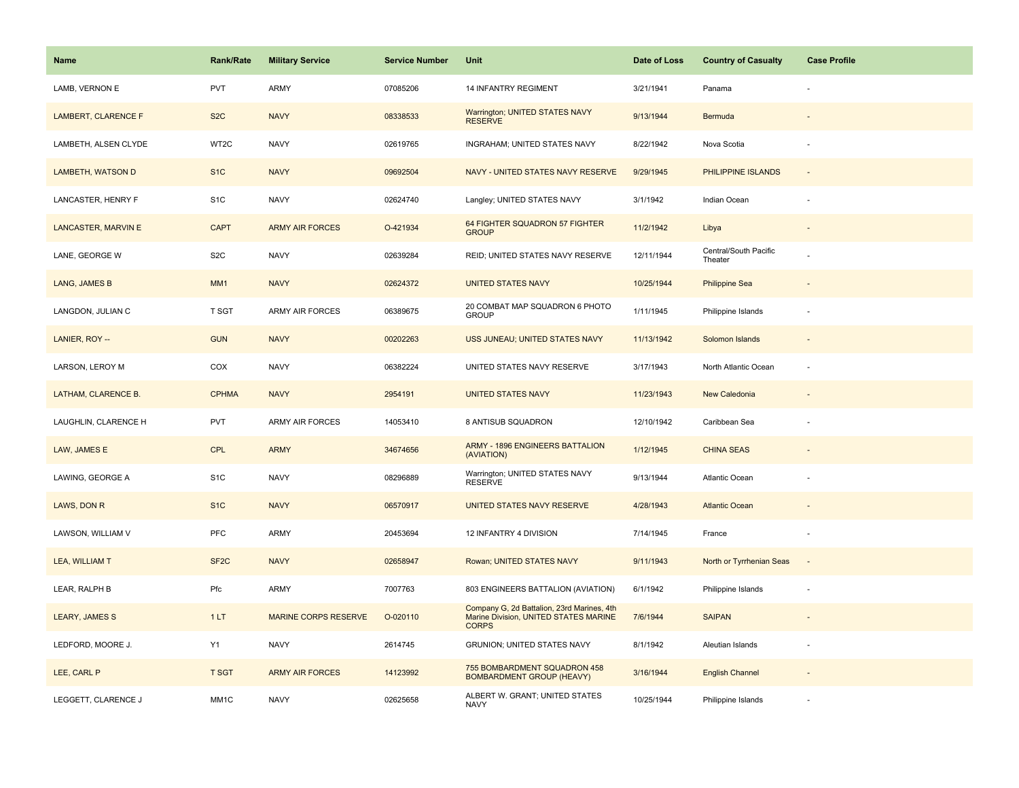| <b>Name</b>                | <b>Rank/Rate</b>  | <b>Military Service</b>     | <b>Service Number</b> | Unit                                                                                                | Date of Loss | <b>Country of Casualty</b>       | <b>Case Profile</b>      |
|----------------------------|-------------------|-----------------------------|-----------------------|-----------------------------------------------------------------------------------------------------|--------------|----------------------------------|--------------------------|
| LAMB, VERNON E             | <b>PVT</b>        | <b>ARMY</b>                 | 07085206              | <b>14 INFANTRY REGIMENT</b>                                                                         | 3/21/1941    | Panama                           |                          |
| LAMBERT, CLARENCE F        | S <sub>2</sub> C  | <b>NAVY</b>                 | 08338533              | Warrington; UNITED STATES NAVY<br><b>RESERVE</b>                                                    | 9/13/1944    | Bermuda                          |                          |
| LAMBETH, ALSEN CLYDE       | WT2C              | <b>NAVY</b>                 | 02619765              | INGRAHAM; UNITED STATES NAVY                                                                        | 8/22/1942    | Nova Scotia                      |                          |
| <b>LAMBETH, WATSON D</b>   | S <sub>1</sub> C  | <b>NAVY</b>                 | 09692504              | NAVY - UNITED STATES NAVY RESERVE                                                                   | 9/29/1945    | PHILIPPINE ISLANDS               | $\overline{\phantom{a}}$ |
| LANCASTER, HENRY F         | S <sub>1</sub> C  | <b>NAVY</b>                 | 02624740              | Langley; UNITED STATES NAVY                                                                         | 3/1/1942     | Indian Ocean                     |                          |
| <b>LANCASTER, MARVIN E</b> | <b>CAPT</b>       | <b>ARMY AIR FORCES</b>      | O-421934              | 64 FIGHTER SQUADRON 57 FIGHTER<br><b>GROUP</b>                                                      | 11/2/1942    | Libya                            | $\overline{\phantom{a}}$ |
| LANE, GEORGE W             | S <sub>2</sub> C  | <b>NAVY</b>                 | 02639284              | REID; UNITED STATES NAVY RESERVE                                                                    | 12/11/1944   | Central/South Pacific<br>Theater |                          |
| LANG, JAMES B              | MM1               | <b>NAVY</b>                 | 02624372              | <b>UNITED STATES NAVY</b>                                                                           | 10/25/1944   | <b>Philippine Sea</b>            |                          |
| LANGDON, JULIAN C          | T SGT             | ARMY AIR FORCES             | 06389675              | 20 COMBAT MAP SQUADRON 6 PHOTO<br><b>GROUP</b>                                                      | 1/11/1945    | Philippine Islands               |                          |
| LANIER, ROY --             | <b>GUN</b>        | <b>NAVY</b>                 | 00202263              | USS JUNEAU; UNITED STATES NAVY                                                                      | 11/13/1942   | Solomon Islands                  |                          |
| LARSON, LEROY M            | COX               | <b>NAVY</b>                 | 06382224              | UNITED STATES NAVY RESERVE                                                                          | 3/17/1943    | North Atlantic Ocean             |                          |
| LATHAM, CLARENCE B.        | <b>CPHMA</b>      | <b>NAVY</b>                 | 2954191               | <b>UNITED STATES NAVY</b>                                                                           | 11/23/1943   | New Caledonia                    |                          |
| LAUGHLIN, CLARENCE H       | <b>PVT</b>        | <b>ARMY AIR FORCES</b>      | 14053410              | 8 ANTISUB SQUADRON                                                                                  | 12/10/1942   | Caribbean Sea                    |                          |
| LAW, JAMES E               | <b>CPL</b>        | <b>ARMY</b>                 | 34674656              | ARMY - 1896 ENGINEERS BATTALION<br>(AVIATION)                                                       | 1/12/1945    | <b>CHINA SEAS</b>                | $\overline{a}$           |
| LAWING, GEORGE A           | S <sub>1</sub> C  | <b>NAVY</b>                 | 08296889              | Warrington; UNITED STATES NAVY<br><b>RESERVE</b>                                                    | 9/13/1944    | Atlantic Ocean                   |                          |
| LAWS, DON R                | S <sub>1</sub> C  | <b>NAVY</b>                 | 06570917              | UNITED STATES NAVY RESERVE                                                                          | 4/28/1943    | <b>Atlantic Ocean</b>            |                          |
| LAWSON, WILLIAM V          | PFC               | <b>ARMY</b>                 | 20453694              | 12 INFANTRY 4 DIVISION                                                                              | 7/14/1945    | France                           | ÷,                       |
| LEA, WILLIAM T             | SF <sub>2</sub> C | <b>NAVY</b>                 | 02658947              | Rowan; UNITED STATES NAVY                                                                           | 9/11/1943    | North or Tyrrhenian Seas         |                          |
| LEAR, RALPH B              | Pfc               | ARMY                        | 7007763               | 803 ENGINEERS BATTALION (AVIATION)                                                                  | 6/1/1942     | Philippine Islands               |                          |
| <b>LEARY, JAMES S</b>      | 1LT               | <b>MARINE CORPS RESERVE</b> | O-020110              | Company G, 2d Battalion, 23rd Marines, 4th<br>Marine Division, UNITED STATES MARINE<br><b>CORPS</b> | 7/6/1944     | <b>SAIPAN</b>                    | $\sim$                   |
| LEDFORD, MOORE J.          | Y1                | <b>NAVY</b>                 | 2614745               | GRUNION; UNITED STATES NAVY                                                                         | 8/1/1942     | Aleutian Islands                 | $\overline{\phantom{a}}$ |
| LEE, CARL P                | <b>T SGT</b>      | <b>ARMY AIR FORCES</b>      | 14123992              | 755 BOMBARDMENT SQUADRON 458<br><b>BOMBARDMENT GROUP (HEAVY)</b>                                    | 3/16/1944    | <b>English Channel</b>           |                          |
| LEGGETT, CLARENCE J        | MM1C              | <b>NAVY</b>                 | 02625658              | ALBERT W. GRANT; UNITED STATES<br><b>NAVY</b>                                                       | 10/25/1944   | Philippine Islands               |                          |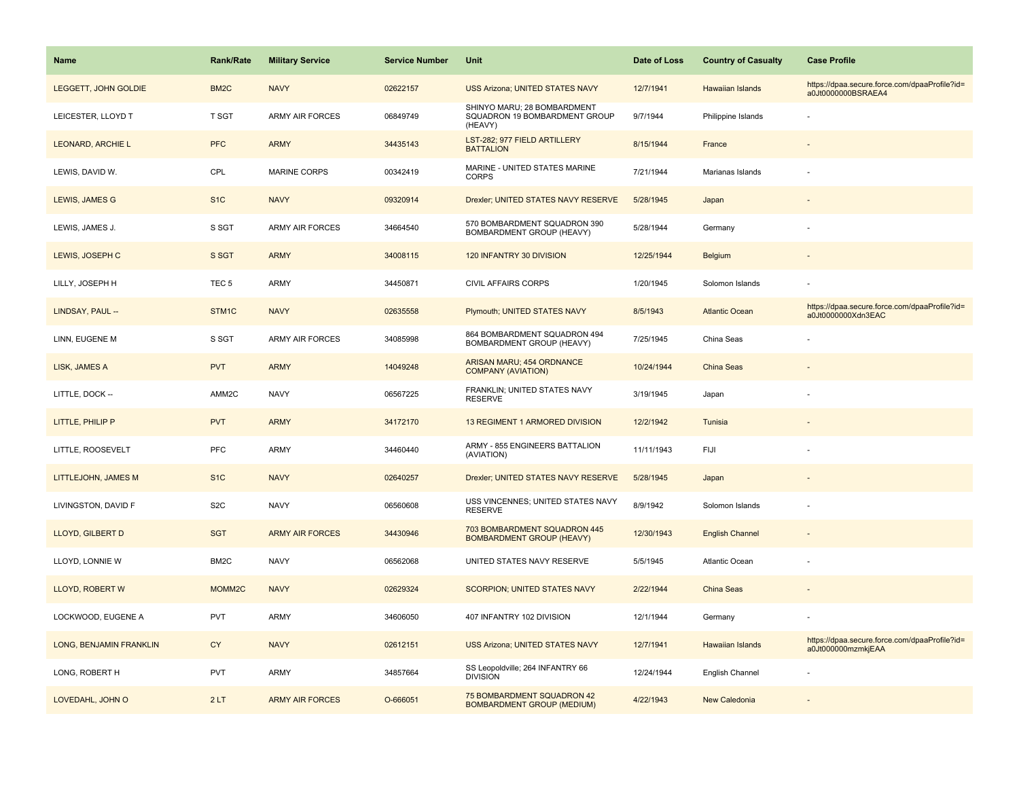| <b>Name</b>              | Rank/Rate          | <b>Military Service</b> | <b>Service Number</b> | Unit                                                                    | Date of Loss | <b>Country of Casualty</b> | <b>Case Profile</b>                                                 |
|--------------------------|--------------------|-------------------------|-----------------------|-------------------------------------------------------------------------|--------------|----------------------------|---------------------------------------------------------------------|
| LEGGETT, JOHN GOLDIE     | BM <sub>2</sub> C  | <b>NAVY</b>             | 02622157              | <b>USS Arizona; UNITED STATES NAVY</b>                                  | 12/7/1941    | Hawaiian Islands           | https://dpaa.secure.force.com/dpaaProfile?id=<br>a0Jt0000000BSRAEA4 |
| LEICESTER, LLOYD T       | T SGT              | <b>ARMY AIR FORCES</b>  | 06849749              | SHINYO MARU; 28 BOMBARDMENT<br>SQUADRON 19 BOMBARDMENT GROUP<br>(HEAVY) | 9/7/1944     | Philippine Islands         |                                                                     |
| <b>LEONARD, ARCHIE L</b> | <b>PFC</b>         | <b>ARMY</b>             | 34435143              | LST-282; 977 FIELD ARTILLERY<br><b>BATTALION</b>                        | 8/15/1944    | France                     |                                                                     |
| LEWIS, DAVID W.          | CPL                | <b>MARINE CORPS</b>     | 00342419              | MARINE - UNITED STATES MARINE<br><b>CORPS</b>                           | 7/21/1944    | Marianas Islands           |                                                                     |
| LEWIS, JAMES G           | S <sub>1</sub> C   | <b>NAVY</b>             | 09320914              | Drexler; UNITED STATES NAVY RESERVE                                     | 5/28/1945    | Japan                      |                                                                     |
| LEWIS, JAMES J.          | S SGT              | <b>ARMY AIR FORCES</b>  | 34664540              | 570 BOMBARDMENT SQUADRON 390<br>BOMBARDMENT GROUP (HEAVY)               | 5/28/1944    | Germany                    |                                                                     |
| LEWIS, JOSEPH C          | S SGT              | <b>ARMY</b>             | 34008115              | 120 INFANTRY 30 DIVISION                                                | 12/25/1944   | Belgium                    |                                                                     |
| LILLY, JOSEPH H          | TEC <sub>5</sub>   | <b>ARMY</b>             | 34450871              | CIVIL AFFAIRS CORPS                                                     | 1/20/1945    | Solomon Islands            |                                                                     |
| LINDSAY, PAUL --         | STM <sub>1C</sub>  | <b>NAVY</b>             | 02635558              | Plymouth; UNITED STATES NAVY                                            | 8/5/1943     | <b>Atlantic Ocean</b>      | https://dpaa.secure.force.com/dpaaProfile?id=<br>a0Jt0000000Xdn3EAC |
| LINN, EUGENE M           | S SGT              | <b>ARMY AIR FORCES</b>  | 34085998              | 864 BOMBARDMENT SQUADRON 494<br>BOMBARDMENT GROUP (HEAVY)               | 7/25/1945    | China Seas                 |                                                                     |
| LISK, JAMES A            | <b>PVT</b>         | <b>ARMY</b>             | 14049248              | <b>ARISAN MARU; 454 ORDNANCE</b><br><b>COMPANY (AVIATION)</b>           | 10/24/1944   | <b>China Seas</b>          |                                                                     |
| LITTLE, DOCK --          | AMM2C              | <b>NAVY</b>             | 06567225              | FRANKLIN; UNITED STATES NAVY<br><b>RESERVE</b>                          | 3/19/1945    | Japan                      |                                                                     |
| LITTLE, PHILIP P         | <b>PVT</b>         | <b>ARMY</b>             | 34172170              | <b>13 REGIMENT 1 ARMORED DIVISION</b>                                   | 12/2/1942    | Tunisia                    |                                                                     |
| LITTLE, ROOSEVELT        | PFC                | ARMY                    | 34460440              | ARMY - 855 ENGINEERS BATTALION<br>(AVIATION)                            | 11/11/1943   | FIJI                       |                                                                     |
| LITTLEJOHN, JAMES M      | S <sub>1C</sub>    | <b>NAVY</b>             | 02640257              | Drexler; UNITED STATES NAVY RESERVE                                     | 5/28/1945    | Japan                      |                                                                     |
| LIVINGSTON, DAVID F      | S <sub>2</sub> C   | <b>NAVY</b>             | 06560608              | USS VINCENNES; UNITED STATES NAVY<br><b>RESERVE</b>                     | 8/9/1942     | Solomon Islands            |                                                                     |
| LLOYD, GILBERT D         | <b>SGT</b>         | <b>ARMY AIR FORCES</b>  | 34430946              | 703 BOMBARDMENT SQUADRON 445<br><b>BOMBARDMENT GROUP (HEAVY)</b>        | 12/30/1943   | <b>English Channel</b>     |                                                                     |
| LLOYD, LONNIE W          | BM <sub>2</sub> C  | <b>NAVY</b>             | 06562068              | UNITED STATES NAVY RESERVE                                              | 5/5/1945     | Atlantic Ocean             |                                                                     |
| LLOYD, ROBERT W          | MOMM <sub>2C</sub> | <b>NAVY</b>             | 02629324              | <b>SCORPION; UNITED STATES NAVY</b>                                     | 2/22/1944    | <b>China Seas</b>          |                                                                     |
| LOCKWOOD, EUGENE A       | <b>PVT</b>         | ARMY                    | 34606050              | 407 INFANTRY 102 DIVISION                                               | 12/1/1944    | Germany                    |                                                                     |
| LONG, BENJAMIN FRANKLIN  | <b>CY</b>          | <b>NAVY</b>             | 02612151              | <b>USS Arizona; UNITED STATES NAVY</b>                                  | 12/7/1941    | Hawaiian Islands           | https://dpaa.secure.force.com/dpaaProfile?id=<br>a0Jt000000mzmkjEAA |
| LONG, ROBERT H           | <b>PVT</b>         | <b>ARMY</b>             | 34857664              | SS Leopoldville; 264 INFANTRY 66<br><b>DIVISION</b>                     | 12/24/1944   | English Channel            |                                                                     |
| LOVEDAHL, JOHN O         | 2LT                | <b>ARMY AIR FORCES</b>  | O-666051              | 75 BOMBARDMENT SQUADRON 42<br><b>BOMBARDMENT GROUP (MEDIUM)</b>         | 4/22/1943    | New Caledonia              |                                                                     |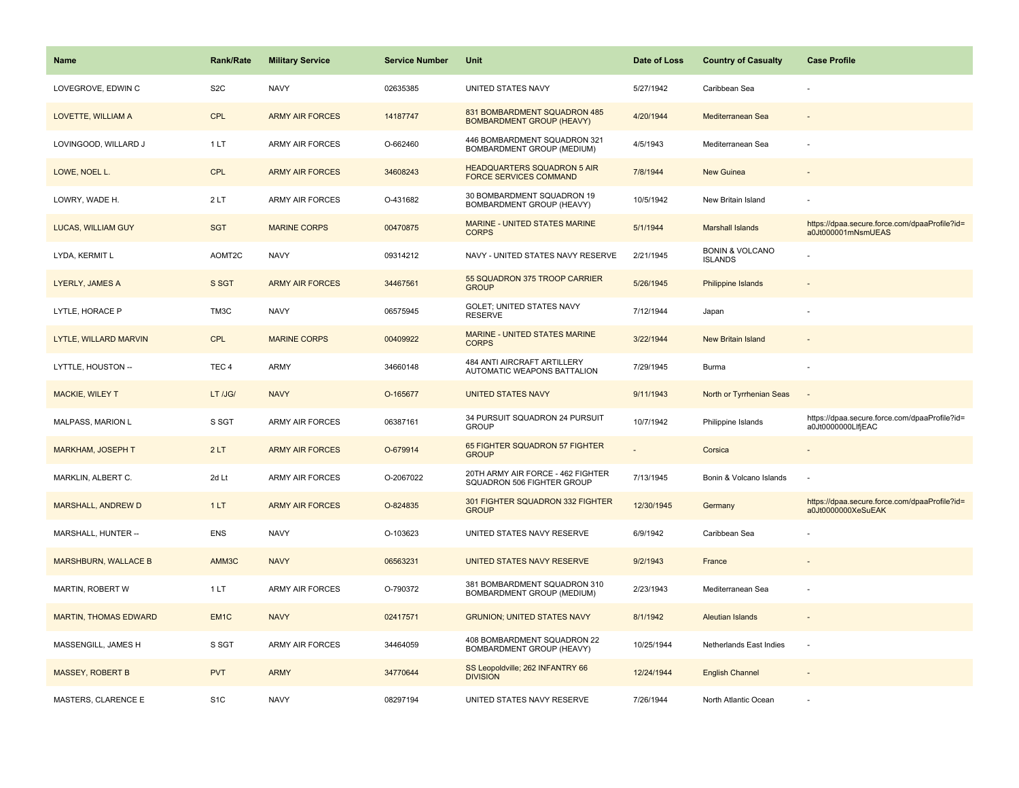| <b>Name</b>                  | <b>Rank/Rate</b> | <b>Military Service</b> | <b>Service Number</b> | Unit                                                                | Date of Loss | <b>Country of Casualty</b>                   | <b>Case Profile</b>                                                 |
|------------------------------|------------------|-------------------------|-----------------------|---------------------------------------------------------------------|--------------|----------------------------------------------|---------------------------------------------------------------------|
| LOVEGROVE, EDWIN C           | S <sub>2</sub> C | <b>NAVY</b>             | 02635385              | UNITED STATES NAVY                                                  | 5/27/1942    | Caribbean Sea                                |                                                                     |
| LOVETTE, WILLIAM A           | <b>CPL</b>       | <b>ARMY AIR FORCES</b>  | 14187747              | 831 BOMBARDMENT SQUADRON 485<br><b>BOMBARDMENT GROUP (HEAVY)</b>    | 4/20/1944    | Mediterranean Sea                            |                                                                     |
| LOVINGOOD, WILLARD J         | 1LT              | <b>ARMY AIR FORCES</b>  | O-662460              | 446 BOMBARDMENT SQUADRON 321<br>BOMBARDMENT GROUP (MEDIUM)          | 4/5/1943     | Mediterranean Sea                            |                                                                     |
| LOWE, NOEL L.                | <b>CPL</b>       | <b>ARMY AIR FORCES</b>  | 34608243              | <b>HEADQUARTERS SQUADRON 5 AIR</b><br><b>FORCE SERVICES COMMAND</b> | 7/8/1944     | New Guinea                                   |                                                                     |
| LOWRY, WADE H.               | 2LT              | <b>ARMY AIR FORCES</b>  | O-431682              | 30 BOMBARDMENT SQUADRON 19<br>BOMBARDMENT GROUP (HEAVY)             | 10/5/1942    | New Britain Island                           |                                                                     |
| <b>LUCAS, WILLIAM GUY</b>    | <b>SGT</b>       | <b>MARINE CORPS</b>     | 00470875              | <b>MARINE - UNITED STATES MARINE</b><br><b>CORPS</b>                | 5/1/1944     | <b>Marshall Islands</b>                      | https://dpaa.secure.force.com/dpaaProfile?id=<br>a0Jt000001mNsmUEAS |
| LYDA, KERMIT L               | AOMT2C           | <b>NAVY</b>             | 09314212              | NAVY - UNITED STATES NAVY RESERVE                                   | 2/21/1945    | <b>BONIN &amp; VOLCANO</b><br><b>ISLANDS</b> |                                                                     |
| <b>LYERLY, JAMES A</b>       | S SGT            | <b>ARMY AIR FORCES</b>  | 34467561              | 55 SQUADRON 375 TROOP CARRIER<br><b>GROUP</b>                       | 5/26/1945    | Philippine Islands                           |                                                                     |
| LYTLE, HORACE P              | TM3C             | <b>NAVY</b>             | 06575945              | GOLET; UNITED STATES NAVY<br><b>RESERVE</b>                         | 7/12/1944    | Japan                                        |                                                                     |
| LYTLE, WILLARD MARVIN        | <b>CPL</b>       | <b>MARINE CORPS</b>     | 00409922              | <b>MARINE - UNITED STATES MARINE</b><br><b>CORPS</b>                | 3/22/1944    | <b>New Britain Island</b>                    |                                                                     |
| LYTTLE, HOUSTON --           | TEC <sub>4</sub> | ARMY                    | 34660148              | 484 ANTI AIRCRAFT ARTILLERY<br>AUTOMATIC WEAPONS BATTALION          | 7/29/1945    | Burma                                        |                                                                     |
| MACKIE, WILEY T              | LT /JG/          | <b>NAVY</b>             | O-165677              | <b>UNITED STATES NAVY</b>                                           | 9/11/1943    | North or Tyrrhenian Seas                     | $\sim$                                                              |
| <b>MALPASS, MARION L</b>     | S SGT            | ARMY AIR FORCES         | 06387161              | 34 PURSUIT SQUADRON 24 PURSUIT<br><b>GROUP</b>                      | 10/7/1942    | Philippine Islands                           | https://dpaa.secure.force.com/dpaaProfile?id=<br>a0Jt0000000LlfjEAC |
| <b>MARKHAM, JOSEPH T</b>     | 2LT              | <b>ARMY AIR FORCES</b>  | O-679914              | 65 FIGHTER SQUADRON 57 FIGHTER<br><b>GROUP</b>                      |              | Corsica                                      |                                                                     |
| MARKLIN, ALBERT C.           | 2d Lt            | <b>ARMY AIR FORCES</b>  | O-2067022             | 20TH ARMY AIR FORCE - 462 FIGHTER<br>SQUADRON 506 FIGHTER GROUP     | 7/13/1945    | Bonin & Volcano Islands                      |                                                                     |
| MARSHALL, ANDREW D           | 1LT              | <b>ARMY AIR FORCES</b>  | O-824835              | 301 FIGHTER SQUADRON 332 FIGHTER<br><b>GROUP</b>                    | 12/30/1945   | Germany                                      | https://dpaa.secure.force.com/dpaaProfile?id=<br>a0Jt0000000XeSuEAK |
| MARSHALL, HUNTER --          | ENS              | <b>NAVY</b>             | O-103623              | UNITED STATES NAVY RESERVE                                          | 6/9/1942     | Caribbean Sea                                |                                                                     |
| <b>MARSHBURN, WALLACE B</b>  | AMM3C            | <b>NAVY</b>             | 06563231              | UNITED STATES NAVY RESERVE                                          | 9/2/1943     | France                                       |                                                                     |
| MARTIN, ROBERT W             | 1LT              | ARMY AIR FORCES         | O-790372              | 381 BOMBARDMENT SQUADRON 310<br>BOMBARDMENT GROUP (MEDIUM)          | 2/23/1943    | Mediterranean Sea                            |                                                                     |
| <b>MARTIN, THOMAS EDWARD</b> | EM <sub>1C</sub> | <b>NAVY</b>             | 02417571              | <b>GRUNION: UNITED STATES NAVY</b>                                  | 8/1/1942     | Aleutian Islands                             |                                                                     |
| MASSENGILL, JAMES H          | S SGT            | <b>ARMY AIR FORCES</b>  | 34464059              | 408 BOMBARDMENT SQUADRON 22<br>BOMBARDMENT GROUP (HEAVY)            | 10/25/1944   | Netherlands East Indies                      |                                                                     |
| <b>MASSEY, ROBERT B</b>      | <b>PVT</b>       | <b>ARMY</b>             | 34770644              | SS Leopoldville; 262 INFANTRY 66<br><b>DIVISION</b>                 | 12/24/1944   | <b>English Channel</b>                       |                                                                     |
| MASTERS, CLARENCE E          | S <sub>1</sub> C | <b>NAVY</b>             | 08297194              | UNITED STATES NAVY RESERVE                                          | 7/26/1944    | North Atlantic Ocean                         |                                                                     |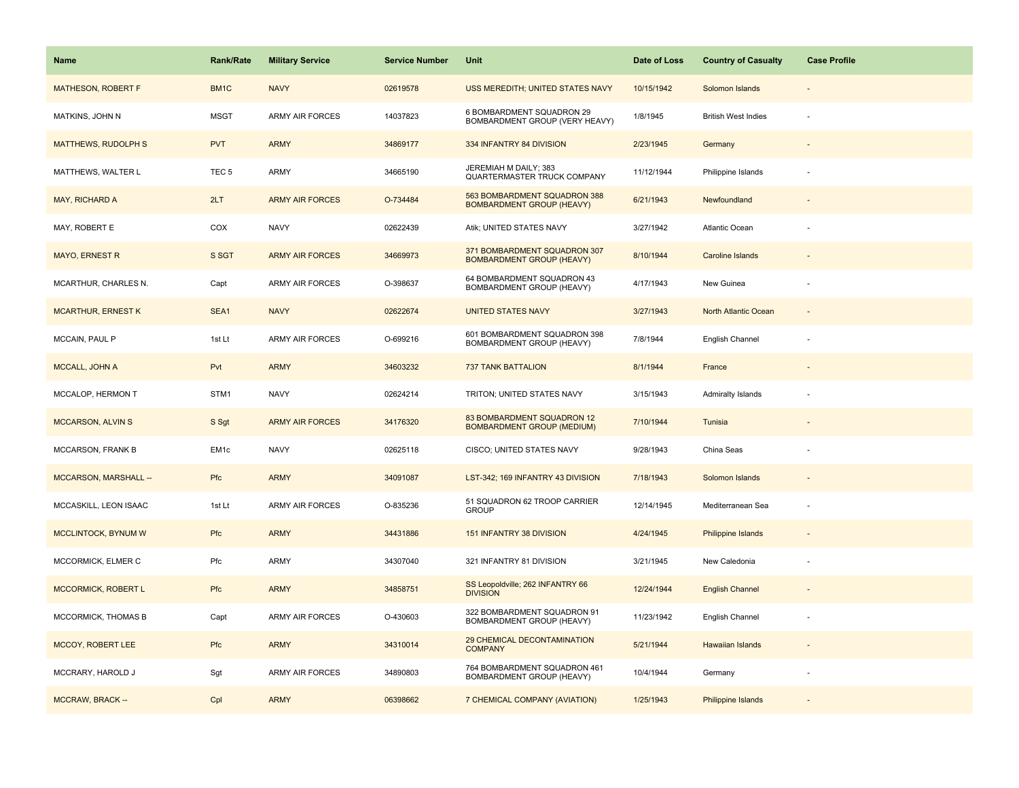| <b>Name</b>                | <b>Rank/Rate</b> | <b>Military Service</b> | <b>Service Number</b> | Unit                                                             | Date of Loss | <b>Country of Casualty</b> | <b>Case Profile</b> |
|----------------------------|------------------|-------------------------|-----------------------|------------------------------------------------------------------|--------------|----------------------------|---------------------|
| MATHESON, ROBERT F         | BM1C             | <b>NAVY</b>             | 02619578              | USS MEREDITH; UNITED STATES NAVY                                 | 10/15/1942   | Solomon Islands            |                     |
| MATKINS, JOHN N            | <b>MSGT</b>      | ARMY AIR FORCES         | 14037823              | 6 BOMBARDMENT SQUADRON 29<br>BOMBARDMENT GROUP (VERY HEAVY)      | 1/8/1945     | <b>British West Indies</b> |                     |
| <b>MATTHEWS, RUDOLPH S</b> | <b>PVT</b>       | <b>ARMY</b>             | 34869177              | 334 INFANTRY 84 DIVISION                                         | 2/23/1945    | Germany                    |                     |
| MATTHEWS, WALTER L         | TEC <sub>5</sub> | <b>ARMY</b>             | 34665190              | JEREMIAH M DAILY; 383<br>QUARTERMASTER TRUCK COMPANY             | 11/12/1944   | Philippine Islands         |                     |
| MAY, RICHARD A             | 2LT              | <b>ARMY AIR FORCES</b>  | O-734484              | 563 BOMBARDMENT SQUADRON 388<br><b>BOMBARDMENT GROUP (HEAVY)</b> | 6/21/1943    | Newfoundland               |                     |
| MAY, ROBERT E              | COX              | <b>NAVY</b>             | 02622439              | Atik; UNITED STATES NAVY                                         | 3/27/1942    | Atlantic Ocean             |                     |
| <b>MAYO, ERNEST R</b>      | S SGT            | <b>ARMY AIR FORCES</b>  | 34669973              | 371 BOMBARDMENT SQUADRON 307<br><b>BOMBARDMENT GROUP (HEAVY)</b> | 8/10/1944    | Caroline Islands           |                     |
| MCARTHUR, CHARLES N.       | Capt             | <b>ARMY AIR FORCES</b>  | O-398637              | 64 BOMBARDMENT SQUADRON 43<br>BOMBARDMENT GROUP (HEAVY)          | 4/17/1943    | New Guinea                 |                     |
| <b>MCARTHUR, ERNEST K</b>  | SEA1             | <b>NAVY</b>             | 02622674              | <b>UNITED STATES NAVY</b>                                        | 3/27/1943    | North Atlantic Ocean       |                     |
| MCCAIN, PAUL P             | 1st Lt           | <b>ARMY AIR FORCES</b>  | O-699216              | 601 BOMBARDMENT SQUADRON 398<br>BOMBARDMENT GROUP (HEAVY)        | 7/8/1944     | English Channel            |                     |
| MCCALL, JOHN A             | Pvt              | <b>ARMY</b>             | 34603232              | <b>737 TANK BATTALION</b>                                        | 8/1/1944     | France                     |                     |
| MCCALOP, HERMON T          | STM1             | <b>NAVY</b>             | 02624214              | TRITON; UNITED STATES NAVY                                       | 3/15/1943    | <b>Admiralty Islands</b>   |                     |
| <b>MCCARSON, ALVIN S</b>   | S Sgt            | <b>ARMY AIR FORCES</b>  | 34176320              | 83 BOMBARDMENT SQUADRON 12<br><b>BOMBARDMENT GROUP (MEDIUM)</b>  | 7/10/1944    | Tunisia                    |                     |
| MCCARSON, FRANK B          | EM <sub>1c</sub> | <b>NAVY</b>             | 02625118              | CISCO; UNITED STATES NAVY                                        | 9/28/1943    | China Seas                 |                     |
| MCCARSON, MARSHALL --      | Pfc              | <b>ARMY</b>             | 34091087              | LST-342; 169 INFANTRY 43 DIVISION                                | 7/18/1943    | Solomon Islands            |                     |
| MCCASKILL, LEON ISAAC      | 1st Lt           | <b>ARMY AIR FORCES</b>  | O-835236              | 51 SQUADRON 62 TROOP CARRIER<br><b>GROUP</b>                     | 12/14/1945   | Mediterranean Sea          | $\sim$              |
| MCCLINTOCK, BYNUM W        | Pfc              | <b>ARMY</b>             | 34431886              | 151 INFANTRY 38 DIVISION                                         | 4/24/1945    | Philippine Islands         |                     |
| MCCORMICK, ELMER C         | Pfc              | ARMY                    | 34307040              | 321 INFANTRY 81 DIVISION                                         | 3/21/1945    | New Caledonia              |                     |
| <b>MCCORMICK, ROBERT L</b> | Pfc              | <b>ARMY</b>             | 34858751              | SS Leopoldville; 262 INFANTRY 66<br><b>DIVISION</b>              | 12/24/1944   | <b>English Channel</b>     |                     |
| MCCORMICK, THOMAS B        | Capt             | <b>ARMY AIR FORCES</b>  | O-430603              | 322 BOMBARDMENT SQUADRON 91<br>BOMBARDMENT GROUP (HEAVY)         | 11/23/1942   | English Channel            |                     |
| <b>MCCOY, ROBERT LEE</b>   | <b>Pfc</b>       | <b>ARMY</b>             | 34310014              | 29 CHEMICAL DECONTAMINATION<br><b>COMPANY</b>                    | 5/21/1944    | Hawaiian Islands           |                     |
| MCCRARY, HAROLD J          | Sgt              | <b>ARMY AIR FORCES</b>  | 34890803              | 764 BOMBARDMENT SQUADRON 461<br>BOMBARDMENT GROUP (HEAVY)        | 10/4/1944    | Germany                    |                     |
| MCCRAW, BRACK --           | Cpl              | <b>ARMY</b>             | 06398662              | 7 CHEMICAL COMPANY (AVIATION)                                    | 1/25/1943    | Philippine Islands         |                     |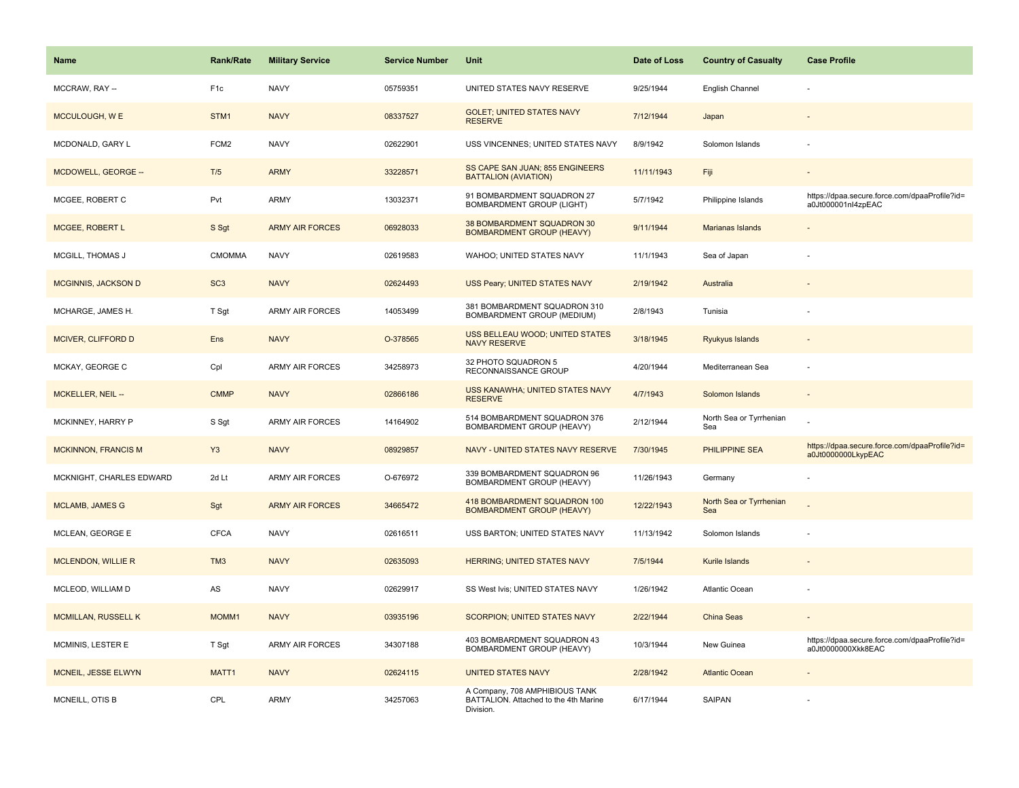| <b>Name</b>                | <b>Rank/Rate</b> | <b>Military Service</b> | <b>Service Number</b> | Unit                                                                                 | Date of Loss | <b>Country of Casualty</b>     | <b>Case Profile</b>                                                 |
|----------------------------|------------------|-------------------------|-----------------------|--------------------------------------------------------------------------------------|--------------|--------------------------------|---------------------------------------------------------------------|
| MCCRAW, RAY --             | F <sub>1c</sub>  | <b>NAVY</b>             | 05759351              | UNITED STATES NAVY RESERVE                                                           | 9/25/1944    | English Channel                |                                                                     |
| MCCULOUGH, W E             | STM1             | <b>NAVY</b>             | 08337527              | <b>GOLET; UNITED STATES NAVY</b><br><b>RESERVE</b>                                   | 7/12/1944    | Japan                          |                                                                     |
| MCDONALD, GARY L           | FCM <sub>2</sub> | <b>NAVY</b>             | 02622901              | USS VINCENNES; UNITED STATES NAVY                                                    | 8/9/1942     | Solomon Islands                |                                                                     |
| MCDOWELL, GEORGE --        | T/5              | <b>ARMY</b>             | 33228571              | SS CAPE SAN JUAN; 855 ENGINEERS<br><b>BATTALION (AVIATION)</b>                       | 11/11/1943   | Fiji                           |                                                                     |
| MCGEE, ROBERT C            | Pvt              | <b>ARMY</b>             | 13032371              | 91 BOMBARDMENT SQUADRON 27<br><b>BOMBARDMENT GROUP (LIGHT)</b>                       | 5/7/1942     | Philippine Islands             | https://dpaa.secure.force.com/dpaaProfile?id=<br>a0Jt000001nl4zpEAC |
| MCGEE, ROBERT L            | S Sgt            | <b>ARMY AIR FORCES</b>  | 06928033              | 38 BOMBARDMENT SQUADRON 30<br><b>BOMBARDMENT GROUP (HEAVY)</b>                       | 9/11/1944    | Marianas Islands               |                                                                     |
| MCGILL, THOMAS J           | <b>CMOMMA</b>    | <b>NAVY</b>             | 02619583              | WAHOO; UNITED STATES NAVY                                                            | 11/1/1943    | Sea of Japan                   |                                                                     |
| <b>MCGINNIS, JACKSON D</b> | SC <sub>3</sub>  | <b>NAVY</b>             | 02624493              | USS Peary; UNITED STATES NAVY                                                        | 2/19/1942    | Australia                      |                                                                     |
| MCHARGE, JAMES H.          | T Sgt            | <b>ARMY AIR FORCES</b>  | 14053499              | 381 BOMBARDMENT SQUADRON 310<br>BOMBARDMENT GROUP (MEDIUM)                           | 2/8/1943     | Tunisia                        |                                                                     |
| MCIVER, CLIFFORD D         | Ens              | <b>NAVY</b>             | O-378565              | USS BELLEAU WOOD; UNITED STATES<br><b>NAVY RESERVE</b>                               | 3/18/1945    | Ryukyus Islands                |                                                                     |
| MCKAY, GEORGE C            | Cpl              | <b>ARMY AIR FORCES</b>  | 34258973              | 32 PHOTO SQUADRON 5<br>RECONNAISSANCE GROUP                                          | 4/20/1944    | Mediterranean Sea              | ÷,                                                                  |
| MCKELLER, NEIL --          | <b>CMMP</b>      | <b>NAVY</b>             | 02866186              | USS KANAWHA; UNITED STATES NAVY<br><b>RESERVE</b>                                    | 4/7/1943     | Solomon Islands                |                                                                     |
| MCKINNEY, HARRY P          | S Sgt            | <b>ARMY AIR FORCES</b>  | 14164902              | 514 BOMBARDMENT SQUADRON 376<br><b>BOMBARDMENT GROUP (HEAVY)</b>                     | 2/12/1944    | North Sea or Tyrrhenian<br>Sea |                                                                     |
| <b>MCKINNON, FRANCIS M</b> | Y <sub>3</sub>   | <b>NAVY</b>             | 08929857              | NAVY - UNITED STATES NAVY RESERVE                                                    | 7/30/1945    | PHILIPPINE SEA                 | https://dpaa.secure.force.com/dpaaProfile?id=<br>a0Jt0000000LkypEAC |
| MCKNIGHT, CHARLES EDWARD   | 2d Lt            | <b>ARMY AIR FORCES</b>  | O-676972              | 339 BOMBARDMENT SQUADRON 96<br>BOMBARDMENT GROUP (HEAVY)                             | 11/26/1943   | Germany                        |                                                                     |
| <b>MCLAMB, JAMES G</b>     | Sgt              | <b>ARMY AIR FORCES</b>  | 34665472              | 418 BOMBARDMENT SQUADRON 100<br><b>BOMBARDMENT GROUP (HEAVY)</b>                     | 12/22/1943   | North Sea or Tyrrhenian<br>Sea |                                                                     |
| MCLEAN, GEORGE E           | <b>CFCA</b>      | <b>NAVY</b>             | 02616511              | USS BARTON; UNITED STATES NAVY                                                       | 11/13/1942   | Solomon Islands                |                                                                     |
| <b>MCLENDON, WILLIE R</b>  | TM <sub>3</sub>  | <b>NAVY</b>             | 02635093              | <b>HERRING; UNITED STATES NAVY</b>                                                   | 7/5/1944     | Kurile Islands                 |                                                                     |
| MCLEOD, WILLIAM D          | AS               | <b>NAVY</b>             | 02629917              | SS West Ivis; UNITED STATES NAVY                                                     | 1/26/1942    | Atlantic Ocean                 |                                                                     |
| <b>MCMILLAN, RUSSELL K</b> | MOMM1            | <b>NAVY</b>             | 03935196              | <b>SCORPION; UNITED STATES NAVY</b>                                                  | 2/22/1944    | <b>China Seas</b>              |                                                                     |
| MCMINIS, LESTER E          | T Sgt            | <b>ARMY AIR FORCES</b>  | 34307188              | 403 BOMBARDMENT SQUADRON 43<br>BOMBARDMENT GROUP (HEAVY)                             | 10/3/1944    | New Guinea                     | https://dpaa.secure.force.com/dpaaProfile?id=<br>a0Jt0000000Xkk8EAC |
| MCNEIL, JESSE ELWYN        | MATT1            | <b>NAVY</b>             | 02624115              | <b>UNITED STATES NAVY</b>                                                            | 2/28/1942    | <b>Atlantic Ocean</b>          |                                                                     |
| MCNEILL, OTIS B            | CPL              | <b>ARMY</b>             | 34257063              | A Company, 708 AMPHIBIOUS TANK<br>BATTALION. Attached to the 4th Marine<br>Division. | 6/17/1944    | SAIPAN                         |                                                                     |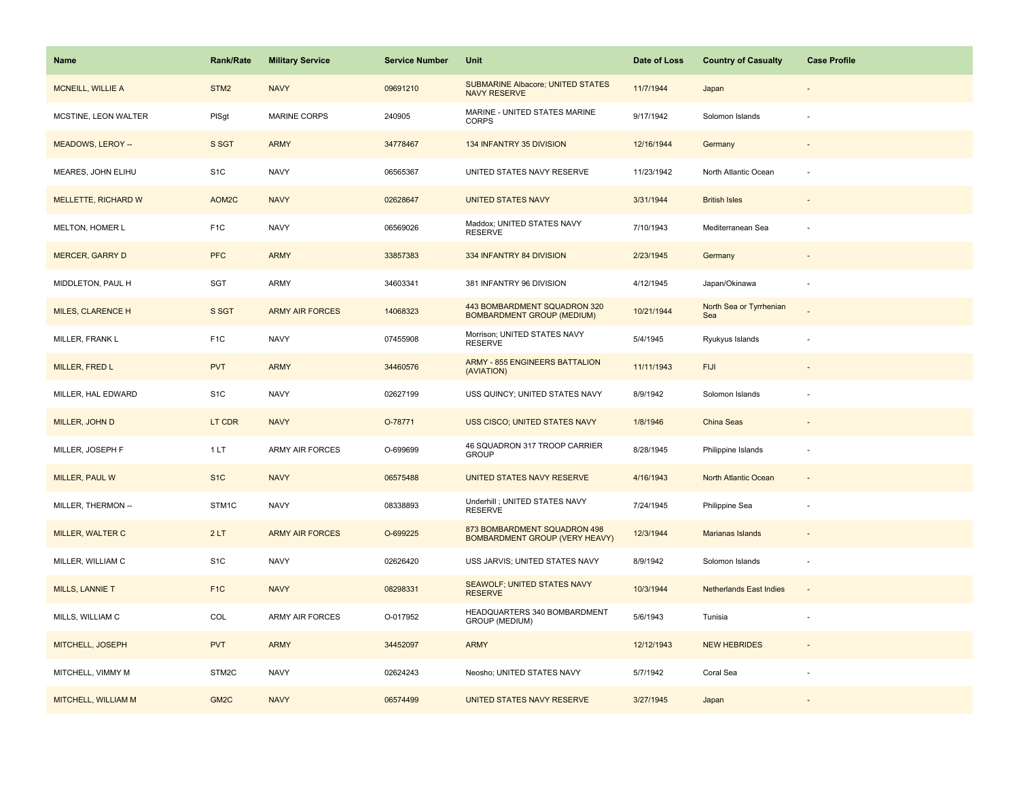| Name                       | <b>Rank/Rate</b> | <b>Military Service</b> | <b>Service Number</b> | Unit                                                              | Date of Loss | <b>Country of Casualty</b>     | <b>Case Profile</b>      |
|----------------------------|------------------|-------------------------|-----------------------|-------------------------------------------------------------------|--------------|--------------------------------|--------------------------|
| <b>MCNEILL, WILLIE A</b>   | STM <sub>2</sub> | <b>NAVY</b>             | 09691210              | <b>SUBMARINE Albacore; UNITED STATES</b><br><b>NAVY RESERVE</b>   | 11/7/1944    | Japan                          |                          |
| MCSTINE, LEON WALTER       | PISgt            | <b>MARINE CORPS</b>     | 240905                | MARINE - UNITED STATES MARINE<br>CORPS                            | 9/17/1942    | Solomon Islands                |                          |
| MEADOWS, LEROY --          | S SGT            | <b>ARMY</b>             | 34778467              | 134 INFANTRY 35 DIVISION                                          | 12/16/1944   | Germany                        |                          |
| MEARES, JOHN ELIHU         | S <sub>1C</sub>  | <b>NAVY</b>             | 06565367              | UNITED STATES NAVY RESERVE                                        | 11/23/1942   | North Atlantic Ocean           |                          |
| <b>MELLETTE, RICHARD W</b> | AOM2C            | <b>NAVY</b>             | 02628647              | <b>UNITED STATES NAVY</b>                                         | 3/31/1944    | <b>British Isles</b>           |                          |
| MELTON, HOMER L            | F <sub>1</sub> C | <b>NAVY</b>             | 06569026              | Maddox; UNITED STATES NAVY<br><b>RESERVE</b>                      | 7/10/1943    | Mediterranean Sea              |                          |
| <b>MERCER, GARRY D</b>     | <b>PFC</b>       | <b>ARMY</b>             | 33857383              | 334 INFANTRY 84 DIVISION                                          | 2/23/1945    | Germany                        | $\overline{\phantom{a}}$ |
| MIDDLETON, PAUL H          | SGT              | <b>ARMY</b>             | 34603341              | 381 INFANTRY 96 DIVISION                                          | 4/12/1945    | Japan/Okinawa                  | $\sim$                   |
| <b>MILES, CLARENCE H</b>   | S SGT            | <b>ARMY AIR FORCES</b>  | 14068323              | 443 BOMBARDMENT SQUADRON 320<br><b>BOMBARDMENT GROUP (MEDIUM)</b> | 10/21/1944   | North Sea or Tyrrhenian<br>Sea |                          |
| MILLER, FRANK L            | F <sub>1</sub> C | <b>NAVY</b>             | 07455908              | Morrison; UNITED STATES NAVY<br><b>RESERVE</b>                    | 5/4/1945     | Ryukyus Islands                |                          |
| MILLER, FRED L             | <b>PVT</b>       | <b>ARMY</b>             | 34460576              | <b>ARMY - 855 ENGINEERS BATTALION</b><br>(AVIATION)               | 11/11/1943   | <b>FIJI</b>                    |                          |
| MILLER, HAL EDWARD         | S <sub>1</sub> C | <b>NAVY</b>             | 02627199              | USS QUINCY; UNITED STATES NAVY                                    | 8/9/1942     | Solomon Islands                |                          |
| MILLER, JOHN D             | LT CDR           | <b>NAVY</b>             | O-78771               | <b>USS CISCO; UNITED STATES NAVY</b>                              | 1/8/1946     | China Seas                     |                          |
| MILLER, JOSEPH F           | 1LT              | <b>ARMY AIR FORCES</b>  | O-699699              | 46 SQUADRON 317 TROOP CARRIER<br><b>GROUP</b>                     | 8/28/1945    | Philippine Islands             |                          |
| <b>MILLER, PAUL W</b>      | S <sub>1C</sub>  | <b>NAVY</b>             | 06575488              | UNITED STATES NAVY RESERVE                                        | 4/16/1943    | North Atlantic Ocean           |                          |
| MILLER, THERMON --         | STM1C            | <b>NAVY</b>             | 08338893              | Underhill ; UNITED STATES NAVY<br><b>RESERVE</b>                  | 7/24/1945    | Philippine Sea                 |                          |
| MILLER, WALTER C           | 2LT              | <b>ARMY AIR FORCES</b>  | O-699225              | 873 BOMBARDMENT SQUADRON 498<br>BOMBARDMENT GROUP (VERY HEAVY)    | 12/3/1944    | Marianas Islands               |                          |
| MILLER, WILLIAM C          | S <sub>1</sub> C | <b>NAVY</b>             | 02626420              | USS JARVIS; UNITED STATES NAVY                                    | 8/9/1942     | Solomon Islands                |                          |
| MILLS, LANNIE T            | F <sub>1</sub> C | <b>NAVY</b>             | 08298331              | SEAWOLF; UNITED STATES NAVY<br><b>RESERVE</b>                     | 10/3/1944    | <b>Netherlands East Indies</b> |                          |
| MILLS, WILLIAM C           | COL              | <b>ARMY AIR FORCES</b>  | O-017952              | HEADQUARTERS 340 BOMBARDMENT<br>GROUP (MEDIUM)                    | 5/6/1943     | Tunisia                        |                          |
| MITCHELL, JOSEPH           | <b>PVT</b>       | <b>ARMY</b>             | 34452097              | <b>ARMY</b>                                                       | 12/12/1943   | <b>NEW HEBRIDES</b>            |                          |
| MITCHELL, VIMMY M          | STM2C            | <b>NAVY</b>             | 02624243              | Neosho; UNITED STATES NAVY                                        | 5/7/1942     | Coral Sea                      |                          |
| MITCHELL, WILLIAM M        | GM <sub>2C</sub> | <b>NAVY</b>             | 06574499              | <b>UNITED STATES NAVY RESERVE</b>                                 | 3/27/1945    | Japan                          |                          |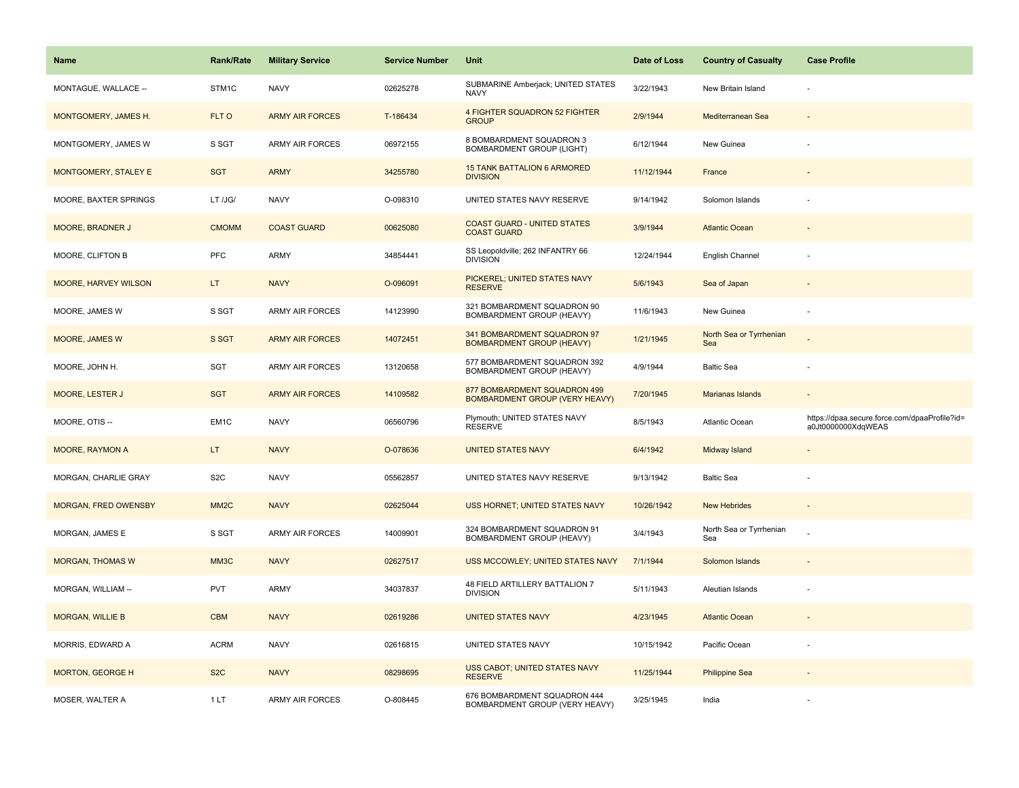| <b>Name</b>             | <b>Rank/Rate</b>  | <b>Military Service</b> | <b>Service Number</b> | Unit                                                            | Date of Loss | <b>Country of Casualty</b>     | <b>Case Profile</b>                                                 |
|-------------------------|-------------------|-------------------------|-----------------------|-----------------------------------------------------------------|--------------|--------------------------------|---------------------------------------------------------------------|
| MONTAGUE, WALLACE --    | STM1C             | <b>NAVY</b>             | 02625278              | SUBMARINE Amberjack; UNITED STATES<br><b>NAVY</b>               | 3/22/1943    | New Britain Island             |                                                                     |
| MONTGOMERY, JAMES H.    | FLT O             | <b>ARMY AIR FORCES</b>  | T-186434              | <b>4 FIGHTER SQUADRON 52 FIGHTER</b><br><b>GROUP</b>            | 2/9/1944     | Mediterranean Sea              |                                                                     |
| MONTGOMERY, JAMES W     | S SGT             | ARMY AIR FORCES         | 06972155              | 8 BOMBARDMENT SQUADRON 3<br><b>BOMBARDMENT GROUP (LIGHT)</b>    | 6/12/1944    | New Guinea                     |                                                                     |
| MONTGOMERY, STALEY E    | <b>SGT</b>        | <b>ARMY</b>             | 34255780              | <b>15 TANK BATTALION 6 ARMORED</b><br><b>DIVISION</b>           | 11/12/1944   | France                         |                                                                     |
| MOORE, BAXTER SPRINGS   | LT /JG/           | <b>NAVY</b>             | O-098310              | UNITED STATES NAVY RESERVE                                      | 9/14/1942    | Solomon Islands                |                                                                     |
| MOORE, BRADNER J        | <b>CMOMM</b>      | <b>COAST GUARD</b>      | 00625080              | <b>COAST GUARD - UNITED STATES</b><br><b>COAST GUARD</b>        | 3/9/1944     | <b>Atlantic Ocean</b>          |                                                                     |
| MOORE, CLIFTON B        | PFC               | <b>ARMY</b>             | 34854441              | SS Leopoldville; 262 INFANTRY 66<br><b>DIVISION</b>             | 12/24/1944   | English Channel                |                                                                     |
| MOORE, HARVEY WILSON    | LT.               | <b>NAVY</b>             | O-096091              | PICKEREL; UNITED STATES NAVY<br><b>RESERVE</b>                  | 5/6/1943     | Sea of Japan                   |                                                                     |
| MOORE, JAMES W          | S SGT             | ARMY AIR FORCES         | 14123990              | 321 BOMBARDMENT SQUADRON 90<br>BOMBARDMENT GROUP (HEAVY)        | 11/6/1943    | New Guinea                     |                                                                     |
| <b>MOORE, JAMES W</b>   | S SGT             | <b>ARMY AIR FORCES</b>  | 14072451              | 341 BOMBARDMENT SQUADRON 97<br><b>BOMBARDMENT GROUP (HEAVY)</b> | 1/21/1945    | North Sea or Tyrrhenian<br>Sea |                                                                     |
| MOORE, JOHN H.          | <b>SGT</b>        | ARMY AIR FORCES         | 13120658              | 577 BOMBARDMENT SQUADRON 392<br>BOMBARDMENT GROUP (HEAVY)       | 4/9/1944     | <b>Baltic Sea</b>              |                                                                     |
| <b>MOORE, LESTER J</b>  | <b>SGT</b>        | <b>ARMY AIR FORCES</b>  | 14109582              | 877 BOMBARDMENT SQUADRON 499<br>BOMBARDMENT GROUP (VERY HEAVY)  | 7/20/1945    | Marianas Islands               |                                                                     |
| MOORE, OTIS --          | EM <sub>1</sub> C | <b>NAVY</b>             | 06560796              | Plymouth; UNITED STATES NAVY<br><b>RESERVE</b>                  | 8/5/1943     | Atlantic Ocean                 | https://dpaa.secure.force.com/dpaaProfile?id=<br>a0Jt0000000XdqWEAS |
| <b>MOORE, RAYMON A</b>  | LT.               | <b>NAVY</b>             | O-078636              | <b>UNITED STATES NAVY</b>                                       | 6/4/1942     | Midway Island                  |                                                                     |
| MORGAN, CHARLIE GRAY    | S <sub>2</sub> C  | <b>NAVY</b>             | 05562857              | UNITED STATES NAVY RESERVE                                      | 9/13/1942    | <b>Baltic Sea</b>              |                                                                     |
| MORGAN, FRED OWENSBY    | MM <sub>2</sub> C | <b>NAVY</b>             | 02625044              | USS HORNET; UNITED STATES NAVY                                  | 10/26/1942   | <b>New Hebrides</b>            |                                                                     |
| MORGAN, JAMES E         | S SGT             | <b>ARMY AIR FORCES</b>  | 14009901              | 324 BOMBARDMENT SQUADRON 91<br>BOMBARDMENT GROUP (HEAVY)        | 3/4/1943     | North Sea or Tyrrhenian<br>Sea |                                                                     |
| <b>MORGAN, THOMAS W</b> | MM3C              | <b>NAVY</b>             | 02627517              | USS MCCOWLEY; UNITED STATES NAVY                                | 7/1/1944     | Solomon Islands                |                                                                     |
| MORGAN, WILLIAM --      | <b>PVT</b>        | <b>ARMY</b>             | 34037837              | 48 FIELD ARTILLERY BATTALION 7<br><b>DIVISION</b>               | 5/11/1943    | Aleutian Islands               |                                                                     |
| <b>MORGAN, WILLIE B</b> | <b>CBM</b>        | <b>NAVY</b>             | 02619286              | <b>UNITED STATES NAVY</b>                                       | 4/23/1945    | <b>Atlantic Ocean</b>          |                                                                     |
| MORRIS, EDWARD A        | <b>ACRM</b>       | <b>NAVY</b>             | 02616815              | UNITED STATES NAVY                                              | 10/15/1942   | Pacific Ocean                  |                                                                     |
| MORTON, GEORGE H        | S <sub>2</sub> C  | <b>NAVY</b>             | 08298695              | <b>USS CABOT; UNITED STATES NAVY</b><br><b>RESERVE</b>          | 11/25/1944   | <b>Philippine Sea</b>          |                                                                     |
| MOSER, WALTER A         | 1LT               | ARMY AIR FORCES         | O-808445              | 676 BOMBARDMENT SQUADRON 444<br>BOMBARDMENT GROUP (VERY HEAVY)  | 3/25/1945    | India                          |                                                                     |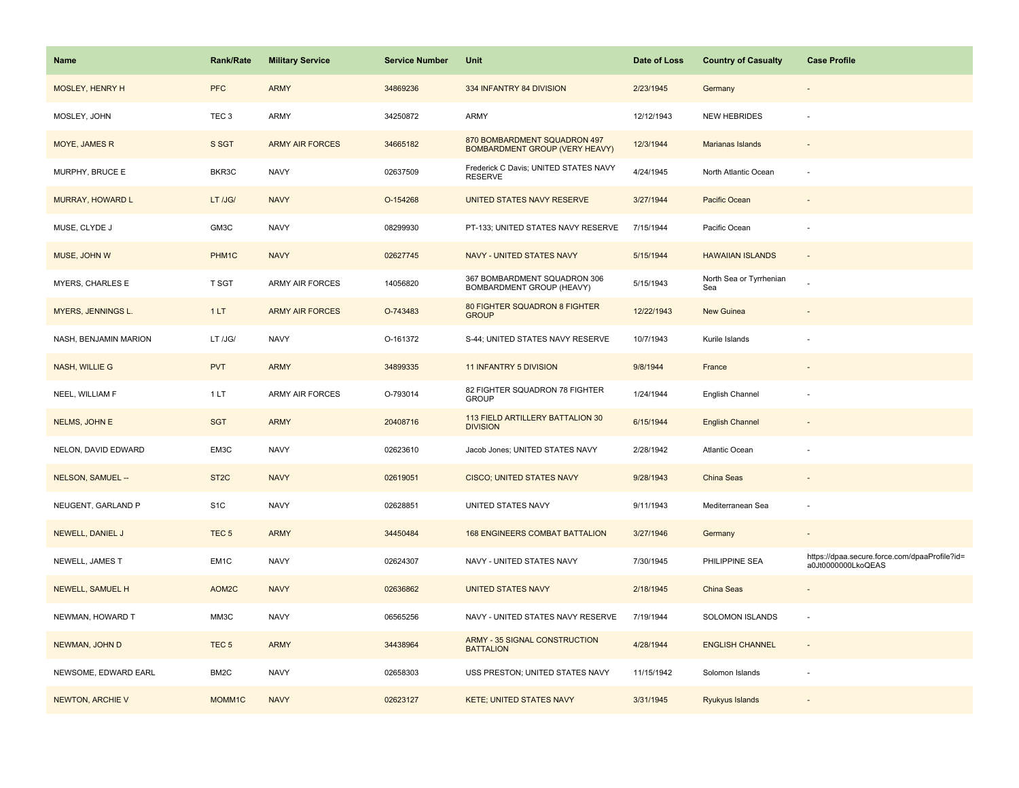| Name                     | Rank/Rate         | <b>Military Service</b> | <b>Service Number</b> | Unit                                                                  | Date of Loss | <b>Country of Casualty</b>     | <b>Case Profile</b>                                                 |
|--------------------------|-------------------|-------------------------|-----------------------|-----------------------------------------------------------------------|--------------|--------------------------------|---------------------------------------------------------------------|
| MOSLEY, HENRY H          | <b>PFC</b>        | <b>ARMY</b>             | 34869236              | 334 INFANTRY 84 DIVISION                                              | 2/23/1945    | Germany                        |                                                                     |
| MOSLEY, JOHN             | TEC <sub>3</sub>  | ARMY                    | 34250872              | ARMY                                                                  | 12/12/1943   | <b>NEW HEBRIDES</b>            |                                                                     |
| MOYE, JAMES R            | S SGT             | <b>ARMY AIR FORCES</b>  | 34665182              | 870 BOMBARDMENT SQUADRON 497<br><b>BOMBARDMENT GROUP (VERY HEAVY)</b> | 12/3/1944    | Marianas Islands               |                                                                     |
| MURPHY, BRUCE E          | BKR3C             | <b>NAVY</b>             | 02637509              | Frederick C Davis; UNITED STATES NAVY<br><b>RESERVE</b>               | 4/24/1945    | North Atlantic Ocean           |                                                                     |
| <b>MURRAY, HOWARD L</b>  | LT /JG/           | <b>NAVY</b>             | O-154268              | UNITED STATES NAVY RESERVE                                            | 3/27/1944    | Pacific Ocean                  |                                                                     |
| MUSE, CLYDE J            | GM3C              | <b>NAVY</b>             | 08299930              | PT-133; UNITED STATES NAVY RESERVE                                    | 7/15/1944    | Pacific Ocean                  |                                                                     |
| MUSE, JOHN W             | PHM1C             | <b>NAVY</b>             | 02627745              | NAVY - UNITED STATES NAVY                                             | 5/15/1944    | <b>HAWAIIAN ISLANDS</b>        | $\sim$                                                              |
| MYERS, CHARLES E         | T SGT             | <b>ARMY AIR FORCES</b>  | 14056820              | 367 BOMBARDMENT SQUADRON 306<br>BOMBARDMENT GROUP (HEAVY)             | 5/15/1943    | North Sea or Tyrrhenian<br>Sea |                                                                     |
| MYERS, JENNINGS L.       | 1LT               | <b>ARMY AIR FORCES</b>  | O-743483              | 80 FIGHTER SQUADRON 8 FIGHTER<br><b>GROUP</b>                         | 12/22/1943   | New Guinea                     |                                                                     |
| NASH, BENJAMIN MARION    | LT /JG/           | <b>NAVY</b>             | O-161372              | S-44; UNITED STATES NAVY RESERVE                                      | 10/7/1943    | Kurile Islands                 |                                                                     |
| <b>NASH, WILLIE G</b>    | <b>PVT</b>        | <b>ARMY</b>             | 34899335              | <b>11 INFANTRY 5 DIVISION</b>                                         | 9/8/1944     | France                         |                                                                     |
| NEEL, WILLIAM F          | 1 LT              | ARMY AIR FORCES         | O-793014              | 82 FIGHTER SQUADRON 78 FIGHTER<br><b>GROUP</b>                        | 1/24/1944    | English Channel                |                                                                     |
| NELMS, JOHN E            | <b>SGT</b>        | <b>ARMY</b>             | 20408716              | 113 FIELD ARTILLERY BATTALION 30<br><b>DIVISION</b>                   | 6/15/1944    | <b>English Channel</b>         |                                                                     |
| NELON, DAVID EDWARD      | EM3C              | <b>NAVY</b>             | 02623610              | Jacob Jones; UNITED STATES NAVY                                       | 2/28/1942    | Atlantic Ocean                 |                                                                     |
| <b>NELSON, SAMUEL --</b> | ST <sub>2</sub> C | <b>NAVY</b>             | 02619051              | <b>CISCO; UNITED STATES NAVY</b>                                      | 9/28/1943    | China Seas                     |                                                                     |
| NEUGENT, GARLAND P       | S <sub>1</sub> C  | <b>NAVY</b>             | 02628851              | UNITED STATES NAVY                                                    | 9/11/1943    | Mediterranean Sea              |                                                                     |
| NEWELL, DANIEL J         | TEC <sub>5</sub>  | <b>ARMY</b>             | 34450484              | <b>168 ENGINEERS COMBAT BATTALION</b>                                 | 3/27/1946    | Germany                        |                                                                     |
| NEWELL, JAMES T          | EM <sub>1C</sub>  | <b>NAVY</b>             | 02624307              | NAVY - UNITED STATES NAVY                                             | 7/30/1945    | PHILIPPINE SEA                 | https://dpaa.secure.force.com/dpaaProfile?id=<br>a0Jt0000000LkoQEAS |
| NEWELL, SAMUEL H         | AOM2C             | <b>NAVY</b>             | 02636862              | <b>UNITED STATES NAVY</b>                                             | 2/18/1945    | China Seas                     |                                                                     |
| NEWMAN, HOWARD T         | MM3C              | <b>NAVY</b>             | 06565256              | NAVY - UNITED STATES NAVY RESERVE                                     | 7/19/1944    | SOLOMON ISLANDS                |                                                                     |
| NEWMAN, JOHN D           | TEC <sub>5</sub>  | <b>ARMY</b>             | 34438964              | <b>ARMY - 35 SIGNAL CONSTRUCTION</b><br><b>BATTALION</b>              | 4/28/1944    | <b>ENGLISH CHANNEL</b>         | $\sim$                                                              |
| NEWSOME, EDWARD EARL     | BM <sub>2</sub> C | <b>NAVY</b>             | 02658303              | USS PRESTON; UNITED STATES NAVY                                       | 11/15/1942   | Solomon Islands                |                                                                     |
| <b>NEWTON, ARCHIE V</b>  | MOMM1C            | <b>NAVY</b>             | 02623127              | <b>KETE; UNITED STATES NAVY</b>                                       | 3/31/1945    | Ryukyus Islands                |                                                                     |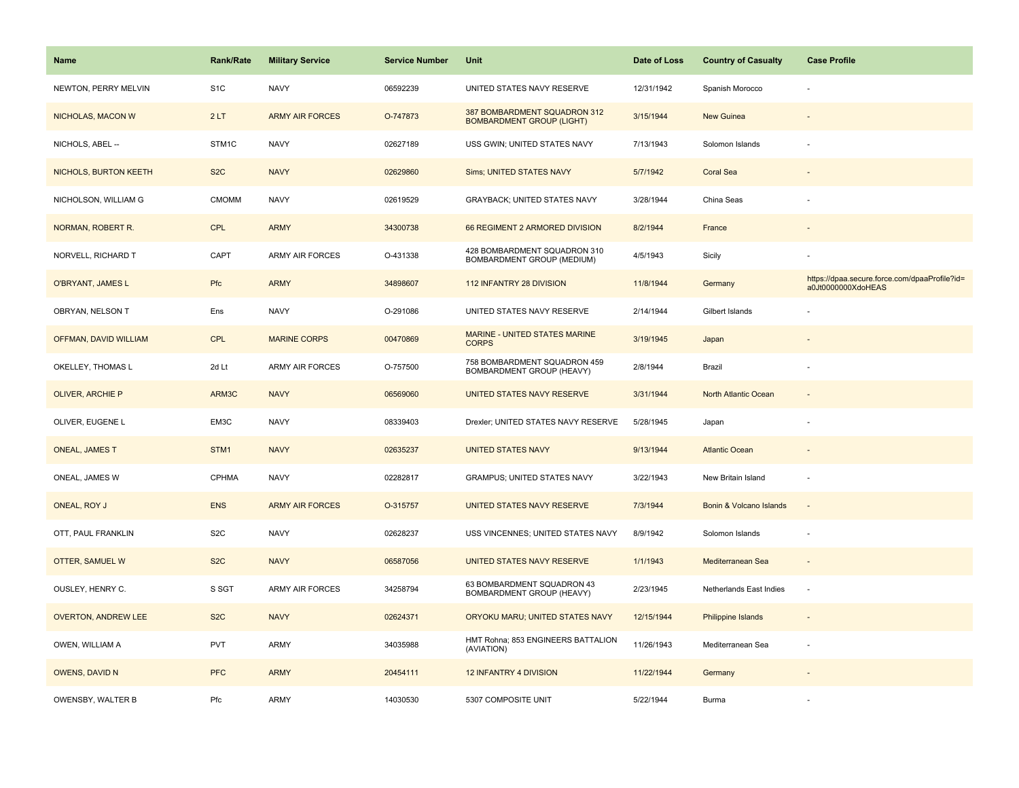| <b>Name</b>                | <b>Rank/Rate</b>  | <b>Military Service</b> | <b>Service Number</b> | Unit                                                             | Date of Loss | <b>Country of Casualty</b> | <b>Case Profile</b>                                                 |
|----------------------------|-------------------|-------------------------|-----------------------|------------------------------------------------------------------|--------------|----------------------------|---------------------------------------------------------------------|
| NEWTON, PERRY MELVIN       | S <sub>1</sub> C  | <b>NAVY</b>             | 06592239              | UNITED STATES NAVY RESERVE                                       | 12/31/1942   | Spanish Morocco            |                                                                     |
| NICHOLAS, MACON W          | 2LT               | <b>ARMY AIR FORCES</b>  | O-747873              | 387 BOMBARDMENT SQUADRON 312<br><b>BOMBARDMENT GROUP (LIGHT)</b> | 3/15/1944    | <b>New Guinea</b>          |                                                                     |
| NICHOLS, ABEL --           | STM <sub>1C</sub> | <b>NAVY</b>             | 02627189              | USS GWIN; UNITED STATES NAVY                                     | 7/13/1943    | Solomon Islands            |                                                                     |
| NICHOLS, BURTON KEETH      | S <sub>2</sub> C  | <b>NAVY</b>             | 02629860              | Sims; UNITED STATES NAVY                                         | 5/7/1942     | <b>Coral Sea</b>           |                                                                     |
| NICHOLSON, WILLIAM G       | <b>CMOMM</b>      | <b>NAVY</b>             | 02619529              | <b>GRAYBACK: UNITED STATES NAVY</b>                              | 3/28/1944    | China Seas                 |                                                                     |
| NORMAN, ROBERT R.          | CPL               | <b>ARMY</b>             | 34300738              | 66 REGIMENT 2 ARMORED DIVISION                                   | 8/2/1944     | France                     |                                                                     |
| NORVELL, RICHARD T         | CAPT              | <b>ARMY AIR FORCES</b>  | O-431338              | 428 BOMBARDMENT SQUADRON 310<br>BOMBARDMENT GROUP (MEDIUM)       | 4/5/1943     | Sicily                     |                                                                     |
| O'BRYANT, JAMES L          | Pfc               | <b>ARMY</b>             | 34898607              | 112 INFANTRY 28 DIVISION                                         | 11/8/1944    | Germany                    | https://dpaa.secure.force.com/dpaaProfile?id=<br>a0Jt0000000XdoHEAS |
| OBRYAN, NELSON T           | Ens               | <b>NAVY</b>             | O-291086              | UNITED STATES NAVY RESERVE                                       | 2/14/1944    | Gilbert Islands            |                                                                     |
| OFFMAN, DAVID WILLIAM      | <b>CPL</b>        | <b>MARINE CORPS</b>     | 00470869              | MARINE - UNITED STATES MARINE<br><b>CORPS</b>                    | 3/19/1945    | Japan                      |                                                                     |
| OKELLEY, THOMAS L          | 2d Lt             | <b>ARMY AIR FORCES</b>  | O-757500              | 758 BOMBARDMENT SQUADRON 459<br>BOMBARDMENT GROUP (HEAVY)        | 2/8/1944     | Brazil                     |                                                                     |
| <b>OLIVER, ARCHIE P</b>    | ARM3C             | <b>NAVY</b>             | 06569060              | UNITED STATES NAVY RESERVE                                       | 3/31/1944    | North Atlantic Ocean       | $\overline{\phantom{a}}$                                            |
| OLIVER, EUGENE L           | EM3C              | <b>NAVY</b>             | 08339403              | Drexler; UNITED STATES NAVY RESERVE                              | 5/28/1945    | Japan                      |                                                                     |
| <b>ONEAL, JAMES T</b>      | STM1              | <b>NAVY</b>             | 02635237              | <b>UNITED STATES NAVY</b>                                        | 9/13/1944    | <b>Atlantic Ocean</b>      |                                                                     |
| ONEAL, JAMES W             | CPHMA             | <b>NAVY</b>             | 02282817              | <b>GRAMPUS; UNITED STATES NAVY</b>                               | 3/22/1943    | New Britain Island         | $\sim$                                                              |
| ONEAL, ROY J               | <b>ENS</b>        | <b>ARMY AIR FORCES</b>  | O-315757              | <b>UNITED STATES NAVY RESERVE</b>                                | 7/3/1944     | Bonin & Volcano Islands    |                                                                     |
| OTT, PAUL FRANKLIN         | S <sub>2</sub> C  | <b>NAVY</b>             | 02628237              | USS VINCENNES; UNITED STATES NAVY                                | 8/9/1942     | Solomon Islands            |                                                                     |
| OTTER, SAMUEL W            | S <sub>2</sub> C  | <b>NAVY</b>             | 06587056              | UNITED STATES NAVY RESERVE                                       | 1/1/1943     | Mediterranean Sea          | $\sim$                                                              |
| OUSLEY, HENRY C.           | S SGT             | <b>ARMY AIR FORCES</b>  | 34258794              | 63 BOMBARDMENT SQUADRON 43<br>BOMBARDMENT GROUP (HEAVY)          | 2/23/1945    | Netherlands East Indies    | $\sim$                                                              |
| <b>OVERTON, ANDREW LEE</b> | S <sub>2</sub> C  | <b>NAVY</b>             | 02624371              | ORYOKU MARU; UNITED STATES NAVY                                  | 12/15/1944   | Philippine Islands         | $\overline{a}$                                                      |
| OWEN, WILLIAM A            | <b>PVT</b>        | ARMY                    | 34035988              | HMT Rohna; 853 ENGINEERS BATTALION<br>(AVIATION)                 | 11/26/1943   | Mediterranean Sea          |                                                                     |
| <b>OWENS, DAVID N</b>      | <b>PFC</b>        | <b>ARMY</b>             | 20454111              | 12 INFANTRY 4 DIVISION                                           | 11/22/1944   | Germany                    |                                                                     |
| OWENSBY, WALTER B          | Pfc               | ARMY                    | 14030530              | 5307 COMPOSITE UNIT                                              | 5/22/1944    | <b>Burma</b>               |                                                                     |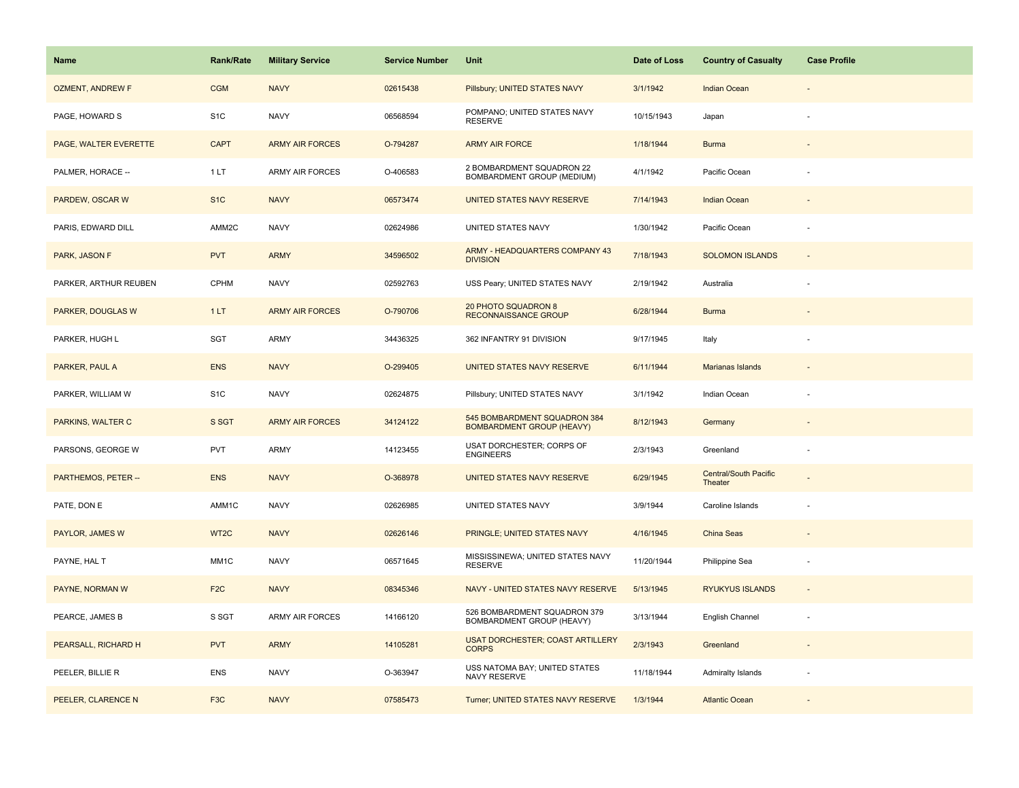| <b>Name</b>              | <b>Rank/Rate</b>  | <b>Military Service</b> | <b>Service Number</b> | Unit                                                             | Date of Loss | <b>Country of Casualty</b>              | <b>Case Profile</b>      |
|--------------------------|-------------------|-------------------------|-----------------------|------------------------------------------------------------------|--------------|-----------------------------------------|--------------------------|
| <b>OZMENT, ANDREW F</b>  | <b>CGM</b>        | <b>NAVY</b>             | 02615438              | Pillsbury; UNITED STATES NAVY                                    | 3/1/1942     | <b>Indian Ocean</b>                     |                          |
| PAGE, HOWARD S           | S <sub>1</sub> C  | <b>NAVY</b>             | 06568594              | POMPANO; UNITED STATES NAVY<br><b>RESERVE</b>                    | 10/15/1943   | Japan                                   |                          |
| PAGE, WALTER EVERETTE    | <b>CAPT</b>       | <b>ARMY AIR FORCES</b>  | O-794287              | <b>ARMY AIR FORCE</b>                                            | 1/18/1944    | <b>Burma</b>                            |                          |
| PALMER, HORACE --        | 1 LT              | <b>ARMY AIR FORCES</b>  | O-406583              | 2 BOMBARDMENT SQUADRON 22<br>BOMBARDMENT GROUP (MEDIUM)          | 4/1/1942     | Pacific Ocean                           |                          |
| PARDEW, OSCAR W          | S <sub>1</sub> C  | <b>NAVY</b>             | 06573474              | UNITED STATES NAVY RESERVE                                       | 7/14/1943    | <b>Indian Ocean</b>                     |                          |
| PARIS, EDWARD DILL       | AMM2C             | <b>NAVY</b>             | 02624986              | UNITED STATES NAVY                                               | 1/30/1942    | Pacific Ocean                           |                          |
| PARK, JASON F            | <b>PVT</b>        | <b>ARMY</b>             | 34596502              | ARMY - HEADQUARTERS COMPANY 43<br><b>DIVISION</b>                | 7/18/1943    | <b>SOLOMON ISLANDS</b>                  | $\bar{z}$                |
| PARKER, ARTHUR REUBEN    | CPHM              | <b>NAVY</b>             | 02592763              | USS Peary; UNITED STATES NAVY                                    | 2/19/1942    | Australia                               | ÷,                       |
| <b>PARKER, DOUGLAS W</b> | 1LT               | <b>ARMY AIR FORCES</b>  | O-790706              | 20 PHOTO SQUADRON 8<br><b>RECONNAISSANCE GROUP</b>               | 6/28/1944    | <b>Burma</b>                            |                          |
| PARKER, HUGH L           | SGT               | ARMY                    | 34436325              | 362 INFANTRY 91 DIVISION                                         | 9/17/1945    | Italy                                   |                          |
| PARKER, PAUL A           | <b>ENS</b>        | <b>NAVY</b>             | O-299405              | UNITED STATES NAVY RESERVE                                       | 6/11/1944    | Marianas Islands                        |                          |
| PARKER, WILLIAM W        | S <sub>1</sub> C  | <b>NAVY</b>             | 02624875              | Pillsbury; UNITED STATES NAVY                                    | 3/1/1942     | Indian Ocean                            |                          |
| PARKINS, WALTER C        | S SGT             | <b>ARMY AIR FORCES</b>  | 34124122              | 545 BOMBARDMENT SQUADRON 384<br><b>BOMBARDMENT GROUP (HEAVY)</b> | 8/12/1943    | Germany                                 |                          |
| PARSONS, GEORGE W        | PVT               | ARMY                    | 14123455              | USAT DORCHESTER; CORPS OF<br><b>ENGINEERS</b>                    | 2/3/1943     | Greenland                               | ÷                        |
| PARTHEMOS, PETER --      | <b>ENS</b>        | <b>NAVY</b>             | O-368978              | UNITED STATES NAVY RESERVE                                       | 6/29/1945    | <b>Central/South Pacific</b><br>Theater |                          |
| PATE, DON E              | AMM1C             | <b>NAVY</b>             | 02626985              | UNITED STATES NAVY                                               | 3/9/1944     | Caroline Islands                        |                          |
| PAYLOR, JAMES W          | WT <sub>2</sub> C | <b>NAVY</b>             | 02626146              | PRINGLE; UNITED STATES NAVY                                      | 4/16/1945    | China Seas                              |                          |
| PAYNE, HAL T             | MM1C              | <b>NAVY</b>             | 06571645              | MISSISSINEWA; UNITED STATES NAVY<br><b>RESERVE</b>               | 11/20/1944   | Philippine Sea                          | $\overline{\phantom{a}}$ |
| PAYNE, NORMAN W          | F <sub>2</sub> C  | <b>NAVY</b>             | 08345346              | NAVY - UNITED STATES NAVY RESERVE                                | 5/13/1945    | <b>RYUKYUS ISLANDS</b>                  |                          |
| PEARCE, JAMES B          | S SGT             | <b>ARMY AIR FORCES</b>  | 14166120              | 526 BOMBARDMENT SQUADRON 379<br>BOMBARDMENT GROUP (HEAVY)        | 3/13/1944    | English Channel                         |                          |
| PEARSALL, RICHARD H      | <b>PVT</b>        | <b>ARMY</b>             | 14105281              | <b>USAT DORCHESTER; COAST ARTILLERY</b><br><b>CORPS</b>          | 2/3/1943     | Greenland                               |                          |
| PEELER, BILLIE R         | <b>ENS</b>        | <b>NAVY</b>             | O-363947              | USS NATOMA BAY; UNITED STATES<br>NAVY RESERVE                    | 11/18/1944   | <b>Admiralty Islands</b>                |                          |
| PEELER, CLARENCE N       | F <sub>3</sub> C  | <b>NAVY</b>             | 07585473              | Turner; UNITED STATES NAVY RESERVE                               | 1/3/1944     | <b>Atlantic Ocean</b>                   |                          |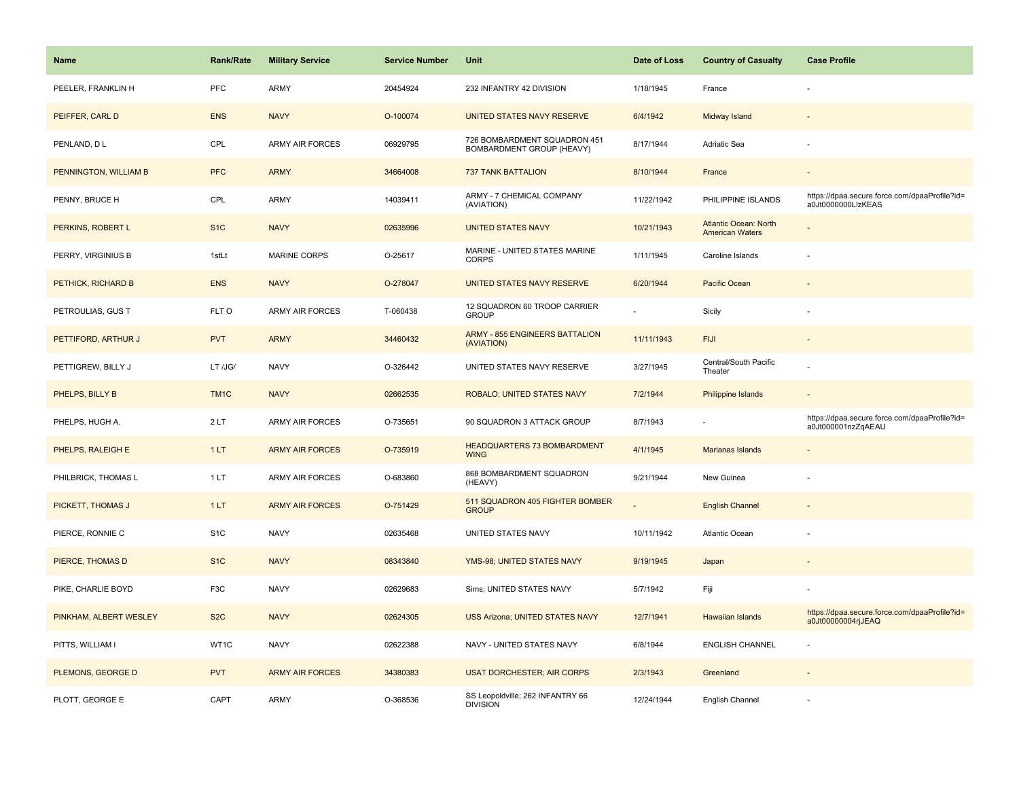| Name                   | <b>Rank/Rate</b> | <b>Military Service</b> | <b>Service Number</b> | Unit                                                      | Date of Loss | <b>Country of Casualty</b>                             | <b>Case Profile</b>                                                 |
|------------------------|------------------|-------------------------|-----------------------|-----------------------------------------------------------|--------------|--------------------------------------------------------|---------------------------------------------------------------------|
| PEELER, FRANKLIN H     | <b>PFC</b>       | <b>ARMY</b>             | 20454924              | 232 INFANTRY 42 DIVISION                                  | 1/18/1945    | France                                                 |                                                                     |
| PEIFFER, CARL D        | <b>ENS</b>       | <b>NAVY</b>             | O-100074              | UNITED STATES NAVY RESERVE                                | 6/4/1942     | Midway Island                                          |                                                                     |
| PENLAND, DL            | CPL              | <b>ARMY AIR FORCES</b>  | 06929795              | 726 BOMBARDMENT SQUADRON 451<br>BOMBARDMENT GROUP (HEAVY) | 8/17/1944    | Adriatic Sea                                           |                                                                     |
| PENNINGTON, WILLIAM B  | <b>PFC</b>       | <b>ARMY</b>             | 34664008              | <b>737 TANK BATTALION</b>                                 | 8/10/1944    | France                                                 |                                                                     |
| PENNY, BRUCE H         | CPL              | <b>ARMY</b>             | 14039411              | ARMY - 7 CHEMICAL COMPANY<br>(AVIATION)                   | 11/22/1942   | PHILIPPINE ISLANDS                                     | https://dpaa.secure.force.com/dpaaProfile?id=<br>a0Jt0000000LlzKEAS |
| PERKINS, ROBERT L      | S <sub>1</sub> C | <b>NAVY</b>             | 02635996              | <b>UNITED STATES NAVY</b>                                 | 10/21/1943   | <b>Atlantic Ocean: North</b><br><b>American Waters</b> | $\overline{\phantom{a}}$                                            |
| PERRY, VIRGINIUS B     | 1stLt            | MARINE CORPS            | O-25617               | MARINE - UNITED STATES MARINE<br><b>CORPS</b>             | 1/11/1945    | Caroline Islands                                       |                                                                     |
| PETHICK, RICHARD B     | <b>ENS</b>       | <b>NAVY</b>             | O-278047              | UNITED STATES NAVY RESERVE                                | 6/20/1944    | Pacific Ocean                                          |                                                                     |
| PETROULIAS, GUS T      | FLT O            | <b>ARMY AIR FORCES</b>  | T-060438              | 12 SQUADRON 60 TROOP CARRIER<br><b>GROUP</b>              |              | Sicily                                                 |                                                                     |
| PETTIFORD, ARTHUR J    | <b>PVT</b>       | <b>ARMY</b>             | 34460432              | <b>ARMY - 855 ENGINEERS BATTALION</b><br>(AVIATION)       | 11/11/1943   | <b>FIJI</b>                                            |                                                                     |
| PETTIGREW, BILLY J     | LT /JG/          | <b>NAVY</b>             | O-326442              | UNITED STATES NAVY RESERVE                                | 3/27/1945    | Central/South Pacific<br>Theater                       |                                                                     |
| PHELPS, BILLY B        | TM <sub>1C</sub> | <b>NAVY</b>             | 02662535              | ROBALO; UNITED STATES NAVY                                | 7/2/1944     | <b>Philippine Islands</b>                              |                                                                     |
| PHELPS, HUGH A.        | 2LT              | <b>ARMY AIR FORCES</b>  | O-735651              | 90 SQUADRON 3 ATTACK GROUP                                | 8/7/1943     |                                                        | https://dpaa.secure.force.com/dpaaProfile?id=<br>a0Jt000001nzZqAEAU |
| PHELPS, RALEIGH E      | 1LT              | <b>ARMY AIR FORCES</b>  | O-735919              | <b>HEADQUARTERS 73 BOMBARDMENT</b><br><b>WING</b>         | 4/1/1945     | Marianas Islands                                       |                                                                     |
| PHILBRICK, THOMAS L    | 1LT              | <b>ARMY AIR FORCES</b>  | O-683860              | 868 BOMBARDMENT SQUADRON<br>(HEAVY)                       | 9/21/1944    | New Guinea                                             |                                                                     |
| PICKETT, THOMAS J      | 1LT              | <b>ARMY AIR FORCES</b>  | O-751429              | 511 SQUADRON 405 FIGHTER BOMBER<br><b>GROUP</b>           |              | <b>English Channel</b>                                 |                                                                     |
| PIERCE, RONNIE C       | S <sub>1</sub> C | <b>NAVY</b>             | 02635468              | UNITED STATES NAVY                                        | 10/11/1942   | Atlantic Ocean                                         |                                                                     |
| PIERCE, THOMAS D       | S <sub>1C</sub>  | <b>NAVY</b>             | 08343840              | YMS-98; UNITED STATES NAVY                                | 9/19/1945    | Japan                                                  |                                                                     |
| PIKE, CHARLIE BOYD     | F <sub>3</sub> C | <b>NAVY</b>             | 02629683              | Sims; UNITED STATES NAVY                                  | 5/7/1942     | Fiji                                                   |                                                                     |
| PINKHAM, ALBERT WESLEY | S <sub>2</sub> C | <b>NAVY</b>             | 02624305              | USS Arizona; UNITED STATES NAVY                           | 12/7/1941    | <b>Hawaiian Islands</b>                                | https://dpaa.secure.force.com/dpaaProfile?id=<br>a0Jt00000004rjJEAQ |
| PITTS, WILLIAM I       | WT1C             | <b>NAVY</b>             | 02622388              | NAVY - UNITED STATES NAVY                                 | 6/8/1944     | <b>ENGLISH CHANNEL</b>                                 |                                                                     |
| PLEMONS, GEORGE D      | <b>PVT</b>       | <b>ARMY AIR FORCES</b>  | 34380383              | <b>USAT DORCHESTER; AIR CORPS</b>                         | 2/3/1943     | Greenland                                              |                                                                     |
| PLOTT, GEORGE E        | CAPT             | <b>ARMY</b>             | O-368536              | SS Leopoldville; 262 INFANTRY 66<br><b>DIVISION</b>       | 12/24/1944   | English Channel                                        |                                                                     |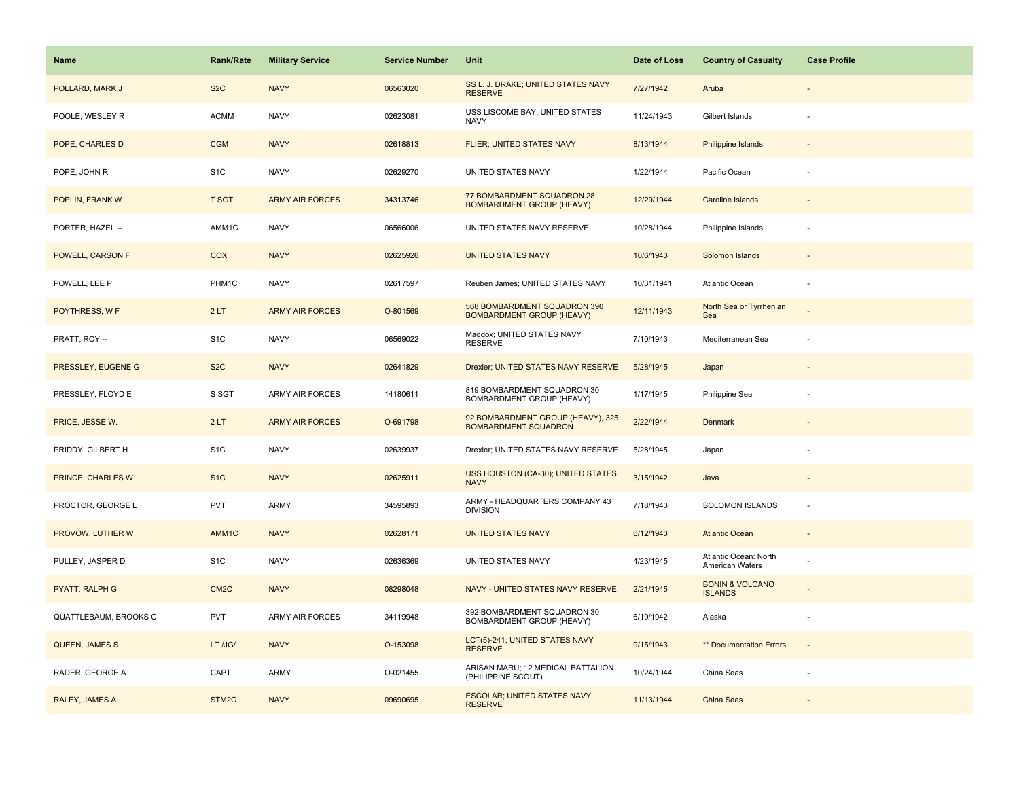| Name                  | <b>Rank/Rate</b>  | <b>Military Service</b> | <b>Service Number</b> | Unit                                                             | Date of Loss | <b>Country of Casualty</b>                   | <b>Case Profile</b> |
|-----------------------|-------------------|-------------------------|-----------------------|------------------------------------------------------------------|--------------|----------------------------------------------|---------------------|
| POLLARD, MARK J       | S <sub>2</sub> C  | <b>NAVY</b>             | 06563020              | SS L. J. DRAKE; UNITED STATES NAVY<br><b>RESERVE</b>             | 7/27/1942    | Aruba                                        |                     |
| POOLE, WESLEY R       | <b>ACMM</b>       | <b>NAVY</b>             | 02623081              | USS LISCOME BAY; UNITED STATES<br><b>NAVY</b>                    | 11/24/1943   | Gilbert Islands                              |                     |
| POPE, CHARLES D       | <b>CGM</b>        | <b>NAVY</b>             | 02618813              | <b>FLIER; UNITED STATES NAVY</b>                                 | 8/13/1944    | Philippine Islands                           |                     |
| POPE, JOHN R          | S <sub>1</sub> C  | <b>NAVY</b>             | 02629270              | UNITED STATES NAVY                                               | 1/22/1944    | Pacific Ocean                                |                     |
| POPLIN, FRANK W       | <b>T SGT</b>      | <b>ARMY AIR FORCES</b>  | 34313746              | 77 BOMBARDMENT SQUADRON 28<br><b>BOMBARDMENT GROUP (HEAVY)</b>   | 12/29/1944   | <b>Caroline Islands</b>                      |                     |
| PORTER, HAZEL --      | AMM1C             | <b>NAVY</b>             | 06566006              | UNITED STATES NAVY RESERVE                                       | 10/28/1944   | Philippine Islands                           |                     |
| POWELL, CARSON F      | <b>COX</b>        | <b>NAVY</b>             | 02625926              | <b>UNITED STATES NAVY</b>                                        | 10/6/1943    | Solomon Islands                              |                     |
| POWELL, LEE P         | PHM1C             | <b>NAVY</b>             | 02617597              | Reuben James; UNITED STATES NAVY                                 | 10/31/1941   | Atlantic Ocean                               |                     |
| POYTHRESS, W F        | 2LT               | <b>ARMY AIR FORCES</b>  | O-801569              | 568 BOMBARDMENT SQUADRON 390<br><b>BOMBARDMENT GROUP (HEAVY)</b> | 12/11/1943   | North Sea or Tyrrhenian<br>Sea               |                     |
| PRATT, ROY --         | S <sub>1</sub> C  | <b>NAVY</b>             | 06569022              | Maddox; UNITED STATES NAVY<br><b>RESERVE</b>                     | 7/10/1943    | Mediterranean Sea                            |                     |
| PRESSLEY, EUGENE G    | S <sub>2</sub> C  | <b>NAVY</b>             | 02641829              | Drexler; UNITED STATES NAVY RESERVE                              | 5/28/1945    | Japan                                        |                     |
| PRESSLEY, FLOYD E     | S SGT             | ARMY AIR FORCES         | 14180611              | 819 BOMBARDMENT SQUADRON 30<br>BOMBARDMENT GROUP (HEAVY)         | 1/17/1945    | Philippine Sea                               |                     |
| PRICE, JESSE W.       | 2LT               | <b>ARMY AIR FORCES</b>  | O-691798              | 92 BOMBARDMENT GROUP (HEAVY), 325<br><b>BOMBARDMENT SQUADRON</b> | 2/22/1944    | <b>Denmark</b>                               |                     |
| PRIDDY, GILBERT H     | S <sub>1</sub> C  | <b>NAVY</b>             | 02639937              | Drexler; UNITED STATES NAVY RESERVE                              | 5/28/1945    | Japan                                        |                     |
| PRINCE, CHARLES W     | S <sub>1</sub> C  | <b>NAVY</b>             | 02625911              | USS HOUSTON (CA-30); UNITED STATES<br><b>NAVY</b>                | 3/15/1942    | Java                                         |                     |
| PROCTOR, GEORGE L     | <b>PVT</b>        | ARMY                    | 34595893              | ARMY - HEADQUARTERS COMPANY 43<br><b>DIVISION</b>                | 7/18/1943    | SOLOMON ISLANDS                              | $\sim$              |
| PROVOW, LUTHER W      | AMM1C             | <b>NAVY</b>             | 02628171              | <b>UNITED STATES NAVY</b>                                        | 6/12/1943    | <b>Atlantic Ocean</b>                        |                     |
| PULLEY, JASPER D      | S <sub>1</sub> C  | <b>NAVY</b>             | 02636369              | UNITED STATES NAVY                                               | 4/23/1945    | Atlantic Ocean: North<br>American Waters     |                     |
| PYATT, RALPH G        | CM <sub>2</sub> C | <b>NAVY</b>             | 08298048              | NAVY - UNITED STATES NAVY RESERVE                                | 2/21/1945    | <b>BONIN &amp; VOLCANO</b><br><b>ISLANDS</b> |                     |
| QUATTLEBAUM, BROOKS C | <b>PVT</b>        | <b>ARMY AIR FORCES</b>  | 34119948              | 392 BOMBARDMENT SQUADRON 30<br>BOMBARDMENT GROUP (HEAVY)         | 6/19/1942    | Alaska                                       |                     |
| <b>QUEEN, JAMES S</b> | LT /JG/           | <b>NAVY</b>             | O-153098              | LCT(5)-241; UNITED STATES NAVY<br><b>RESERVE</b>                 | 9/15/1943    | ** Documentation Errors                      |                     |
| RADER, GEORGE A       | CAPT              | <b>ARMY</b>             | O-021455              | ARISAN MARU; 12 MEDICAL BATTALION<br>(PHILIPPINE SCOUT)          | 10/24/1944   | China Seas                                   |                     |
| RALEY, JAMES A        | STM2C             | <b>NAVY</b>             | 09690695              | <b>ESCOLAR; UNITED STATES NAVY</b><br><b>RESERVE</b>             | 11/13/1944   | <b>China Seas</b>                            |                     |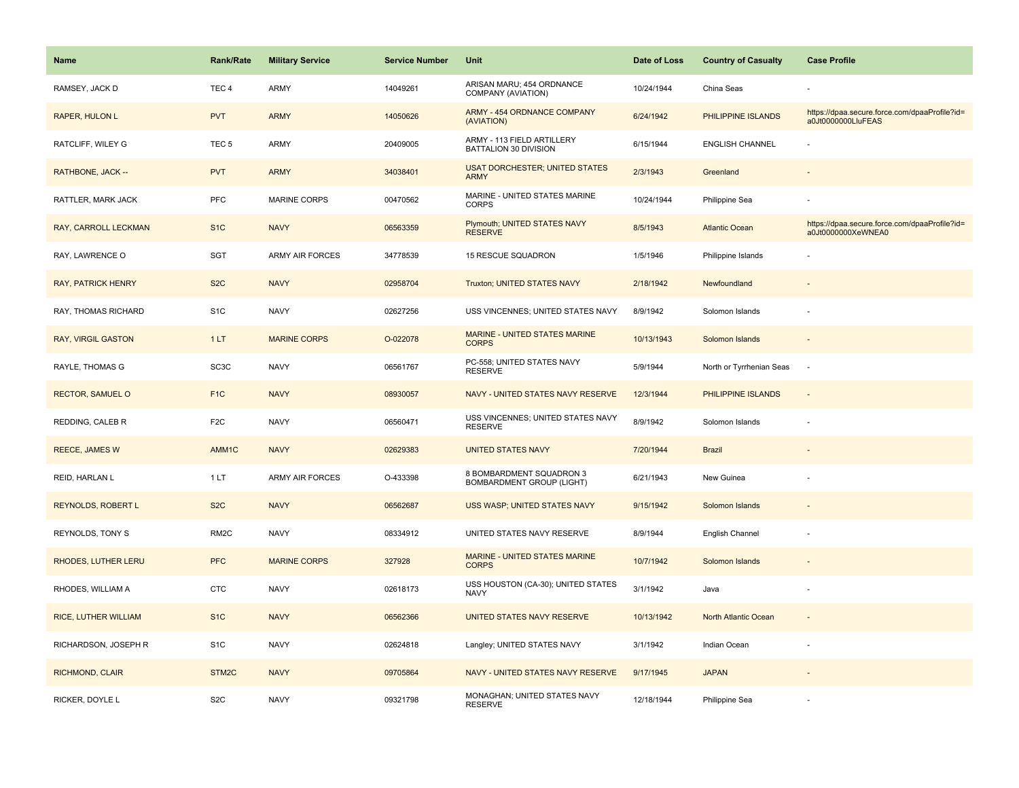| Name                      | <b>Rank/Rate</b>   | <b>Military Service</b> | <b>Service Number</b> | Unit                                                         | Date of Loss | <b>Country of Casualty</b> | <b>Case Profile</b>                                                 |
|---------------------------|--------------------|-------------------------|-----------------------|--------------------------------------------------------------|--------------|----------------------------|---------------------------------------------------------------------|
| RAMSEY, JACK D            | TEC <sub>4</sub>   | <b>ARMY</b>             | 14049261              | ARISAN MARU; 454 ORDNANCE<br>COMPANY (AVIATION)              | 10/24/1944   | China Seas                 |                                                                     |
| RAPER, HULON L            | <b>PVT</b>         | <b>ARMY</b>             | 14050626              | <b>ARMY - 454 ORDNANCE COMPANY</b><br>(AVIATION)             | 6/24/1942    | PHILIPPINE ISLANDS         | https://dpaa.secure.force.com/dpaaProfile?id=<br>a0Jt0000000LluFEAS |
| RATCLIFF, WILEY G         | TEC <sub>5</sub>   | ARMY                    | 20409005              | ARMY - 113 FIELD ARTILLERY<br>BATTALION 30 DIVISION          | 6/15/1944    | <b>ENGLISH CHANNEL</b>     |                                                                     |
| RATHBONE, JACK --         | <b>PVT</b>         | <b>ARMY</b>             | 34038401              | <b>USAT DORCHESTER; UNITED STATES</b><br><b>ARMY</b>         | 2/3/1943     | Greenland                  |                                                                     |
| RATTLER, MARK JACK        | PFC                | MARINE CORPS            | 00470562              | MARINE - UNITED STATES MARINE<br><b>CORPS</b>                | 10/24/1944   | Philippine Sea             |                                                                     |
| RAY, CARROLL LECKMAN      | S <sub>1</sub> C   | <b>NAVY</b>             | 06563359              | Plymouth; UNITED STATES NAVY<br><b>RESERVE</b>               | 8/5/1943     | <b>Atlantic Ocean</b>      | https://dpaa.secure.force.com/dpaaProfile?id=<br>a0Jt0000000XeWNEA0 |
| RAY, LAWRENCE O           | SGT                | <b>ARMY AIR FORCES</b>  | 34778539              | 15 RESCUE SQUADRON                                           | 1/5/1946     | Philippine Islands         |                                                                     |
| <b>RAY, PATRICK HENRY</b> | S <sub>2</sub> C   | <b>NAVY</b>             | 02958704              | Truxton; UNITED STATES NAVY                                  | 2/18/1942    | Newfoundland               |                                                                     |
| RAY, THOMAS RICHARD       | S <sub>1</sub> C   | <b>NAVY</b>             | 02627256              | USS VINCENNES; UNITED STATES NAVY                            | 8/9/1942     | Solomon Islands            |                                                                     |
| RAY, VIRGIL GASTON        | 1LT                | <b>MARINE CORPS</b>     | O-022078              | <b>MARINE - UNITED STATES MARINE</b><br><b>CORPS</b>         | 10/13/1943   | Solomon Islands            |                                                                     |
| RAYLE, THOMAS G           | SC <sub>3</sub> C  | <b>NAVY</b>             | 06561767              | PC-558; UNITED STATES NAVY<br><b>RESERVE</b>                 | 5/9/1944     | North or Tyrrhenian Seas   | $\overline{\phantom{a}}$                                            |
| <b>RECTOR, SAMUEL O</b>   | F <sub>1C</sub>    | <b>NAVY</b>             | 08930057              | NAVY - UNITED STATES NAVY RESERVE                            | 12/3/1944    | PHILIPPINE ISLANDS         | $\overline{\phantom{a}}$                                            |
| REDDING, CALEB R          | F <sub>2</sub> C   | <b>NAVY</b>             | 06560471              | USS VINCENNES; UNITED STATES NAVY<br><b>RESERVE</b>          | 8/9/1942     | Solomon Islands            |                                                                     |
| <b>REECE, JAMES W</b>     | AMM1C              | <b>NAVY</b>             | 02629383              | <b>UNITED STATES NAVY</b>                                    | 7/20/1944    | <b>Brazil</b>              |                                                                     |
| REID, HARLAN L            | 1LT                | ARMY AIR FORCES         | O-433398              | 8 BOMBARDMENT SQUADRON 3<br><b>BOMBARDMENT GROUP (LIGHT)</b> | 6/21/1943    | New Guinea                 |                                                                     |
| <b>REYNOLDS, ROBERT L</b> | S <sub>2</sub> C   | <b>NAVY</b>             | 06562687              | USS WASP; UNITED STATES NAVY                                 | 9/15/1942    | Solomon Islands            |                                                                     |
| REYNOLDS, TONY S          | RM <sub>2</sub> C  | <b>NAVY</b>             | 08334912              | UNITED STATES NAVY RESERVE                                   | 8/9/1944     | English Channel            |                                                                     |
| RHODES, LUTHER LERU       | <b>PFC</b>         | <b>MARINE CORPS</b>     | 327928                | MARINE - UNITED STATES MARINE<br><b>CORPS</b>                | 10/7/1942    | Solomon Islands            |                                                                     |
| RHODES, WILLIAM A         | <b>CTC</b>         | <b>NAVY</b>             | 02618173              | USS HOUSTON (CA-30); UNITED STATES<br><b>NAVY</b>            | 3/1/1942     | Java                       | ÷,                                                                  |
| RICE, LUTHER WILLIAM      | S <sub>1</sub> C   | <b>NAVY</b>             | 06562366              | UNITED STATES NAVY RESERVE                                   | 10/13/1942   | North Atlantic Ocean       | $\bar{z}$                                                           |
| RICHARDSON, JOSEPH R      | S <sub>1</sub> C   | <b>NAVY</b>             | 02624818              | Langley; UNITED STATES NAVY                                  | 3/1/1942     | Indian Ocean               |                                                                     |
| RICHMOND, CLAIR           | STM <sub>2</sub> C | <b>NAVY</b>             | 09705864              | NAVY - UNITED STATES NAVY RESERVE                            | 9/17/1945    | <b>JAPAN</b>               |                                                                     |
| RICKER, DOYLE L           | S <sub>2</sub> C   | <b>NAVY</b>             | 09321798              | MONAGHAN; UNITED STATES NAVY<br><b>RESERVE</b>               | 12/18/1944   | Philippine Sea             |                                                                     |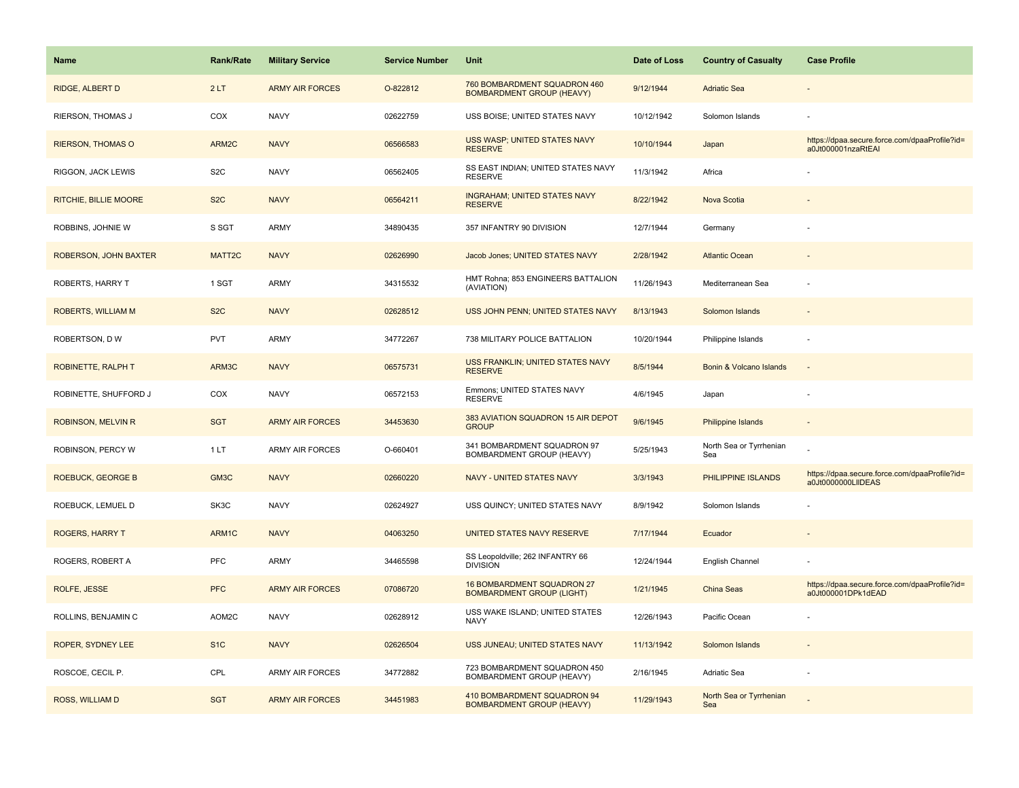| <b>Name</b>               | <b>Rank/Rate</b> | <b>Military Service</b> | <b>Service Number</b> | <b>Unit</b>                                                      | Date of Loss | <b>Country of Casualty</b>     | <b>Case Profile</b>                                                 |
|---------------------------|------------------|-------------------------|-----------------------|------------------------------------------------------------------|--------------|--------------------------------|---------------------------------------------------------------------|
| RIDGE, ALBERT D           | 2LT              | <b>ARMY AIR FORCES</b>  | O-822812              | 760 BOMBARDMENT SQUADRON 460<br><b>BOMBARDMENT GROUP (HEAVY)</b> | 9/12/1944    | <b>Adriatic Sea</b>            |                                                                     |
| RIERSON, THOMAS J         | COX              | <b>NAVY</b>             | 02622759              | USS BOISE; UNITED STATES NAVY                                    | 10/12/1942   | Solomon Islands                |                                                                     |
| <b>RIERSON, THOMAS O</b>  | ARM2C            | <b>NAVY</b>             | 06566583              | USS WASP; UNITED STATES NAVY<br><b>RESERVE</b>                   | 10/10/1944   | Japan                          | https://dpaa.secure.force.com/dpaaProfile?id=<br>a0Jt000001nzaRtEAI |
| RIGGON, JACK LEWIS        | S <sub>2</sub> C | <b>NAVY</b>             | 06562405              | SS EAST INDIAN; UNITED STATES NAVY<br><b>RESERVE</b>             | 11/3/1942    | Africa                         |                                                                     |
| RITCHIE, BILLIE MOORE     | S <sub>2</sub> C | <b>NAVY</b>             | 06564211              | <b>INGRAHAM; UNITED STATES NAVY</b><br><b>RESERVE</b>            | 8/22/1942    | Nova Scotia                    |                                                                     |
| ROBBINS, JOHNIE W         | S SGT            | <b>ARMY</b>             | 34890435              | 357 INFANTRY 90 DIVISION                                         | 12/7/1944    | Germany                        |                                                                     |
| ROBERSON, JOHN BAXTER     | MATT2C           | <b>NAVY</b>             | 02626990              | Jacob Jones; UNITED STATES NAVY                                  | 2/28/1942    | <b>Atlantic Ocean</b>          |                                                                     |
| ROBERTS, HARRY T          | 1 SGT            | <b>ARMY</b>             | 34315532              | HMT Rohna; 853 ENGINEERS BATTALION<br>(AVIATION)                 | 11/26/1943   | Mediterranean Sea              |                                                                     |
| ROBERTS, WILLIAM M        | S <sub>2</sub> C | <b>NAVY</b>             | 02628512              | USS JOHN PENN; UNITED STATES NAVY                                | 8/13/1943    | Solomon Islands                |                                                                     |
| ROBERTSON, DW             | <b>PVT</b>       | ARMY                    | 34772267              | 738 MILITARY POLICE BATTALION                                    | 10/20/1944   | Philippine Islands             |                                                                     |
| <b>ROBINETTE, RALPH T</b> | ARM3C            | <b>NAVY</b>             | 06575731              | USS FRANKLIN; UNITED STATES NAVY<br><b>RESERVE</b>               | 8/5/1944     | Bonin & Volcano Islands        |                                                                     |
| ROBINETTE, SHUFFORD J     | COX              | <b>NAVY</b>             | 06572153              | Emmons; UNITED STATES NAVY<br><b>RESERVE</b>                     | 4/6/1945     | Japan                          |                                                                     |
| <b>ROBINSON, MELVIN R</b> | <b>SGT</b>       | <b>ARMY AIR FORCES</b>  | 34453630              | 383 AVIATION SQUADRON 15 AIR DEPOT<br><b>GROUP</b>               | 9/6/1945     | <b>Philippine Islands</b>      |                                                                     |
| ROBINSON, PERCY W         | 1LT              | ARMY AIR FORCES         | O-660401              | 341 BOMBARDMENT SQUADRON 97<br>BOMBARDMENT GROUP (HEAVY)         | 5/25/1943    | North Sea or Tyrrhenian<br>Sea |                                                                     |
| <b>ROEBUCK, GEORGE B</b>  | GM3C             | <b>NAVY</b>             | 02660220              | NAVY - UNITED STATES NAVY                                        | 3/3/1943     | PHILIPPINE ISLANDS             | https://dpaa.secure.force.com/dpaaProfile?id=<br>a0Jt0000000LIIDEAS |
| ROEBUCK, LEMUEL D         | SK3C             | <b>NAVY</b>             | 02624927              | USS QUINCY; UNITED STATES NAVY                                   | 8/9/1942     | Solomon Islands                |                                                                     |
| <b>ROGERS, HARRY T</b>    | ARM1C            | <b>NAVY</b>             | 04063250              | UNITED STATES NAVY RESERVE                                       | 7/17/1944    | Ecuador                        |                                                                     |
| ROGERS, ROBERT A          | PFC              | <b>ARMY</b>             | 34465598              | SS Leopoldville; 262 INFANTRY 66<br><b>DIVISION</b>              | 12/24/1944   | English Channel                |                                                                     |
| ROLFE, JESSE              | <b>PFC</b>       | <b>ARMY AIR FORCES</b>  | 07086720              | 16 BOMBARDMENT SQUADRON 27<br><b>BOMBARDMENT GROUP (LIGHT)</b>   | 1/21/1945    | China Seas                     | https://dpaa.secure.force.com/dpaaProfile?id=<br>a0Jt000001DPk1dEAD |
| ROLLINS, BENJAMIN C       | AOM2C            | <b>NAVY</b>             | 02628912              | USS WAKE ISLAND; UNITED STATES<br><b>NAVY</b>                    | 12/26/1943   | Pacific Ocean                  |                                                                     |
| ROPER, SYDNEY LEE         | S <sub>1C</sub>  | <b>NAVY</b>             | 02626504              | USS JUNEAU; UNITED STATES NAVY                                   | 11/13/1942   | Solomon Islands                |                                                                     |
| ROSCOE, CECIL P.          | CPL              | ARMY AIR FORCES         | 34772882              | 723 BOMBARDMENT SQUADRON 450<br>BOMBARDMENT GROUP (HEAVY)        | 2/16/1945    | Adriatic Sea                   |                                                                     |
| ROSS, WILLIAM D           | <b>SGT</b>       | <b>ARMY AIR FORCES</b>  | 34451983              | 410 BOMBARDMENT SQUADRON 94<br><b>BOMBARDMENT GROUP (HEAVY)</b>  | 11/29/1943   | North Sea or Tyrrhenian<br>Sea |                                                                     |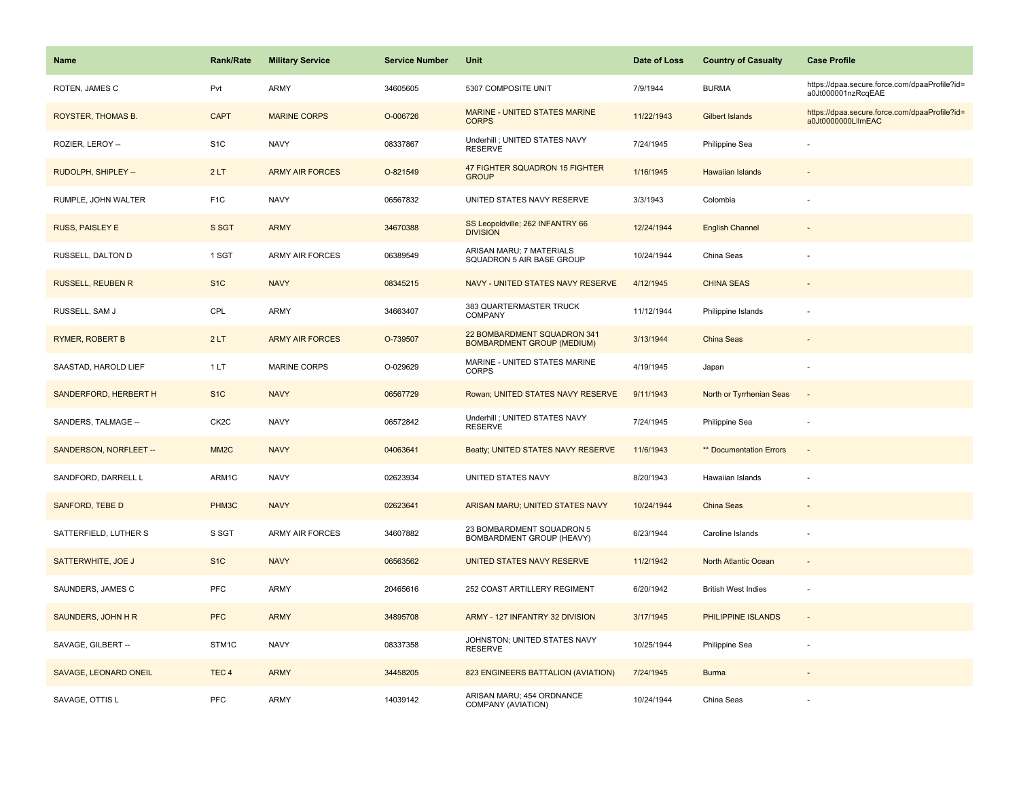| <b>Name</b>              | Rank/Rate         | <b>Military Service</b> | <b>Service Number</b> | Unit                                                             | Date of Loss | <b>Country of Casualty</b> | <b>Case Profile</b>                                                 |
|--------------------------|-------------------|-------------------------|-----------------------|------------------------------------------------------------------|--------------|----------------------------|---------------------------------------------------------------------|
| ROTEN, JAMES C           | Pvt               | ARMY                    | 34605605              | 5307 COMPOSITE UNIT                                              | 7/9/1944     | <b>BURMA</b>               | https://dpaa.secure.force.com/dpaaProfile?id=<br>a0Jt000001nzRcqEAE |
| ROYSTER, THOMAS B.       | <b>CAPT</b>       | <b>MARINE CORPS</b>     | O-006726              | <b>MARINE - UNITED STATES MARINE</b><br><b>CORPS</b>             | 11/22/1943   | <b>Gilbert Islands</b>     | https://dpaa.secure.force.com/dpaaProfile?id=<br>a0Jt0000000LllmEAC |
| ROZIER, LEROY --         | S <sub>1</sub> C  | <b>NAVY</b>             | 08337867              | Underhill ; UNITED STATES NAVY<br><b>RESERVE</b>                 | 7/24/1945    | Philippine Sea             |                                                                     |
| RUDOLPH, SHIPLEY --      | 2LT               | <b>ARMY AIR FORCES</b>  | O-821549              | 47 FIGHTER SQUADRON 15 FIGHTER<br><b>GROUP</b>                   | 1/16/1945    | <b>Hawaiian Islands</b>    |                                                                     |
| RUMPLE, JOHN WALTER      | F <sub>1</sub> C  | <b>NAVY</b>             | 06567832              | UNITED STATES NAVY RESERVE                                       | 3/3/1943     | Colombia                   |                                                                     |
| <b>RUSS, PAISLEY E</b>   | S SGT             | <b>ARMY</b>             | 34670388              | SS Leopoldville; 262 INFANTRY 66<br><b>DIVISION</b>              | 12/24/1944   | <b>English Channel</b>     | $\overline{\phantom{a}}$                                            |
| RUSSELL, DALTON D        | 1 SGT             | <b>ARMY AIR FORCES</b>  | 06389549              | ARISAN MARU; 7 MATERIALS<br>SQUADRON 5 AIR BASE GROUP            | 10/24/1944   | China Seas                 |                                                                     |
| <b>RUSSELL, REUBEN R</b> | S <sub>1</sub> C  | <b>NAVY</b>             | 08345215              | NAVY - UNITED STATES NAVY RESERVE                                | 4/12/1945    | <b>CHINA SEAS</b>          |                                                                     |
| RUSSELL, SAM J           | CPL               | ARMY                    | 34663407              | 383 QUARTERMASTER TRUCK<br>COMPANY                               | 11/12/1944   | Philippine Islands         |                                                                     |
| <b>RYMER, ROBERT B</b>   | 2LT               | <b>ARMY AIR FORCES</b>  | O-739507              | 22 BOMBARDMENT SQUADRON 341<br><b>BOMBARDMENT GROUP (MEDIUM)</b> | 3/13/1944    | <b>China Seas</b>          |                                                                     |
| SAASTAD, HAROLD LIEF     | 1LT               | MARINE CORPS            | O-029629              | MARINE - UNITED STATES MARINE<br>CORPS                           | 4/19/1945    | Japan                      |                                                                     |
| SANDERFORD, HERBERT H    | S <sub>1</sub> C  | <b>NAVY</b>             | 06567729              | Rowan; UNITED STATES NAVY RESERVE                                | 9/11/1943    | North or Tyrrhenian Seas   | $\sim$                                                              |
| SANDERS, TALMAGE --      | CK <sub>2</sub> C | <b>NAVY</b>             | 06572842              | Underhill ; UNITED STATES NAVY<br><b>RESERVE</b>                 | 7/24/1945    | Philippine Sea             |                                                                     |
| SANDERSON, NORFLEET --   | MM <sub>2</sub> C | <b>NAVY</b>             | 04063641              | Beatty; UNITED STATES NAVY RESERVE                               | 11/6/1943    | ** Documentation Errors    | $\sim$                                                              |
| SANDFORD, DARRELL L      | ARM1C             | <b>NAVY</b>             | 02623934              | UNITED STATES NAVY                                               | 8/20/1943    | Hawaiian Islands           |                                                                     |
| <b>SANFORD, TEBE D</b>   | PHM3C             | <b>NAVY</b>             | 02623641              | ARISAN MARU; UNITED STATES NAVY                                  | 10/24/1944   | <b>China Seas</b>          |                                                                     |
| SATTERFIELD, LUTHER S    | S SGT             | <b>ARMY AIR FORCES</b>  | 34607882              | 23 BOMBARDMENT SQUADRON 5<br>BOMBARDMENT GROUP (HEAVY)           | 6/23/1944    | Caroline Islands           |                                                                     |
| SATTERWHITE, JOE J       | S <sub>1</sub> C  | <b>NAVY</b>             | 06563562              | UNITED STATES NAVY RESERVE                                       | 11/2/1942    | North Atlantic Ocean       |                                                                     |
| SAUNDERS, JAMES C        | <b>PFC</b>        | ARMY                    | 20465616              | 252 COAST ARTILLERY REGIMENT                                     | 6/20/1942    | <b>British West Indies</b> | ÷,                                                                  |
| SAUNDERS, JOHN H R       | <b>PFC</b>        | <b>ARMY</b>             | 34895708              | ARMY - 127 INFANTRY 32 DIVISION                                  | 3/17/1945    | PHILIPPINE ISLANDS         | $\blacksquare$                                                      |
| SAVAGE, GILBERT --       | STM1C             | <b>NAVY</b>             | 08337358              | JOHNSTON; UNITED STATES NAVY<br><b>RESERVE</b>                   | 10/25/1944   | Philippine Sea             | ÷                                                                   |
| SAVAGE, LEONARD ONEIL    | TEC <sub>4</sub>  | <b>ARMY</b>             | 34458205              | 823 ENGINEERS BATTALION (AVIATION)                               | 7/24/1945    | <b>Burma</b>               |                                                                     |
| SAVAGE, OTTIS L          | <b>PFC</b>        | <b>ARMY</b>             | 14039142              | ARISAN MARU; 454 ORDNANCE<br>COMPANY (AVIATION)                  | 10/24/1944   | China Seas                 |                                                                     |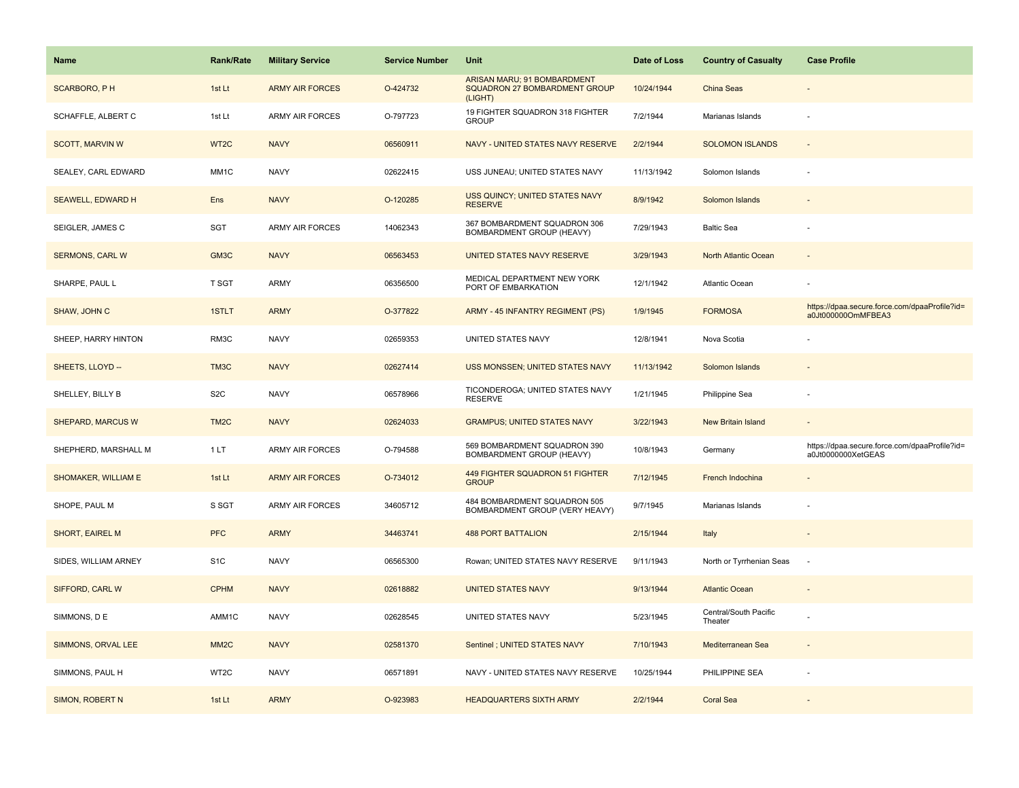| <b>Name</b>              | <b>Rank/Rate</b>  | <b>Military Service</b> | <b>Service Number</b> | Unit                                                                    | Date of Loss | <b>Country of Casualty</b>       | <b>Case Profile</b>                                                 |
|--------------------------|-------------------|-------------------------|-----------------------|-------------------------------------------------------------------------|--------------|----------------------------------|---------------------------------------------------------------------|
| <b>SCARBORO, PH</b>      | 1st Lt            | <b>ARMY AIR FORCES</b>  | O-424732              | ARISAN MARU; 91 BOMBARDMENT<br>SQUADRON 27 BOMBARDMENT GROUP<br>(LIGHT) | 10/24/1944   | China Seas                       |                                                                     |
| SCHAFFLE, ALBERT C       | 1st Lt            | <b>ARMY AIR FORCES</b>  | O-797723              | 19 FIGHTER SQUADRON 318 FIGHTER<br><b>GROUP</b>                         | 7/2/1944     | Marianas Islands                 |                                                                     |
| <b>SCOTT, MARVIN W</b>   | WT <sub>2</sub> C | <b>NAVY</b>             | 06560911              | NAVY - UNITED STATES NAVY RESERVE                                       | 2/2/1944     | <b>SOLOMON ISLANDS</b>           |                                                                     |
| SEALEY, CARL EDWARD      | MM1C              | <b>NAVY</b>             | 02622415              | USS JUNEAU; UNITED STATES NAVY                                          | 11/13/1942   | Solomon Islands                  |                                                                     |
| <b>SEAWELL, EDWARD H</b> | Ens               | <b>NAVY</b>             | O-120285              | <b>USS QUINCY: UNITED STATES NAVY</b><br><b>RESERVE</b>                 | 8/9/1942     | Solomon Islands                  |                                                                     |
| SEIGLER, JAMES C         | SGT               | <b>ARMY AIR FORCES</b>  | 14062343              | 367 BOMBARDMENT SQUADRON 306<br>BOMBARDMENT GROUP (HEAVY)               | 7/29/1943    | <b>Baltic Sea</b>                |                                                                     |
| <b>SERMONS, CARL W</b>   | GM3C              | <b>NAVY</b>             | 06563453              | UNITED STATES NAVY RESERVE                                              | 3/29/1943    | North Atlantic Ocean             | $\sim$                                                              |
| SHARPE, PAUL L           | T SGT             | ARMY                    | 06356500              | MEDICAL DEPARTMENT NEW YORK<br>PORT OF EMBARKATION                      | 12/1/1942    | Atlantic Ocean                   |                                                                     |
| SHAW, JOHN C             | 1STLT             | <b>ARMY</b>             | O-377822              | ARMY - 45 INFANTRY REGIMENT (PS)                                        | 1/9/1945     | <b>FORMOSA</b>                   | https://dpaa.secure.force.com/dpaaProfile?id=<br>a0Jt000000OmMFBEA3 |
| SHEEP, HARRY HINTON      | RM3C              | <b>NAVY</b>             | 02659353              | UNITED STATES NAVY                                                      | 12/8/1941    | Nova Scotia                      |                                                                     |
| SHEETS, LLOYD --         | TM3C              | <b>NAVY</b>             | 02627414              | <b>USS MONSSEN; UNITED STATES NAVY</b>                                  | 11/13/1942   | Solomon Islands                  |                                                                     |
| SHELLEY, BILLY B         | S <sub>2</sub> C  | <b>NAVY</b>             | 06578966              | TICONDEROGA; UNITED STATES NAVY<br><b>RESERVE</b>                       | 1/21/1945    | Philippine Sea                   |                                                                     |
| SHEPARD, MARCUS W        | TM <sub>2</sub> C | <b>NAVY</b>             | 02624033              | <b>GRAMPUS; UNITED STATES NAVY</b>                                      | 3/22/1943    | <b>New Britain Island</b>        |                                                                     |
| SHEPHERD, MARSHALL M     | 1 LT              | ARMY AIR FORCES         | O-794588              | 569 BOMBARDMENT SQUADRON 390<br>BOMBARDMENT GROUP (HEAVY)               | 10/8/1943    | Germany                          | https://dpaa.secure.force.com/dpaaProfile?id=<br>a0Jt0000000XetGEAS |
| SHOMAKER, WILLIAM E      | 1st Lt            | <b>ARMY AIR FORCES</b>  | O-734012              | 449 FIGHTER SQUADRON 51 FIGHTER<br><b>GROUP</b>                         | 7/12/1945    | French Indochina                 |                                                                     |
| SHOPE, PAUL M            | S SGT             | ARMY AIR FORCES         | 34605712              | 484 BOMBARDMENT SQUADRON 505<br>BOMBARDMENT GROUP (VERY HEAVY)          | 9/7/1945     | Marianas Islands                 |                                                                     |
| SHORT, EAIREL M          | <b>PFC</b>        | <b>ARMY</b>             | 34463741              | <b>488 PORT BATTALION</b>                                               | 2/15/1944    | Italy                            |                                                                     |
| SIDES, WILLIAM ARNEY     | S <sub>1</sub> C  | <b>NAVY</b>             | 06565300              | Rowan; UNITED STATES NAVY RESERVE                                       | 9/11/1943    | North or Tyrrhenian Seas         | $\overline{\phantom{a}}$                                            |
| SIFFORD, CARL W          | <b>CPHM</b>       | <b>NAVY</b>             | 02618882              | <b>UNITED STATES NAVY</b>                                               | 9/13/1944    | <b>Atlantic Ocean</b>            |                                                                     |
| SIMMONS, DE              | AMM1C             | <b>NAVY</b>             | 02628545              | UNITED STATES NAVY                                                      | 5/23/1945    | Central/South Pacific<br>Theater |                                                                     |
| SIMMONS, ORVAL LEE       | MM <sub>2</sub> C | <b>NAVY</b>             | 02581370              | Sentinel ; UNITED STATES NAVY                                           | 7/10/1943    | Mediterranean Sea                |                                                                     |
| SIMMONS, PAUL H          | WT2C              | <b>NAVY</b>             | 06571891              | NAVY - UNITED STATES NAVY RESERVE                                       | 10/25/1944   | PHILIPPINE SEA                   |                                                                     |
| SIMON, ROBERT N          | 1st Lt            | <b>ARMY</b>             | O-923983              | <b>HEADQUARTERS SIXTH ARMY</b>                                          | 2/2/1944     | <b>Coral Sea</b>                 |                                                                     |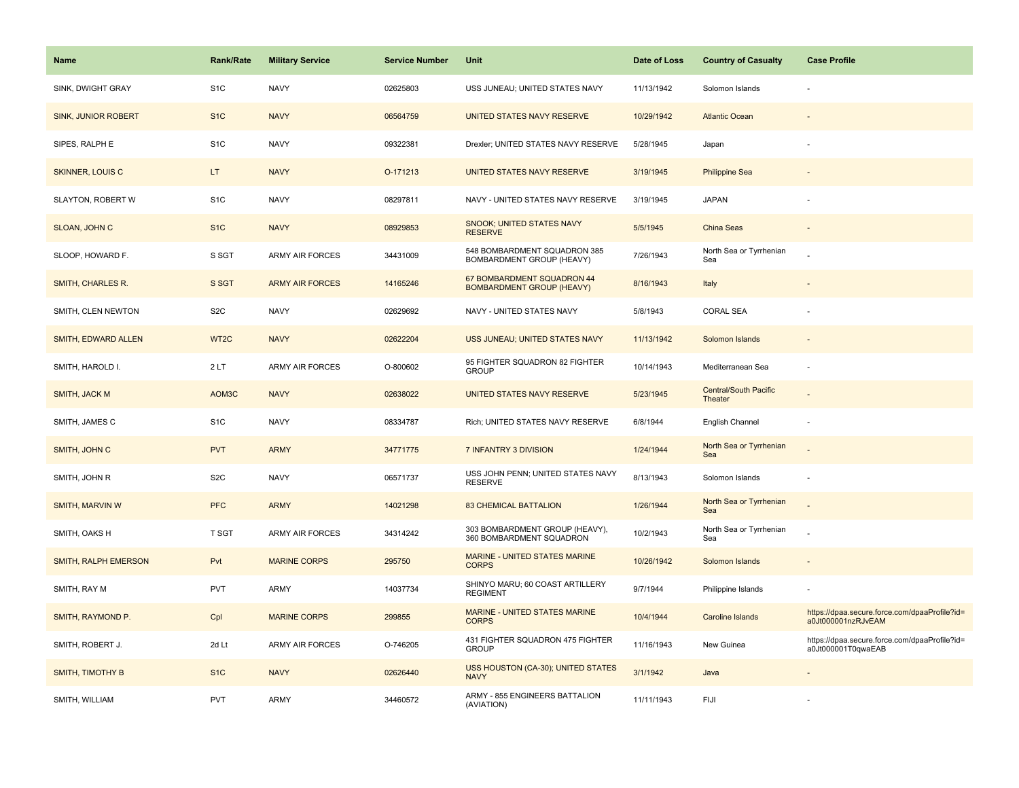| Name                       | <b>Rank/Rate</b>  | <b>Military Service</b> | <b>Service Number</b> | Unit                                                           | Date of Loss | <b>Country of Casualty</b>              | <b>Case Profile</b>                                                 |
|----------------------------|-------------------|-------------------------|-----------------------|----------------------------------------------------------------|--------------|-----------------------------------------|---------------------------------------------------------------------|
| SINK, DWIGHT GRAY          | S <sub>1</sub> C  | <b>NAVY</b>             | 02625803              | USS JUNEAU; UNITED STATES NAVY                                 | 11/13/1942   | Solomon Islands                         |                                                                     |
| <b>SINK, JUNIOR ROBERT</b> | S <sub>1</sub> C  | <b>NAVY</b>             | 06564759              | UNITED STATES NAVY RESERVE                                     | 10/29/1942   | <b>Atlantic Ocean</b>                   |                                                                     |
| SIPES, RALPH E             | S <sub>1</sub> C  | <b>NAVY</b>             | 09322381              | Drexler; UNITED STATES NAVY RESERVE                            | 5/28/1945    | Japan                                   |                                                                     |
| <b>SKINNER, LOUIS C</b>    | LT.               | <b>NAVY</b>             | O-171213              | UNITED STATES NAVY RESERVE                                     | 3/19/1945    | <b>Philippine Sea</b>                   |                                                                     |
| SLAYTON, ROBERT W          | S <sub>1</sub> C  | <b>NAVY</b>             | 08297811              | NAVY - UNITED STATES NAVY RESERVE                              | 3/19/1945    | <b>JAPAN</b>                            |                                                                     |
| SLOAN, JOHN C              | S <sub>1C</sub>   | <b>NAVY</b>             | 08929853              | SNOOK; UNITED STATES NAVY<br><b>RESERVE</b>                    | 5/5/1945     | <b>China Seas</b>                       |                                                                     |
| SLOOP, HOWARD F.           | S SGT             | ARMY AIR FORCES         | 34431009              | 548 BOMBARDMENT SQUADRON 385<br>BOMBARDMENT GROUP (HEAVY)      | 7/26/1943    | North Sea or Tyrrhenian<br>Sea          |                                                                     |
| SMITH, CHARLES R.          | S SGT             | <b>ARMY AIR FORCES</b>  | 14165246              | 67 BOMBARDMENT SQUADRON 44<br><b>BOMBARDMENT GROUP (HEAVY)</b> | 8/16/1943    | Italy                                   |                                                                     |
| SMITH, CLEN NEWTON         | S <sub>2</sub> C  | <b>NAVY</b>             | 02629692              | NAVY - UNITED STATES NAVY                                      | 5/8/1943     | <b>CORAL SEA</b>                        |                                                                     |
| SMITH, EDWARD ALLEN        | WT <sub>2</sub> C | <b>NAVY</b>             | 02622204              | USS JUNEAU; UNITED STATES NAVY                                 | 11/13/1942   | Solomon Islands                         |                                                                     |
| SMITH, HAROLD I.           | 2LT               | <b>ARMY AIR FORCES</b>  | O-800602              | 95 FIGHTER SQUADRON 82 FIGHTER<br><b>GROUP</b>                 | 10/14/1943   | Mediterranean Sea                       |                                                                     |
| SMITH, JACK M              | AOM3C             | <b>NAVY</b>             | 02638022              | UNITED STATES NAVY RESERVE                                     | 5/23/1945    | <b>Central/South Pacific</b><br>Theater |                                                                     |
| SMITH, JAMES C             | S <sub>1</sub> C  | <b>NAVY</b>             | 08334787              | Rich; UNITED STATES NAVY RESERVE                               | 6/8/1944     | English Channel                         |                                                                     |
| SMITH, JOHN C              | <b>PVT</b>        | <b>ARMY</b>             | 34771775              | 7 INFANTRY 3 DIVISION                                          | 1/24/1944    | North Sea or Tyrrhenian<br>Sea          |                                                                     |
| SMITH, JOHN R              | S <sub>2</sub> C  | <b>NAVY</b>             | 06571737              | USS JOHN PENN; UNITED STATES NAVY<br><b>RESERVE</b>            | 8/13/1943    | Solomon Islands                         |                                                                     |
| SMITH, MARVIN W            | <b>PFC</b>        | <b>ARMY</b>             | 14021298              | <b>83 CHEMICAL BATTALION</b>                                   | 1/26/1944    | North Sea or Tyrrhenian<br>Sea          |                                                                     |
| SMITH, OAKS H              | T SGT             | <b>ARMY AIR FORCES</b>  | 34314242              | 303 BOMBARDMENT GROUP (HEAVY),<br>360 BOMBARDMENT SQUADRON     | 10/2/1943    | North Sea or Tyrrhenian<br>Sea          |                                                                     |
| SMITH, RALPH EMERSON       | Pvt               | <b>MARINE CORPS</b>     | 295750                | MARINE - UNITED STATES MARINE<br><b>CORPS</b>                  | 10/26/1942   | Solomon Islands                         |                                                                     |
| SMITH, RAY M               | <b>PVT</b>        | ARMY                    | 14037734              | SHINYO MARU; 60 COAST ARTILLERY<br><b>REGIMENT</b>             | 9/7/1944     | Philippine Islands                      |                                                                     |
| SMITH, RAYMOND P.          | Cpl               | <b>MARINE CORPS</b>     | 299855                | MARINE - UNITED STATES MARINE<br><b>CORPS</b>                  | 10/4/1944    | Caroline Islands                        | https://dpaa.secure.force.com/dpaaProfile?id=<br>a0Jt000001nzRJvEAM |
| SMITH, ROBERT J.           | 2d Lt             | <b>ARMY AIR FORCES</b>  | O-746205              | 431 FIGHTER SQUADRON 475 FIGHTER<br><b>GROUP</b>               | 11/16/1943   | New Guinea                              | https://dpaa.secure.force.com/dpaaProfile?id=<br>a0Jt000001T0qwaEAB |
| <b>SMITH, TIMOTHY B</b>    | S <sub>1</sub> C  | <b>NAVY</b>             | 02626440              | USS HOUSTON (CA-30); UNITED STATES<br><b>NAVY</b>              | 3/1/1942     | Java                                    |                                                                     |
| SMITH, WILLIAM             | <b>PVT</b>        | ARMY                    | 34460572              | ARMY - 855 ENGINEERS BATTALION<br>(AVIATION)                   | 11/11/1943   | FIJI                                    |                                                                     |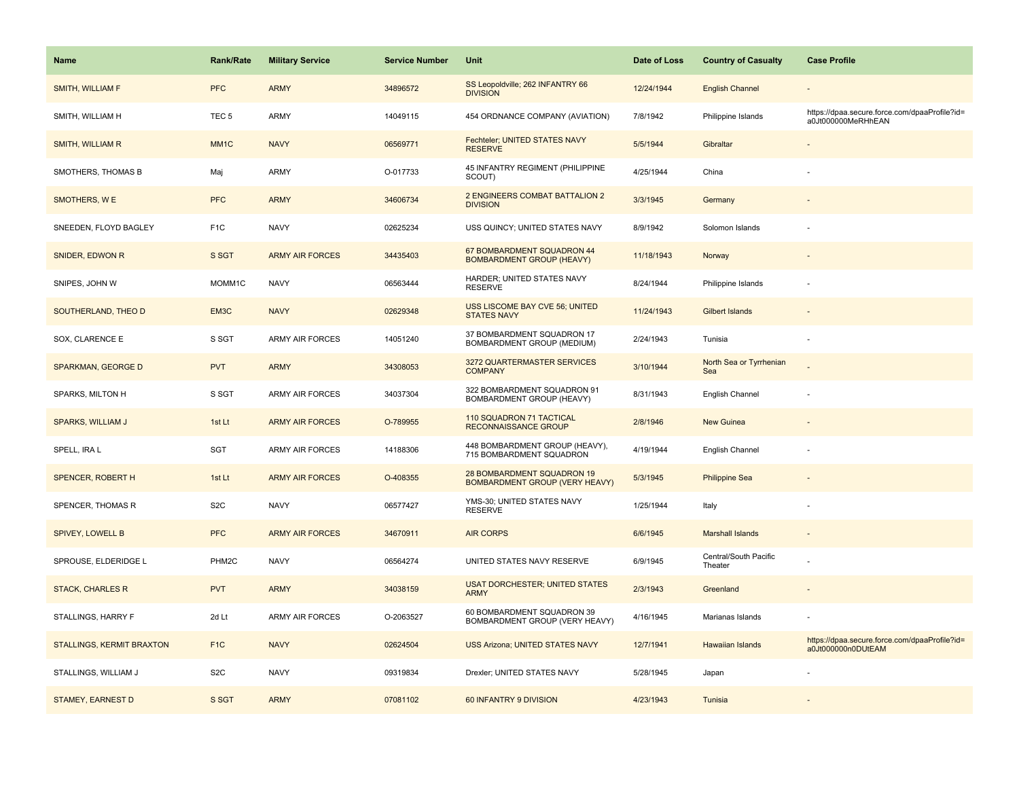| <b>Name</b>               | <b>Rank/Rate</b>  | <b>Military Service</b> | <b>Service Number</b> | Unit                                                                | Date of Loss | <b>Country of Casualty</b>       | <b>Case Profile</b>                                                 |
|---------------------------|-------------------|-------------------------|-----------------------|---------------------------------------------------------------------|--------------|----------------------------------|---------------------------------------------------------------------|
| SMITH, WILLIAM F          | <b>PFC</b>        | <b>ARMY</b>             | 34896572              | SS Leopoldville; 262 INFANTRY 66<br><b>DIVISION</b>                 | 12/24/1944   | <b>English Channel</b>           |                                                                     |
| SMITH, WILLIAM H          | TEC <sub>5</sub>  | ARMY                    | 14049115              | 454 ORDNANCE COMPANY (AVIATION)                                     | 7/8/1942     | Philippine Islands               | https://dpaa.secure.force.com/dpaaProfile?id=<br>a0Jt000000MeRHhEAN |
| SMITH, WILLIAM R          | MM <sub>1</sub> C | <b>NAVY</b>             | 06569771              | Fechteler; UNITED STATES NAVY<br><b>RESERVE</b>                     | 5/5/1944     | Gibraltar                        |                                                                     |
| SMOTHERS, THOMAS B        | Maj               | <b>ARMY</b>             | O-017733              | 45 INFANTRY REGIMENT (PHILIPPINE<br>SCOUT)                          | 4/25/1944    | China                            |                                                                     |
| SMOTHERS, W E             | <b>PFC</b>        | <b>ARMY</b>             | 34606734              | 2 ENGINEERS COMBAT BATTALION 2<br><b>DIVISION</b>                   | 3/3/1945     | Germany                          |                                                                     |
| SNEEDEN, FLOYD BAGLEY     | F <sub>1</sub> C  | <b>NAVY</b>             | 02625234              | USS QUINCY; UNITED STATES NAVY                                      | 8/9/1942     | Solomon Islands                  |                                                                     |
| SNIDER, EDWON R           | S SGT             | <b>ARMY AIR FORCES</b>  | 34435403              | 67 BOMBARDMENT SQUADRON 44<br><b>BOMBARDMENT GROUP (HEAVY)</b>      | 11/18/1943   | Norway                           |                                                                     |
| SNIPES, JOHN W            | MOMM1C            | <b>NAVY</b>             | 06563444              | HARDER; UNITED STATES NAVY<br><b>RESERVE</b>                        | 8/24/1944    | Philippine Islands               |                                                                     |
| SOUTHERLAND, THEO D       | EM3C              | <b>NAVY</b>             | 02629348              | <b>USS LISCOME BAY CVE 56; UNITED</b><br><b>STATES NAVY</b>         | 11/24/1943   | Gilbert Islands                  |                                                                     |
| SOX, CLARENCE E           | S SGT             | ARMY AIR FORCES         | 14051240              | 37 BOMBARDMENT SQUADRON 17<br>BOMBARDMENT GROUP (MEDIUM)            | 2/24/1943    | Tunisia                          | ÷.                                                                  |
| <b>SPARKMAN, GEORGE D</b> | <b>PVT</b>        | <b>ARMY</b>             | 34308053              | 3272 QUARTERMASTER SERVICES<br><b>COMPANY</b>                       | 3/10/1944    | North Sea or Tyrrhenian<br>Sea   |                                                                     |
| SPARKS, MILTON H          | S SGT             | <b>ARMY AIR FORCES</b>  | 34037304              | 322 BOMBARDMENT SQUADRON 91<br>BOMBARDMENT GROUP (HEAVY)            | 8/31/1943    | English Channel                  |                                                                     |
| <b>SPARKS, WILLIAM J</b>  | 1st Lt            | <b>ARMY AIR FORCES</b>  | O-789955              | 110 SQUADRON 71 TACTICAL<br>RECONNAISSANCE GROUP                    | 2/8/1946     | <b>New Guinea</b>                |                                                                     |
| SPELL, IRA L              | SGT               | <b>ARMY AIR FORCES</b>  | 14188306              | 448 BOMBARDMENT GROUP (HEAVY),<br>715 BOMBARDMENT SQUADRON          | 4/19/1944    | English Channel                  |                                                                     |
| <b>SPENCER, ROBERT H</b>  | 1st Lt            | <b>ARMY AIR FORCES</b>  | O-408355              | 28 BOMBARDMENT SQUADRON 19<br><b>BOMBARDMENT GROUP (VERY HEAVY)</b> | 5/3/1945     | <b>Philippine Sea</b>            |                                                                     |
| SPENCER, THOMAS R         | S <sub>2</sub> C  | <b>NAVY</b>             | 06577427              | YMS-30; UNITED STATES NAVY<br><b>RESERVE</b>                        | 1/25/1944    | Italy                            |                                                                     |
| <b>SPIVEY, LOWELL B</b>   | <b>PFC</b>        | <b>ARMY AIR FORCES</b>  | 34670911              | <b>AIR CORPS</b>                                                    | 6/6/1945     | <b>Marshall Islands</b>          |                                                                     |
| SPROUSE, ELDERIDGE L      | PHM2C             | <b>NAVY</b>             | 06564274              | UNITED STATES NAVY RESERVE                                          | 6/9/1945     | Central/South Pacific<br>Theater |                                                                     |
| <b>STACK, CHARLES R</b>   | <b>PVT</b>        | <b>ARMY</b>             | 34038159              | <b>USAT DORCHESTER; UNITED STATES</b><br><b>ARMY</b>                | 2/3/1943     | Greenland                        |                                                                     |
| STALLINGS, HARRY F        | 2d Lt             | <b>ARMY AIR FORCES</b>  | O-2063527             | 60 BOMBARDMENT SQUADRON 39<br>BOMBARDMENT GROUP (VERY HEAVY)        | 4/16/1945    | Marianas Islands                 |                                                                     |
| STALLINGS, KERMIT BRAXTON | F <sub>1</sub> C  | <b>NAVY</b>             | 02624504              | <b>USS Arizona; UNITED STATES NAVY</b>                              | 12/7/1941    | <b>Hawaiian Islands</b>          | https://dpaa.secure.force.com/dpaaProfile?id=<br>a0Jt000000n0DUtEAM |
| STALLINGS, WILLIAM J      | S <sub>2</sub> C  | <b>NAVY</b>             | 09319834              | Drexler; UNITED STATES NAVY                                         | 5/28/1945    | Japan                            |                                                                     |
| STAMEY, EARNEST D         | S SGT             | <b>ARMY</b>             | 07081102              | 60 INFANTRY 9 DIVISION                                              | 4/23/1943    | Tunisia                          |                                                                     |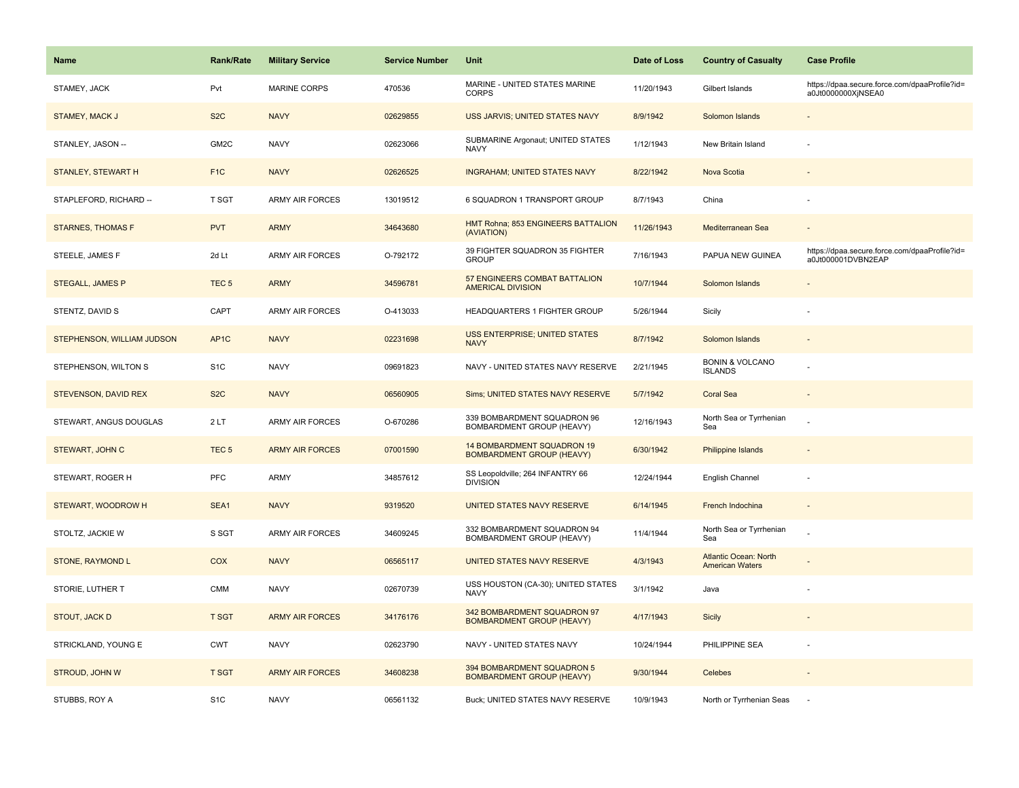| <b>Name</b>                | Rank/Rate         | <b>Military Service</b> | <b>Service Number</b> | Unit                                                            | Date of Loss | <b>Country of Casualty</b>                             | <b>Case Profile</b>                                                 |
|----------------------------|-------------------|-------------------------|-----------------------|-----------------------------------------------------------------|--------------|--------------------------------------------------------|---------------------------------------------------------------------|
| STAMEY, JACK               | Pvt               | <b>MARINE CORPS</b>     | 470536                | MARINE - UNITED STATES MARINE<br><b>CORPS</b>                   | 11/20/1943   | Gilbert Islands                                        | https://dpaa.secure.force.com/dpaaProfile?id=<br>a0Jt0000000XjNSEA0 |
| STAMEY, MACK J             | S <sub>2</sub> C  | <b>NAVY</b>             | 02629855              | USS JARVIS; UNITED STATES NAVY                                  | 8/9/1942     | Solomon Islands                                        |                                                                     |
| STANLEY, JASON --          | GM <sub>2</sub> C | <b>NAVY</b>             | 02623066              | SUBMARINE Argonaut; UNITED STATES<br><b>NAVY</b>                | 1/12/1943    | New Britain Island                                     |                                                                     |
| <b>STANLEY, STEWART H</b>  | F <sub>1</sub> C  | <b>NAVY</b>             | 02626525              | <b>INGRAHAM; UNITED STATES NAVY</b>                             | 8/22/1942    | Nova Scotia                                            |                                                                     |
| STAPLEFORD, RICHARD --     | T SGT             | <b>ARMY AIR FORCES</b>  | 13019512              | 6 SQUADRON 1 TRANSPORT GROUP                                    | 8/7/1943     | China                                                  |                                                                     |
| <b>STARNES, THOMAS F</b>   | <b>PVT</b>        | <b>ARMY</b>             | 34643680              | HMT Rohna; 853 ENGINEERS BATTALION<br>(AVIATION)                | 11/26/1943   | Mediterranean Sea                                      |                                                                     |
| STEELE, JAMES F            | 2d Lt             | ARMY AIR FORCES         | O-792172              | 39 FIGHTER SQUADRON 35 FIGHTER<br><b>GROUP</b>                  | 7/16/1943    | PAPUA NEW GUINEA                                       | https://dpaa.secure.force.com/dpaaProfile?id=<br>a0Jt000001DVBN2EAP |
| <b>STEGALL, JAMES P</b>    | TEC <sub>5</sub>  | <b>ARMY</b>             | 34596781              | 57 ENGINEERS COMBAT BATTALION<br><b>AMERICAL DIVISION</b>       | 10/7/1944    | Solomon Islands                                        |                                                                     |
| STENTZ, DAVID S            | CAPT              | <b>ARMY AIR FORCES</b>  | O-413033              | HEADQUARTERS 1 FIGHTER GROUP                                    | 5/26/1944    | Sicily                                                 |                                                                     |
| STEPHENSON, WILLIAM JUDSON | AP <sub>1</sub> C | <b>NAVY</b>             | 02231698              | <b>USS ENTERPRISE; UNITED STATES</b><br><b>NAVY</b>             | 8/7/1942     | Solomon Islands                                        |                                                                     |
| STEPHENSON, WILTON S       | S <sub>1</sub> C  | <b>NAVY</b>             | 09691823              | NAVY - UNITED STATES NAVY RESERVE                               | 2/21/1945    | <b>BONIN &amp; VOLCANO</b><br><b>ISLANDS</b>           |                                                                     |
| STEVENSON, DAVID REX       | S <sub>2</sub> C  | <b>NAVY</b>             | 06560905              | Sims; UNITED STATES NAVY RESERVE                                | 5/7/1942     | <b>Coral Sea</b>                                       | $\overline{\phantom{a}}$                                            |
| STEWART, ANGUS DOUGLAS     | 2LT               | <b>ARMY AIR FORCES</b>  | O-670286              | 339 BOMBARDMENT SQUADRON 96<br>BOMBARDMENT GROUP (HEAVY)        | 12/16/1943   | North Sea or Tyrrhenian<br>Sea                         |                                                                     |
| STEWART, JOHN C            | TEC <sub>5</sub>  | <b>ARMY AIR FORCES</b>  | 07001590              | 14 BOMBARDMENT SQUADRON 19<br><b>BOMBARDMENT GROUP (HEAVY)</b>  | 6/30/1942    | <b>Philippine Islands</b>                              |                                                                     |
| STEWART, ROGER H           | <b>PFC</b>        | <b>ARMY</b>             | 34857612              | SS Leopoldville; 264 INFANTRY 66<br><b>DIVISION</b>             | 12/24/1944   | English Channel                                        |                                                                     |
| STEWART, WOODROW H         | SEA1              | <b>NAVY</b>             | 9319520               | UNITED STATES NAVY RESERVE                                      | 6/14/1945    | French Indochina                                       |                                                                     |
| STOLTZ, JACKIE W           | S SGT             | ARMY AIR FORCES         | 34609245              | 332 BOMBARDMENT SQUADRON 94<br>BOMBARDMENT GROUP (HEAVY)        | 11/4/1944    | North Sea or Tyrrhenian<br>Sea                         |                                                                     |
| STONE, RAYMOND L           | <b>COX</b>        | <b>NAVY</b>             | 06565117              | <b>UNITED STATES NAVY RESERVE</b>                               | 4/3/1943     | <b>Atlantic Ocean: North</b><br><b>American Waters</b> |                                                                     |
| STORIE, LUTHER T           | <b>CMM</b>        | <b>NAVY</b>             | 02670739              | USS HOUSTON (CA-30); UNITED STATES<br>NAVY                      | 3/1/1942     | Java                                                   |                                                                     |
| STOUT, JACK D              | <b>T SGT</b>      | <b>ARMY AIR FORCES</b>  | 34176176              | 342 BOMBARDMENT SQUADRON 97<br><b>BOMBARDMENT GROUP (HEAVY)</b> | 4/17/1943    | Sicily                                                 |                                                                     |
| STRICKLAND, YOUNG E        | <b>CWT</b>        | <b>NAVY</b>             | 02623790              | NAVY - UNITED STATES NAVY                                       | 10/24/1944   | PHILIPPINE SEA                                         |                                                                     |
| STROUD, JOHN W             | <b>T SGT</b>      | <b>ARMY AIR FORCES</b>  | 34608238              | 394 BOMBARDMENT SQUADRON 5<br><b>BOMBARDMENT GROUP (HEAVY)</b>  | 9/30/1944    | Celebes                                                |                                                                     |
| STUBBS, ROY A              | S <sub>1</sub> C  | <b>NAVY</b>             | 06561132              | Buck; UNITED STATES NAVY RESERVE                                | 10/9/1943    | North or Tyrrhenian Seas                               |                                                                     |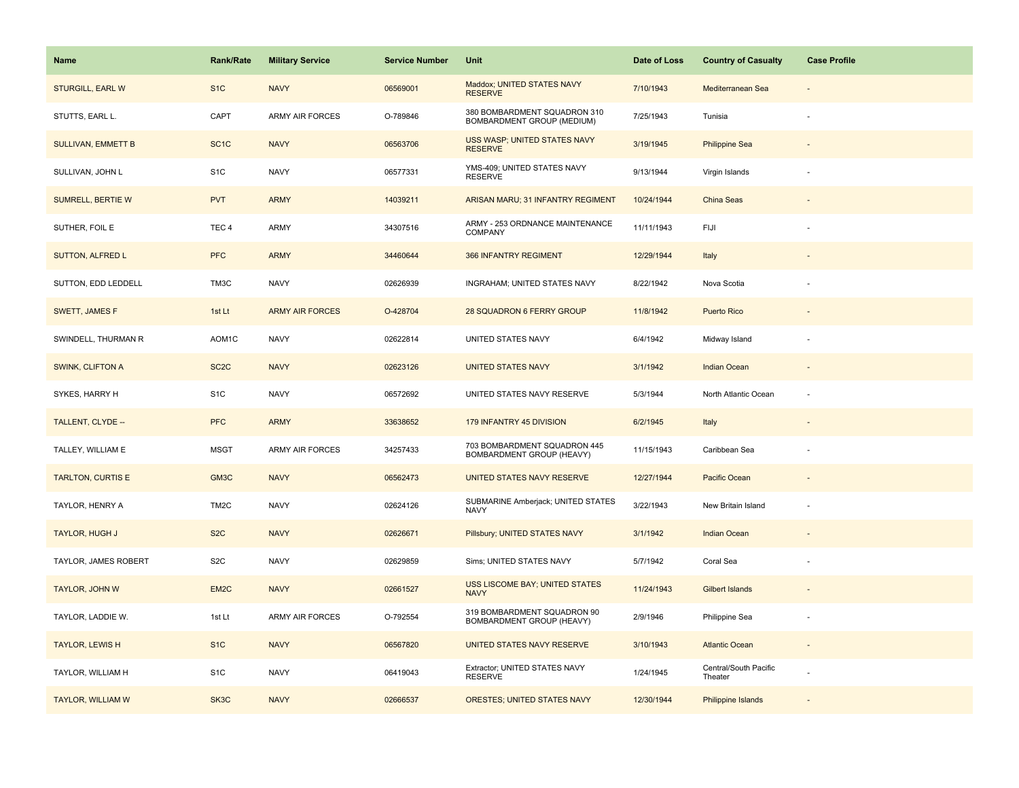| Name                      | Rank/Rate         | <b>Military Service</b> | <b>Service Number</b> | Unit                                                       | Date of Loss | <b>Country of Casualty</b>       | <b>Case Profile</b> |
|---------------------------|-------------------|-------------------------|-----------------------|------------------------------------------------------------|--------------|----------------------------------|---------------------|
| <b>STURGILL, EARL W</b>   | S <sub>1</sub> C  | <b>NAVY</b>             | 06569001              | Maddox; UNITED STATES NAVY<br><b>RESERVE</b>               | 7/10/1943    | Mediterranean Sea                |                     |
| STUTTS, EARL L.           | CAPT              | <b>ARMY AIR FORCES</b>  | O-789846              | 380 BOMBARDMENT SQUADRON 310<br>BOMBARDMENT GROUP (MEDIUM) | 7/25/1943    | Tunisia                          |                     |
| <b>SULLIVAN, EMMETT B</b> | SC <sub>1</sub> C | <b>NAVY</b>             | 06563706              | USS WASP; UNITED STATES NAVY<br><b>RESERVE</b>             | 3/19/1945    | <b>Philippine Sea</b>            |                     |
| SULLIVAN, JOHN L          | S <sub>1</sub> C  | <b>NAVY</b>             | 06577331              | YMS-409; UNITED STATES NAVY<br><b>RESERVE</b>              | 9/13/1944    | Virgin Islands                   |                     |
| <b>SUMRELL, BERTIE W</b>  | <b>PVT</b>        | <b>ARMY</b>             | 14039211              | ARISAN MARU; 31 INFANTRY REGIMENT                          | 10/24/1944   | China Seas                       |                     |
| SUTHER, FOIL E            | TEC <sub>4</sub>  | ARMY                    | 34307516              | ARMY - 253 ORDNANCE MAINTENANCE<br>COMPANY                 | 11/11/1943   | FIJI                             |                     |
| SUTTON, ALFRED L          | <b>PFC</b>        | <b>ARMY</b>             | 34460644              | 366 INFANTRY REGIMENT                                      | 12/29/1944   | Italy                            |                     |
| SUTTON, EDD LEDDELL       | TM3C              | <b>NAVY</b>             | 02626939              | INGRAHAM; UNITED STATES NAVY                               | 8/22/1942    | Nova Scotia                      |                     |
| SWETT, JAMES F            | 1st Lt            | <b>ARMY AIR FORCES</b>  | O-428704              | 28 SQUADRON 6 FERRY GROUP                                  | 11/8/1942    | Puerto Rico                      |                     |
| SWINDELL, THURMAN R       | AOM1C             | <b>NAVY</b>             | 02622814              | UNITED STATES NAVY                                         | 6/4/1942     | Midway Island                    | ÷,                  |
| <b>SWINK, CLIFTON A</b>   | SC <sub>2</sub> C | <b>NAVY</b>             | 02623126              | <b>UNITED STATES NAVY</b>                                  | 3/1/1942     | <b>Indian Ocean</b>              |                     |
| SYKES, HARRY H            | S <sub>1</sub> C  | <b>NAVY</b>             | 06572692              | UNITED STATES NAVY RESERVE                                 | 5/3/1944     | North Atlantic Ocean             |                     |
| TALLENT, CLYDE --         | <b>PFC</b>        | <b>ARMY</b>             | 33638652              | 179 INFANTRY 45 DIVISION                                   | 6/2/1945     | Italy                            |                     |
| TALLEY, WILLIAM E         | <b>MSGT</b>       | <b>ARMY AIR FORCES</b>  | 34257433              | 703 BOMBARDMENT SQUADRON 445<br>BOMBARDMENT GROUP (HEAVY)  | 11/15/1943   | Caribbean Sea                    |                     |
| <b>TARLTON, CURTIS E</b>  | GM3C              | <b>NAVY</b>             | 06562473              | <b>UNITED STATES NAVY RESERVE</b>                          | 12/27/1944   | Pacific Ocean                    |                     |
| TAYLOR, HENRY A           | TM <sub>2</sub> C | <b>NAVY</b>             | 02624126              | SUBMARINE Amberjack; UNITED STATES<br>NAVY                 | 3/22/1943    | New Britain Island               |                     |
| TAYLOR, HUGH J            | S <sub>2</sub> C  | <b>NAVY</b>             | 02626671              | Pillsbury; UNITED STATES NAVY                              | 3/1/1942     | <b>Indian Ocean</b>              |                     |
| TAYLOR, JAMES ROBERT      | S <sub>2</sub> C  | <b>NAVY</b>             | 02629859              | Sims; UNITED STATES NAVY                                   | 5/7/1942     | Coral Sea                        |                     |
| TAYLOR, JOHN W            | EM <sub>2</sub> C | <b>NAVY</b>             | 02661527              | USS LISCOME BAY; UNITED STATES<br><b>NAVY</b>              | 11/24/1943   | <b>Gilbert Islands</b>           |                     |
| TAYLOR, LADDIE W.         | 1st Lt            | <b>ARMY AIR FORCES</b>  | O-792554              | 319 BOMBARDMENT SQUADRON 90<br>BOMBARDMENT GROUP (HEAVY)   | 2/9/1946     | Philippine Sea                   |                     |
| <b>TAYLOR, LEWIS H</b>    | S <sub>1</sub> C  | <b>NAVY</b>             | 06567820              | UNITED STATES NAVY RESERVE                                 | 3/10/1943    | <b>Atlantic Ocean</b>            |                     |
| TAYLOR, WILLIAM H         | S <sub>1</sub> C  | <b>NAVY</b>             | 06419043              | Extractor; UNITED STATES NAVY<br><b>RESERVE</b>            | 1/24/1945    | Central/South Pacific<br>Theater |                     |
| <b>TAYLOR, WILLIAM W</b>  | SK3C              | <b>NAVY</b>             | 02666537              | <b>ORESTES; UNITED STATES NAVY</b>                         | 12/30/1944   | Philippine Islands               |                     |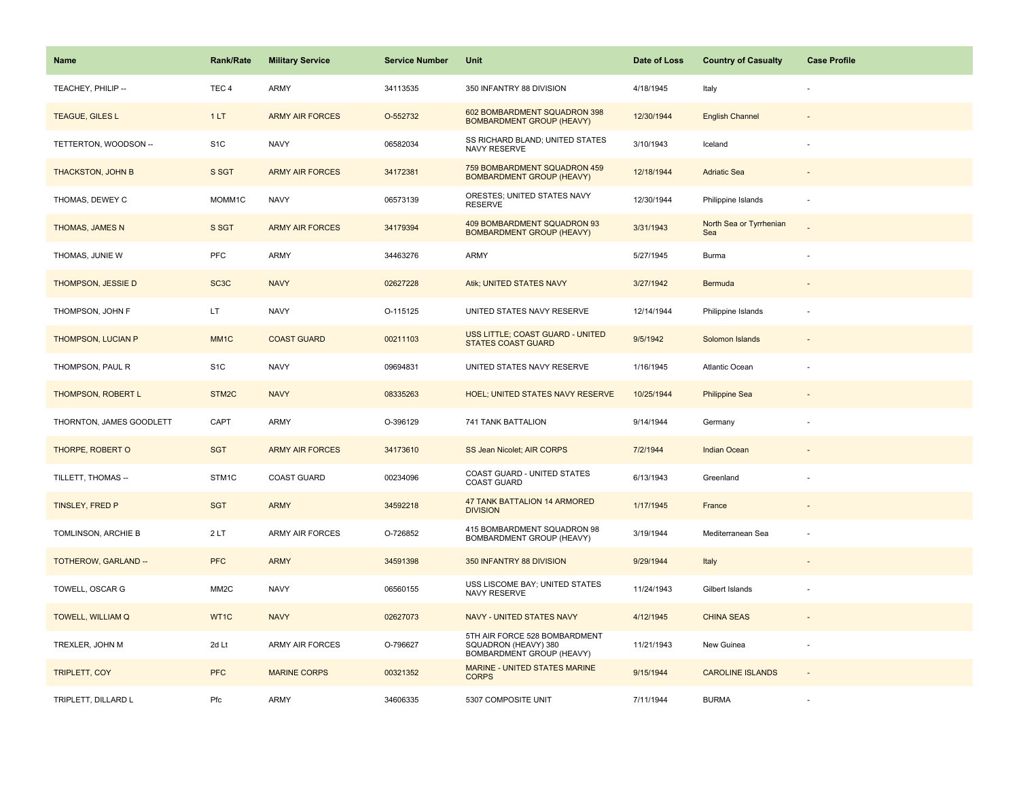| <b>Name</b>              | <b>Rank/Rate</b>  | <b>Military Service</b> | <b>Service Number</b> | Unit                                                                               | Date of Loss | <b>Country of Casualty</b>     | <b>Case Profile</b> |
|--------------------------|-------------------|-------------------------|-----------------------|------------------------------------------------------------------------------------|--------------|--------------------------------|---------------------|
| TEACHEY, PHILIP --       | TEC <sub>4</sub>  | <b>ARMY</b>             | 34113535              | 350 INFANTRY 88 DIVISION                                                           | 4/18/1945    | Italy                          |                     |
| TEAGUE, GILES L          | 1LT               | <b>ARMY AIR FORCES</b>  | O-552732              | 602 BOMBARDMENT SQUADRON 398<br><b>BOMBARDMENT GROUP (HEAVY)</b>                   | 12/30/1944   | <b>English Channel</b>         |                     |
| TETTERTON, WOODSON --    | S <sub>1</sub> C  | <b>NAVY</b>             | 06582034              | SS RICHARD BLAND; UNITED STATES<br>NAVY RESERVE                                    | 3/10/1943    | Iceland                        |                     |
| <b>THACKSTON, JOHN B</b> | S SGT             | <b>ARMY AIR FORCES</b>  | 34172381              | 759 BOMBARDMENT SQUADRON 459<br><b>BOMBARDMENT GROUP (HEAVY)</b>                   | 12/18/1944   | <b>Adriatic Sea</b>            |                     |
| THOMAS, DEWEY C          | MOMM1C            | <b>NAVY</b>             | 06573139              | ORESTES; UNITED STATES NAVY<br><b>RESERVE</b>                                      | 12/30/1944   | Philippine Islands             |                     |
| THOMAS, JAMES N          | S SGT             | <b>ARMY AIR FORCES</b>  | 34179394              | 409 BOMBARDMENT SQUADRON 93<br><b>BOMBARDMENT GROUP (HEAVY)</b>                    | 3/31/1943    | North Sea or Tyrrhenian<br>Sea |                     |
| THOMAS, JUNIE W          | <b>PFC</b>        | <b>ARMY</b>             | 34463276              | <b>ARMY</b>                                                                        | 5/27/1945    | Burma                          |                     |
| THOMPSON, JESSIE D       | SC <sub>3</sub> C | <b>NAVY</b>             | 02627228              | Atik; UNITED STATES NAVY                                                           | 3/27/1942    | Bermuda                        |                     |
| THOMPSON, JOHN F         | LT.               | <b>NAVY</b>             | O-115125              | UNITED STATES NAVY RESERVE                                                         | 12/14/1944   | Philippine Islands             |                     |
| THOMPSON, LUCIAN P       | MM <sub>1</sub> C | <b>COAST GUARD</b>      | 00211103              | USS LITTLE; COAST GUARD - UNITED<br><b>STATES COAST GUARD</b>                      | 9/5/1942     | Solomon Islands                |                     |
| THOMPSON, PAUL R         | S <sub>1</sub> C  | <b>NAVY</b>             | 09694831              | UNITED STATES NAVY RESERVE                                                         | 1/16/1945    | <b>Atlantic Ocean</b>          |                     |
| THOMPSON, ROBERT L       | STM2C             | <b>NAVY</b>             | 08335263              | <b>HOEL; UNITED STATES NAVY RESERVE</b>                                            | 10/25/1944   | <b>Philippine Sea</b>          | ÷                   |
| THORNTON, JAMES GOODLETT | CAPT              | ARMY                    | O-396129              | 741 TANK BATTALION                                                                 | 9/14/1944    | Germany                        |                     |
| THORPE, ROBERT O         | <b>SGT</b>        | <b>ARMY AIR FORCES</b>  | 34173610              | SS Jean Nicolet; AIR CORPS                                                         | 7/2/1944     | <b>Indian Ocean</b>            |                     |
| TILLETT, THOMAS --       | STM1C             | <b>COAST GUARD</b>      | 00234096              | COAST GUARD - UNITED STATES<br><b>COAST GUARD</b>                                  | 6/13/1943    | Greenland                      |                     |
| TINSLEY, FRED P          | <b>SGT</b>        | <b>ARMY</b>             | 34592218              | 47 TANK BATTALION 14 ARMORED<br><b>DIVISION</b>                                    | 1/17/1945    | France                         |                     |
| TOMLINSON, ARCHIE B      | 2LT               | <b>ARMY AIR FORCES</b>  | O-726852              | 415 BOMBARDMENT SQUADRON 98<br>BOMBARDMENT GROUP (HEAVY)                           | 3/19/1944    | Mediterranean Sea              |                     |
| TOTHEROW, GARLAND --     | <b>PFC</b>        | <b>ARMY</b>             | 34591398              | 350 INFANTRY 88 DIVISION                                                           | 9/29/1944    | Italy                          |                     |
| TOWELL, OSCAR G          | MM <sub>2</sub> C | <b>NAVY</b>             | 06560155              | USS LISCOME BAY; UNITED STATES<br>NAVY RESERVE                                     | 11/24/1943   | Gilbert Islands                |                     |
| <b>TOWELL, WILLIAM Q</b> | WT1C              | <b>NAVY</b>             | 02627073              | NAVY - UNITED STATES NAVY                                                          | 4/12/1945    | <b>CHINA SEAS</b>              |                     |
| TREXLER, JOHN M          | 2d Lt             | <b>ARMY AIR FORCES</b>  | O-796627              | 5TH AIR FORCE 528 BOMBARDMENT<br>SQUADRON (HEAVY) 380<br>BOMBARDMENT GROUP (HEAVY) | 11/21/1943   | New Guinea                     | ÷,                  |
| <b>TRIPLETT, COY</b>     | <b>PFC</b>        | <b>MARINE CORPS</b>     | 00321352              | MARINE - UNITED STATES MARINE<br><b>CORPS</b>                                      | 9/15/1944    | <b>CAROLINE ISLANDS</b>        | $\overline{a}$      |
| TRIPLETT, DILLARD L      | Pfc               | <b>ARMY</b>             | 34606335              | 5307 COMPOSITE UNIT                                                                | 7/11/1944    | <b>BURMA</b>                   |                     |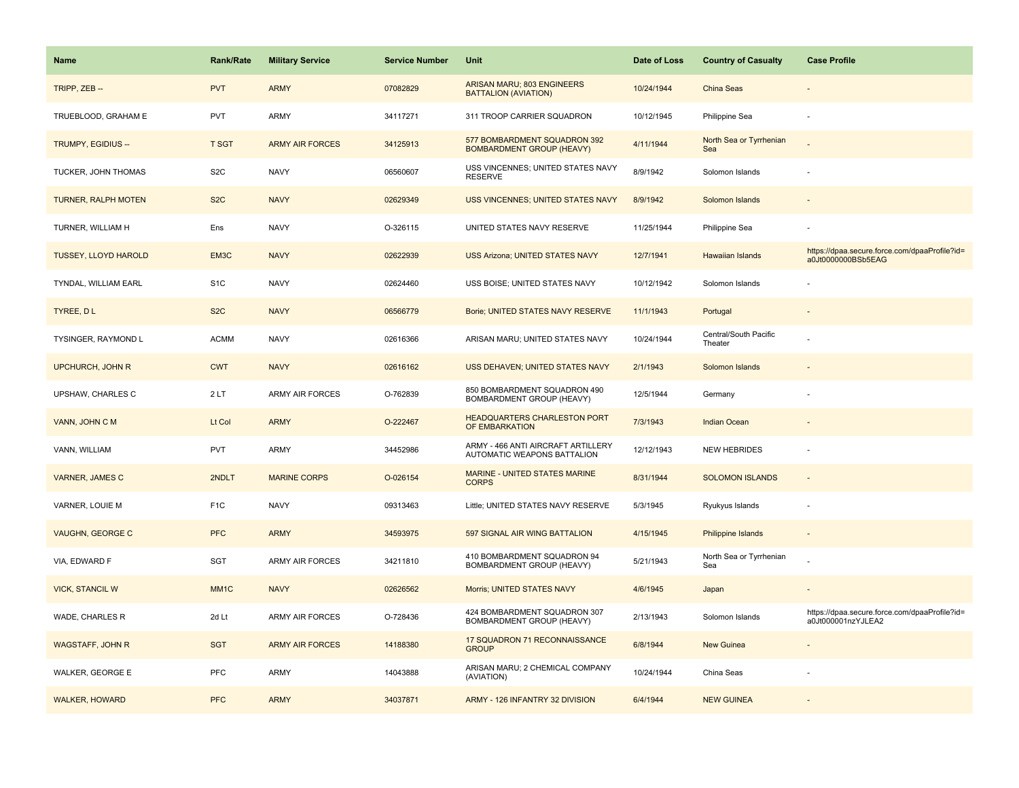| <b>Name</b>                 | <b>Rank/Rate</b> | <b>Military Service</b> | <b>Service Number</b> | Unit                                                              | Date of Loss | <b>Country of Casualty</b>       | <b>Case Profile</b>                                                 |
|-----------------------------|------------------|-------------------------|-----------------------|-------------------------------------------------------------------|--------------|----------------------------------|---------------------------------------------------------------------|
| TRIPP, ZEB --               | <b>PVT</b>       | <b>ARMY</b>             | 07082829              | ARISAN MARU; 803 ENGINEERS<br><b>BATTALION (AVIATION)</b>         | 10/24/1944   | China Seas                       |                                                                     |
| TRUEBLOOD, GRAHAM E         | <b>PVT</b>       | ARMY                    | 34117271              | 311 TROOP CARRIER SQUADRON                                        | 10/12/1945   | Philippine Sea                   |                                                                     |
| TRUMPY, EGIDIUS --          | <b>T SGT</b>     | <b>ARMY AIR FORCES</b>  | 34125913              | 577 BOMBARDMENT SQUADRON 392<br><b>BOMBARDMENT GROUP (HEAVY)</b>  | 4/11/1944    | North Sea or Tyrrhenian<br>Sea   |                                                                     |
| TUCKER, JOHN THOMAS         | S <sub>2</sub> C | <b>NAVY</b>             | 06560607              | USS VINCENNES; UNITED STATES NAVY<br><b>RESERVE</b>               | 8/9/1942     | Solomon Islands                  |                                                                     |
| <b>TURNER, RALPH MOTEN</b>  | S <sub>2</sub> C | <b>NAVY</b>             | 02629349              | USS VINCENNES; UNITED STATES NAVY                                 | 8/9/1942     | Solomon Islands                  |                                                                     |
| TURNER, WILLIAM H           | Ens              | <b>NAVY</b>             | O-326115              | UNITED STATES NAVY RESERVE                                        | 11/25/1944   | Philippine Sea                   |                                                                     |
| <b>TUSSEY, LLOYD HAROLD</b> | EM3C             | <b>NAVY</b>             | 02622939              | USS Arizona; UNITED STATES NAVY                                   | 12/7/1941    | Hawaiian Islands                 | https://dpaa.secure.force.com/dpaaProfile?id=<br>a0Jt0000000BSb5EAG |
| TYNDAL, WILLIAM EARL        | S <sub>1</sub> C | <b>NAVY</b>             | 02624460              | USS BOISE; UNITED STATES NAVY                                     | 10/12/1942   | Solomon Islands                  |                                                                     |
| TYREE, DL                   | S <sub>2</sub> C | <b>NAVY</b>             | 06566779              | Borie; UNITED STATES NAVY RESERVE                                 | 11/1/1943    | Portugal                         |                                                                     |
| TYSINGER, RAYMOND L         | <b>ACMM</b>      | <b>NAVY</b>             | 02616366              | ARISAN MARU; UNITED STATES NAVY                                   | 10/24/1944   | Central/South Pacific<br>Theater |                                                                     |
| <b>UPCHURCH, JOHN R</b>     | <b>CWT</b>       | <b>NAVY</b>             | 02616162              | USS DEHAVEN; UNITED STATES NAVY                                   | 2/1/1943     | Solomon Islands                  |                                                                     |
| UPSHAW, CHARLES C           | 2LT              | ARMY AIR FORCES         | O-762839              | 850 BOMBARDMENT SQUADRON 490<br>BOMBARDMENT GROUP (HEAVY)         | 12/5/1944    | Germany                          |                                                                     |
| VANN, JOHN C M              | Lt Col           | <b>ARMY</b>             | O-222467              | <b>HEADQUARTERS CHARLESTON PORT</b><br>OF EMBARKATION             | 7/3/1943     | <b>Indian Ocean</b>              |                                                                     |
| VANN, WILLIAM               | <b>PVT</b>       | ARMY                    | 34452986              | ARMY - 466 ANTI AIRCRAFT ARTILLERY<br>AUTOMATIC WEAPONS BATTALION | 12/12/1943   | <b>NEW HEBRIDES</b>              |                                                                     |
| <b>VARNER, JAMES C</b>      | 2NDLT            | <b>MARINE CORPS</b>     | O-026154              | MARINE - UNITED STATES MARINE<br><b>CORPS</b>                     | 8/31/1944    | <b>SOLOMON ISLANDS</b>           | $\sim$                                                              |
| VARNER, LOUIE M             | F <sub>1</sub> C | <b>NAVY</b>             | 09313463              | Little; UNITED STATES NAVY RESERVE                                | 5/3/1945     | Ryukyus Islands                  |                                                                     |
| <b>VAUGHN, GEORGE C</b>     | <b>PFC</b>       | <b>ARMY</b>             | 34593975              | 597 SIGNAL AIR WING BATTALION                                     | 4/15/1945    | <b>Philippine Islands</b>        |                                                                     |
| VIA, EDWARD F               | <b>SGT</b>       | ARMY AIR FORCES         | 34211810              | 410 BOMBARDMENT SQUADRON 94<br>BOMBARDMENT GROUP (HEAVY)          | 5/21/1943    | North Sea or Tyrrhenian<br>Sea   |                                                                     |
| <b>VICK, STANCIL W</b>      | MM <sub>1C</sub> | <b>NAVY</b>             | 02626562              | Morris; UNITED STATES NAVY                                        | 4/6/1945     | Japan                            |                                                                     |
| WADE, CHARLES R             | 2d Lt            | ARMY AIR FORCES         | O-728436              | 424 BOMBARDMENT SQUADRON 307<br>BOMBARDMENT GROUP (HEAVY)         | 2/13/1943    | Solomon Islands                  | https://dpaa.secure.force.com/dpaaProfile?id=<br>a0Jt000001nzYJLEA2 |
| <b>WAGSTAFF, JOHN R</b>     | <b>SGT</b>       | <b>ARMY AIR FORCES</b>  | 14188380              | 17 SQUADRON 71 RECONNAISSANCE<br><b>GROUP</b>                     | 6/8/1944     | New Guinea                       |                                                                     |
| WALKER, GEORGE E            | <b>PFC</b>       | ARMY                    | 14043888              | ARISAN MARU; 2 CHEMICAL COMPANY<br>(AVIATION)                     | 10/24/1944   | China Seas                       |                                                                     |
| <b>WALKER, HOWARD</b>       | <b>PFC</b>       | <b>ARMY</b>             | 34037871              | ARMY - 126 INFANTRY 32 DIVISION                                   | 6/4/1944     | <b>NEW GUINEA</b>                |                                                                     |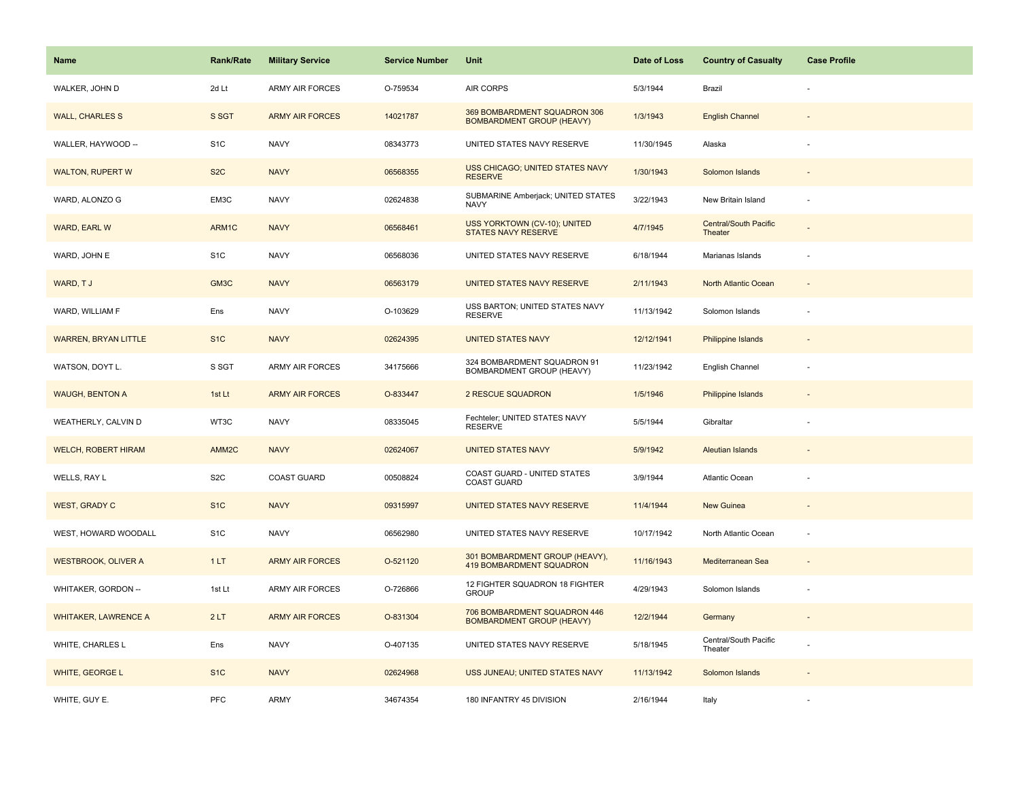| Name                        | <b>Rank/Rate</b>  | <b>Military Service</b> | <b>Service Number</b> | Unit                                                              | Date of Loss | <b>Country of Casualty</b>              | <b>Case Profile</b>      |
|-----------------------------|-------------------|-------------------------|-----------------------|-------------------------------------------------------------------|--------------|-----------------------------------------|--------------------------|
| WALKER, JOHN D              | 2d Lt             | ARMY AIR FORCES         | O-759534              | AIR CORPS                                                         | 5/3/1944     | Brazil                                  |                          |
| <b>WALL, CHARLES S</b>      | S SGT             | <b>ARMY AIR FORCES</b>  | 14021787              | 369 BOMBARDMENT SQUADRON 306<br><b>BOMBARDMENT GROUP (HEAVY)</b>  | 1/3/1943     | <b>English Channel</b>                  |                          |
| WALLER, HAYWOOD --          | S <sub>1</sub> C  | <b>NAVY</b>             | 08343773              | UNITED STATES NAVY RESERVE                                        | 11/30/1945   | Alaska                                  |                          |
| <b>WALTON, RUPERT W</b>     | S <sub>2</sub> C  | <b>NAVY</b>             | 06568355              | USS CHICAGO; UNITED STATES NAVY<br><b>RESERVE</b>                 | 1/30/1943    | Solomon Islands                         |                          |
| WARD, ALONZO G              | EM3C              | <b>NAVY</b>             | 02624838              | SUBMARINE Amberjack; UNITED STATES<br><b>NAVY</b>                 | 3/22/1943    | New Britain Island                      |                          |
| <b>WARD, EARL W</b>         | ARM1C             | <b>NAVY</b>             | 06568461              | USS YORKTOWN (CV-10); UNITED<br><b>STATES NAVY RESERVE</b>        | 4/7/1945     | <b>Central/South Pacific</b><br>Theater |                          |
| WARD, JOHN E                | S <sub>1</sub> C  | <b>NAVY</b>             | 06568036              | UNITED STATES NAVY RESERVE                                        | 6/18/1944    | Marianas Islands                        | ÷,                       |
| WARD, TJ                    | GM3C              | <b>NAVY</b>             | 06563179              | <b>UNITED STATES NAVY RESERVE</b>                                 | 2/11/1943    | North Atlantic Ocean                    |                          |
| WARD, WILLIAM F             | Ens               | <b>NAVY</b>             | O-103629              | USS BARTON; UNITED STATES NAVY<br><b>RESERVE</b>                  | 11/13/1942   | Solomon Islands                         |                          |
| <b>WARREN, BRYAN LITTLE</b> | S <sub>1</sub> C  | <b>NAVY</b>             | 02624395              | <b>UNITED STATES NAVY</b>                                         | 12/12/1941   | <b>Philippine Islands</b>               |                          |
| WATSON, DOYT L.             | S SGT             | <b>ARMY AIR FORCES</b>  | 34175666              | 324 BOMBARDMENT SQUADRON 91<br>BOMBARDMENT GROUP (HEAVY)          | 11/23/1942   | English Channel                         |                          |
| <b>WAUGH, BENTON A</b>      | 1st Lt            | <b>ARMY AIR FORCES</b>  | O-833447              | 2 RESCUE SQUADRON                                                 | 1/5/1946     | Philippine Islands                      | $\overline{\phantom{a}}$ |
| WEATHERLY, CALVIN D         | WT3C              | <b>NAVY</b>             | 08335045              | Fechteler; UNITED STATES NAVY<br><b>RESERVE</b>                   | 5/5/1944     | Gibraltar                               |                          |
| <b>WELCH, ROBERT HIRAM</b>  | AMM <sub>2C</sub> | <b>NAVY</b>             | 02624067              | <b>UNITED STATES NAVY</b>                                         | 5/9/1942     | <b>Aleutian Islands</b>                 |                          |
| WELLS, RAY L                | S <sub>2</sub> C  | <b>COAST GUARD</b>      | 00508824              | COAST GUARD - UNITED STATES<br><b>COAST GUARD</b>                 | 3/9/1944     | Atlantic Ocean                          |                          |
| <b>WEST, GRADY C</b>        | S <sub>1</sub> C  | <b>NAVY</b>             | 09315997              | UNITED STATES NAVY RESERVE                                        | 11/4/1944    | <b>New Guinea</b>                       |                          |
| WEST, HOWARD WOODALL        | S <sub>1</sub> C  | <b>NAVY</b>             | 06562980              | UNITED STATES NAVY RESERVE                                        | 10/17/1942   | North Atlantic Ocean                    |                          |
| <b>WESTBROOK, OLIVER A</b>  | 1LT               | <b>ARMY AIR FORCES</b>  | O-521120              | 301 BOMBARDMENT GROUP (HEAVY),<br><b>419 BOMBARDMENT SQUADRON</b> | 11/16/1943   | Mediterranean Sea                       | $\sim$                   |
| WHITAKER, GORDON --         | 1st Lt            | <b>ARMY AIR FORCES</b>  | O-726866              | 12 FIGHTER SQUADRON 18 FIGHTER<br><b>GROUP</b>                    | 4/29/1943    | Solomon Islands                         | ÷,                       |
| <b>WHITAKER, LAWRENCE A</b> | 2LT               | <b>ARMY AIR FORCES</b>  | O-831304              | 706 BOMBARDMENT SQUADRON 446<br><b>BOMBARDMENT GROUP (HEAVY)</b>  | 12/2/1944    | Germany                                 |                          |
| WHITE, CHARLES L            | Ens               | <b>NAVY</b>             | O-407135              | UNITED STATES NAVY RESERVE                                        | 5/18/1945    | Central/South Pacific<br>Theater        |                          |
| WHITE, GEORGE L             | S <sub>1</sub> C  | <b>NAVY</b>             | 02624968              | USS JUNEAU; UNITED STATES NAVY                                    | 11/13/1942   | Solomon Islands                         |                          |
| WHITE, GUY E.               | PFC               | ARMY                    | 34674354              | 180 INFANTRY 45 DIVISION                                          | 2/16/1944    | Italy                                   |                          |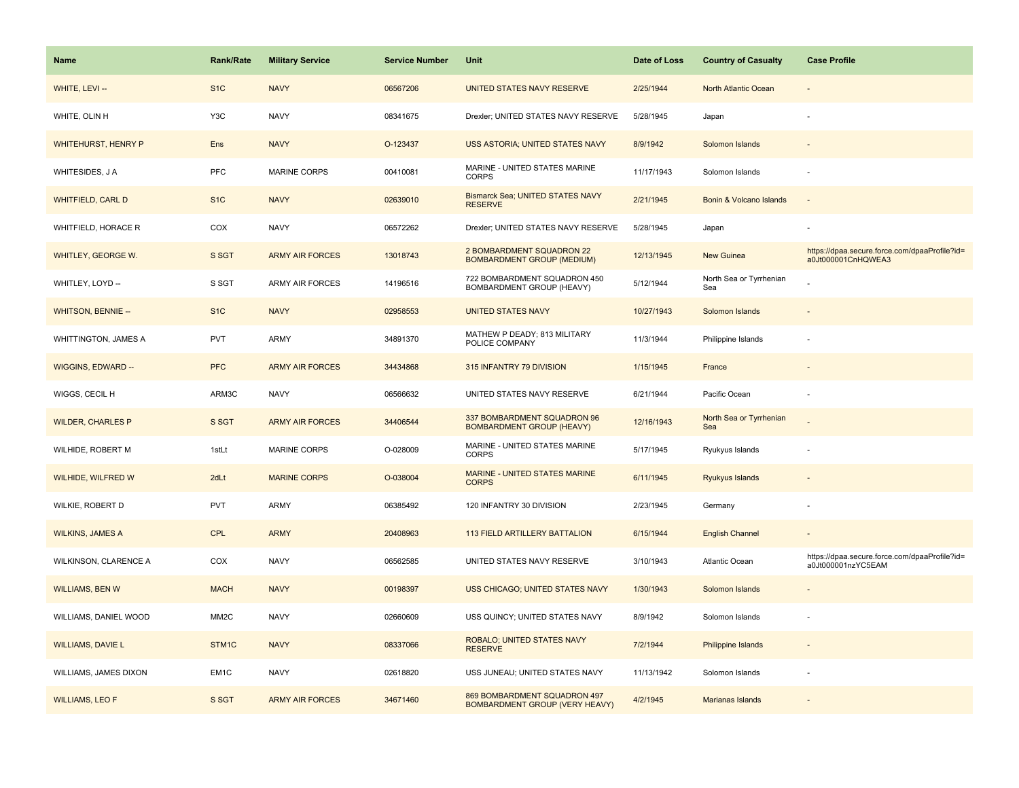| <b>Name</b>                | <b>Rank/Rate</b>  | <b>Military Service</b> | <b>Service Number</b> | Unit                                                                  | Date of Loss | <b>Country of Casualty</b>     | <b>Case Profile</b>                                                 |
|----------------------------|-------------------|-------------------------|-----------------------|-----------------------------------------------------------------------|--------------|--------------------------------|---------------------------------------------------------------------|
| WHITE, LEVI --             | S <sub>1</sub> C  | <b>NAVY</b>             | 06567206              | UNITED STATES NAVY RESERVE                                            | 2/25/1944    | North Atlantic Ocean           |                                                                     |
| WHITE, OLIN H              | Y3C               | <b>NAVY</b>             | 08341675              | Drexler; UNITED STATES NAVY RESERVE                                   | 5/28/1945    | Japan                          |                                                                     |
| <b>WHITEHURST, HENRY P</b> | Ens               | <b>NAVY</b>             | O-123437              | USS ASTORIA; UNITED STATES NAVY                                       | 8/9/1942     | Solomon Islands                |                                                                     |
| WHITESIDES, J A            | <b>PFC</b>        | <b>MARINE CORPS</b>     | 00410081              | MARINE - UNITED STATES MARINE<br><b>CORPS</b>                         | 11/17/1943   | Solomon Islands                |                                                                     |
| <b>WHITFIELD, CARL D</b>   | S <sub>1</sub> C  | <b>NAVY</b>             | 02639010              | Bismarck Sea; UNITED STATES NAVY<br><b>RESERVE</b>                    | 2/21/1945    | Bonin & Volcano Islands        |                                                                     |
| WHITFIELD, HORACE R        | COX               | <b>NAVY</b>             | 06572262              | Drexler; UNITED STATES NAVY RESERVE                                   | 5/28/1945    | Japan                          |                                                                     |
| WHITLEY, GEORGE W.         | S SGT             | <b>ARMY AIR FORCES</b>  | 13018743              | 2 BOMBARDMENT SQUADRON 22<br><b>BOMBARDMENT GROUP (MEDIUM)</b>        | 12/13/1945   | New Guinea                     | https://dpaa.secure.force.com/dpaaProfile?id=<br>a0Jt000001CnHQWEA3 |
| WHITLEY, LOYD --           | S SGT             | <b>ARMY AIR FORCES</b>  | 14196516              | 722 BOMBARDMENT SQUADRON 450<br>BOMBARDMENT GROUP (HEAVY)             | 5/12/1944    | North Sea or Tyrrhenian<br>Sea |                                                                     |
| <b>WHITSON, BENNIE --</b>  | S <sub>1</sub> C  | <b>NAVY</b>             | 02958553              | <b>UNITED STATES NAVY</b>                                             | 10/27/1943   | Solomon Islands                |                                                                     |
| WHITTINGTON, JAMES A       | <b>PVT</b>        | ARMY                    | 34891370              | MATHEW P DEADY; 813 MILITARY<br>POLICE COMPANY                        | 11/3/1944    | Philippine Islands             |                                                                     |
| WIGGINS, EDWARD --         | <b>PFC</b>        | <b>ARMY AIR FORCES</b>  | 34434868              | 315 INFANTRY 79 DIVISION                                              | 1/15/1945    | France                         |                                                                     |
| WIGGS, CECIL H             | ARM3C             | <b>NAVY</b>             | 06566632              | UNITED STATES NAVY RESERVE                                            | 6/21/1944    | Pacific Ocean                  |                                                                     |
| <b>WILDER, CHARLES P</b>   | S SGT             | <b>ARMY AIR FORCES</b>  | 34406544              | 337 BOMBARDMENT SQUADRON 96<br><b>BOMBARDMENT GROUP (HEAVY)</b>       | 12/16/1943   | North Sea or Tyrrhenian<br>Sea |                                                                     |
| WILHIDE, ROBERT M          | 1stLt             | MARINE CORPS            | O-028009              | MARINE - UNITED STATES MARINE<br><b>CORPS</b>                         | 5/17/1945    | Ryukyus Islands                |                                                                     |
| WILHIDE, WILFRED W         | 2dLt              | <b>MARINE CORPS</b>     | O-038004              | <b>MARINE - UNITED STATES MARINE</b><br><b>CORPS</b>                  | 6/11/1945    | Ryukyus Islands                |                                                                     |
| WILKIE, ROBERT D           | <b>PVT</b>        | ARMY                    | 06385492              | 120 INFANTRY 30 DIVISION                                              | 2/23/1945    | Germany                        |                                                                     |
| <b>WILKINS, JAMES A</b>    | <b>CPL</b>        | <b>ARMY</b>             | 20408963              | 113 FIELD ARTILLERY BATTALION                                         | 6/15/1944    | <b>English Channel</b>         |                                                                     |
| WILKINSON, CLARENCE A      | COX               | <b>NAVY</b>             | 06562585              | UNITED STATES NAVY RESERVE                                            | 3/10/1943    | Atlantic Ocean                 | https://dpaa.secure.force.com/dpaaProfile?id=<br>a0Jt000001nzYC5EAM |
| <b>WILLIAMS, BEN W</b>     | <b>MACH</b>       | <b>NAVY</b>             | 00198397              | USS CHICAGO; UNITED STATES NAVY                                       | 1/30/1943    | Solomon Islands                |                                                                     |
| WILLIAMS, DANIEL WOOD      | MM <sub>2</sub> C | <b>NAVY</b>             | 02660609              | USS QUINCY; UNITED STATES NAVY                                        | 8/9/1942     | Solomon Islands                |                                                                     |
| <b>WILLIAMS, DAVIE L</b>   | STM1C             | <b>NAVY</b>             | 08337066              | ROBALO; UNITED STATES NAVY<br><b>RESERVE</b>                          | 7/2/1944     | Philippine Islands             |                                                                     |
| WILLIAMS, JAMES DIXON      | EM <sub>1</sub> C | <b>NAVY</b>             | 02618820              | USS JUNEAU; UNITED STATES NAVY                                        | 11/13/1942   | Solomon Islands                |                                                                     |
| <b>WILLIAMS, LEO F</b>     | S SGT             | <b>ARMY AIR FORCES</b>  | 34671460              | 869 BOMBARDMENT SQUADRON 497<br><b>BOMBARDMENT GROUP (VERY HEAVY)</b> | 4/2/1945     | Marianas Islands               |                                                                     |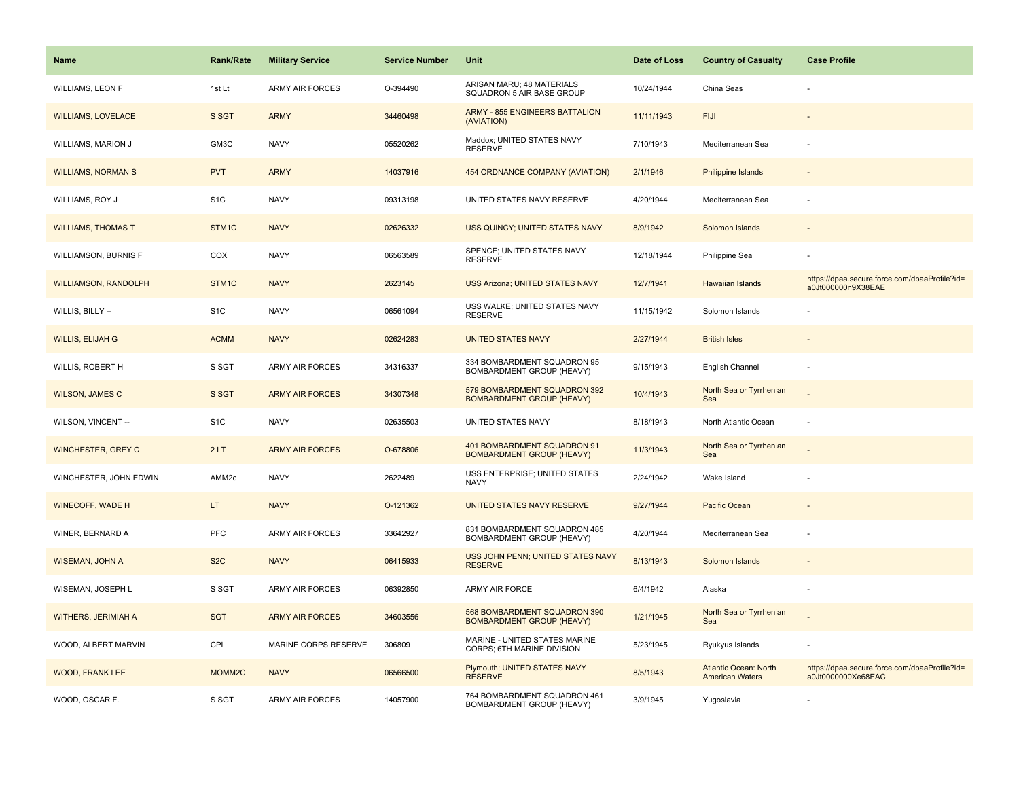| <b>Name</b>                 | <b>Rank/Rate</b>   | <b>Military Service</b> | <b>Service Number</b> | Unit                                                             | Date of Loss | <b>Country of Casualty</b>                             | <b>Case Profile</b>                                                 |
|-----------------------------|--------------------|-------------------------|-----------------------|------------------------------------------------------------------|--------------|--------------------------------------------------------|---------------------------------------------------------------------|
| <b>WILLIAMS, LEON F</b>     | 1st Lt             | <b>ARMY AIR FORCES</b>  | O-394490              | ARISAN MARU; 48 MATERIALS<br>SQUADRON 5 AIR BASE GROUP           | 10/24/1944   | China Seas                                             |                                                                     |
| <b>WILLIAMS, LOVELACE</b>   | S SGT              | <b>ARMY</b>             | 34460498              | <b>ARMY - 855 ENGINEERS BATTALION</b><br>(AVIATION)              | 11/11/1943   | <b>FIJI</b>                                            |                                                                     |
| WILLIAMS, MARION J          | GM3C               | <b>NAVY</b>             | 05520262              | Maddox; UNITED STATES NAVY<br><b>RESERVE</b>                     | 7/10/1943    | Mediterranean Sea                                      |                                                                     |
| <b>WILLIAMS, NORMAN S</b>   | <b>PVT</b>         | <b>ARMY</b>             | 14037916              | 454 ORDNANCE COMPANY (AVIATION)                                  | 2/1/1946     | <b>Philippine Islands</b>                              |                                                                     |
| WILLIAMS, ROY J             | S <sub>1</sub> C   | <b>NAVY</b>             | 09313198              | UNITED STATES NAVY RESERVE                                       | 4/20/1944    | Mediterranean Sea                                      |                                                                     |
| <b>WILLIAMS, THOMAS T</b>   | STM1C              | <b>NAVY</b>             | 02626332              | USS QUINCY; UNITED STATES NAVY                                   | 8/9/1942     | Solomon Islands                                        |                                                                     |
| WILLIAMSON, BURNIS F        | COX                | <b>NAVY</b>             | 06563589              | SPENCE; UNITED STATES NAVY<br><b>RESERVE</b>                     | 12/18/1944   | Philippine Sea                                         |                                                                     |
| <b>WILLIAMSON, RANDOLPH</b> | STM <sub>1C</sub>  | <b>NAVY</b>             | 2623145               | <b>USS Arizona; UNITED STATES NAVY</b>                           | 12/7/1941    | Hawaiian Islands                                       | https://dpaa.secure.force.com/dpaaProfile?id=<br>a0Jt000000n9X38EAE |
| WILLIS, BILLY --            | S <sub>1</sub> C   | <b>NAVY</b>             | 06561094              | USS WALKE; UNITED STATES NAVY<br><b>RESERVE</b>                  | 11/15/1942   | Solomon Islands                                        |                                                                     |
| <b>WILLIS, ELIJAH G</b>     | <b>ACMM</b>        | <b>NAVY</b>             | 02624283              | <b>UNITED STATES NAVY</b>                                        | 2/27/1944    | <b>British Isles</b>                                   |                                                                     |
| WILLIS, ROBERT H            | S SGT              | <b>ARMY AIR FORCES</b>  | 34316337              | 334 BOMBARDMENT SQUADRON 95<br>BOMBARDMENT GROUP (HEAVY)         | 9/15/1943    | English Channel                                        |                                                                     |
| <b>WILSON, JAMES C</b>      | S SGT              | <b>ARMY AIR FORCES</b>  | 34307348              | 579 BOMBARDMENT SQUADRON 392<br><b>BOMBARDMENT GROUP (HEAVY)</b> | 10/4/1943    | North Sea or Tyrrhenian<br>Sea                         |                                                                     |
| WILSON, VINCENT --          | S <sub>1</sub> C   | <b>NAVY</b>             | 02635503              | UNITED STATES NAVY                                               | 8/18/1943    | North Atlantic Ocean                                   |                                                                     |
| <b>WINCHESTER, GREY C</b>   | 2LT                | <b>ARMY AIR FORCES</b>  | O-678806              | 401 BOMBARDMENT SQUADRON 91<br><b>BOMBARDMENT GROUP (HEAVY)</b>  | 11/3/1943    | North Sea or Tyrrhenian<br>Sea                         |                                                                     |
| WINCHESTER, JOHN EDWIN      | AMM <sub>2c</sub>  | <b>NAVY</b>             | 2622489               | USS ENTERPRISE; UNITED STATES<br><b>NAVY</b>                     | 2/24/1942    | Wake Island                                            |                                                                     |
| <b>WINECOFF, WADE H</b>     | LT.                | <b>NAVY</b>             | O-121362              | UNITED STATES NAVY RESERVE                                       | 9/27/1944    | Pacific Ocean                                          |                                                                     |
| WINER, BERNARD A            | PFC                | <b>ARMY AIR FORCES</b>  | 33642927              | 831 BOMBARDMENT SQUADRON 485<br>BOMBARDMENT GROUP (HEAVY)        | 4/20/1944    | Mediterranean Sea                                      |                                                                     |
| <b>WISEMAN, JOHN A</b>      | S <sub>2</sub> C   | <b>NAVY</b>             | 06415933              | USS JOHN PENN; UNITED STATES NAVY<br><b>RESERVE</b>              | 8/13/1943    | Solomon Islands                                        |                                                                     |
| WISEMAN, JOSEPH L           | S SGT              | ARMY AIR FORCES         | 06392850              | ARMY AIR FORCE                                                   | 6/4/1942     | Alaska                                                 |                                                                     |
| <b>WITHERS, JERIMIAH A</b>  | <b>SGT</b>         | <b>ARMY AIR FORCES</b>  | 34603556              | 568 BOMBARDMENT SQUADRON 390<br><b>BOMBARDMENT GROUP (HEAVY)</b> | 1/21/1945    | North Sea or Tyrrhenian<br>Sea                         |                                                                     |
| WOOD, ALBERT MARVIN         | CPL                | MARINE CORPS RESERVE    | 306809                | MARINE - UNITED STATES MARINE<br>CORPS; 6TH MARINE DIVISION      | 5/23/1945    | Ryukyus Islands                                        |                                                                     |
| <b>WOOD, FRANK LEE</b>      | MOMM <sub>2C</sub> | <b>NAVY</b>             | 06566500              | Plymouth; UNITED STATES NAVY<br><b>RESERVE</b>                   | 8/5/1943     | <b>Atlantic Ocean: North</b><br><b>American Waters</b> | https://dpaa.secure.force.com/dpaaProfile?id=<br>a0Jt0000000Xe68EAC |
| WOOD, OSCAR F.              | S SGT              | <b>ARMY AIR FORCES</b>  | 14057900              | 764 BOMBARDMENT SQUADRON 461<br><b>BOMBARDMENT GROUP (HEAVY)</b> | 3/9/1945     | Yugoslavia                                             |                                                                     |